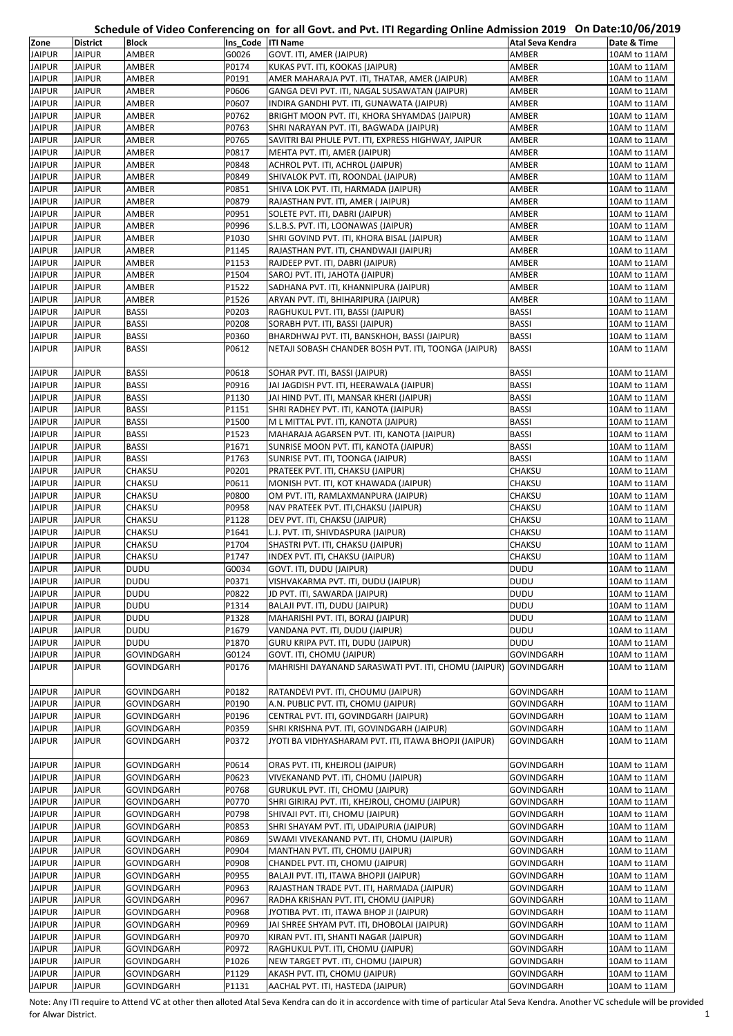## **Schedule of Video Conferencing on for all Govt. and Pvt. ITI Regarding Online Admission 2019 On Date:10/06/2019**

| Zone                           | <b>District</b>                | <b>Block</b>                           | Ins Code  ITI Name | $\frac{1}{2}$ of the complete control of the control of the control of the complete complete $\frac{1}{2}$ | Atal Seva Kendra         | .<br>Date & Time             |
|--------------------------------|--------------------------------|----------------------------------------|--------------------|------------------------------------------------------------------------------------------------------------|--------------------------|------------------------------|
| <b>JAIPUR</b>                  | <b>JAIPUR</b>                  | AMBER                                  | G0026              | GOVT. ITI, AMER (JAIPUR)                                                                                   | AMBER                    | 10AM to 11AM                 |
| <b>JAIPUR</b>                  | <b>JAIPUR</b>                  | AMBER                                  | P0174              | KUKAS PVT. ITI, KOOKAS (JAIPUR)                                                                            | AMBER                    | 10AM to 11AM                 |
| <b>JAIPUR</b>                  | <b>JAIPUR</b>                  | AMBER                                  | P0191              | AMER MAHARAJA PVT. ITI, THATAR, AMER (JAIPUR)                                                              | AMBER                    | 10AM to 11AM                 |
| <b>JAIPUR</b>                  | <b>JAIPUR</b>                  | AMBER                                  | P0606              | GANGA DEVI PVT. ITI, NAGAL SUSAWATAN (JAIPUR)                                                              | AMBER                    | 10AM to 11AM                 |
| <b>JAIPUR</b>                  | <b>JAIPUR</b>                  | AMBER                                  | P0607              | INDIRA GANDHI PVT. ITI, GUNAWATA (JAIPUR)                                                                  | AMBER                    | 10AM to 11AM                 |
| <b>JAIPUR</b>                  | <b>JAIPUR</b>                  | AMBER                                  | P0762              | BRIGHT MOON PVT. ITI, KHORA SHYAMDAS (JAIPUR)                                                              | AMBER                    | 10AM to 11AM                 |
| <b>JAIPUR</b>                  | <b>JAIPUR</b>                  | AMBER                                  | P0763              | SHRI NARAYAN PVT. ITI, BAGWADA (JAIPUR)                                                                    | AMBER                    |                              |
|                                |                                |                                        | P0765              |                                                                                                            |                          | 10AM to 11AM                 |
| <b>JAIPUR</b>                  | <b>JAIPUR</b>                  | AMBER                                  |                    | SAVITRI BAI PHULE PVT. ITI, EXPRESS HIGHWAY, JAIPUR                                                        | AMBER                    | 10AM to 11AM                 |
| <b>JAIPUR</b>                  | <b>JAIPUR</b>                  | AMBER                                  | P0817              | MEHTA PVT. ITI, AMER (JAIPUR)                                                                              | AMBER                    | 10AM to 11AM                 |
| <b>JAIPUR</b>                  | <b>JAIPUR</b>                  | AMBER                                  | P0848              | ACHROL PVT. ITI, ACHROL (JAIPUR)                                                                           | AMBER                    | 10AM to 11AM                 |
| <b>JAIPUR</b>                  | <b>JAIPUR</b>                  | AMBER                                  | P0849              | SHIVALOK PVT. ITI, ROONDAL (JAIPUR)                                                                        | AMBER                    | 10AM to 11AM                 |
| <b>JAIPUR</b>                  | <b>JAIPUR</b>                  | AMBER                                  | P0851              | SHIVA LOK PVT. ITI, HARMADA (JAIPUR)                                                                       | AMBER                    | 10AM to 11AM                 |
| <b>JAIPUR</b>                  | <b>JAIPUR</b>                  | AMBER                                  | P0879              | RAJASTHAN PVT. ITI, AMER (JAIPUR)                                                                          | AMBER                    | 10AM to 11AM                 |
| <b>JAIPUR</b>                  | <b>JAIPUR</b>                  | AMBER                                  | P0951              | SOLETE PVT. ITI, DABRI (JAIPUR)                                                                            | AMBER                    | 10AM to 11AM                 |
| <b>JAIPUR</b>                  | <b>JAIPUR</b>                  | AMBER                                  | P0996              | S.L.B.S. PVT. ITI, LOONAWAS (JAIPUR)                                                                       | AMBER                    | 10AM to 11AM                 |
| <b>JAIPUR</b>                  | <b>JAIPUR</b>                  | AMBER                                  | P1030              | SHRI GOVIND PVT. ITI, KHORA BISAL (JAIPUR)                                                                 | AMBER                    | 10AM to 11AM                 |
| <b>JAIPUR</b>                  | <b>JAIPUR</b>                  | AMBER                                  | P1145              | RAJASTHAN PVT. ITI, CHANDWAJI (JAIPUR)                                                                     | AMBER                    | 10AM to 11AM                 |
| <b>JAIPUR</b>                  | <b>JAIPUR</b>                  | AMBER                                  | P1153              | RAJDEEP PVT. ITI, DABRI (JAIPUR)                                                                           | AMBER                    | 10AM to 11AM                 |
| <b>JAIPUR</b>                  | <b>JAIPUR</b>                  | AMBER                                  | P1504              | SAROJ PVT. ITI, JAHOTA (JAIPUR)                                                                            | AMBER                    | 10AM to 11AM                 |
| <b>JAIPUR</b>                  | <b>JAIPUR</b>                  | AMBER                                  | P1522              | SADHANA PVT. ITI, KHANNIPURA (JAIPUR)                                                                      | AMBER                    | 10AM to 11AM                 |
| <b>JAIPUR</b>                  | <b>JAIPUR</b>                  | AMBER                                  | P1526              | ARYAN PVT. ITI, BHIHARIPURA (JAIPUR)                                                                       | AMBER                    | 10AM to 11AM                 |
| <b>JAIPUR</b>                  | <b>JAIPUR</b>                  | <b>BASSI</b>                           | P0203              | RAGHUKUL PVT. ITI, BASSI (JAIPUR)                                                                          | <b>BASSI</b>             | 10AM to 11AM                 |
| <b>JAIPUR</b>                  | <b>JAIPUR</b>                  | <b>BASSI</b>                           | P0208              | SORABH PVT. ITI, BASSI (JAIPUR)                                                                            | <b>BASSI</b>             | 10AM to 11AM                 |
| <b>JAIPUR</b>                  | <b>JAIPUR</b>                  | <b>BASSI</b>                           | P0360              | BHARDHWAJ PVT. ITI, BANSKHOH, BASSI (JAIPUR)                                                               | <b>BASSI</b>             | 10AM to 11AM                 |
| <b>JAIPUR</b>                  | <b>JAIPUR</b>                  | <b>BASSI</b>                           | P0612              | NETAJI SOBASH CHANDER BOSH PVT. ITI, TOONGA (JAIPUR)                                                       | <b>BASSI</b>             | 10AM to 11AM                 |
| <b>JAIPUR</b>                  | <b>JAIPUR</b>                  | <b>BASSI</b>                           | P0618              |                                                                                                            | <b>BASSI</b>             | 10AM to 11AM                 |
| <b>JAIPUR</b>                  | <b>JAIPUR</b>                  | <b>BASSI</b>                           | P0916              | SOHAR PVT. ITI, BASSI (JAIPUR)<br>JAI JAGDISH PVT. ITI, HEERAWALA (JAIPUR)                                 | <b>BASSI</b>             | 10AM to 11AM                 |
| <b>JAIPUR</b>                  | <b>JAIPUR</b>                  | <b>BASSI</b>                           | P1130              | JAI HIND PVT. ITI, MANSAR KHERI (JAIPUR)                                                                   | BASSI                    | 10AM to 11AM                 |
| <b>JAIPUR</b>                  | <b>JAIPUR</b>                  | <b>BASSI</b>                           | P1151              | SHRI RADHEY PVT. ITI, KANOTA (JAIPUR)                                                                      | BASSI                    | 10AM to 11AM                 |
| <b>JAIPUR</b>                  | <b>JAIPUR</b>                  | <b>BASSI</b>                           | P1500              | M L MITTAL PVT. ITI, KANOTA (JAIPUR)                                                                       | <b>BASSI</b>             | 10AM to 11AM                 |
| <b>JAIPUR</b>                  | <b>JAIPUR</b>                  | <b>BASSI</b>                           | P1523              | MAHARAJA AGARSEN PVT. ITI, KANOTA (JAIPUR)                                                                 | BASSI                    | 10AM to 11AM                 |
| <b>JAIPUR</b>                  | <b>JAIPUR</b>                  | <b>BASSI</b>                           | P1671              | SUNRISE MOON PVT. ITI, KANOTA (JAIPUR)                                                                     | BASSI                    | 10AM to 11AM                 |
| <b>JAIPUR</b>                  | <b>JAIPUR</b>                  | <b>BASSI</b>                           | P1763              | SUNRISE PVT. ITI, TOONGA (JAIPUR)                                                                          | <b>BASSI</b>             | 10AM to 11AM                 |
| <b>JAIPUR</b>                  | <b>JAIPUR</b>                  | CHAKSU                                 | P0201              | PRATEEK PVT. ITI, CHAKSU (JAIPUR)                                                                          | CHAKSU                   | 10AM to 11AM                 |
| <b>JAIPUR</b>                  | <b>JAIPUR</b>                  | CHAKSU                                 | P0611              | MONISH PVT. ITI, KOT KHAWADA (JAIPUR)                                                                      | CHAKSU                   | 10AM to 11AM                 |
| <b>JAIPUR</b>                  | <b>JAIPUR</b>                  | CHAKSU                                 | P0800              | OM PVT. ITI, RAMLAXMANPURA (JAIPUR)                                                                        | CHAKSU                   | 10AM to 11AM                 |
| <b>JAIPUR</b>                  | <b>JAIPUR</b>                  | CHAKSU                                 | P0958              | NAV PRATEEK PVT. ITI, CHAKSU (JAIPUR)                                                                      | CHAKSU                   | 10AM to 11AM                 |
| <b>JAIPUR</b>                  | <b>JAIPUR</b>                  | CHAKSU                                 | P1128              | DEV PVT. ITI, CHAKSU (JAIPUR)                                                                              | CHAKSU                   | 10AM to 11AM                 |
| <b>JAIPUR</b>                  | <b>JAIPUR</b>                  | CHAKSU                                 | P1641              | L.J. PVT. ITI, SHIVDASPURA (JAIPUR)                                                                        | CHAKSU                   | 10AM to 11AM                 |
| <b>JAIPUR</b>                  | <b>JAIPUR</b>                  | CHAKSU                                 | P1704              | SHASTRI PVT. ITI, CHAKSU (JAIPUR)                                                                          | CHAKSU                   | 10AM to 11AM                 |
| <b>JAIPUR</b>                  | <b>JAIPUR</b>                  | CHAKSU                                 | P1747              | INDEX PVT. ITI, CHAKSU (JAIPUR)                                                                            | CHAKSU                   | 10AM to 11AM                 |
| <b>JAIPUR</b>                  | <b>JAIPUR</b>                  | <b>DUDU</b>                            | G0034              | GOVT. ITI, DUDU (JAIPUR)                                                                                   | DUDU                     | 10AM to 11AM                 |
| <b>JAIPUR</b>                  | <b>JAIPUR</b>                  | <b>DUDU</b>                            | P0371              | VISHVAKARMA PVT. ITI, DUDU (JAIPUR)                                                                        | DUDU                     | 10AM to 11AM                 |
| <b>JAIPUR</b>                  | <b>JAIPUR</b>                  | <b>DUDU</b>                            | P0822              | JD PVT. ITI, SAWARDA (JAIPUR)                                                                              | DUDU                     | 10AM to 11AM                 |
| <b>JAIPUR</b>                  | <b>JAIPUR</b>                  | <b>DUDU</b>                            | P1314              | BALAJI PVT. ITI, DUDU (JAIPUR)                                                                             | DUDU                     | 10AM to 11AM                 |
| <b>JAIPUR</b>                  | <b>JAIPUR</b>                  | <b>DUDU</b>                            | P1328              | MAHARISHI PVT. ITI, BORAJ (JAIPUR)                                                                         | DUDU                     | 10AM to 11AM                 |
| <b>JAIPUR</b>                  | <b>JAIPUR</b>                  | <b>DUDU</b>                            | P1679              | VANDANA PVT. ITI, DUDU (JAIPUR)                                                                            | DUDU                     | 10AM to 11AM                 |
| <b>JAIPUR</b>                  | <b>JAIPUR</b>                  | <b>DUDU</b>                            | P1870              | GURU KRIPA PVT. ITI, DUDU (JAIPUR)                                                                         | <b>DUDU</b>              | 10AM to 11AM                 |
| <b>JAIPUR</b>                  | <b>JAIPUR</b>                  | <b>GOVINDGARH</b>                      | G0124              | GOVT. ITI, CHOMU (JAIPUR)                                                                                  | <b>GOVINDGARH</b>        | 10AM to 11AM                 |
| <b>JAIPUR</b>                  | JAIPUR                         | GOVINDGARH                             | P0176              | MAHRISHI DAYANAND SARASWATI PVT. ITI, CHOMU (JAIPUR)                                                       | <b>GOVINDGARH</b>        | 10AM to 11AM                 |
|                                |                                |                                        |                    |                                                                                                            |                          |                              |
| <b>JAIPUR</b>                  | <b>JAIPUR</b>                  | <b>GOVINDGARH</b>                      | P0182              | RATANDEVI PVT. ITI, CHOUMU (JAIPUR)                                                                        | GOVINDGARH               | 10AM to 11AM                 |
| <b>JAIPUR</b>                  | <b>JAIPUR</b>                  | GOVINDGARH                             | P0190              | A.N. PUBLIC PVT. ITI, CHOMU (JAIPUR)                                                                       | GOVINDGARH               | 10AM to 11AM                 |
| <b>JAIPUR</b>                  | <b>JAIPUR</b>                  | <b>GOVINDGARH</b>                      | P0196              | CENTRAL PVT. ITI, GOVINDGARH (JAIPUR)                                                                      | GOVINDGARH               | 10AM to 11AM                 |
| <b>JAIPUR</b>                  | <b>JAIPUR</b>                  | <b>GOVINDGARH</b>                      | P0359              | SHRI KRISHNA PVT. ITI, GOVINDGARH (JAIPUR)                                                                 | GOVINDGARH               | 10AM to 11AM                 |
| <b>JAIPUR</b>                  | <b>JAIPUR</b>                  | <b>GOVINDGARH</b>                      | P0372              | JYOTI BA VIDHYASHARAM PVT. ITI, ITAWA BHOPJI (JAIPUR)                                                      | GOVINDGARH               | 10AM to 11AM                 |
|                                |                                |                                        |                    |                                                                                                            |                          |                              |
| <b>JAIPUR</b>                  | <b>JAIPUR</b>                  | <b>GOVINDGARH</b>                      | P0614              | ORAS PVT. ITI, KHEJROLI (JAIPUR)                                                                           | GOVINDGARH               | 10AM to 11AM                 |
| <b>JAIPUR</b>                  | <b>JAIPUR</b>                  | <b>GOVINDGARH</b>                      | P0623              | VIVEKANAND PVT. ITI, CHOMU (JAIPUR)                                                                        | GOVINDGARH               | 10AM to 11AM                 |
| <b>JAIPUR</b>                  | <b>JAIPUR</b>                  | <b>GOVINDGARH</b>                      | P0768              | GURUKUL PVT. ITI, CHOMU (JAIPUR)                                                                           | GOVINDGARH               | 10AM to 11AM                 |
| <b>JAIPUR</b>                  | <b>JAIPUR</b>                  | <b>GOVINDGARH</b>                      | P0770              | SHRI GIRIRAJ PVT. ITI, KHEJROLI, CHOMU (JAIPUR)                                                            | GOVINDGARH               | 10AM to 11AM                 |
| <b>JAIPUR</b>                  | <b>JAIPUR</b>                  | <b>GOVINDGARH</b>                      | P0798              | SHIVAJI PVT. ITI, CHOMU (JAIPUR)                                                                           | GOVINDGARH               | 10AM to 11AM                 |
| <b>JAIPUR</b>                  | <b>JAIPUR</b>                  | <b>GOVINDGARH</b>                      | P0853              | SHRI SHAYAM PVT. ITI, UDAIPURIA (JAIPUR)                                                                   | GOVINDGARH               | 10AM to 11AM                 |
| <b>JAIPUR</b><br><b>JAIPUR</b> | <b>JAIPUR</b>                  | GOVINDGARH                             | P0869<br>P0904     | SWAMI VIVEKANAND PVT. ITI, CHOMU (JAIPUR)                                                                  | GOVINDGARH               | 10AM to 11AM                 |
| <b>JAIPUR</b>                  | <b>JAIPUR</b><br><b>JAIPUR</b> | <b>GOVINDGARH</b><br><b>GOVINDGARH</b> | P0908              | MANTHAN PVT. ITI, CHOMU (JAIPUR)<br>CHANDEL PVT. ITI, CHOMU (JAIPUR)                                       | GOVINDGARH<br>GOVINDGARH | 10AM to 11AM<br>10AM to 11AM |
| <b>JAIPUR</b>                  | <b>JAIPUR</b>                  | <b>GOVINDGARH</b>                      | P0955              | BALAJI PVT. ITI, ITAWA BHOPJI (JAIPUR)                                                                     | GOVINDGARH               | 10AM to 11AM                 |
| <b>JAIPUR</b>                  | <b>JAIPUR</b>                  | <b>GOVINDGARH</b>                      | P0963              | RAJASTHAN TRADE PVT. ITI, HARMADA (JAIPUR)                                                                 | GOVINDGARH               | 10AM to 11AM                 |
| <b>JAIPUR</b>                  | <b>JAIPUR</b>                  | <b>GOVINDGARH</b>                      | P0967              | RADHA KRISHAN PVT. ITI, CHOMU (JAIPUR)                                                                     | GOVINDGARH               | 10AM to 11AM                 |
| <b>JAIPUR</b>                  | <b>JAIPUR</b>                  | <b>GOVINDGARH</b>                      | P0968              | JYOTIBA PVT. ITI, ITAWA BHOP JI (JAIPUR)                                                                   | GOVINDGARH               | 10AM to 11AM                 |
| <b>JAIPUR</b>                  | <b>JAIPUR</b>                  | <b>GOVINDGARH</b>                      | P0969              | JAI SHREE SHYAM PVT. ITI, DHOBOLAI (JAIPUR)                                                                | GOVINDGARH               | 10AM to 11AM                 |
| <b>JAIPUR</b>                  | <b>JAIPUR</b>                  | <b>GOVINDGARH</b>                      | P0970              | KIRAN PVT. ITI, SHANTI NAGAR (JAIPUR)                                                                      | GOVINDGARH               | 10AM to 11AM                 |
| <b>JAIPUR</b>                  | <b>JAIPUR</b>                  | <b>GOVINDGARH</b>                      | P0972              | RAGHUKUL PVT. ITI, CHOMU (JAIPUR)                                                                          | GOVINDGARH               | 10AM to 11AM                 |
| <b>JAIPUR</b>                  | <b>JAIPUR</b>                  | <b>GOVINDGARH</b>                      | P1026              | NEW TARGET PVT. ITI, CHOMU (JAIPUR)                                                                        | GOVINDGARH               | 10AM to 11AM                 |
| <b>JAIPUR</b>                  | <b>JAIPUR</b>                  | GOVINDGARH                             | P1129              | AKASH PVT. ITI, CHOMU (JAIPUR)                                                                             | GOVINDGARH               | 10AM to 11AM                 |
| <b>JAIPUR</b>                  | <b>JAIPUR</b>                  | <b>GOVINDGARH</b>                      | P1131              | AACHAL PVT. ITI, HASTEDA (JAIPUR)                                                                          | GOVINDGARH               | 10AM to 11AM                 |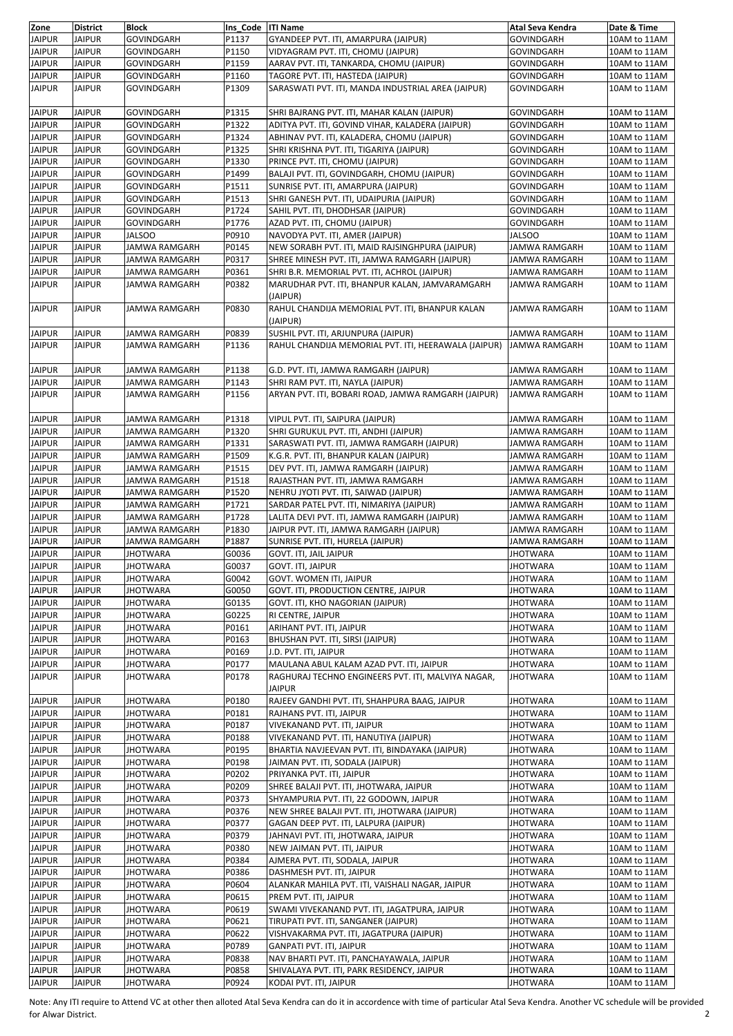| Zone          | <b>District</b> | <b>Block</b>         | Ins Code ITI Name |                                                      | Atal Seva Kendra     | Date & Time  |
|---------------|-----------------|----------------------|-------------------|------------------------------------------------------|----------------------|--------------|
| <b>JAIPUR</b> | <b>JAIPUR</b>   | GOVINDGARH           | P1137             | GYANDEEP PVT. ITI, AMARPURA (JAIPUR)                 | GOVINDGARH           | 10AM to 11AM |
| <b>JAIPUR</b> | <b>JAIPUR</b>   | GOVINDGARH           | P1150             | VIDYAGRAM PVT. ITI, CHOMU (JAIPUR)                   | GOVINDGARH           | 10AM to 11AM |
|               |                 |                      |                   |                                                      |                      |              |
| <b>JAIPUR</b> | <b>JAIPUR</b>   | <b>GOVINDGARH</b>    | P1159             | AARAV PVT. ITI, TANKARDA, CHOMU (JAIPUR)             | GOVINDGARH           | 10AM to 11AM |
| <b>JAIPUR</b> | <b>JAIPUR</b>   | GOVINDGARH           | P1160             | TAGORE PVT. ITI, HASTEDA (JAIPUR)                    | <b>GOVINDGARH</b>    | 10AM to 11AM |
| <b>JAIPUR</b> | <b>JAIPUR</b>   | GOVINDGARH           | P1309             | SARASWATI PVT. ITI, MANDA INDUSTRIAL AREA (JAIPUR)   | <b>GOVINDGARH</b>    | 10AM to 11AM |
|               |                 |                      |                   |                                                      |                      |              |
| <b>JAIPUR</b> | <b>JAIPUR</b>   | GOVINDGARH           | P1315             | SHRI BAJRANG PVT. ITI, MAHAR KALAN (JAIPUR)          | <b>GOVINDGARH</b>    | 10AM to 11AM |
| <b>JAIPUR</b> | <b>JAIPUR</b>   |                      | P1322             | ADITYA PVT. ITI, GOVIND VIHAR, KALADERA (JAIPUR)     |                      | 10AM to 11AM |
|               |                 | GOVINDGARH           |                   |                                                      | GOVINDGARH           |              |
| <b>JAIPUR</b> | <b>JAIPUR</b>   | GOVINDGARH           | P1324             | ABHINAV PVT. ITI, KALADERA, CHOMU (JAIPUR)           | <b>GOVINDGARH</b>    | 10AM to 11AM |
| <b>JAIPUR</b> | <b>JAIPUR</b>   | GOVINDGARH           | P1325             | SHRI KRISHNA PVT. ITI, TIGARIYA (JAIPUR)             | <b>GOVINDGARH</b>    | 10AM to 11AM |
| <b>JAIPUR</b> | <b>JAIPUR</b>   | <b>GOVINDGARH</b>    | P1330             | PRINCE PVT. ITI, CHOMU (JAIPUR)                      | <b>GOVINDGARH</b>    | 10AM to 11AM |
| <b>JAIPUR</b> | <b>JAIPUR</b>   | <b>GOVINDGARH</b>    | P1499             | BALAJI PVT. ITI, GOVINDGARH, CHOMU (JAIPUR)          | <b>GOVINDGARH</b>    | 10AM to 11AM |
|               |                 |                      |                   |                                                      |                      |              |
| <b>JAIPUR</b> | <b>JAIPUR</b>   | GOVINDGARH           | P1511             | SUNRISE PVT. ITI, AMARPURA (JAIPUR)                  | <b>GOVINDGARH</b>    | 10AM to 11AM |
| <b>JAIPUR</b> | <b>JAIPUR</b>   | GOVINDGARH           | P1513             | SHRI GANESH PVT. ITI, UDAIPURIA (JAIPUR)             | <b>GOVINDGARH</b>    | 10AM to 11AM |
| <b>JAIPUR</b> | <b>JAIPUR</b>   | GOVINDGARH           | P1724             | SAHIL PVT. ITI, DHODHSAR (JAIPUR)                    | <b>GOVINDGARH</b>    | 10AM to 11AM |
| <b>JAIPUR</b> | <b>JAIPUR</b>   | <b>GOVINDGARH</b>    | P1776             | AZAD PVT. ITI, CHOMU (JAIPUR)                        | <b>GOVINDGARH</b>    | 10AM to 11AM |
| <b>JAIPUR</b> | <b>JAIPUR</b>   | <b>JALSOO</b>        | P0910             | NAVODYA PVT. ITI, AMER (JAIPUR)                      | <b>JALSOO</b>        | 10AM to 11AM |
|               |                 |                      |                   |                                                      |                      |              |
| <b>JAIPUR</b> | <b>JAIPUR</b>   | JAMWA RAMGARH        | P0145             | NEW SORABH PVT. ITI, MAID RAJSINGHPURA (JAIPUR)      | JAMWA RAMGARH        | 10AM to 11AM |
| <b>JAIPUR</b> | <b>JAIPUR</b>   | JAMWA RAMGARH        | P0317             | SHREE MINESH PVT. ITI, JAMWA RAMGARH (JAIPUR)        | JAMWA RAMGARH        | 10AM to 11AM |
| <b>JAIPUR</b> | <b>JAIPUR</b>   | JAMWA RAMGARH        | P0361             | SHRI B.R. MEMORIAL PVT. ITI, ACHROL (JAIPUR)         | JAMWA RAMGARH        | 10AM to 11AM |
| <b>JAIPUR</b> | <b>JAIPUR</b>   | <b>JAMWA RAMGARH</b> | P0382             | MARUDHAR PVT. ITI, BHANPUR KALAN, JAMVARAMGARH       | JAMWA RAMGARH        | 10AM to 11AM |
|               |                 |                      |                   | (JAIPUR)                                             |                      |              |
|               |                 |                      |                   |                                                      |                      |              |
| <b>JAIPUR</b> | <b>JAIPUR</b>   | JAMWA RAMGARH        | P0830             | RAHUL CHANDIJA MEMORIAL PVT. ITI, BHANPUR KALAN      | JAMWA RAMGARH        | 10AM to 11AM |
|               |                 |                      |                   | (JAIPUR)                                             |                      |              |
| <b>JAIPUR</b> | <b>JAIPUR</b>   | JAMWA RAMGARH        | P0839             | SUSHIL PVT. ITI, ARJUNPURA (JAIPUR)                  | <b>JAMWA RAMGARH</b> | 10AM to 11AM |
| <b>JAIPUR</b> | <b>JAIPUR</b>   | JAMWA RAMGARH        | P1136             | RAHUL CHANDIJA MEMORIAL PVT. ITI, HEERAWALA (JAIPUR) | <b>JAMWA RAMGARH</b> | 10AM to 11AM |
|               |                 |                      |                   |                                                      |                      |              |
|               |                 |                      |                   |                                                      |                      |              |
| <b>JAIPUR</b> | <b>JAIPUR</b>   | JAMWA RAMGARH        | P1138             | G.D. PVT. ITI, JAMWA RAMGARH (JAIPUR)                | JAMWA RAMGARH        | 10AM to 11AM |
| <b>JAIPUR</b> | JAIPUR          | JAMWA RAMGARH        | P1143             | SHRI RAM PVT. ITI, NAYLA (JAIPUR)                    | JAMWA RAMGARH        | 10AM to 11AM |
| <b>JAIPUR</b> | <b>JAIPUR</b>   | JAMWA RAMGARH        | P1156             | ARYAN PVT. ITI, BOBARI ROAD, JAMWA RAMGARH (JAIPUR)  | <b>JAMWA RAMGARH</b> | 10AM to 11AM |
|               |                 |                      |                   |                                                      |                      |              |
|               |                 |                      |                   |                                                      |                      |              |
| <b>JAIPUR</b> | <b>JAIPUR</b>   | JAMWA RAMGARH        | P1318             | VIPUL PVT. ITI, SAIPURA (JAIPUR)                     | JAMWA RAMGARH        | 10AM to 11AM |
| <b>JAIPUR</b> | <b>JAIPUR</b>   | JAMWA RAMGARH        | P1320             | SHRI GURUKUL PVT. ITI, ANDHI (JAIPUR)                | JAMWA RAMGARH        | 10AM to 11AM |
| <b>JAIPUR</b> | <b>JAIPUR</b>   | JAMWA RAMGARH        | P1331             | SARASWATI PVT. ITI, JAMWA RAMGARH (JAIPUR)           | JAMWA RAMGARH        | 10AM to 11AM |
| <b>JAIPUR</b> | JAIPUR          | JAMWA RAMGARH        | P1509             | K.G.R. PVT. ITI, BHANPUR KALAN (JAIPUR)              | JAMWA RAMGARH        | 10AM to 11AM |
|               |                 |                      |                   |                                                      |                      |              |
| <b>JAIPUR</b> | <b>JAIPUR</b>   | JAMWA RAMGARH        | P1515             | DEV PVT. ITI, JAMWA RAMGARH (JAIPUR)                 | JAMWA RAMGARH        | 10AM to 11AM |
| <b>JAIPUR</b> | <b>JAIPUR</b>   | JAMWA RAMGARH        | P1518             | RAJASTHAN PVT. ITI, JAMWA RAMGARH                    | JAMWA RAMGARH        | 10AM to 11AM |
| <b>JAIPUR</b> | JAIPUR          | JAMWA RAMGARH        | P1520             | NEHRU JYOTI PVT. ITI, SAIWAD (JAIPUR)                | JAMWA RAMGARH        | 10AM to 11AM |
| <b>JAIPUR</b> | <b>JAIPUR</b>   | JAMWA RAMGARH        | P1721             | SARDAR PATEL PVT. ITI, NIMARIYA (JAIPUR)             | JAMWA RAMGARH        | 10AM to 11AM |
| <b>JAIPUR</b> | <b>JAIPUR</b>   | JAMWA RAMGARH        | P1728             | LALITA DEVI PVT. ITI, JAMWA RAMGARH (JAIPUR)         | JAMWA RAMGARH        | 10AM to 11AM |
|               |                 |                      |                   |                                                      |                      |              |
| <b>JAIPUR</b> | JAIPUR          | JAMWA RAMGARH        | P1830             | JAIPUR PVT. ITI, JAMWA RAMGARH (JAIPUR)              | JAMWA RAMGARH        | 10AM to 11AM |
| <b>JAIPUR</b> | <b>JAIPUR</b>   | JAMWA RAMGARH        | P1887             | SUNRISE PVT. ITI, HURELA (JAIPUR)                    | JAMWA RAMGARH        | 10AM to 11AM |
| <b>JAIPUR</b> | <b>JAIPUR</b>   | JHOTWARA             | G0036             | GOVT. ITI, JAIL JAIPUR                               | JHOTWARA             | 10AM to 11AM |
| <b>JAIPUR</b> | <b>JAIPUR</b>   | <b>JHOTWARA</b>      | G0037             | GOVT. ITI, JAIPUR                                    | <b>JHOTWARA</b>      | 10AM to 11AM |
|               |                 |                      |                   |                                                      |                      |              |
| <b>JAIPUR</b> | <b>JAIPUR</b>   | <b>JHOTWARA</b>      | G0042             | <b>GOVT. WOMEN ITI, JAIPUR</b>                       | <b>JHOTWARA</b>      | 10AM to 11AM |
| <b>JAIPUR</b> | <b>JAIPUR</b>   | JHOTWARA             | G0050             | GOVT. ITI, PRODUCTION CENTRE, JAIPUR                 | JHOTWARA             | 10AM to 11AM |
| <b>JAIPUR</b> | JAIPUR          | JHOTWARA             | G0135             | GOVT. ITI, KHO NAGORIAN (JAIPUR)                     | <b>JHOTWARA</b>      | 10AM to 11AM |
| <b>JAIPUR</b> | <b>JAIPUR</b>   | <b>JHOTWARA</b>      | G0225             | RI CENTRE, JAIPUR                                    | <b>JHOTWARA</b>      | 10AM to 11AM |
| <b>JAIPUR</b> | <b>JAIPUR</b>   | <b>JHOTWARA</b>      | P0161             | ARIHANT PVT. ITI, JAIPUR                             | JHOTWARA             | 10AM to 11AM |
|               |                 |                      |                   |                                                      |                      |              |
| <b>JAIPUR</b> | JAIPUR          | JHOTWARA             | P0163             | BHUSHAN PVT. ITI, SIRSI (JAIPUR)                     | JHOTWARA             | 10AM to 11AM |
| <b>JAIPUR</b> | <b>JAIPUR</b>   | <b>JHOTWARA</b>      | P0169             | J.D. PVT. ITI, JAIPUR                                | <b>JHOTWARA</b>      | 10AM to 11AM |
| <b>JAIPUR</b> | <b>JAIPUR</b>   | <b>JHOTWARA</b>      | P0177             | MAULANA ABUL KALAM AZAD PVT. ITI, JAIPUR             | <b>JHOTWARA</b>      | 10AM to 11AM |
| <b>JAIPUR</b> | <b>JAIPUR</b>   | <b>JHOTWARA</b>      | P0178             | RAGHURAJ TECHNO ENGINEERS PVT. ITI, MALVIYA NAGAR,   | <b>JHOTWARA</b>      | 10AM to 11AM |
|               |                 |                      |                   | <b>JAIPUR</b>                                        |                      |              |
|               |                 |                      |                   |                                                      |                      |              |
| <b>JAIPUR</b> | JAIPUR          | <b>JHOTWARA</b>      | P0180             | RAJEEV GANDHI PVT. ITI, SHAHPURA BAAG, JAIPUR        | <b>JHOTWARA</b>      | 10AM to 11AM |
| <b>JAIPUR</b> | <b>JAIPUR</b>   | <b>JHOTWARA</b>      | P0181             | RAJHANS PVT. ITI, JAIPUR                             | JHOTWARA             | 10AM to 11AM |
| <b>JAIPUR</b> | <b>JAIPUR</b>   | <b>JHOTWARA</b>      | P0187             | VIVEKANAND PVT. ITI, JAIPUR                          | <b>JHOTWARA</b>      | 10AM to 11AM |
| <b>JAIPUR</b> | <b>JAIPUR</b>   | JHOTWARA             | P0188             | VIVEKANAND PVT. ITI, HANUTIYA (JAIPUR)               | JHOTWARA             | 10AM to 11AM |
| <b>JAIPUR</b> | <b>JAIPUR</b>   | JHOTWARA             | P0195             | BHARTIA NAVJEEVAN PVT. ITI, BINDAYAKA (JAIPUR)       | JHOTWARA             | 10AM to 11AM |
| <b>JAIPUR</b> | <b>JAIPUR</b>   | <b>JHOTWARA</b>      | P0198             | JAIMAN PVT. ITI, SODALA (JAIPUR)                     | <b>JHOTWARA</b>      |              |
|               |                 |                      |                   |                                                      |                      | 10AM to 11AM |
| <b>JAIPUR</b> | <b>JAIPUR</b>   | JHOTWARA             | P0202             | PRIYANKA PVT. ITI, JAIPUR                            | JHOTWARA             | 10AM to 11AM |
| <b>JAIPUR</b> | <b>JAIPUR</b>   | JHOTWARA             | P0209             | SHREE BALAJI PVT. ITI, JHOTWARA, JAIPUR              | JHOTWARA             | 10AM to 11AM |
| <b>JAIPUR</b> | <b>JAIPUR</b>   | <b>JHOTWARA</b>      | P0373             | SHYAMPURIA PVT. ITI, 22 GODOWN, JAIPUR               | JHOTWARA             | 10AM to 11AM |
| <b>JAIPUR</b> | JAIPUR          | JHOTWARA             | P0376             | NEW SHREE BALAJI PVT. ITI, JHOTWARA (JAIPUR)         | JHOTWARA             | 10AM to 11AM |
|               |                 |                      |                   |                                                      |                      |              |
| <b>JAIPUR</b> | <b>JAIPUR</b>   | <b>JHOTWARA</b>      | P0377             | GAGAN DEEP PVT. ITI, LALPURA (JAIPUR)                | <b>JHOTWARA</b>      | 10AM to 11AM |
| <b>JAIPUR</b> | <b>JAIPUR</b>   | <b>JHOTWARA</b>      | P0379             | JAHNAVI PVT. ITI, JHOTWARA, JAIPUR                   | JHOTWARA             | 10AM to 11AM |
| <b>JAIPUR</b> | <b>JAIPUR</b>   | <b>JHOTWARA</b>      | P0380             | NEW JAIMAN PVT. ITI, JAIPUR                          | JHOTWARA             | 10AM to 11AM |
| <b>JAIPUR</b> | <b>JAIPUR</b>   | JHOTWARA             | P0384             | AJMERA PVT. ITI, SODALA, JAIPUR                      | <b>JHOTWARA</b>      | 10AM to 11AM |
| <b>JAIPUR</b> | <b>JAIPUR</b>   | <b>JHOTWARA</b>      | P0386             | DASHMESH PVT. ITI, JAIPUR                            | JHOTWARA             | 10AM to 11AM |
|               |                 |                      |                   |                                                      |                      |              |
| <b>JAIPUR</b> | <b>JAIPUR</b>   | <b>JHOTWARA</b>      | P0604             | ALANKAR MAHILA PVT. ITI, VAISHALI NAGAR, JAIPUR      | JHOTWARA             | 10AM to 11AM |
| <b>JAIPUR</b> | <b>JAIPUR</b>   | JHOTWARA             | P0615             | PREM PVT. ITI, JAIPUR                                | JHOTWARA             | 10AM to 11AM |
| <b>JAIPUR</b> | <b>JAIPUR</b>   | <b>JHOTWARA</b>      | P0619             | SWAMI VIVEKANAND PVT. ITI, JAGATPURA, JAIPUR         | JHOTWARA             | 10AM to 11AM |
| <b>JAIPUR</b> | JAIPUR          | JHOTWARA             | P0621             | TIRUPATI PVT. ITI, SANGANER (JAIPUR)                 | JHOTWARA             | 10AM to 11AM |
| <b>JAIPUR</b> | <b>JAIPUR</b>   |                      | P0622             | VISHVAKARMA PVT. ITI, JAGATPURA (JAIPUR)             |                      |              |
|               |                 | JHOTWARA             |                   |                                                      | JHOTWARA             | 10AM to 11AM |
| <b>JAIPUR</b> | <b>JAIPUR</b>   | JHOTWARA             | P0789             | <b>GANPATI PVT. ITI, JAIPUR</b>                      | JHOTWARA             | 10AM to 11AM |
| <b>JAIPUR</b> | <b>JAIPUR</b>   | JHOTWARA             | P0838             | NAV BHARTI PVT. ITI, PANCHAYAWALA, JAIPUR            | JHOTWARA             | 10AM to 11AM |
| <b>JAIPUR</b> | <b>JAIPUR</b>   | JHOTWARA             | P0858             | SHIVALAYA PVT. ITI, PARK RESIDENCY, JAIPUR           | JHOTWARA             | 10AM to 11AM |
| <b>JAIPUR</b> | <b>JAIPUR</b>   | <b>JHOTWARA</b>      | P0924             | KODAI PVT. ITI, JAIPUR                               | <b>JHOTWARA</b>      | 10AM to 11AM |
|               |                 |                      |                   |                                                      |                      |              |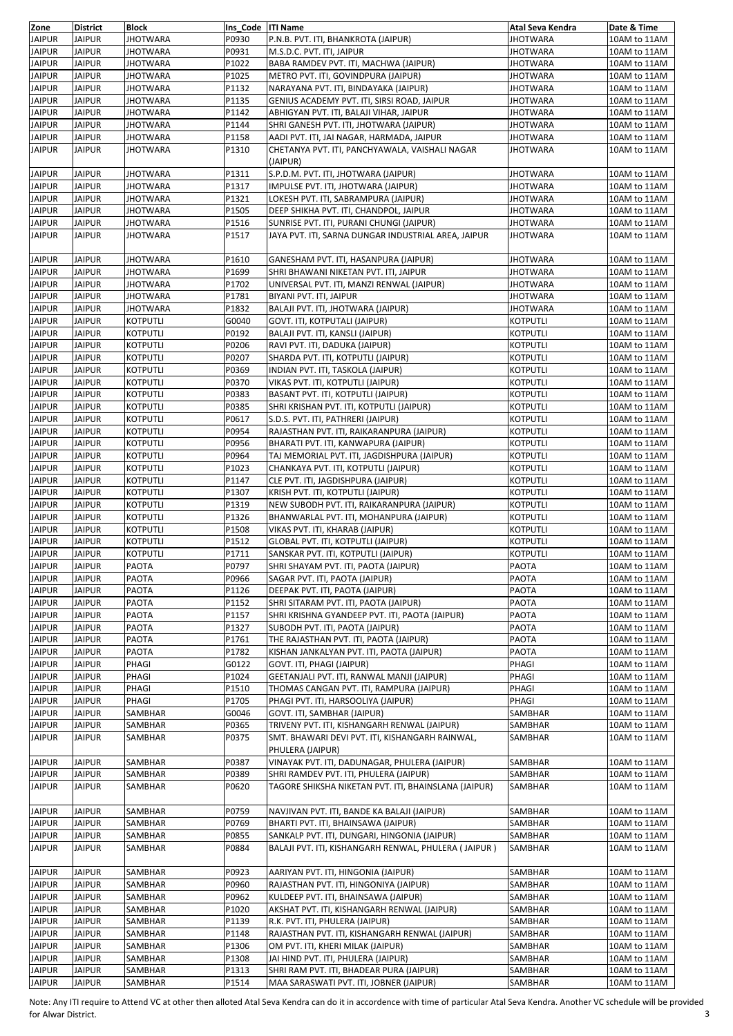| Zone                           | <b>District</b>                | <b>Block</b>                | Ins Code   ITI Name |                                                                                     | Atal Seva Kendra                   | Date & Time                  |
|--------------------------------|--------------------------------|-----------------------------|---------------------|-------------------------------------------------------------------------------------|------------------------------------|------------------------------|
| <b>JAIPUR</b>                  | <b>JAIPUR</b>                  | <b>JHOTWARA</b>             | P0930               | P.N.B. PVT. ITI, BHANKROTA (JAIPUR)                                                 | <b>JHOTWARA</b>                    | 10AM to 11AM                 |
| <b>JAIPUR</b>                  | <b>JAIPUR</b>                  | <b>JHOTWARA</b>             | P0931               | M.S.D.C. PVT. ITI, JAIPUR                                                           | <b>JHOTWARA</b>                    | 10AM to 11AM                 |
| <b>JAIPUR</b>                  | <b>JAIPUR</b>                  | <b>JHOTWARA</b>             | P1022               | BABA RAMDEV PVT. ITI, MACHWA (JAIPUR)                                               | JHOTWARA                           | 10AM to 11AM                 |
| <b>JAIPUR</b>                  | <b>JAIPUR</b>                  | <b>JHOTWARA</b>             | P1025               | METRO PVT. ITI, GOVINDPURA (JAIPUR)                                                 | JHOTWARA                           | 10AM to 11AM                 |
| <b>JAIPUR</b>                  | <b>JAIPUR</b>                  | <b>JHOTWARA</b>             | P1132               | NARAYANA PVT. ITI, BINDAYAKA (JAIPUR)                                               | <b>JHOTWARA</b>                    | 10AM to 11AM                 |
| <b>JAIPUR</b><br><b>JAIPUR</b> | <b>JAIPUR</b><br><b>JAIPUR</b> | <b>JHOTWARA</b>             | P1135               | GENIUS ACADEMY PVT. ITI, SIRSI ROAD, JAIPUR                                         | JHOTWARA                           | 10AM to 11AM<br>10AM to 11AM |
| <b>JAIPUR</b>                  | JAIPUR                         | JHOTWARA<br>JHOTWARA        | P1142<br>P1144      | ABHIGYAN PVT. ITI, BALAJI VIHAR, JAIPUR<br>SHRI GANESH PVT. ITI, JHOTWARA (JAIPUR)  | <b>JHOTWARA</b><br><b>JHOTWARA</b> | 10AM to 11AM                 |
| <b>JAIPUR</b>                  | <b>JAIPUR</b>                  | <b>JHOTWARA</b>             | P1158               | AADI PVT. ITI, JAI NAGAR, HARMADA, JAIPUR                                           | <b>JHOTWARA</b>                    | 10AM to 11AM                 |
| <b>JAIPUR</b>                  | <b>JAIPUR</b>                  | <b>JHOTWARA</b>             | P1310               | CHETANYA PVT. ITI, PANCHYAWALA, VAISHALI NAGAR                                      | <b>JHOTWARA</b>                    | 10AM to 11AM                 |
|                                |                                |                             |                     | (JAIPUR)                                                                            |                                    |                              |
| <b>JAIPUR</b>                  | <b>JAIPUR</b>                  | <b>JHOTWARA</b>             | P1311               | S.P.D.M. PVT. ITI, JHOTWARA (JAIPUR)                                                | <b>JHOTWARA</b>                    | 10AM to 11AM                 |
| <b>JAIPUR</b>                  | <b>JAIPUR</b>                  | <b>JHOTWARA</b>             | P1317               | IMPULSE PVT. ITI. JHOTWARA (JAIPUR)                                                 | JHOTWARA                           | 10AM to 11AM                 |
| <b>JAIPUR</b>                  | JAIPUR                         | JHOTWARA                    | P1321               | LOKESH PVT. ITI, SABRAMPURA (JAIPUR)                                                | <b>JHOTWARA</b>                    | 10AM to 11AM                 |
| <b>JAIPUR</b>                  | <b>JAIPUR</b>                  | <b>JHOTWARA</b>             | P1505               | DEEP SHIKHA PVT. ITI, CHANDPOL, JAIPUR                                              | <b>JHOTWARA</b>                    | 10AM to 11AM                 |
| <b>JAIPUR</b>                  | <b>JAIPUR</b>                  | JHOTWARA                    | P1516               | SUNRISE PVT. ITI, PURANI CHUNGI (JAIPUR)                                            | <b>JHOTWARA</b>                    | 10AM to 11AM                 |
| <b>JAIPUR</b>                  | JAIPUR                         | JHOTWARA                    | P1517               | JAYA PVT. ITI, SARNA DUNGAR INDUSTRIAL AREA, JAIPUR                                 | <b>JHOTWARA</b>                    | 10AM to 11AM                 |
| <b>JAIPUR</b>                  | <b>JAIPUR</b>                  |                             |                     |                                                                                     |                                    |                              |
| <b>JAIPUR</b>                  | <b>JAIPUR</b>                  | <b>JHOTWARA</b><br>JHOTWARA | P1610<br>P1699      | GANESHAM PVT. ITI, HASANPURA (JAIPUR)<br>SHRI BHAWANI NIKETAN PVT. ITI, JAIPUR      | <b>JHOTWARA</b><br>JHOTWARA        | 10AM to 11AM<br>10AM to 11AM |
| <b>JAIPUR</b>                  | <b>JAIPUR</b>                  | <b>JHOTWARA</b>             | P1702               | UNIVERSAL PVT. ITI, MANZI RENWAL (JAIPUR)                                           | JHOTWARA                           | 10AM to 11AM                 |
| <b>JAIPUR</b>                  | <b>JAIPUR</b>                  | <b>JHOTWARA</b>             | P1781               | BIYANI PVT. ITI, JAIPUR                                                             | JHOTWARA                           | 10AM to 11AM                 |
| <b>JAIPUR</b>                  | <b>JAIPUR</b>                  | <b>JHOTWARA</b>             | P1832               | BALAJI PVT. ITI, JHOTWARA (JAIPUR)                                                  | JHOTWARA                           | 10AM to 11AM                 |
| <b>JAIPUR</b>                  | <b>JAIPUR</b>                  | KOTPUTLI                    | G0040               | <b>GOVT. ITI, KOTPUTALI (JAIPUR)</b>                                                | <b>KOTPUTLI</b>                    | 10AM to 11AM                 |
| <b>JAIPUR</b>                  | <b>JAIPUR</b>                  | KOTPUTLI                    | P0192               | BALAJI PVT. ITI, KANSLI (JAIPUR)                                                    | <b>KOTPUTLI</b>                    | 10AM to 11AM                 |
| <b>JAIPUR</b>                  | <b>JAIPUR</b>                  | KOTPUTLI                    | P0206               | RAVI PVT. ITI, DADUKA (JAIPUR)                                                      | KOTPUTLI                           | 10AM to 11AM                 |
| <b>JAIPUR</b>                  | <b>JAIPUR</b>                  | <b>KOTPUTLI</b>             | P0207               | SHARDA PVT. ITI, KOTPUTLI (JAIPUR)                                                  | <b>KOTPUTLI</b>                    | 10AM to 11AM                 |
| <b>JAIPUR</b>                  | <b>JAIPUR</b>                  | <b>KOTPUTLI</b>             | P0369               | INDIAN PVT. ITI, TASKOLA (JAIPUR)                                                   | <b>KOTPUTLI</b>                    | 10AM to 11AM                 |
| <b>JAIPUR</b>                  | JAIPUR                         | KOTPUTLI                    | P0370               | VIKAS PVT. ITI, KOTPUTLI (JAIPUR)                                                   | KOTPUTLI                           | 10AM to 11AM                 |
| <b>JAIPUR</b>                  | <b>JAIPUR</b>                  | <b>KOTPUTLI</b>             | P0383               | BASANT PVT. ITI, KOTPUTLI (JAIPUR)                                                  | <b>KOTPUTLI</b>                    | 10AM to 11AM                 |
| <b>JAIPUR</b>                  | <b>JAIPUR</b>                  | KOTPUTLI                    | P0385               | SHRI KRISHAN PVT. ITI, KOTPUTLI (JAIPUR)                                            | <b>KOTPUTLI</b>                    | 10AM to 11AM                 |
| <b>JAIPUR</b>                  | <b>JAIPUR</b>                  | KOTPUTLI                    | P0617               | S.D.S. PVT. ITI, PATHRERI (JAIPUR)                                                  | KOTPUTLI                           | 10AM to 11AM                 |
| <b>JAIPUR</b>                  | <b>JAIPUR</b>                  | <b>KOTPUTLI</b>             | P0954               | RAJASTHAN PVT. ITI, RAIKARANPURA (JAIPUR)                                           | <b>KOTPUTLI</b>                    | 10AM to 11AM                 |
| <b>JAIPUR</b>                  | <b>JAIPUR</b>                  | KOTPUTLI                    | P0956               | BHARATI PVT. ITI, KANWAPURA (JAIPUR)                                                | KOTPUTLI                           | 10AM to 11AM                 |
| <b>JAIPUR</b><br><b>JAIPUR</b> | <b>JAIPUR</b><br><b>JAIPUR</b> | KOTPUTLI<br><b>KOTPUTLI</b> | P0964<br>P1023      | TAJ MEMORIAL PVT. ITI, JAGDISHPURA (JAIPUR)<br>CHANKAYA PVT. ITI, KOTPUTLI (JAIPUR) | KOTPUTLI<br><b>KOTPUTLI</b>        | 10AM to 11AM<br>10AM to 11AM |
| <b>JAIPUR</b>                  | <b>JAIPUR</b>                  | <b>KOTPUTLI</b>             | P1147               | CLE PVT. ITI, JAGDISHPURA (JAIPUR)                                                  | <b>KOTPUTLI</b>                    | 10AM to 11AM                 |
| <b>JAIPUR</b>                  | <b>JAIPUR</b>                  | KOTPUTLI                    | P1307               | KRISH PVT. ITI, KOTPUTLI (JAIPUR)                                                   | KOTPUTLI                           | 10AM to 11AM                 |
| <b>JAIPUR</b>                  | <b>JAIPUR</b>                  | <b>KOTPUTLI</b>             | P1319               | NEW SUBODH PVT. ITI, RAIKARANPURA (JAIPUR)                                          | KOTPUTLI                           | 10AM to 11AM                 |
| <b>JAIPUR</b>                  | <b>JAIPUR</b>                  | KOTPUTLI                    | P1326               | BHANWARLAL PVT. ITI, MOHANPURA (JAIPUR)                                             | KOTPUTLI                           | 10AM to 11AM                 |
| <b>JAIPUR</b>                  | <b>JAIPUR</b>                  | KOTPUTLI                    | P1508               | VIKAS PVT. ITI, KHARAB (JAIPUR)                                                     | KOTPUTLI                           | 10AM to 11AM                 |
| <b>JAIPUR</b>                  | <b>JAIPUR</b>                  | KOTPUTLI                    | P1512               | GLOBAL PVT. ITI, KOTPUTLI (JAIPUR)                                                  | KOTPUTLI                           | 10AM to 11AM                 |
| <b>JAIPUR</b>                  | JAIPUR                         | KOTPUTLI                    | P1711               | SANSKAR PVT. ITI, KOTPUTLI (JAIPUR)                                                 | KOTPUTLI                           | 10AM to 11AM                 |
| <b>JAIPUR</b>                  | <b>JAIPUR</b>                  | PAOTA                       | P0797               | SHRI SHAYAM PVT. ITI, PAOTA (JAIPUR)                                                | PAOTA                              | 10AM to 11AM                 |
| <b>JAIPUR</b>                  | <b>JAIPUR</b>                  | <b>PAOTA</b>                | P0966               | SAGAR PVT. ITI, PAOTA (JAIPUR)                                                      | PAOTA                              | 10AM to 11AM                 |
| <b>JAIPUR</b>                  | <b>JAIPUR</b>                  | PAOTA                       | P1126               | DEEPAK PVT. ITI, PAOTA (JAIPUR)                                                     | PAOTA                              | 10AM to 11AM                 |
| <b>JAIPUR</b>                  | JAIPUR                         | PAOTA                       | P1152               | SHRI SITARAM PVT. ITI, PAOTA (JAIPUR)                                               | PAOTA                              | 10AM to 11AM                 |
| <b>JAIPUR</b><br><b>JAIPUR</b> | <b>JAIPUR</b><br><b>JAIPUR</b> | PAOTA                       | P1157               | SHRI KRISHNA GYANDEEP PVT. ITI, PAOTA (JAIPUR)                                      | PAOTA                              | 10AM to 11AM<br>10AM to 11AM |
| <b>JAIPUR</b>                  | JAIPUR                         | PAOTA<br>PAOTA              | P1327<br>P1761      | SUBODH PVT. ITI, PAOTA (JAIPUR)<br>THE RAJASTHAN PVT. ITI, PAOTA (JAIPUR)           | PAOTA<br>PAOTA                     | 10AM to 11AM                 |
| <b>JAIPUR</b>                  | <b>JAIPUR</b>                  | PAOTA                       | P1782               | KISHAN JANKALYAN PVT. ITI, PAOTA (JAIPUR)                                           | PAOTA                              | 10AM to 11AM                 |
| <b>JAIPUR</b>                  | <b>JAIPUR</b>                  | PHAGI                       | G0122               | GOVT. ITI, PHAGI (JAIPUR)                                                           | PHAGI                              | 10AM to 11AM                 |
| <b>JAIPUR</b>                  | <b>JAIPUR</b>                  | PHAGI                       | P1024               | GEETANJALI PVT. ITI, RANWAL MANJI (JAIPUR)                                          | PHAGI                              | 10AM to 11AM                 |
| <b>JAIPUR</b>                  | <b>JAIPUR</b>                  | PHAGI                       | P1510               | THOMAS CANGAN PVT. ITI, RAMPURA (JAIPUR)                                            | PHAGI                              | 10AM to 11AM                 |
| <b>JAIPUR</b>                  | <b>JAIPUR</b>                  | PHAGI                       | P1705               | PHAGI PVT. ITI, HARSOOLIYA (JAIPUR)                                                 | PHAGI                              | 10AM to 11AM                 |
| <b>JAIPUR</b>                  | <b>JAIPUR</b>                  | SAMBHAR                     | G0046               | GOVT. ITI, SAMBHAR (JAIPUR)                                                         | SAMBHAR                            | 10AM to 11AM                 |
| <b>JAIPUR</b>                  | <b>JAIPUR</b>                  | SAMBHAR                     | P0365               | TRIVENY PVT. ITI, KISHANGARH RENWAL (JAIPUR)                                        | SAMBHAR                            | 10AM to 11AM                 |
| <b>JAIPUR</b>                  | JAIPUR                         | SAMBHAR                     | P0375               | SMT. BHAWARI DEVI PVT. ITI, KISHANGARH RAINWAL,                                     | SAMBHAR                            | 10AM to 11AM                 |
| <b>JAIPUR</b>                  | <b>JAIPUR</b>                  | SAMBHAR                     | P0387               | PHULERA (JAIPUR)<br>VINAYAK PVT. ITI, DADUNAGAR, PHULERA (JAIPUR)                   | SAMBHAR                            | 10AM to 11AM                 |
| <b>JAIPUR</b>                  | JAIPUR                         | SAMBHAR                     | P0389               | SHRI RAMDEV PVT. ITI, PHULERA (JAIPUR)                                              | SAMBHAR                            | 10AM to 11AM                 |
| <b>JAIPUR</b>                  | <b>JAIPUR</b>                  | SAMBHAR                     | P0620               | TAGORE SHIKSHA NIKETAN PVT. ITI, BHAINSLANA (JAIPUR)                                | SAMBHAR                            | 10AM to 11AM                 |
|                                |                                |                             |                     |                                                                                     |                                    |                              |
| <b>JAIPUR</b>                  | JAIPUR                         | SAMBHAR                     | P0759               | NAVJIVAN PVT. ITI, BANDE KA BALAJI (JAIPUR)                                         | SAMBHAR                            | 10AM to 11AM                 |
| <b>JAIPUR</b>                  | <b>JAIPUR</b>                  | SAMBHAR                     | P0769               | BHARTI PVT. ITI, BHAINSAWA (JAIPUR)                                                 | SAMBHAR                            | 10AM to 11AM                 |
| <b>JAIPUR</b>                  | <b>JAIPUR</b>                  | SAMBHAR                     | P0855               | SANKALP PVT. ITI, DUNGARI, HINGONIA (JAIPUR)                                        | SAMBHAR                            | 10AM to 11AM                 |
| <b>JAIPUR</b>                  | JAIPUR                         | SAMBHAR                     | P0884               | BALAJI PVT. ITI, KISHANGARH RENWAL, PHULERA (JAIPUR)                                | SAMBHAR                            | 10AM to 11AM                 |
|                                |                                |                             |                     |                                                                                     |                                    |                              |
| <b>JAIPUR</b>                  | <b>JAIPUR</b>                  | SAMBHAR                     | P0923               | AARIYAN PVT. ITI, HINGONIA (JAIPUR)                                                 | SAMBHAR                            | 10AM to 11AM                 |
| <b>JAIPUR</b>                  | JAIPUR                         | SAMBHAR                     | P0960               | RAJASTHAN PVT. ITI, HINGONIYA (JAIPUR)                                              | SAMBHAR                            | 10AM to 11AM                 |
| <b>JAIPUR</b><br><b>JAIPUR</b> | <b>JAIPUR</b><br><b>JAIPUR</b> | SAMBHAR<br>SAMBHAR          | P0962<br>P1020      | KULDEEP PVT. ITI, BHAINSAWA (JAIPUR)<br>AKSHAT PVT. ITI, KISHANGARH RENWAL (JAIPUR) | SAMBHAR<br>SAMBHAR                 | 10AM to 11AM<br>10AM to 11AM |
| <b>JAIPUR</b>                  | JAIPUR                         | SAMBHAR                     | P1139               | R.K. PVT. ITI, PHULERA (JAIPUR)                                                     | SAMBHAR                            | 10AM to 11AM                 |
| <b>JAIPUR</b>                  | <b>JAIPUR</b>                  | SAMBHAR                     | P1148               | RAJASTHAN PVT. ITI, KISHANGARH RENWAL (JAIPUR)                                      | SAMBHAR                            | 10AM to 11AM                 |
| <b>JAIPUR</b>                  | <b>JAIPUR</b>                  | SAMBHAR                     | P1306               | OM PVT. ITI, KHERI MILAK (JAIPUR)                                                   | SAMBHAR                            | 10AM to 11AM                 |
| <b>JAIPUR</b>                  | JAIPUR                         | SAMBHAR                     | P1308               | JAI HIND PVT. ITI, PHULERA (JAIPUR)                                                 | SAMBHAR                            | 10AM to 11AM                 |
| <b>JAIPUR</b>                  | <b>JAIPUR</b>                  | SAMBHAR                     | P1313               | SHRI RAM PVT. ITI, BHADEAR PURA (JAIPUR)                                            | SAMBHAR                            | 10AM to 11AM                 |
| <b>JAIPUR</b>                  | <b>JAIPUR</b>                  | SAMBHAR                     | P1514               | MAA SARASWATI PVT. ITI, JOBNER (JAIPUR)                                             | SAMBHAR                            | 10AM to 11AM                 |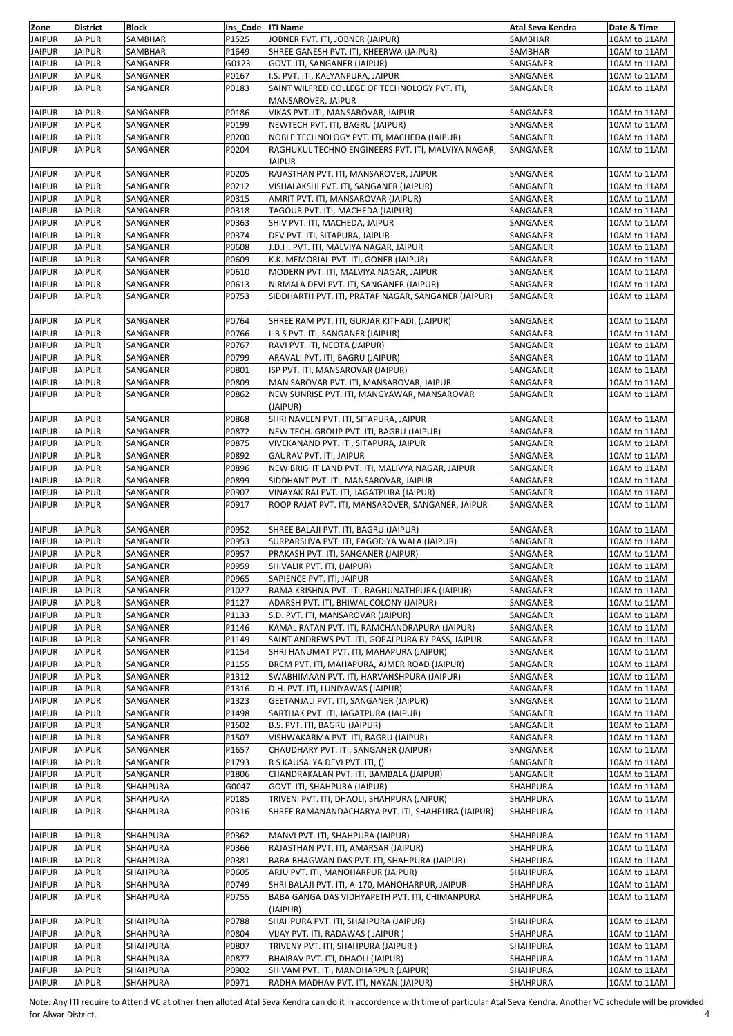| Zone          | <b>District</b> | <b>Block</b> | Ins Code ITI Name |                                                     | Atal Seva Kendra | Date & Time  |
|---------------|-----------------|--------------|-------------------|-----------------------------------------------------|------------------|--------------|
| <b>JAIPUR</b> | <b>JAIPUR</b>   | SAMBHAR      | P1525             | JOBNER PVT. ITI, JOBNER (JAIPUR)                    | SAMBHAR          | 10AM to 11AM |
| <b>JAIPUR</b> | <b>JAIPUR</b>   | SAMBHAR      | P1649             | SHREE GANESH PVT. ITI, KHEERWA (JAIPUR)             | SAMBHAR          | 10AM to 11AM |
| <b>JAIPUR</b> | <b>JAIPUR</b>   | SANGANER     | G0123             | GOVT. ITI, SANGANER (JAIPUR)                        | SANGANER         | 10AM to 11AM |
| <b>JAIPUR</b> | <b>JAIPUR</b>   | SANGANER     | P0167             | I.S. PVT. ITI, KALYANPURA, JAIPUR                   | SANGANER         | 10AM to 11AM |
| <b>JAIPUR</b> | <b>JAIPUR</b>   | SANGANER     | P0183             | SAINT WILFRED COLLEGE OF TECHNOLOGY PVT. ITI,       | SANGANER         | 10AM to 11AM |
|               |                 |              |                   | MANSAROVER, JAIPUR                                  |                  |              |
| <b>JAIPUR</b> | <b>JAIPUR</b>   | SANGANER     | P0186             | VIKAS PVT. ITI, MANSAROVAR, JAIPUR                  | SANGANER         | 10AM to 11AM |
| <b>JAIPUR</b> | <b>JAIPUR</b>   | SANGANER     | P0199             | NEWTECH PVT. ITI, BAGRU (JAIPUR)                    | SANGANER         | 10AM to 11AM |
| <b>JAIPUR</b> | <b>JAIPUR</b>   | SANGANER     | P0200             | NOBLE TECHNOLOGY PVT. ITI, MACHEDA (JAIPUR)         | SANGANER         | 10AM to 11AM |
| <b>JAIPUR</b> | <b>JAIPUR</b>   | SANGANER     | P0204             | RAGHUKUL TECHNO ENGINEERS PVT. ITI, MALVIYA NAGAR,  | SANGANER         | 10AM to 11AM |
|               |                 |              |                   | <b>JAIPUR</b>                                       |                  |              |
| <b>JAIPUR</b> | <b>JAIPUR</b>   | SANGANER     | P0205             | RAJASTHAN PVT. ITI, MANSAROVER, JAIPUR              | SANGANER         | 10AM to 11AM |
| <b>JAIPUR</b> | <b>JAIPUR</b>   | SANGANER     | P0212             | VISHALAKSHI PVT. ITI, SANGANER (JAIPUR)             | SANGANER         | 10AM to 11AM |
| <b>JAIPUR</b> | JAIPUR          | SANGANER     | P0315             | AMRIT PVT. ITI, MANSAROVAR (JAIPUR)                 | SANGANER         | 10AM to 11AM |
| <b>JAIPUR</b> | <b>JAIPUR</b>   | SANGANER     | P0318             | TAGOUR PVT. ITI, MACHEDA (JAIPUR)                   | SANGANER         | 10AM to 11AM |
| <b>JAIPUR</b> | <b>JAIPUR</b>   | SANGANER     | P0363             | SHIV PVT. ITI, MACHEDA, JAIPUR                      | SANGANER         | 10AM to 11AM |
| <b>JAIPUR</b> | <b>JAIPUR</b>   | SANGANER     | P0374             | DEV PVT. ITI, SITAPURA, JAIPUR                      | SANGANER         | 10AM to 11AM |
| <b>JAIPUR</b> | <b>JAIPUR</b>   | SANGANER     | P0608             | J.D.H. PVT. ITI, MALVIYA NAGAR, JAIPUR              | SANGANER         | 10AM to 11AM |
| <b>JAIPUR</b> | <b>JAIPUR</b>   | SANGANER     | P0609             | K.K. MEMORIAL PVT. ITI, GONER (JAIPUR)              | SANGANER         | 10AM to 11AM |
| <b>JAIPUR</b> | JAIPUR          | SANGANER     | P0610             | MODERN PVT. ITI, MALVIYA NAGAR, JAIPUR              | SANGANER         | 10AM to 11AM |
| <b>JAIPUR</b> | <b>JAIPUR</b>   | SANGANER     | P0613             | NIRMALA DEVI PVT. ITI, SANGANER (JAIPUR)            | SANGANER         | 10AM to 11AM |
| <b>JAIPUR</b> | <b>JAIPUR</b>   | SANGANER     | P0753             | SIDDHARTH PVT. ITI, PRATAP NAGAR, SANGANER (JAIPUR) | SANGANER         | 10AM to 11AM |
|               |                 |              |                   |                                                     |                  |              |
| <b>JAIPUR</b> | <b>JAIPUR</b>   | SANGANER     | P0764             | SHREE RAM PVT. ITI, GURJAR KITHADI, (JAIPUR)        | SANGANER         | 10AM to 11AM |
| <b>JAIPUR</b> | <b>JAIPUR</b>   | SANGANER     | P0766             | L B S PVT. ITI, SANGANER (JAIPUR)                   | SANGANER         | 10AM to 11AM |
| <b>JAIPUR</b> | JAIPUR          | SANGANER     | P0767             | RAVI PVT. ITI, NEOTA (JAIPUR)                       | SANGANER         | 10AM to 11AM |
| <b>JAIPUR</b> | <b>JAIPUR</b>   | SANGANER     | P0799             | ARAVALI PVT. ITI, BAGRU (JAIPUR)                    | SANGANER         | 10AM to 11AM |
| <b>JAIPUR</b> | <b>JAIPUR</b>   | SANGANER     | P0801             | ISP PVT. ITI, MANSAROVAR (JAIPUR)                   | SANGANER         | 10AM to 11AM |
| <b>JAIPUR</b> | JAIPUR          | SANGANER     | P0809             | MAN SAROVAR PVT. ITI, MANSAROVAR, JAIPUR            | SANGANER         | 10AM to 11AM |
| <b>JAIPUR</b> | <b>JAIPUR</b>   | SANGANER     | P0862             | NEW SUNRISE PVT. ITI, MANGYAWAR, MANSAROVAR         | SANGANER         | 10AM to 11AM |
|               |                 |              |                   | (JAIPUR)                                            |                  |              |
| <b>JAIPUR</b> | <b>JAIPUR</b>   | SANGANER     | P0868             | SHRI NAVEEN PVT. ITI, SITAPURA, JAIPUR              | SANGANER         | 10AM to 11AM |
| <b>JAIPUR</b> | <b>JAIPUR</b>   | SANGANER     | P0872             | NEW TECH. GROUP PVT. ITI, BAGRU (JAIPUR)            | SANGANER         | 10AM to 11AM |
| <b>JAIPUR</b> | <b>JAIPUR</b>   | SANGANER     | P0875             | VIVEKANAND PVT. ITI, SITAPURA, JAIPUR               | SANGANER         | 10AM to 11AM |
| <b>JAIPUR</b> | <b>JAIPUR</b>   | SANGANER     | P0892             | GAURAV PVT. ITI, JAIPUR                             | SANGANER         | 10AM to 11AM |
| <b>JAIPUR</b> | <b>JAIPUR</b>   | SANGANER     | P0896             | NEW BRIGHT LAND PVT. ITI, MALIVYA NAGAR, JAIPUR     | SANGANER         | 10AM to 11AM |
| <b>JAIPUR</b> | <b>JAIPUR</b>   | SANGANER     | P0899             | SIDDHANT PVT. ITI, MANSAROVAR, JAIPUR               | SANGANER         | 10AM to 11AM |
| <b>JAIPUR</b> | JAIPUR          | SANGANER     | P0907             | VINAYAK RAJ PVT. ITI, JAGATPURA (JAIPUR)            | SANGANER         | 10AM to 11AM |
| <b>JAIPUR</b> | <b>JAIPUR</b>   | SANGANER     | P0917             | ROOP RAJAT PVT. ITI, MANSAROVER, SANGANER, JAIPUR   | SANGANER         | 10AM to 11AM |
|               |                 |              |                   |                                                     |                  |              |
| <b>JAIPUR</b> | <b>JAIPUR</b>   | SANGANER     | P0952             | SHREE BALAJI PVT. ITI, BAGRU (JAIPUR)               | SANGANER         | 10AM to 11AM |
| <b>JAIPUR</b> | <b>JAIPUR</b>   | SANGANER     | P0953             | SURPARSHVA PVT. ITI, FAGODIYA WALA (JAIPUR)         | SANGANER         | 10AM to 11AM |
| <b>JAIPUR</b> | <b>JAIPUR</b>   | SANGANER     | P0957             | PRAKASH PVT. ITI, SANGANER (JAIPUR)                 | SANGANER         | 10AM to 11AM |
| <b>JAIPUR</b> | <b>JAIPUR</b>   | SANGANER     | P0959             | SHIVALIK PVT. ITI, (JAIPUR)                         | SANGANER         | 10AM to 11AM |
| <b>JAIPUR</b> | <b>JAIPUR</b>   | SANGANER     | P0965             | SAPIENCE PVT. ITI, JAIPUR                           | SANGANER         | 10AM to 11AM |
| <b>JAIPUR</b> | <b>JAIPUR</b>   | SANGANER     | P1027             | RAMA KRISHNA PVT. ITI, RAGHUNATHPURA (JAIPUR)       | SANGANER         | 10AM to 11AM |
| <b>JAIPUR</b> | <b>JAIPUR</b>   | SANGANER     | P1127             | ADARSH PVT. ITI, BHIWAL COLONY (JAIPUR)             | SANGANER         | 10AM to 11AM |
| <b>JAIPUR</b> | <b>JAIPUR</b>   | SANGANER     | P1133             | S.D. PVT. ITI, MANSAROVAR (JAIPUR)                  | SANGANER         | 10AM to 11AM |
| <b>JAIPUR</b> | <b>JAIPUR</b>   | SANGANER     | P1146             | KAMAL RATAN PVT. ITI, RAMCHANDRAPURA (JAIPUR)       | SANGANER         | 10AM to 11AM |
| <b>JAIPUR</b> | <b>JAIPUR</b>   | SANGANER     | P1149             | SAINT ANDREWS PVT. ITI, GOPALPURA BY PASS, JAIPUR   | SANGANER         | 10AM to 11AM |
| <b>JAIPUR</b> | <b>JAIPUR</b>   | SANGANER     | P1154             | SHRI HANUMAT PVT. ITI, MAHAPURA (JAIPUR)            | SANGANER         | 10AM to 11AM |
| <b>JAIPUR</b> | <b>JAIPUR</b>   | SANGANER     | P1155             | BRCM PVT. ITI, MAHAPURA, AJMER ROAD (JAIPUR)        | SANGANER         | 10AM to 11AM |
| <b>JAIPUR</b> | <b>JAIPUR</b>   | SANGANER     | P1312             | SWABHIMAAN PVT. ITI, HARVANSHPURA (JAIPUR)          | SANGANER         | 10AM to 11AM |
| <b>JAIPUR</b> | <b>JAIPUR</b>   | SANGANER     | P1316             | D.H. PVT. ITI, LUNIYAWAS (JAIPUR)                   | SANGANER         | 10AM to 11AM |
| <b>JAIPUR</b> | <b>JAIPUR</b>   | SANGANER     | P1323             | GEETANJALI PVT. ITI, SANGANER (JAIPUR)              | SANGANER         | 10AM to 11AM |
| <b>JAIPUR</b> | <b>JAIPUR</b>   | SANGANER     | P1498             | SARTHAK PVT. ITI, JAGATPURA (JAIPUR)                | SANGANER         | 10AM to 11AM |
| <b>JAIPUR</b> | <b>JAIPUR</b>   | SANGANER     | P1502             | B.S. PVT. ITI, BAGRU (JAIPUR)                       | SANGANER         | 10AM to 11AM |
| <b>JAIPUR</b> | <b>JAIPUR</b>   | SANGANER     | P1507             | VISHWAKARMA PVT. ITI, BAGRU (JAIPUR)                | SANGANER         | 10AM to 11AM |
| <b>JAIPUR</b> | JAIPUR          | SANGANER     | P1657             | CHAUDHARY PVT. ITI, SANGANER (JAIPUR)               | SANGANER         | 10AM to 11AM |
| <b>JAIPUR</b> | <b>JAIPUR</b>   | SANGANER     | P1793             | R S KAUSALYA DEVI PVT. ITI, ()                      | SANGANER         | 10AM to 11AM |
| <b>JAIPUR</b> | <b>JAIPUR</b>   | SANGANER     | P1806             | CHANDRAKALAN PVT. ITI, BAMBALA (JAIPUR)             | SANGANER         | 10AM to 11AM |
| <b>JAIPUR</b> | <b>JAIPUR</b>   | SHAHPURA     | G0047             | GOVT. ITI, SHAHPURA (JAIPUR)                        | SHAHPURA         | 10AM to 11AM |
| <b>JAIPUR</b> | <b>JAIPUR</b>   | SHAHPURA     | P0185             | TRIVENI PVT. ITI, DHAOLI, SHAHPURA (JAIPUR)         | SHAHPURA         | 10AM to 11AM |
| <b>JAIPUR</b> | JAIPUR          | SHAHPURA     | P0316             | SHREE RAMANANDACHARYA PVT. ITI, SHAHPURA (JAIPUR)   | SHAHPURA         | 10AM to 11AM |
|               |                 |              |                   |                                                     |                  |              |
| <b>JAIPUR</b> | JAIPUR          | SHAHPURA     | P0362             | MANVI PVT. ITI, SHAHPURA (JAIPUR)                   | SHAHPURA         | 10AM to 11AM |
| <b>JAIPUR</b> | <b>JAIPUR</b>   | SHAHPURA     | P0366             | RAJASTHAN PVT. ITI, AMARSAR (JAIPUR)                | <b>SHAHPURA</b>  | 10AM to 11AM |
| <b>JAIPUR</b> | <b>JAIPUR</b>   | SHAHPURA     | P0381             | BABA BHAGWAN DAS PVT. ITI, SHAHPURA (JAIPUR)        | SHAHPURA         | 10AM to 11AM |
| <b>JAIPUR</b> | <b>JAIPUR</b>   | SHAHPURA     | P0605             | ARJU PVT. ITI, MANOHARPUR (JAIPUR)                  | SHAHPURA         | 10AM to 11AM |
| <b>JAIPUR</b> | JAIPUR          | SHAHPURA     | P0749             | SHRI BALAJI PVT. ITI, A-170, MANOHARPUR, JAIPUR     | SHAHPURA         | 10AM to 11AM |
| <b>JAIPUR</b> | <b>JAIPUR</b>   | SHAHPURA     | P0755             | BABA GANGA DAS VIDHYAPETH PVT. ITI, CHIMANPURA      | SHAHPURA         | 10AM to 11AM |
|               |                 |              |                   | (JAIPUR)                                            |                  |              |
| <b>JAIPUR</b> | JAIPUR          | SHAHPURA     | P0788             | SHAHPURA PVT. ITI, SHAHPURA (JAIPUR)                | SHAHPURA         | 10AM to 11AM |
| <b>JAIPUR</b> | <b>JAIPUR</b>   | SHAHPURA     | P0804             | VIJAY PVT. ITI, RADAWAS (JAIPUR)                    | SHAHPURA         | 10AM to 11AM |
| <b>JAIPUR</b> | <b>JAIPUR</b>   | SHAHPURA     | P0807             | TRIVENY PVT. ITI, SHAHPURA (JAIPUR)                 | SHAHPURA         | 10AM to 11AM |
| <b>JAIPUR</b> | JAIPUR          | SHAHPURA     | P0877             | BHAIRAV PVT. ITI, DHAOLI (JAIPUR)                   | SHAHPURA         | 10AM to 11AM |
| <b>JAIPUR</b> | <b>JAIPUR</b>   | SHAHPURA     | P0902             | SHIVAM PVT. ITI, MANOHARPUR (JAIPUR)                | SHAHPURA         | 10AM to 11AM |
| <b>JAIPUR</b> | <b>JAIPUR</b>   | SHAHPURA     | P0971             | RADHA MADHAV PVT. ITI, NAYAN (JAIPUR)               | SHAHPURA         | 10AM to 11AM |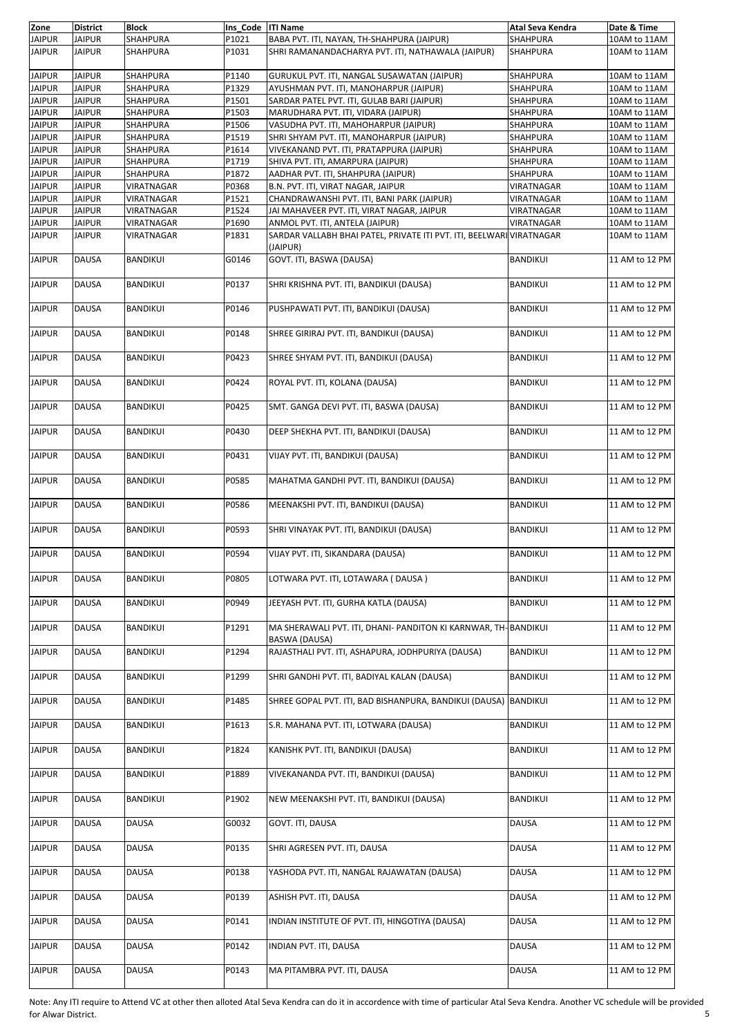| Zone          | <b>District</b> | <b>Block</b>    | Ins_Code   ITI Name |                                                                                  | Atal Seva Kendra | Date & Time    |
|---------------|-----------------|-----------------|---------------------|----------------------------------------------------------------------------------|------------------|----------------|
| <b>JAIPUR</b> | <b>JAIPUR</b>   | SHAHPURA        | P1021               | BABA PVT. ITI, NAYAN, TH-SHAHPURA (JAIPUR)                                       | SHAHPURA         | 10AM to 11AM   |
| <b>JAIPUR</b> | <b>JAIPUR</b>   | SHAHPURA        | P1031               | SHRI RAMANANDACHARYA PVT. ITI, NATHAWALA (JAIPUR)                                | SHAHPURA         | 10AM to 11AM   |
| <b>JAIPUR</b> | <b>JAIPUR</b>   | SHAHPURA        | P1140               | GURUKUL PVT. ITI, NANGAL SUSAWATAN (JAIPUR)                                      | SHAHPURA         | 10AM to 11AM   |
|               |                 |                 |                     |                                                                                  |                  |                |
| <b>JAIPUR</b> | <b>JAIPUR</b>   | SHAHPURA        | P1329               | AYUSHMAN PVT. ITI, MANOHARPUR (JAIPUR)                                           | <b>SHAHPURA</b>  | 10AM to 11AM   |
| <b>JAIPUR</b> | <b>JAIPUR</b>   | SHAHPURA        | P1501               | SARDAR PATEL PVT. ITI, GULAB BARI (JAIPUR)                                       | <b>SHAHPURA</b>  | 10AM to 11AM   |
| <b>JAIPUR</b> | <b>JAIPUR</b>   | SHAHPURA        | P1503               | MARUDHARA PVT. ITI, VIDARA (JAIPUR)                                              | SHAHPURA         | 10AM to 11AM   |
| <b>JAIPUR</b> | <b>JAIPUR</b>   | SHAHPURA        | P1506               | VASUDHA PVT. ITI, MAHOHARPUR (JAIPUR)                                            | SHAHPURA         | 10AM to 11AM   |
| <b>JAIPUR</b> | <b>JAIPUR</b>   | SHAHPURA        | P1519               | SHRI SHYAM PVT. ITI, MANOHARPUR (JAIPUR)                                         | SHAHPURA         | 10AM to 11AM   |
| <b>JAIPUR</b> | <b>JAIPUR</b>   | <b>SHAHPURA</b> | P1614               | VIVEKANAND PVT. ITI, PRATAPPURA (JAIPUR)                                         | SHAHPURA         | 10AM to 11AM   |
| <b>JAIPUR</b> | <b>JAIPUR</b>   | SHAHPURA        | P1719               | SHIVA PVT. ITI, AMARPURA (JAIPUR)                                                | SHAHPURA         | 10AM to 11AM   |
| <b>JAIPUR</b> | <b>JAIPUR</b>   | SHAHPURA        | P1872               | AADHAR PVT. ITI, SHAHPURA (JAIPUR)                                               | SHAHPURA         | 10AM to 11AM   |
| <b>JAIPUR</b> | <b>JAIPUR</b>   | VIRATNAGAR      | P0368               | B.N. PVT. ITI, VIRAT NAGAR, JAIPUR                                               | VIRATNAGAR       | 10AM to 11AM   |
| <b>JAIPUR</b> | <b>JAIPUR</b>   | VIRATNAGAR      | P1521               | CHANDRAWANSHI PVT. ITI, BANI PARK (JAIPUR)                                       | VIRATNAGAR       | 10AM to 11AM   |
|               |                 |                 |                     |                                                                                  |                  |                |
| <b>JAIPUR</b> | <b>JAIPUR</b>   | VIRATNAGAR      | P1524               | JAI MAHAVEER PVT. ITI, VIRAT NAGAR, JAIPUR                                       | VIRATNAGAR       | 10AM to 11AM   |
| <b>JAIPUR</b> | <b>JAIPUR</b>   | VIRATNAGAR      | P1690               | ANMOL PVT. ITI, ANTELA (JAIPUR)                                                  | VIRATNAGAR       | 10AM to 11AM   |
| <b>JAIPUR</b> | <b>JAIPUR</b>   | VIRATNAGAR      | P1831               | SARDAR VALLABH BHAI PATEL, PRIVATE ITI PVT. ITI, BEELWARI VIRATNAGAR<br>(JAIPUR) |                  | 10AM to 11AM   |
| <b>JAIPUR</b> | <b>DAUSA</b>    | <b>BANDIKUI</b> | G0146               | GOVT. ITI, BASWA (DAUSA)                                                         | <b>BANDIKUI</b>  | 11 AM to 12 PM |
|               |                 |                 |                     |                                                                                  |                  |                |
| <b>JAIPUR</b> | <b>DAUSA</b>    | <b>BANDIKUI</b> | P0137               | SHRI KRISHNA PVT. ITI, BANDIKUI (DAUSA)                                          | <b>BANDIKUI</b>  | 11 AM to 12 PM |
|               |                 |                 |                     |                                                                                  |                  |                |
|               |                 |                 |                     |                                                                                  |                  |                |
| <b>JAIPUR</b> | <b>DAUSA</b>    | <b>BANDIKUI</b> | P0146               | PUSHPAWATI PVT. ITI, BANDIKUI (DAUSA)                                            | <b>BANDIKUI</b>  | 11 AM to 12 PM |
|               |                 |                 |                     |                                                                                  |                  |                |
| <b>JAIPUR</b> | <b>DAUSA</b>    | <b>BANDIKUI</b> | P0148               | SHREE GIRIRAJ PVT. ITI, BANDIKUI (DAUSA)                                         | <b>BANDIKUI</b>  | 11 AM to 12 PM |
|               |                 |                 |                     |                                                                                  |                  |                |
| <b>JAIPUR</b> | DAUSA           | <b>BANDIKUI</b> | P0423               | SHREE SHYAM PVT. ITI, BANDIKUI (DAUSA)                                           | <b>BANDIKUI</b>  | 11 AM to 12 PM |
|               |                 |                 |                     |                                                                                  |                  |                |
| <b>JAIPUR</b> | DAUSA           | <b>BANDIKUI</b> | P0424               | ROYAL PVT. ITI, KOLANA (DAUSA)                                                   | <b>BANDIKUI</b>  | 11 AM to 12 PM |
|               |                 |                 |                     |                                                                                  |                  |                |
|               |                 |                 |                     |                                                                                  |                  |                |
| <b>JAIPUR</b> | DAUSA           | <b>BANDIKUI</b> | P0425               | SMT. GANGA DEVI PVT. ITI, BASWA (DAUSA)                                          | <b>BANDIKUI</b>  | 11 AM to 12 PM |
|               |                 |                 |                     |                                                                                  |                  |                |
| <b>JAIPUR</b> | <b>DAUSA</b>    | <b>BANDIKUI</b> | P0430               | DEEP SHEKHA PVT. ITI, BANDIKUI (DAUSA)                                           | <b>BANDIKUI</b>  | 11 AM to 12 PM |
|               |                 |                 |                     |                                                                                  |                  |                |
| <b>JAIPUR</b> | DAUSA           | <b>BANDIKUI</b> | P0431               | VIJAY PVT. ITI, BANDIKUI (DAUSA)                                                 | <b>BANDIKUI</b>  | 11 AM to 12 PM |
|               |                 |                 |                     |                                                                                  |                  |                |
| <b>JAIPUR</b> | DAUSA           | <b>BANDIKUI</b> | P0585               | MAHATMA GANDHI PVT. ITI, BANDIKUI (DAUSA)                                        | <b>BANDIKUI</b>  | 11 AM to 12 PM |
|               |                 |                 |                     |                                                                                  |                  |                |
| <b>JAIPUR</b> | DAUSA           | <b>BANDIKUI</b> | P0586               | MEENAKSHI PVT. ITI, BANDIKUI (DAUSA)                                             | <b>BANDIKUI</b>  | 11 AM to 12 PM |
|               |                 |                 |                     |                                                                                  |                  |                |
|               |                 |                 |                     |                                                                                  |                  |                |
| <b>JAIPUR</b> | DAUSA           | <b>BANDIKUI</b> | P0593               | SHRI VINAYAK PVT. ITI, BANDIKUI (DAUSA)                                          | <b>BANDIKUI</b>  | 11 AM to 12 PM |
|               |                 |                 |                     |                                                                                  |                  |                |
| <b>JAIPUR</b> | DAUSA           | BANDIKUI        | P0594               | VIJAY PVT. ITI, SIKANDARA (DAUSA)                                                | <b>BANDIKUI</b>  | 11 AM to 12 PM |
|               |                 |                 |                     |                                                                                  |                  |                |
| <b>JAIPUR</b> | DAUSA           | <b>BANDIKUI</b> | P0805               | LOTWARA PVT. ITI, LOTAWARA (DAUSA)                                               | <b>BANDIKUI</b>  | 11 AM to 12 PM |
|               |                 |                 |                     |                                                                                  |                  |                |
| <b>JAIPUR</b> | <b>DAUSA</b>    | <b>BANDIKUI</b> | P0949               | JEEYASH PVT. ITI, GURHA KATLA (DAUSA)                                            | <b>BANDIKUI</b>  | 11 AM to 12 PM |
|               |                 |                 |                     |                                                                                  |                  |                |
|               |                 |                 |                     |                                                                                  |                  |                |
| <b>JAIPUR</b> | DAUSA           | BANDIKUI        | P1291               | MA SHERAWALI PVT. ITI, DHANI- PANDITON KI KARNWAR, TH-BANDIKUI                   |                  | 11 AM to 12 PM |
|               |                 |                 |                     | BASWA (DAUSA)                                                                    |                  |                |
| <b>JAIPUR</b> | DAUSA           | <b>BANDIKUI</b> | P1294               | RAJASTHALI PVT. ITI, ASHAPURA, JODHPURIYA (DAUSA)                                | BANDIKUI         | 11 AM to 12 PM |
|               |                 |                 |                     |                                                                                  |                  |                |
| <b>JAIPUR</b> | DAUSA           | <b>BANDIKUI</b> | P1299               | SHRI GANDHI PVT. ITI, BADIYAL KALAN (DAUSA)                                      | <b>BANDIKUI</b>  | 11 AM to 12 PM |
|               |                 |                 |                     |                                                                                  |                  |                |
| <b>JAIPUR</b> | <b>DAUSA</b>    | BANDIKUI        | P1485               | SHREE GOPAL PVT. ITI, BAD BISHANPURA, BANDIKUI (DAUSA) BANDIKUI                  |                  | 11 AM to 12 PM |
|               |                 |                 |                     |                                                                                  |                  |                |
| <b>JAIPUR</b> | DAUSA           | <b>BANDIKUI</b> | P1613               | S.R. MAHANA PVT. ITI, LOTWARA (DAUSA)                                            | <b>BANDIKUI</b>  | 11 AM to 12 PM |
|               |                 |                 |                     |                                                                                  |                  |                |
|               |                 |                 |                     |                                                                                  |                  |                |
| <b>JAIPUR</b> | DAUSA           | BANDIKUI        | P1824               | KANISHK PVT. ITI, BANDIKUI (DAUSA)                                               | <b>BANDIKUI</b>  | 11 AM to 12 PM |
|               |                 |                 |                     |                                                                                  |                  |                |
| <b>JAIPUR</b> | DAUSA           | <b>BANDIKUI</b> | P1889               | VIVEKANANDA PVT. ITI, BANDIKUI (DAUSA)                                           | BANDIKUI         | 11 AM to 12 PM |
|               |                 |                 |                     |                                                                                  |                  |                |
| <b>JAIPUR</b> | DAUSA           | BANDIKUI        | P1902               | NEW MEENAKSHI PVT. ITI, BANDIKUI (DAUSA)                                         | <b>BANDIKUI</b>  | 11 AM to 12 PM |
|               |                 |                 |                     |                                                                                  |                  |                |
| <b>JAIPUR</b> | DAUSA           | DAUSA           | G0032               | GOVT. ITI, DAUSA                                                                 | <b>DAUSA</b>     | 11 AM to 12 PM |
|               |                 |                 |                     |                                                                                  |                  |                |
| <b>JAIPUR</b> | DAUSA           | DAUSA           | P0135               | SHRI AGRESEN PVT. ITI, DAUSA                                                     | DAUSA            | 11 AM to 12 PM |
|               |                 |                 |                     |                                                                                  |                  |                |
|               |                 |                 |                     |                                                                                  |                  |                |
| <b>JAIPUR</b> | DAUSA           | <b>DAUSA</b>    | P0138               | YASHODA PVT. ITI, NANGAL RAJAWATAN (DAUSA)                                       | DAUSA            | 11 AM to 12 PM |
|               |                 |                 |                     |                                                                                  |                  |                |
| <b>JAIPUR</b> | <b>DAUSA</b>    | DAUSA           | P0139               | ASHISH PVT. ITI, DAUSA                                                           | <b>DAUSA</b>     | 11 AM to 12 PM |
|               |                 |                 |                     |                                                                                  |                  |                |
| <b>JAIPUR</b> | DAUSA           | DAUSA           | P0141               | INDIAN INSTITUTE OF PVT. ITI, HINGOTIYA (DAUSA)                                  | DAUSA            | 11 AM to 12 PM |
|               |                 |                 |                     |                                                                                  |                  |                |
| <b>JAIPUR</b> | DAUSA           | <b>DAUSA</b>    | P0142               | INDIAN PVT. ITI, DAUSA                                                           | DAUSA            | 11 AM to 12 PM |
|               |                 |                 |                     |                                                                                  |                  |                |
| <b>JAIPUR</b> | DAUSA           | <b>DAUSA</b>    | P0143               | MA PITAMBRA PVT. ITI, DAUSA                                                      | <b>DAUSA</b>     | 11 AM to 12 PM |
|               |                 |                 |                     |                                                                                  |                  |                |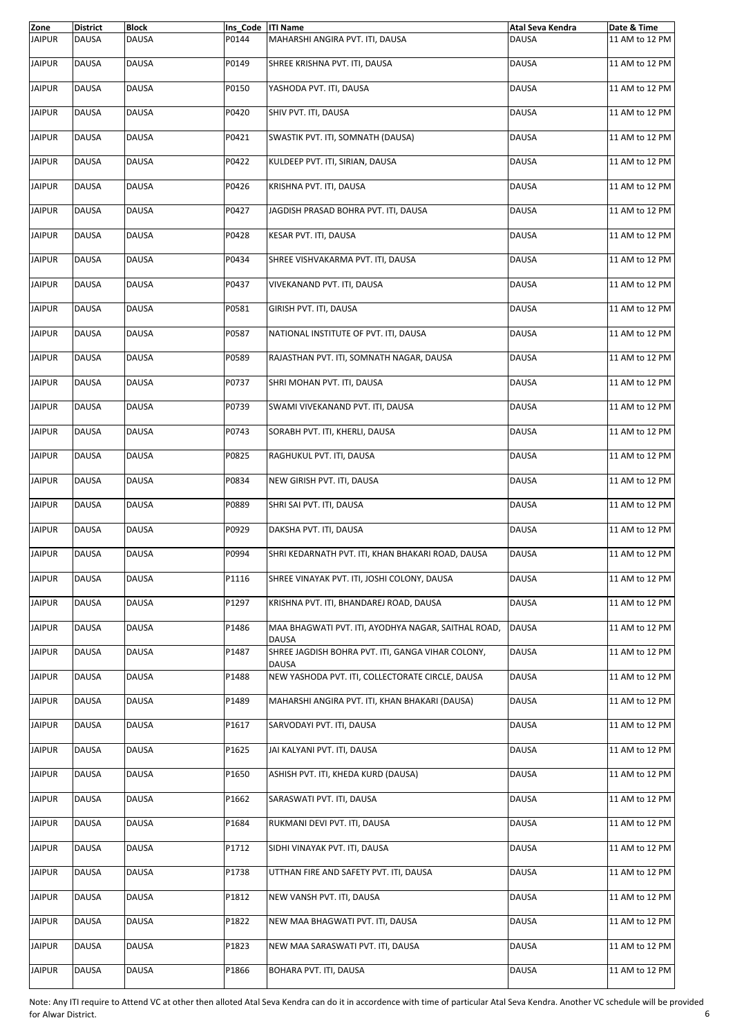| Zone          | <b>District</b> | <b>Block</b> | Ins Code   ITI Name |                                                                     | Atal Seva Kendra | Date & Time    |
|---------------|-----------------|--------------|---------------------|---------------------------------------------------------------------|------------------|----------------|
| <b>JAIPUR</b> | DAUSA           | DAUSA        | P0144               | MAHARSHI ANGIRA PVT. ITI, DAUSA                                     | <b>DAUSA</b>     | 11 AM to 12 PM |
| <b>JAIPUR</b> | <b>DAUSA</b>    | <b>DAUSA</b> | P0149               | SHREE KRISHNA PVT. ITI, DAUSA                                       | <b>DAUSA</b>     | 11 AM to 12 PM |
| <b>JAIPUR</b> | DAUSA           | DAUSA        | P0150               | YASHODA PVT. ITI, DAUSA                                             | <b>DAUSA</b>     | 11 AM to 12 PM |
| <b>JAIPUR</b> | DAUSA           | <b>DAUSA</b> | P0420               | SHIV PVT. ITI, DAUSA                                                | <b>DAUSA</b>     | 11 AM to 12 PM |
| <b>JAIPUR</b> | <b>DAUSA</b>    | DAUSA        | P0421               | SWASTIK PVT. ITI, SOMNATH (DAUSA)                                   | <b>DAUSA</b>     | 11 AM to 12 PM |
| <b>JAIPUR</b> | DAUSA           | DAUSA        | P0422               | KULDEEP PVT. ITI, SIRIAN, DAUSA                                     | <b>DAUSA</b>     | 11 AM to 12 PM |
| <b>JAIPUR</b> | <b>DAUSA</b>    | <b>DAUSA</b> | P0426               | KRISHNA PVT. ITI, DAUSA                                             | <b>DAUSA</b>     | 11 AM to 12 PM |
| <b>JAIPUR</b> | <b>DAUSA</b>    | DAUSA        | P0427               | JAGDISH PRASAD BOHRA PVT. ITI, DAUSA                                | <b>DAUSA</b>     | 11 AM to 12 PM |
| <b>JAIPUR</b> | DAUSA           | DAUSA        | P0428               | KESAR PVT. ITI, DAUSA                                               | <b>DAUSA</b>     | 11 AM to 12 PM |
| <b>JAIPUR</b> | DAUSA           | DAUSA        | P0434               | SHREE VISHVAKARMA PVT. ITI, DAUSA                                   | <b>DAUSA</b>     | 11 AM to 12 PM |
| <b>JAIPUR</b> | <b>DAUSA</b>    | <b>DAUSA</b> | P0437               | VIVEKANAND PVT. ITI, DAUSA                                          | <b>DAUSA</b>     | 11 AM to 12 PM |
| <b>JAIPUR</b> | DAUSA           | DAUSA        | P0581               | GIRISH PVT. ITI, DAUSA                                              | <b>DAUSA</b>     | 11 AM to 12 PM |
| <b>JAIPUR</b> | DAUSA           | <b>DAUSA</b> | P0587               | NATIONAL INSTITUTE OF PVT. ITI, DAUSA                               | <b>DAUSA</b>     | 11 AM to 12 PM |
| <b>JAIPUR</b> | <b>DAUSA</b>    | DAUSA        | P0589               | RAJASTHAN PVT. ITI, SOMNATH NAGAR, DAUSA                            | <b>DAUSA</b>     | 11 AM to 12 PM |
| <b>JAIPUR</b> | <b>DAUSA</b>    | DAUSA        | P0737               | SHRI MOHAN PVT. ITI, DAUSA                                          | <b>DAUSA</b>     | 11 AM to 12 PM |
| <b>JAIPUR</b> | <b>DAUSA</b>    | DAUSA        | P0739               | SWAMI VIVEKANAND PVT. ITI, DAUSA                                    | <b>DAUSA</b>     | 11 AM to 12 PM |
| <b>JAIPUR</b> | <b>DAUSA</b>    | DAUSA        | P0743               | SORABH PVT. ITI, KHERLI, DAUSA                                      | <b>DAUSA</b>     | 11 AM to 12 PM |
| <b>JAIPUR</b> | <b>DAUSA</b>    | <b>DAUSA</b> | P0825               | RAGHUKUL PVT. ITI, DAUSA                                            | <b>DAUSA</b>     | 11 AM to 12 PM |
| <b>JAIPUR</b> | DAUSA           | DAUSA        | P0834               | NEW GIRISH PVT. ITI, DAUSA                                          | <b>DAUSA</b>     | 11 AM to 12 PM |
| <b>JAIPUR</b> | <b>DAUSA</b>    | DAUSA        | P0889               | SHRI SAI PVT. ITI, DAUSA                                            | <b>DAUSA</b>     | 11 AM to 12 PM |
| <b>JAIPUR</b> | DAUSA           | DAUSA        | P0929               | DAKSHA PVT. ITI, DAUSA                                              | <b>DAUSA</b>     | 11 AM to 12 PM |
| <b>JAIPUR</b> | <b>DAUSA</b>    | DAUSA        | P0994               | SHRI KEDARNATH PVT. ITI, KHAN BHAKARI ROAD, DAUSA                   | <b>DAUSA</b>     | 11 AM to 12 PM |
| <b>JAIPUR</b> | <b>DAUSA</b>    | DAUSA        | P1116               | SHREE VINAYAK PVT. ITI, JOSHI COLONY, DAUSA                         | <b>DAUSA</b>     | 11 AM to 12 PM |
| <b>JAIPUR</b> | DAUSA           | DAUSA        | P1297               | KRISHNA PVT. ITI, BHANDAREJ ROAD, DAUSA                             | <b>DAUSA</b>     | 11 AM to 12 PM |
| <b>JAIPUR</b> | DAUSA           | DAUSA        | P1486               | MAA BHAGWATI PVT. ITI, AYODHYA NAGAR, SAITHAL ROAD,<br><b>DAUSA</b> | <b>DAUSA</b>     | 11 AM to 12 PM |
| <b>JAIPUR</b> | DAUSA           | DAUSA        | P1487               | SHREE JAGDISH BOHRA PVT. ITI, GANGA VIHAR COLONY,<br><b>DAUSA</b>   | <b>DAUSA</b>     | 11 AM to 12 PM |
| <b>JAIPUR</b> | <b>DAUSA</b>    | DAUSA        | P1488               | NEW YASHODA PVT. ITI, COLLECTORATE CIRCLE, DAUSA                    | <b>DAUSA</b>     | 11 AM to 12 PM |
| <b>JAIPUR</b> | DAUSA           | DAUSA        | P1489               | MAHARSHI ANGIRA PVT. ITI, KHAN BHAKARI (DAUSA)                      | <b>DAUSA</b>     | 11 AM to 12 PM |
| <b>JAIPUR</b> | <b>DAUSA</b>    | <b>DAUSA</b> | P1617               | SARVODAYI PVT. ITI, DAUSA                                           | <b>DAUSA</b>     | 11 AM to 12 PM |
| <b>JAIPUR</b> | DAUSA           | <b>DAUSA</b> | P1625               | JAI KALYANI PVT. ITI, DAUSA                                         | <b>DAUSA</b>     | 11 AM to 12 PM |
| <b>JAIPUR</b> | DAUSA           | DAUSA        | P1650               | ASHISH PVT. ITI, KHEDA KURD (DAUSA)                                 | <b>DAUSA</b>     | 11 AM to 12 PM |
| <b>JAIPUR</b> | DAUSA           | DAUSA        | P1662               | SARASWATI PVT. ITI, DAUSA                                           | <b>DAUSA</b>     | 11 AM to 12 PM |
| <b>JAIPUR</b> | DAUSA           | DAUSA        | P1684               | RUKMANI DEVI PVT. ITI, DAUSA                                        | <b>DAUSA</b>     | 11 AM to 12 PM |
| <b>JAIPUR</b> | <b>DAUSA</b>    | DAUSA        | P1712               | SIDHI VINAYAK PVT. ITI, DAUSA                                       | <b>DAUSA</b>     | 11 AM to 12 PM |
| <b>JAIPUR</b> | DAUSA           | DAUSA        | P1738               | UTTHAN FIRE AND SAFETY PVT. ITI, DAUSA                              | <b>DAUSA</b>     | 11 AM to 12 PM |
| <b>JAIPUR</b> | <b>DAUSA</b>    | DAUSA        | P1812               | NEW VANSH PVT. ITI, DAUSA                                           | <b>DAUSA</b>     | 11 AM to 12 PM |
| <b>JAIPUR</b> | <b>DAUSA</b>    | DAUSA        | P1822               | NEW MAA BHAGWATI PVT. ITI, DAUSA                                    | <b>DAUSA</b>     | 11 AM to 12 PM |
| <b>JAIPUR</b> | DAUSA           | DAUSA        | P1823               | NEW MAA SARASWATI PVT. ITI, DAUSA                                   | <b>DAUSA</b>     | 11 AM to 12 PM |
| <b>JAIPUR</b> | DAUSA           | <b>DAUSA</b> | P1866               | BOHARA PVT. ITI, DAUSA                                              | <b>DAUSA</b>     | 11 AM to 12 PM |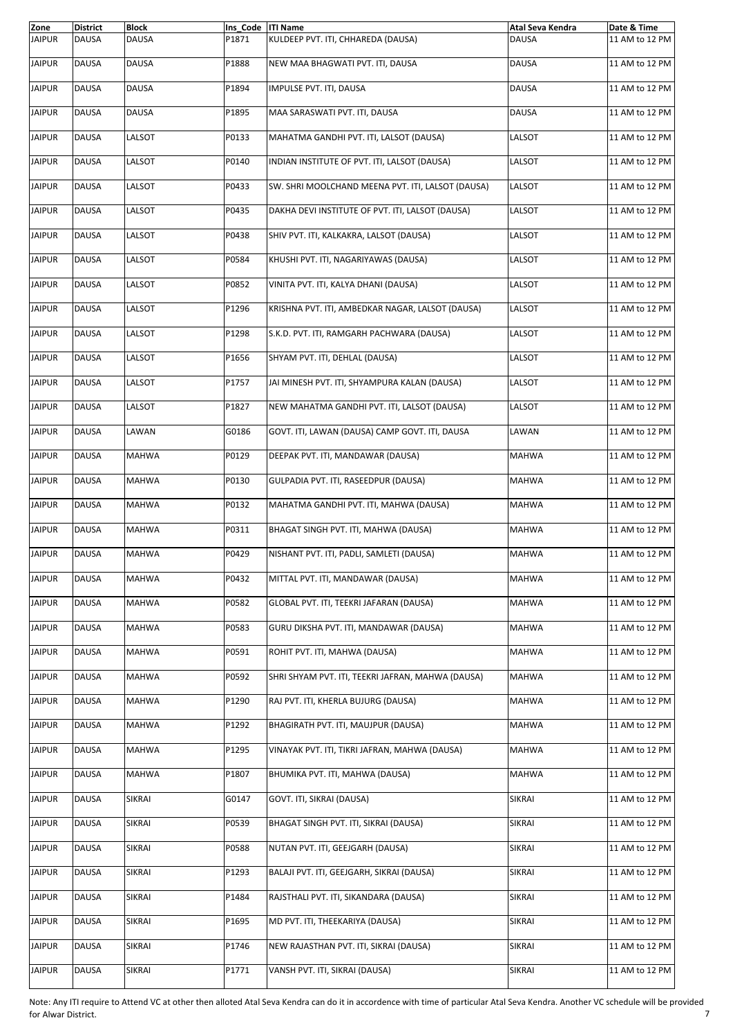| Zone          | <b>District</b> | <b>Block</b>  | Ins Code   ITI Name |                                                   | Atal Seva Kendra | Date & Time    |
|---------------|-----------------|---------------|---------------------|---------------------------------------------------|------------------|----------------|
| <b>JAIPUR</b> | <b>DAUSA</b>    | <b>DAUSA</b>  | P1871               | KULDEEP PVT. ITI, CHHAREDA (DAUSA)                | <b>DAUSA</b>     | 11 AM to 12 PM |
| <b>JAIPUR</b> | <b>DAUSA</b>    | <b>DAUSA</b>  | P1888               | NEW MAA BHAGWATI PVT. ITI, DAUSA                  | <b>DAUSA</b>     | 11 AM to 12 PM |
| <b>JAIPUR</b> | <b>DAUSA</b>    | <b>DAUSA</b>  | P1894               | IMPULSE PVT. ITI, DAUSA                           | <b>DAUSA</b>     | 11 AM to 12 PM |
| <b>JAIPUR</b> | <b>DAUSA</b>    | <b>DAUSA</b>  | P1895               | MAA SARASWATI PVT. ITI, DAUSA                     | <b>DAUSA</b>     | 11 AM to 12 PM |
| <b>JAIPUR</b> | <b>DAUSA</b>    | LALSOT        | P0133               | MAHATMA GANDHI PVT. ITI, LALSOT (DAUSA)           | LALSOT           | 11 AM to 12 PM |
| <b>JAIPUR</b> | <b>DAUSA</b>    | LALSOT        | P0140               | INDIAN INSTITUTE OF PVT. ITI, LALSOT (DAUSA)      | LALSOT           | 11 AM to 12 PM |
| <b>JAIPUR</b> | <b>DAUSA</b>    | LALSOT        | P0433               | SW. SHRI MOOLCHAND MEENA PVT. ITI, LALSOT (DAUSA) | LALSOT           | 11 AM to 12 PM |
| <b>JAIPUR</b> | <b>DAUSA</b>    | LALSOT        | P0435               | DAKHA DEVI INSTITUTE OF PVT. ITI, LALSOT (DAUSA)  | LALSOT           | 11 AM to 12 PM |
| <b>JAIPUR</b> | <b>DAUSA</b>    | LALSOT        | P0438               | SHIV PVT. ITI, KALKAKRA, LALSOT (DAUSA)           | LALSOT           | 11 AM to 12 PM |
| <b>JAIPUR</b> | <b>DAUSA</b>    | LALSOT        | P0584               | KHUSHI PVT. ITI, NAGARIYAWAS (DAUSA)              | LALSOT           | 11 AM to 12 PM |
| <b>JAIPUR</b> | <b>DAUSA</b>    | LALSOT        | P0852               | VINITA PVT. ITI, KALYA DHANI (DAUSA)              | LALSOT           | 11 AM to 12 PM |
| <b>JAIPUR</b> | <b>DAUSA</b>    | LALSOT        | P1296               | KRISHNA PVT. ITI, AMBEDKAR NAGAR, LALSOT (DAUSA)  | LALSOT           | 11 AM to 12 PM |
| <b>JAIPUR</b> | <b>DAUSA</b>    | LALSOT        | P1298               | S.K.D. PVT. ITI, RAMGARH PACHWARA (DAUSA)         | LALSOT           | 11 AM to 12 PM |
| <b>JAIPUR</b> | <b>DAUSA</b>    | LALSOT        | P1656               | SHYAM PVT. ITI, DEHLAL (DAUSA)                    | LALSOT           | 11 AM to 12 PM |
| <b>JAIPUR</b> | <b>DAUSA</b>    | LALSOT        | P1757               | JAI MINESH PVT. ITI, SHYAMPURA KALAN (DAUSA)      | LALSOT           | 11 AM to 12 PM |
| <b>JAIPUR</b> | <b>DAUSA</b>    | LALSOT        | P1827               | NEW MAHATMA GANDHI PVT. ITI, LALSOT (DAUSA)       | LALSOT           | 11 AM to 12 PM |
| <b>JAIPUR</b> | <b>DAUSA</b>    | LAWAN         | G0186               | GOVT. ITI, LAWAN (DAUSA) CAMP GOVT. ITI, DAUSA    | LAWAN            | 11 AM to 12 PM |
| <b>JAIPUR</b> | <b>DAUSA</b>    | <b>MAHWA</b>  | P0129               | DEEPAK PVT. ITI, MANDAWAR (DAUSA)                 | <b>MAHWA</b>     | 11 AM to 12 PM |
| <b>JAIPUR</b> | <b>DAUSA</b>    | <b>MAHWA</b>  | P0130               | GULPADIA PVT. ITI, RASEEDPUR (DAUSA)              | <b>MAHWA</b>     | 11 AM to 12 PM |
| <b>JAIPUR</b> | <b>DAUSA</b>    | <b>MAHWA</b>  | P0132               | MAHATMA GANDHI PVT. ITI, MAHWA (DAUSA)            | <b>MAHWA</b>     | 11 AM to 12 PM |
| <b>JAIPUR</b> | <b>DAUSA</b>    | <b>MAHWA</b>  | P0311               | BHAGAT SINGH PVT. ITI, MAHWA (DAUSA)              | <b>MAHWA</b>     | 11 AM to 12 PM |
| <b>JAIPUR</b> | DAUSA           | <b>MAHWA</b>  | P0429               | NISHANT PVT. ITI, PADLI, SAMLETI (DAUSA)          | <b>MAHWA</b>     | 11 AM to 12 PM |
| <b>JAIPUR</b> | <b>DAUSA</b>    | <b>MAHWA</b>  | P0432               | MITTAL PVT. ITI, MANDAWAR (DAUSA)                 | MAHWA            | 11 AM to 12 PM |
| <b>JAIPUR</b> | DAUSA           | MAHWA         | P0582               | GLOBAL PVT. ITI, TEEKRI JAFARAN (DAUSA)           | <b>MAHWA</b>     | 11 AM to 12 PM |
| <b>JAIPUR</b> | DAUSA           | MAHWA         | P0583               | GURU DIKSHA PVT. ITI, MANDAWAR (DAUSA)            | MAHWA            | 11 AM to 12 PM |
| <b>JAIPUR</b> | DAUSA           | MAHWA         | P0591               | ROHIT PVT. ITI, MAHWA (DAUSA)                     | MAHWA            | 11 AM to 12 PM |
| <b>JAIPUR</b> | DAUSA           | <b>MAHWA</b>  | P0592               | SHRI SHYAM PVT. ITI, TEEKRI JAFRAN, MAHWA (DAUSA) | MAHWA            | 11 AM to 12 PM |
| <b>JAIPUR</b> | DAUSA           | MAHWA         | P1290               | RAJ PVT. ITI, KHERLA BUJURG (DAUSA)               | MAHWA            | 11 AM to 12 PM |
| <b>JAIPUR</b> | DAUSA           | <b>MAHWA</b>  | P1292               | BHAGIRATH PVT. ITI, MAUJPUR (DAUSA)               | MAHWA            | 11 AM to 12 PM |
| <b>JAIPUR</b> | DAUSA           | <b>MAHWA</b>  | P1295               | VINAYAK PVT. ITI, TIKRI JAFRAN, MAHWA (DAUSA)     | MAHWA            | 11 AM to 12 PM |
| <b>JAIPUR</b> | DAUSA           | MAHWA         | P1807               | BHUMIKA PVT. ITI, MAHWA (DAUSA)                   | MAHWA            | 11 AM to 12 PM |
| <b>JAIPUR</b> | DAUSA           | SIKRAI        | G0147               | GOVT. ITI, SIKRAI (DAUSA)                         | SIKRAI           | 11 AM to 12 PM |
| <b>JAIPUR</b> | DAUSA           | SIKRAI        | P0539               | BHAGAT SINGH PVT. ITI, SIKRAI (DAUSA)             | SIKRAI           | 11 AM to 12 PM |
| <b>JAIPUR</b> | DAUSA           | SIKRAI        | P0588               | NUTAN PVT. ITI, GEEJGARH (DAUSA)                  | SIKRAI           | 11 AM to 12 PM |
| <b>JAIPUR</b> | DAUSA           | SIKRAI        | P1293               | BALAJI PVT. ITI, GEEJGARH, SIKRAI (DAUSA)         | SIKRAI           | 11 AM to 12 PM |
| <b>JAIPUR</b> | DAUSA           | <b>SIKRAI</b> | P1484               | RAJSTHALI PVT. ITI, SIKANDARA (DAUSA)             | SIKRAI           | 11 AM to 12 PM |
| <b>JAIPUR</b> | DAUSA           | SIKRAI        | P1695               | MD PVT. ITI, THEEKARIYA (DAUSA)                   | SIKRAI           | 11 AM to 12 PM |
| <b>JAIPUR</b> | DAUSA           | SIKRAI        | P1746               | NEW RAJASTHAN PVT. ITI, SIKRAI (DAUSA)            | SIKRAI           | 11 AM to 12 PM |
| <b>JAIPUR</b> | <b>DAUSA</b>    | SIKRAI        | P1771               | VANSH PVT. ITI, SIKRAI (DAUSA)                    | SIKRAI           | 11 AM to 12 PM |

Note: Any ITI require to Attend VC at other then alloted Atal Seva Kendra can do it in accordence with time of particular Atal Seva Kendra. Another VC schedule will be provided for Alwar District. 7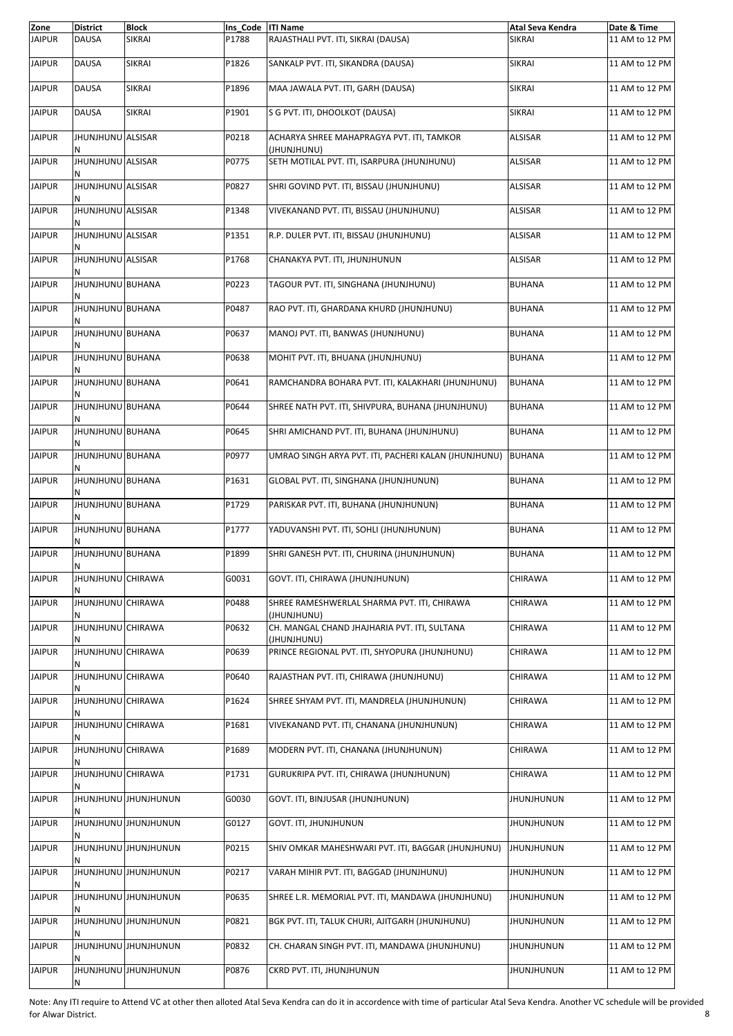| Zone          | <b>District</b>          | <b>Block</b>                | Ins Code  ITI Name |                                                             | Atal Seva Kendra  | Date & Time    |
|---------------|--------------------------|-----------------------------|--------------------|-------------------------------------------------------------|-------------------|----------------|
| <b>JAIPUR</b> | <b>DAUSA</b>             | <b>SIKRAI</b>               | P1788              | RAJASTHALI PVT. ITI, SIKRAI (DAUSA)                         | <b>SIKRAI</b>     | 11 AM to 12 PM |
| <b>JAIPUR</b> | <b>DAUSA</b>             | <b>SIKRAI</b>               | P1826              | SANKALP PVT. ITI, SIKANDRA (DAUSA)                          | <b>SIKRAI</b>     | 11 AM to 12 PM |
| <b>JAIPUR</b> | <b>DAUSA</b>             | SIKRAI                      | P1896              | MAA JAWALA PVT. ITI, GARH (DAUSA)                           | SIKRAI            | 11 AM to 12 PM |
| <b>JAIPUR</b> | <b>DAUSA</b>             | <b>SIKRAI</b>               | P1901              | S G PVT. ITI, DHOOLKOT (DAUSA)                              | <b>SIKRAI</b>     | 11 AM to 12 PM |
| <b>JAIPUR</b> | JHUNJHUNU ALSISAR        |                             | P0218              | ACHARYA SHREE MAHAPRAGYA PVT. ITI, TAMKOR<br>(JHUNJHUNU)    | <b>ALSISAR</b>    | 11 AM to 12 PM |
| <b>JAIPUR</b> | JHUNJHUNU ALSISAR        |                             | P0775              | SETH MOTILAL PVT. ITI, ISARPURA (JHUNJHUNU)                 | ALSISAR           | 11 AM to 12 PM |
| <b>JAIPUR</b> | <b>JHUNJHUNU ALSISAR</b> |                             | P0827              | SHRI GOVIND PVT. ITI, BISSAU (JHUNJHUNU)                    | <b>ALSISAR</b>    | 11 AM to 12 PM |
| <b>JAIPUR</b> | <b>JHUNJHUNU ALSISAR</b> |                             | P1348              | VIVEKANAND PVT. ITI, BISSAU (JHUNJHUNU)                     | <b>ALSISAR</b>    | 11 AM to 12 PM |
| <b>JAIPUR</b> | JHUNJHUNU ALSISAR        |                             | P1351              | R.P. DULER PVT. ITI, BISSAU (JHUNJHUNU)                     | <b>ALSISAR</b>    | 11 AM to 12 PM |
| <b>JAIPUR</b> | JHUNJHUNU ALSISAR        |                             | P1768              | CHANAKYA PVT. ITI, JHUNJHUNUN                               | <b>ALSISAR</b>    | 11 AM to 12 PM |
| <b>JAIPUR</b> | JHUNJHUNU BUHANA         |                             | P0223              | TAGOUR PVT. ITI, SINGHANA (JHUNJHUNU)                       | <b>BUHANA</b>     | 11 AM to 12 PM |
| <b>JAIPUR</b> | JHUNJHUNU BUHANA         |                             | P0487              | RAO PVT. ITI, GHARDANA KHURD (JHUNJHUNU)                    | <b>BUHANA</b>     | 11 AM to 12 PM |
| <b>JAIPUR</b> | <b>JHUNJHUNU BUHANA</b>  |                             | P0637              | MANOJ PVT. ITI, BANWAS (JHUNJHUNU)                          | <b>BUHANA</b>     | 11 AM to 12 PM |
| <b>JAIPUR</b> | JHUNJHUNU BUHANA         |                             | P0638              | MOHIT PVT. ITI, BHUANA (JHUNJHUNU)                          | <b>BUHANA</b>     | 11 AM to 12 PM |
| <b>JAIPUR</b> | JHUNJHUNU BUHANA         |                             | P0641              | RAMCHANDRA BOHARA PVT. ITI, KALAKHARI (JHUNJHUNU)           | <b>BUHANA</b>     | 11 AM to 12 PM |
| <b>JAIPUR</b> | <b>JHUNJHUNU BUHANA</b>  |                             | P0644              | SHREE NATH PVT. ITI, SHIVPURA, BUHANA (JHUNJHUNU)           | <b>BUHANA</b>     | 11 AM to 12 PM |
| <b>JAIPUR</b> | JHUNJHUNU BUHANA         |                             | P0645              | SHRI AMICHAND PVT. ITI, BUHANA (JHUNJHUNU)                  | <b>BUHANA</b>     | 11 AM to 12 PM |
| <b>JAIPUR</b> | JHUNJHUNU BUHANA         |                             | P0977              | UMRAO SINGH ARYA PVT. ITI, PACHERI KALAN (JHUNJHUNU)        | <b>BUHANA</b>     | 11 AM to 12 PM |
| <b>JAIPUR</b> | <b>JHUNJHUNU BUHANA</b>  |                             | P1631              | GLOBAL PVT. ITI, SINGHANA (JHUNJHUNUN)                      | <b>BUHANA</b>     | 11 AM to 12 PM |
| <b>JAIPUR</b> | JHUNJHUNU BUHANA         |                             | P1729              | PARISKAR PVT. ITI, BUHANA (JHUNJHUNUN)                      | <b>BUHANA</b>     | 11 AM to 12 PM |
| <b>JAIPUR</b> | JHUNJHUNU BUHANA         |                             | P1777              | YADUVANSHI PVT. ITI, SOHLI (JHUNJHUNUN)                     | <b>BUHANA</b>     | 11 AM to 12 PM |
| <b>JAIPUR</b> | JHUNJHUNU BUHANA<br>N    |                             | P1899              | SHRI GANESH PVT. ITI, CHURINA (JHUNJHUNUN)                  | <b>BUHANA</b>     | 11 AM to 12 PM |
| <b>JAIPUR</b> | JHUNJHUNU CHIRAWA        |                             | G0031              | GOVT. ITI, CHIRAWA (JHUNJHUNUN)                             | CHIRAWA           | 11 AM to 12 PM |
| <b>JAIPUR</b> | JHUNJHUNU CHIRAWA        |                             | P0488              | SHREE RAMESHWERLAL SHARMA PVT. ITI, CHIRAWA<br>(JHUNJHUNU)  | CHIRAWA           | 11 AM to 12 PM |
| <b>JAIPUR</b> | JHUNJHUNU CHIRAWA        |                             | P0632              | CH. MANGAL CHAND JHAJHARIA PVT. ITI, SULTANA<br>(JHUNJHUNU) | CHIRAWA           | 11 AM to 12 PM |
| <b>JAIPUR</b> | JHUNJHUNU CHIRAWA        |                             | P0639              | PRINCE REGIONAL PVT. ITI, SHYOPURA (JHUNJHUNU)              | CHIRAWA           | 11 AM to 12 PM |
| <b>JAIPUR</b> | JHUNJHUNU CHIRAWA        |                             | P0640              | RAJASTHAN PVT. ITI, CHIRAWA (JHUNJHUNU)                     | CHIRAWA           | 11 AM to 12 PM |
| <b>JAIPUR</b> | JHUNJHUNU CHIRAWA        |                             | P1624              | SHREE SHYAM PVT. ITI, MANDRELA (JHUNJHUNUN)                 | CHIRAWA           | 11 AM to 12 PM |
| <b>JAIPUR</b> | JHUNJHUNU CHIRAWA        |                             | P1681              | VIVEKANAND PVT. ITI, CHANANA (JHUNJHUNUN)                   | CHIRAWA           | 11 AM to 12 PM |
| <b>JAIPUR</b> | JHUNJHUNU CHIRAWA        |                             | P1689              | MODERN PVT. ITI, CHANANA (JHUNJHUNUN)                       | CHIRAWA           | 11 AM to 12 PM |
| <b>JAIPUR</b> | JHUNJHUNU CHIRAWA        |                             | P1731              | GURUKRIPA PVT. ITI, CHIRAWA (JHUNJHUNUN)                    | CHIRAWA           | 11 AM to 12 PM |
| <b>JAIPUR</b> |                          | <b>MUNINUMU UNUHILION</b>   | G0030              | GOVT. ITI, BINJUSAR (JHUNJHUNUN)                            | JHUNJHUNUN        | 11 AM to 12 PM |
| <b>JAIPUR</b> |                          | <b>UNUNIFIED UNUHILMUHI</b> | G0127              | GOVT. ITI, JHUNJHUNUN                                       | <b>JHUNJHUNUN</b> | 11 AM to 12 PM |
| <b>JAIPUR</b> |                          | <b>MUNINUMU UNUHIUNUM</b>   | P0215              | SHIV OMKAR MAHESHWARI PVT. ITI, BAGGAR (JHUNJHUNU)          | <b>JHUNJHUNUN</b> | 11 AM to 12 PM |
| <b>JAIPUR</b> |                          | <b>UNUNIFIED UNUHUNUNG</b>  | P0217              | VARAH MIHIR PVT. ITI, BAGGAD (JHUNJHUNU)                    | <b>JHUNJHUNUN</b> | 11 AM to 12 PM |
| <b>JAIPUR</b> |                          | <b>UNUNIFIED UNUHUNUNG</b>  | P0635              | SHREE L.R. MEMORIAL PVT. ITI, MANDAWA (JHUNJHUNU)           | <b>JHUNJHUNUN</b> | 11 AM to 12 PM |
| <b>JAIPUR</b> |                          | <b>MUNINUMU UNUHIUNUM</b>   | P0821              | BGK PVT. ITI, TALUK CHURI, AJITGARH (JHUNJHUNU)             | JHUNJHUNUN        | 11 AM to 12 PM |
| <b>JAIPUR</b> |                          | <b>UNUNIFIED UNUHUNUNG</b>  | P0832              | CH. CHARAN SINGH PVT. ITI, MANDAWA (JHUNJHUNU)              | JHUNJHUNUN        | 11 AM to 12 PM |
| <b>JAIPUR</b> | N                        | <b>UNUNIFIED UNUHILMUHI</b> | P0876              | CKRD PVT. ITI, JHUNJHUNUN                                   | <b>JHUNJHUNUN</b> | 11 AM to 12 PM |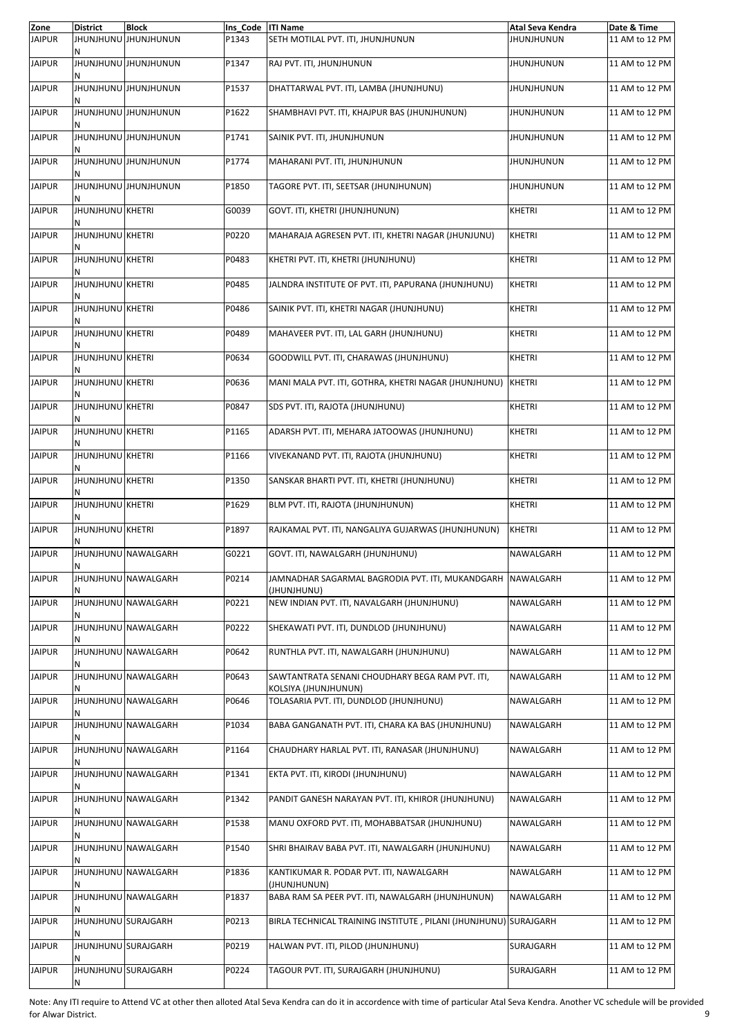| Zone          | <b>District</b>              | <b>Block</b>                | Ins Code  ITI Name |                                                                             | Atal Seva Kendra  | Date & Time    |
|---------------|------------------------------|-----------------------------|--------------------|-----------------------------------------------------------------------------|-------------------|----------------|
| <b>JAIPUR</b> | Ν                            | <b>UNUNJHUNU JHUNJHUNUN</b> | P1343              | SETH MOTILAL PVT. ITI, JHUNJHUNUN                                           | <b>JHUNJHUNUN</b> | 11 AM to 12 PM |
| <b>JAIPUR</b> |                              | JHUNJHUNU JHUNJHUNUN        | P1347              | RAJ PVT. ITI, JHUNJHUNUN                                                    | <b>JHUNJHUNUN</b> | 11 AM to 12 PM |
| <b>JAIPUR</b> |                              | JHUNJHUNU JHUNJHUNUN        | P1537              | DHATTARWAL PVT. ITI, LAMBA (JHUNJHUNU)                                      | <b>JHUNJHUNUN</b> | 11 AM to 12 PM |
| <b>JAIPUR</b> |                              | <b>JHUNJHUNU JHUNJHUNUN</b> | P1622              | SHAMBHAVI PVT. ITI, KHAJPUR BAS (JHUNJHUNUN)                                | <b>JHUNJHUNUN</b> | 11 AM to 12 PM |
| <b>JAIPUR</b> |                              | JHUNJHUNU JHUNJHUNUN        | P1741              | SAINIK PVT. ITI, JHUNJHUNUN                                                 | <b>JHUNJHUNUN</b> | 11 AM to 12 PM |
| <b>JAIPUR</b> |                              | JHUNJHUNU JHUNJHUNUN        | P1774              | MAHARANI PVT. ITI, JHUNJHUNUN                                               | <b>JHUNJHUNUN</b> | 11 AM to 12 PM |
| <b>JAIPUR</b> | N                            | <b>JHUNJHUNU JHUNJHUNUN</b> | P1850              | TAGORE PVT. ITI, SEETSAR (JHUNJHUNUN)                                       | <b>JHUNJHUNUN</b> | 11 AM to 12 PM |
| <b>JAIPUR</b> | JHUNJHUNU KHETRI             |                             | G0039              | GOVT. ITI, KHETRI (JHUNJHUNUN)                                              | <b>KHETRI</b>     | 11 AM to 12 PM |
| <b>JAIPUR</b> | <b>JHUNJHUNU KHETRI</b>      |                             | P0220              | MAHARAJA AGRESEN PVT. ITI, KHETRI NAGAR (JHUNJUNU)                          | KHETRI            | 11 AM to 12 PM |
| <b>JAIPUR</b> | <b>JHUNJHUNU KHETRI</b>      |                             | P0483              | KHETRI PVT. ITI, KHETRI (JHUNJHUNU)                                         | <b>KHETRI</b>     | 11 AM to 12 PM |
| <b>JAIPUR</b> | <b>JHUNJHUNU KHETRI</b>      |                             | P0485              | JALNDRA INSTITUTE OF PVT. ITI, PAPURANA (JHUNJHUNU)                         | <b>KHETRI</b>     | 11 AM to 12 PM |
| <b>JAIPUR</b> | JHUNJHUNU KHETRI             |                             | P0486              | SAINIK PVT. ITI, KHETRI NAGAR (JHUNJHUNU)                                   | <b>KHETRI</b>     | 11 AM to 12 PM |
| <b>JAIPUR</b> | <b>JHUNJHUNU KHETRI</b><br>Ν |                             | P0489              | MAHAVEER PVT. ITI, LAL GARH (JHUNJHUNU)                                     | KHETRI            | 11 AM to 12 PM |
| <b>JAIPUR</b> | <b>JHUNJHUNU KHETRI</b>      |                             | P0634              | GOODWILL PVT. ITI, CHARAWAS (JHUNJHUNU)                                     | <b>KHETRI</b>     | 11 AM to 12 PM |
| <b>JAIPUR</b> | JHUNJHUNU KHETRI             |                             | P0636              | MANI MALA PVT. ITI, GOTHRA, KHETRI NAGAR (JHUNJHUNU)                        | <b>KHETRI</b>     | 11 AM to 12 PM |
| <b>JAIPUR</b> | <b>JHUNJHUNU KHETRI</b>      |                             | P0847              | SDS PVT. ITI, RAJOTA (JHUNJHUNU)                                            | KHETRI            | 11 AM to 12 PM |
| <b>JAIPUR</b> | <b>JHUNJHUNU KHETRI</b>      |                             | P1165              | ADARSH PVT. ITI, MEHARA JATOOWAS (JHUNJHUNU)                                | <b>KHETRI</b>     | 11 AM to 12 PM |
| <b>JAIPUR</b> | <b>JHUNJHUNU KHETRI</b>      |                             | P1166              | VIVEKANAND PVT. ITI, RAJOTA (JHUNJHUNU)                                     | <b>KHETRI</b>     | 11 AM to 12 PM |
| <b>JAIPUR</b> | JHUNJHUNU KHETRI             |                             | P1350              | SANSKAR BHARTI PVT. ITI, KHETRI (JHUNJHUNU)                                 | <b>KHETRI</b>     | 11 AM to 12 PM |
| <b>JAIPUR</b> | <b>JHUNJHUNU KHETRI</b>      |                             | P1629              | BLM PVT. ITI, RAJOTA (JHUNJHUNUN)                                           | <b>KHETRI</b>     | 11 AM to 12 PM |
| <b>JAIPUR</b> | JHUNJHUNU KHETRI             |                             | P1897              | RAJKAMAL PVT. ITI, NANGALIYA GUJARWAS (JHUNJHUNUN)                          | <b>KHETRI</b>     | 11 AM to 12 PM |
| <b>JAIPUR</b> | Ν                            | JHUNJHUNU NAWALGARH         | G0221              | GOVT. ITI, NAWALGARH (JHUNJHUNU)                                            | NAWALGARH         | 11 AM to 12 PM |
| <b>JAIPUR</b> | N                            | JHUNJHUNU NAWALGARH         | P0214              | JAMNADHAR SAGARMAL BAGRODIA PVT. ITI, MUKANDGARH   NAWALGARH<br>(JHUNJHUNU) |                   | 11 AM to 12 PM |
| <b>JAIPUR</b> |                              | JHUNJHUNU NAWALGARH         | P0221              | NEW INDIAN PVT. ITI, NAVALGARH (JHUNJHUNU)                                  | NAWALGARH         | 11 AM to 12 PM |
| <b>JAIPUR</b> |                              | JHUNJHUNU NAWALGARH         | P0222              | SHEKAWATI PVT. ITI, DUNDLOD (JHUNJHUNU)                                     | NAWALGARH         | 11 AM to 12 PM |
| <b>JAIPUR</b> |                              | JHUNJHUNU NAWALGARH         | P0642              | RUNTHLA PVT. ITI, NAWALGARH (JHUNJHUNU)                                     | NAWALGARH         | 11 AM to 12 PM |
| <b>JAIPUR</b> |                              | JHUNJHUNU NAWALGARH         | P0643              | SAWTANTRATA SENANI CHOUDHARY BEGA RAM PVT. ITI,<br>KOLSIYA (JHUNJHUNUN)     | NAWALGARH         | 11 AM to 12 PM |
| <b>JAIPUR</b> |                              | JHUNJHUNU NAWALGARH         | P0646              | TOLASARIA PVT. ITI, DUNDLOD (JHUNJHUNU)                                     | NAWALGARH         | 11 AM to 12 PM |
| <b>JAIPUR</b> |                              | JHUNJHUNU NAWALGARH         | P1034              | BABA GANGANATH PVT. ITI, CHARA KA BAS (JHUNJHUNU)                           | NAWALGARH         | 11 AM to 12 PM |
| <b>JAIPUR</b> |                              | JHUNJHUNU NAWALGARH         | P1164              | CHAUDHARY HARLAL PVT. ITI, RANASAR (JHUNJHUNU)                              | NAWALGARH         | 11 AM to 12 PM |
| <b>JAIPUR</b> |                              | JHUNJHUNU NAWALGARH         | P1341              | EKTA PVT. ITI, KIRODI (JHUNJHUNU)                                           | NAWALGARH         | 11 AM to 12 PM |
| <b>JAIPUR</b> |                              | JHUNJHUNU NAWALGARH         | P1342              | PANDIT GANESH NARAYAN PVT. ITI, KHIROR (JHUNJHUNU)                          | NAWALGARH         | 11 AM to 12 PM |
| <b>JAIPUR</b> |                              | JHUNJHUNU NAWALGARH         | P1538              | MANU OXFORD PVT. ITI, MOHABBATSAR (JHUNJHUNU)                               | NAWALGARH         | 11 AM to 12 PM |
| <b>JAIPUR</b> |                              | JHUNJHUNU NAWALGARH         | P1540              | SHRI BHAIRAV BABA PVT. ITI, NAWALGARH (JHUNJHUNU)                           | NAWALGARH         | 11 AM to 12 PM |
| <b>JAIPUR</b> | N                            | JHUNJHUNU NAWALGARH         | P1836              | KANTIKUMAR R. PODAR PVT. ITI, NAWALGARH<br>(JHUNJHUNUN)                     | NAWALGARH         | 11 AM to 12 PM |
| <b>JAIPUR</b> |                              | JHUNJHUNU NAWALGARH         | P1837              | BABA RAM SA PEER PVT. ITI, NAWALGARH (JHUNJHUNUN)                           | NAWALGARH         | 11 AM to 12 PM |
| <b>JAIPUR</b> | JHUNJHUNU SURAJGARH          |                             | P0213              | BIRLA TECHNICAL TRAINING INSTITUTE, PILANI (JHUNJHUNU) SURAJGARH            |                   | 11 AM to 12 PM |
| <b>JAIPUR</b> | JHUNJHUNU SURAJGARH          |                             | P0219              | HALWAN PVT. ITI, PILOD (JHUNJHUNU)                                          | SURAJGARH         | 11 AM to 12 PM |
| <b>JAIPUR</b> | JHUNJHUNU SURAJGARH<br>N     |                             | P0224              | TAGOUR PVT. ITI, SURAJGARH (JHUNJHUNU)                                      | SURAJGARH         | 11 AM to 12 PM |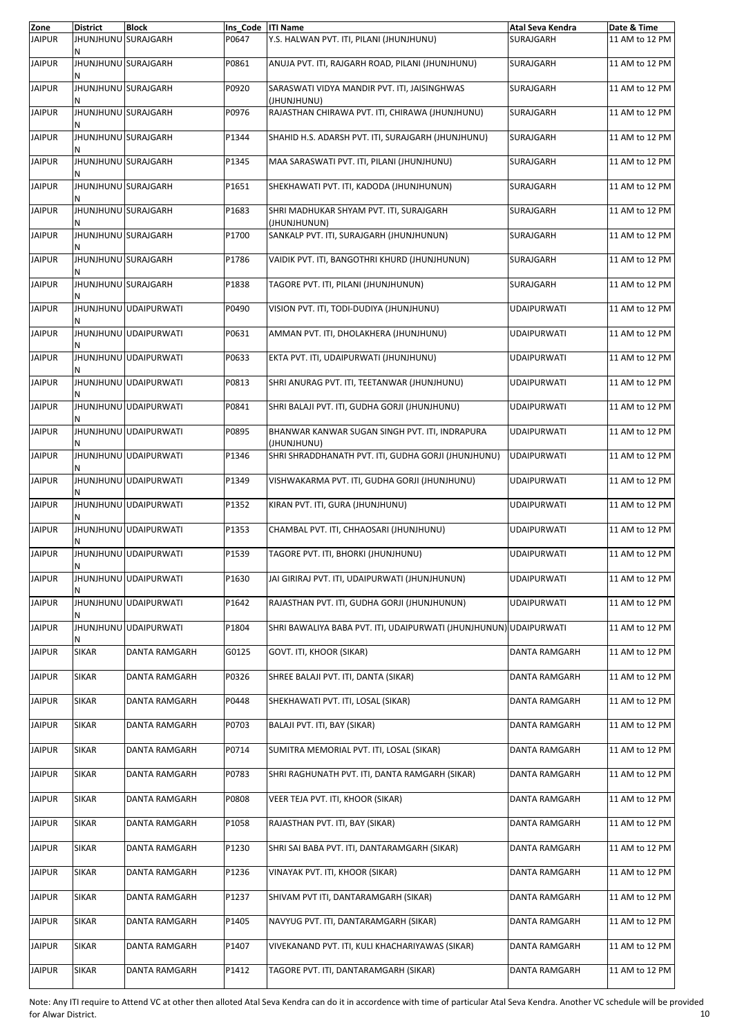| Zone          | <b>District</b>          | <b>Block</b>          | Ins Code | <b>ITI Name</b>                                                   | Atal Seva Kendra     | Date & Time    |
|---------------|--------------------------|-----------------------|----------|-------------------------------------------------------------------|----------------------|----------------|
| <b>JAIPUR</b> | JHUNJHUNU SURAJGARH<br>N |                       | P0647    | Y.S. HALWAN PVT. ITI, PILANI (JHUNJHUNU)                          | SURAJGARH            | 11 AM to 12 PM |
| <b>JAIPUR</b> | JHUNJHUNU SURAJGARH      |                       | P0861    | ANUJA PVT. ITI, RAJGARH ROAD, PILANI (JHUNJHUNU)                  | SURAJGARH            | 11 AM to 12 PM |
| <b>JAIPUR</b> | JHUNJHUNU SURAJGARH      |                       | P0920    | SARASWATI VIDYA MANDIR PVT. ITI, JAISINGHWAS<br>(JHUNJHUNU)       | SURAJGARH            | 11 AM to 12 PM |
| <b>JAIPUR</b> | JHUNJHUNU SURAJGARH      |                       | P0976    | RAJASTHAN CHIRAWA PVT. ITI, CHIRAWA (JHUNJHUNU)                   | SURAJGARH            | 11 AM to 12 PM |
| <b>JAIPUR</b> | JHUNJHUNU SURAJGARH<br>Ν |                       | P1344    | SHAHID H.S. ADARSH PVT. ITI, SURAJGARH (JHUNJHUNU)                | SURAJGARH            | 11 AM to 12 PM |
| <b>JAIPUR</b> | JHUNJHUNU SURAJGARH      |                       | P1345    | MAA SARASWATI PVT. ITI, PILANI (JHUNJHUNU)                        | SURAJGARH            | 11 AM to 12 PM |
| <b>JAIPUR</b> | JHUNJHUNU SURAJGARH      |                       | P1651    | SHEKHAWATI PVT. ITI, KADODA (JHUNJHUNUN)                          | SURAJGARH            | 11 AM to 12 PM |
| <b>JAIPUR</b> | JHUNJHUNU SURAJGARH<br>Ν |                       | P1683    | SHRI MADHUKAR SHYAM PVT. ITI, SURAJGARH<br>(JHUNJHUNUN)           | SURAJGARH            | 11 AM to 12 PM |
| <b>JAIPUR</b> | JHUNJHUNU SURAJGARH      |                       | P1700    | SANKALP PVT. ITI, SURAJGARH (JHUNJHUNUN)                          | SURAJGARH            | 11 AM to 12 PM |
| <b>JAIPUR</b> | JHUNJHUNU SURAJGARH      |                       | P1786    | VAIDIK PVT. ITI, BANGOTHRI KHURD (JHUNJHUNUN)                     | SURAJGARH            | 11 AM to 12 PM |
| <b>JAIPUR</b> | JHUNJHUNU SURAJGARH      |                       | P1838    | TAGORE PVT. ITI, PILANI (JHUNJHUNUN)                              | SURAJGARH            | 11 AM to 12 PM |
| <b>JAIPUR</b> |                          | JHUNJHUNU UDAIPURWATI | P0490    | VISION PVT. ITI, TODI-DUDIYA (JHUNJHUNU)                          | <b>UDAIPURWATI</b>   | 11 AM to 12 PM |
| <b>JAIPUR</b> | N                        | JHUNJHUNU UDAIPURWATI | P0631    | AMMAN PVT. ITI, DHOLAKHERA (JHUNJHUNU)                            | <b>UDAIPURWATI</b>   | 11 AM to 12 PM |
| <b>JAIPUR</b> | Ν                        | JHUNJHUNU UDAIPURWATI | P0633    | EKTA PVT. ITI, UDAIPURWATI (JHUNJHUNU)                            | <b>UDAIPURWATI</b>   | 11 AM to 12 PM |
| <b>JAIPUR</b> |                          | JHUNJHUNU UDAIPURWATI | P0813    | SHRI ANURAG PVT. ITI, TEETANWAR (JHUNJHUNU)                       | <b>UDAIPURWATI</b>   | 11 AM to 12 PM |
| <b>JAIPUR</b> | N                        | JHUNJHUNU UDAIPURWATI | P0841    | SHRI BALAJI PVT. ITI, GUDHA GORJI (JHUNJHUNU)                     | <b>UDAIPURWATI</b>   | 11 AM to 12 PM |
| <b>JAIPUR</b> | Ν                        | JHUNJHUNU UDAIPURWATI | P0895    | BHANWAR KANWAR SUGAN SINGH PVT. ITI, INDRAPURA<br>(JHUNJHUNU)     | <b>UDAIPURWATI</b>   | 11 AM to 12 PM |
| <b>JAIPUR</b> |                          | JHUNJHUNU UDAIPURWATI | P1346    | SHRI SHRADDHANATH PVT. ITI, GUDHA GORJI (JHUNJHUNU)               | <b>UDAIPURWATI</b>   | 11 AM to 12 PM |
| <b>JAIPUR</b> | Ν                        | JHUNJHUNU UDAIPURWATI | P1349    | VISHWAKARMA PVT. ITI, GUDHA GORJI (JHUNJHUNU)                     | <b>UDAIPURWATI</b>   | 11 AM to 12 PM |
| <b>JAIPUR</b> |                          | JHUNJHUNU UDAIPURWATI | P1352    | KIRAN PVT. ITI, GURA (JHUNJHUNU)                                  | <b>UDAIPURWATI</b>   | 11 AM to 12 PM |
| <b>JAIPUR</b> |                          | JHUNJHUNU UDAIPURWATI | P1353    | CHAMBAL PVT. ITI, CHHAOSARI (JHUNJHUNU)                           | <b>UDAIPURWATI</b>   | 11 AM to 12 PM |
| <b>JAIPUR</b> | N                        | JHUNJHUNU UDAIPURWATI | P1539    | TAGORE PVT. ITI, BHORKI (JHUNJHUNU)                               | <b>UDAIPURWATI</b>   | 11 AM to 12 PM |
| <b>JAIPUR</b> |                          | JHUNJHUNU UDAIPURWATI | P1630    | JAI GIRIRAJ PVT. ITI, UDAIPURWATI (JHUNJHUNUN)                    | <b>UDAIPURWATI</b>   | 11 AM to 12 PM |
| <b>JAIPUR</b> |                          | JHUNJHUNU UDAIPURWATI | P1642    | RAJASTHAN PVT. ITI, GUDHA GORJI (JHUNJHUNUN)                      | <b>UDAIPURWATI</b>   | 11 AM to 12 PM |
| <b>JAIPUR</b> |                          | JHUNJHUNU UDAIPURWATI | P1804    | SHRI BAWALIYA BABA PVT. ITI, UDAIPURWATI (JHUNJHUNUN) UDAIPURWATI |                      | 11 AM to 12 PM |
| <b>JAIPUR</b> | <b>SIKAR</b>             | DANTA RAMGARH         | G0125    | GOVT. ITI, KHOOR (SIKAR)                                          | DANTA RAMGARH        | 11 AM to 12 PM |
| <b>JAIPUR</b> | <b>SIKAR</b>             | DANTA RAMGARH         | P0326    | SHREE BALAJI PVT. ITI, DANTA (SIKAR)                              | DANTA RAMGARH        | 11 AM to 12 PM |
| <b>JAIPUR</b> | <b>SIKAR</b>             | DANTA RAMGARH         | P0448    | SHEKHAWATI PVT. ITI, LOSAL (SIKAR)                                | <b>DANTA RAMGARH</b> | 11 AM to 12 PM |
| <b>JAIPUR</b> | <b>SIKAR</b>             | DANTA RAMGARH         | P0703    | BALAJI PVT. ITI, BAY (SIKAR)                                      | DANTA RAMGARH        | 11 AM to 12 PM |
| <b>JAIPUR</b> | <b>SIKAR</b>             | DANTA RAMGARH         | P0714    | SUMITRA MEMORIAL PVT. ITI, LOSAL (SIKAR)                          | DANTA RAMGARH        | 11 AM to 12 PM |
| <b>JAIPUR</b> | <b>SIKAR</b>             | DANTA RAMGARH         | P0783    | SHRI RAGHUNATH PVT. ITI, DANTA RAMGARH (SIKAR)                    | DANTA RAMGARH        | 11 AM to 12 PM |
| <b>JAIPUR</b> | <b>SIKAR</b>             | DANTA RAMGARH         | P0808    | VEER TEJA PVT. ITI, KHOOR (SIKAR)                                 | DANTA RAMGARH        | 11 AM to 12 PM |
| <b>JAIPUR</b> | <b>SIKAR</b>             | <b>DANTA RAMGARH</b>  | P1058    | RAJASTHAN PVT. ITI, BAY (SIKAR)                                   | DANTA RAMGARH        | 11 AM to 12 PM |
| <b>JAIPUR</b> | <b>SIKAR</b>             | DANTA RAMGARH         | P1230    | SHRI SAI BABA PVT. ITI, DANTARAMGARH (SIKAR)                      | DANTA RAMGARH        | 11 AM to 12 PM |
| <b>JAIPUR</b> | SIKAR                    | DANTA RAMGARH         | P1236    | VINAYAK PVT. ITI, KHOOR (SIKAR)                                   | DANTA RAMGARH        | 11 AM to 12 PM |
| <b>JAIPUR</b> | SIKAR                    | <b>DANTA RAMGARH</b>  | P1237    | SHIVAM PVT ITI, DANTARAMGARH (SIKAR)                              | DANTA RAMGARH        | 11 AM to 12 PM |
| <b>JAIPUR</b> | <b>SIKAR</b>             | DANTA RAMGARH         | P1405    | NAVYUG PVT. ITI, DANTARAMGARH (SIKAR)                             | DANTA RAMGARH        | 11 AM to 12 PM |
| <b>JAIPUR</b> | <b>SIKAR</b>             | DANTA RAMGARH         | P1407    | VIVEKANAND PVT. ITI, KULI KHACHARIYAWAS (SIKAR)                   | DANTA RAMGARH        | 11 AM to 12 PM |
| <b>JAIPUR</b> | <b>SIKAR</b>             | DANTA RAMGARH         | P1412    | TAGORE PVT. ITI, DANTARAMGARH (SIKAR)                             | DANTA RAMGARH        | 11 AM to 12 PM |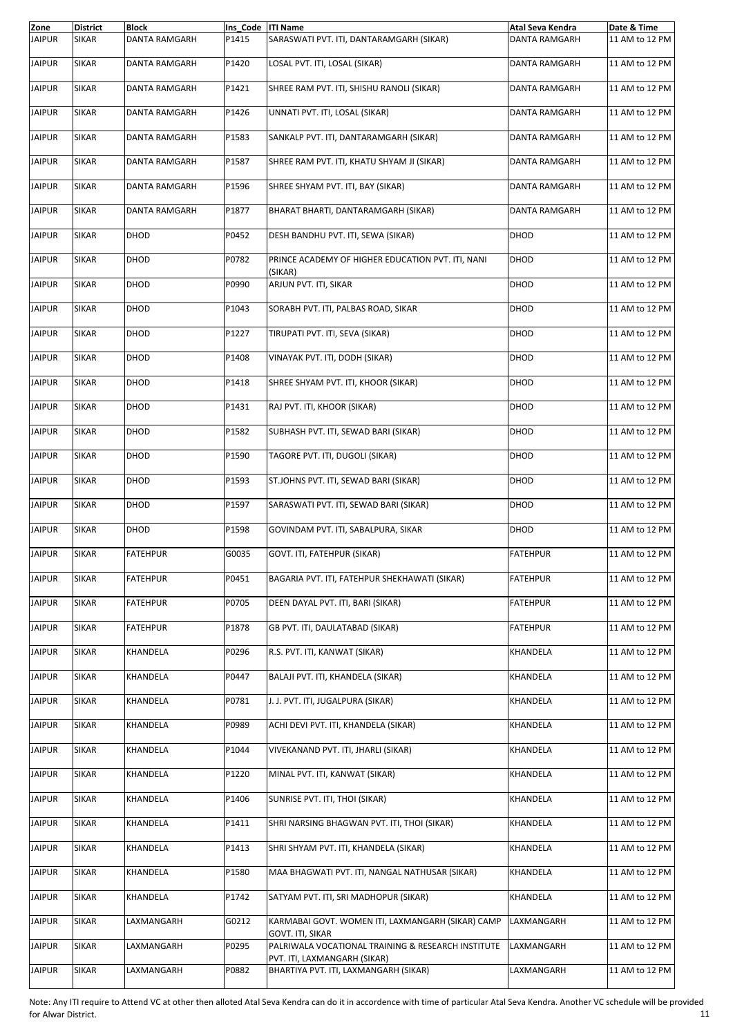| Zone          | <b>District</b> | <b>Block</b>         | Ins Code  ITI Name |                                                                        | <b>Atal Seva Kendra</b> | Date & Time    |
|---------------|-----------------|----------------------|--------------------|------------------------------------------------------------------------|-------------------------|----------------|
| <b>JAIPUR</b> | <b>SIKAR</b>    | DANTA RAMGARH        | P1415              | SARASWATI PVT. ITI, DANTARAMGARH (SIKAR)                               | <b>DANTA RAMGARH</b>    | 11 AM to 12 PM |
| <b>JAIPUR</b> | <b>SIKAR</b>    | DANTA RAMGARH        | P1420              | LOSAL PVT. ITI, LOSAL (SIKAR)                                          | <b>DANTA RAMGARH</b>    | 11 AM to 12 PM |
| <b>JAIPUR</b> | <b>SIKAR</b>    | DANTA RAMGARH        | P1421              | SHREE RAM PVT. ITI, SHISHU RANOLI (SIKAR)                              | <b>DANTA RAMGARH</b>    | 11 AM to 12 PM |
| <b>JAIPUR</b> | <b>SIKAR</b>    | <b>DANTA RAMGARH</b> | P1426              | UNNATI PVT. ITI, LOSAL (SIKAR)                                         | DANTA RAMGARH           | 11 AM to 12 PM |
| <b>JAIPUR</b> | <b>SIKAR</b>    | DANTA RAMGARH        | P1583              | SANKALP PVT. ITI, DANTARAMGARH (SIKAR)                                 | DANTA RAMGARH           | 11 AM to 12 PM |
| <b>JAIPUR</b> | <b>SIKAR</b>    | DANTA RAMGARH        | P1587              | SHREE RAM PVT. ITI, KHATU SHYAM JI (SIKAR)                             | DANTA RAMGARH           | 11 AM to 12 PM |
| <b>JAIPUR</b> | <b>SIKAR</b>    | <b>DANTA RAMGARH</b> | P1596              | SHREE SHYAM PVT. ITI, BAY (SIKAR)                                      | DANTA RAMGARH           | 11 AM to 12 PM |
| <b>JAIPUR</b> | <b>SIKAR</b>    | DANTA RAMGARH        | P1877              | BHARAT BHARTI, DANTARAMGARH (SIKAR)                                    | DANTA RAMGARH           | 11 AM to 12 PM |
| <b>JAIPUR</b> | <b>SIKAR</b>    | DHOD                 | P0452              | DESH BANDHU PVT. ITI, SEWA (SIKAR)                                     | DHOD                    | 11 AM to 12 PM |
| <b>JAIPUR</b> | <b>SIKAR</b>    | DHOD                 | P0782              | PRINCE ACADEMY OF HIGHER EDUCATION PVT. ITI, NANI<br>(SIKAR)           | DHOD                    | 11 AM to 12 PM |
| <b>JAIPUR</b> | <b>SIKAR</b>    | DHOD                 | P0990              | ARJUN PVT. ITI, SIKAR                                                  | DHOD                    | 11 AM to 12 PM |
| <b>JAIPUR</b> | <b>SIKAR</b>    | DHOD                 | P1043              | SORABH PVT. ITI, PALBAS ROAD, SIKAR                                    | DHOD                    | 11 AM to 12 PM |
| <b>JAIPUR</b> | <b>SIKAR</b>    | DHOD                 | P1227              | TIRUPATI PVT. ITI, SEVA (SIKAR)                                        | DHOD                    | 11 AM to 12 PM |
| <b>JAIPUR</b> | <b>SIKAR</b>    | DHOD                 | P1408              | VINAYAK PVT. ITI, DODH (SIKAR)                                         | DHOD                    | 11 AM to 12 PM |
| <b>JAIPUR</b> | <b>SIKAR</b>    | DHOD                 | P1418              | SHREE SHYAM PVT. ITI, KHOOR (SIKAR)                                    | DHOD                    | 11 AM to 12 PM |
| <b>JAIPUR</b> | <b>SIKAR</b>    | DHOD                 | P1431              | RAJ PVT. ITI, KHOOR (SIKAR)                                            | DHOD                    | 11 AM to 12 PM |
| <b>JAIPUR</b> | <b>SIKAR</b>    | DHOD                 | P1582              | SUBHASH PVT. ITI, SEWAD BARI (SIKAR)                                   | DHOD                    | 11 AM to 12 PM |
| <b>JAIPUR</b> | <b>SIKAR</b>    | DHOD                 | P1590              | TAGORE PVT. ITI, DUGOLI (SIKAR)                                        | DHOD                    | 11 AM to 12 PM |
| <b>JAIPUR</b> | SIKAR           | DHOD                 | P1593              | ST.JOHNS PVT. ITI, SEWAD BARI (SIKAR)                                  | DHOD                    | 11 AM to 12 PM |
| <b>JAIPUR</b> | <b>SIKAR</b>    | DHOD                 | P1597              | SARASWATI PVT. ITI, SEWAD BARI (SIKAR)                                 | DHOD                    | 11 AM to 12 PM |
| <b>JAIPUR</b> | <b>SIKAR</b>    | DHOD                 | P1598              | GOVINDAM PVT. ITI, SABALPURA, SIKAR                                    | DHOD                    | 11 AM to 12 PM |
| <b>JAIPUR</b> | <b>SIKAR</b>    | <b>FATEHPUR</b>      | G0035              | GOVT. ITI, FATEHPUR (SIKAR)                                            | <b>FATEHPUR</b>         | 11 AM to 12 PM |
| <b>JAIPUR</b> | <b>SIKAR</b>    | <b>FATEHPUR</b>      | P0451              | BAGARIA PVT. ITI, FATEHPUR SHEKHAWATI (SIKAR)                          | <b>FATEHPUR</b>         | 11 AM to 12 PM |
| <b>JAIPUR</b> | <b>SIKAR</b>    | <b>FATEHPUR</b>      | P0705              | DEEN DAYAL PVT. ITI, BARI (SIKAR)                                      | <b>FATEHPUR</b>         | 11 AM to 12 PM |
| <b>JAIPUR</b> | <b>SIKAR</b>    | <b>FATEHPUR</b>      | P1878              | GB PVT. ITI, DAULATABAD (SIKAR)                                        | FATEHPUR                | 11 AM to 12 PM |
| <b>JAIPUR</b> | <b>SIKAR</b>    | KHANDELA             | P0296              | R.S. PVT. ITI, KANWAT (SIKAR)                                          | KHANDELA                | 11 AM to 12 PM |
| <b>JAIPUR</b> | <b>SIKAR</b>    | KHANDELA             | P0447              | BALAJI PVT. ITI, KHANDELA (SIKAR)                                      | KHANDELA                | 11 AM to 12 PM |
| <b>JAIPUR</b> | <b>SIKAR</b>    | KHANDELA             | P0781              | J. J. PVT. ITI, JUGALPURA (SIKAR)                                      | KHANDELA                | 11 AM to 12 PM |
| <b>JAIPUR</b> | <b>SIKAR</b>    | KHANDELA             | P0989              | ACHI DEVI PVT. ITI, KHANDELA (SIKAR)                                   | KHANDELA                | 11 AM to 12 PM |
| <b>JAIPUR</b> | <b>SIKAR</b>    | KHANDELA             | P1044              | VIVEKANAND PVT. ITI, JHARLI (SIKAR)                                    | KHANDELA                | 11 AM to 12 PM |
| <b>JAIPUR</b> | <b>SIKAR</b>    | KHANDELA             | P1220              | MINAL PVT. ITI, KANWAT (SIKAR)                                         | KHANDELA                | 11 AM to 12 PM |
| <b>JAIPUR</b> | <b>SIKAR</b>    | KHANDELA             | P1406              | SUNRISE PVT. ITI, THOI (SIKAR)                                         | KHANDELA                | 11 AM to 12 PM |
| <b>JAIPUR</b> | <b>SIKAR</b>    | KHANDELA             | P1411              | SHRI NARSING BHAGWAN PVT. ITI, THOI (SIKAR)                            | KHANDELA                | 11 AM to 12 PM |
| <b>JAIPUR</b> | <b>SIKAR</b>    | KHANDELA             | P1413              | SHRI SHYAM PVT. ITI, KHANDELA (SIKAR)                                  | KHANDELA                | 11 AM to 12 PM |
| <b>JAIPUR</b> | <b>SIKAR</b>    | KHANDELA             | P1580              | MAA BHAGWATI PVT. ITI, NANGAL NATHUSAR (SIKAR)                         | KHANDELA                | 11 AM to 12 PM |
| <b>JAIPUR</b> | <b>SIKAR</b>    | KHANDELA             | P1742              | SATYAM PVT. ITI, SRI MADHOPUR (SIKAR)                                  | KHANDELA                | 11 AM to 12 PM |
| <b>JAIPUR</b> | <b>SIKAR</b>    | LAXMANGARH           | G0212              | KARMABAI GOVT. WOMEN ITI, LAXMANGARH (SIKAR) CAMP                      | LAXMANGARH              | 11 AM to 12 PM |
| <b>JAIPUR</b> | <b>SIKAR</b>    | LAXMANGARH           | P0295              | GOVT. ITI, SIKAR<br>PALRIWALA VOCATIONAL TRAINING & RESEARCH INSTITUTE | LAXMANGARH              | 11 AM to 12 PM |
| <b>JAIPUR</b> | <b>SIKAR</b>    | LAXMANGARH           | P0882              | PVT. ITI, LAXMANGARH (SIKAR)<br>BHARTIYA PVT. ITI, LAXMANGARH (SIKAR)  | LAXMANGARH              | 11 AM to 12 PM |
|               |                 |                      |                    |                                                                        |                         |                |

Note: Any ITI require to Attend VC at other then alloted Atal Seva Kendra can do it in accordence with time of particular Atal Seva Kendra. Another VC schedule will be provided for Alwar District. 11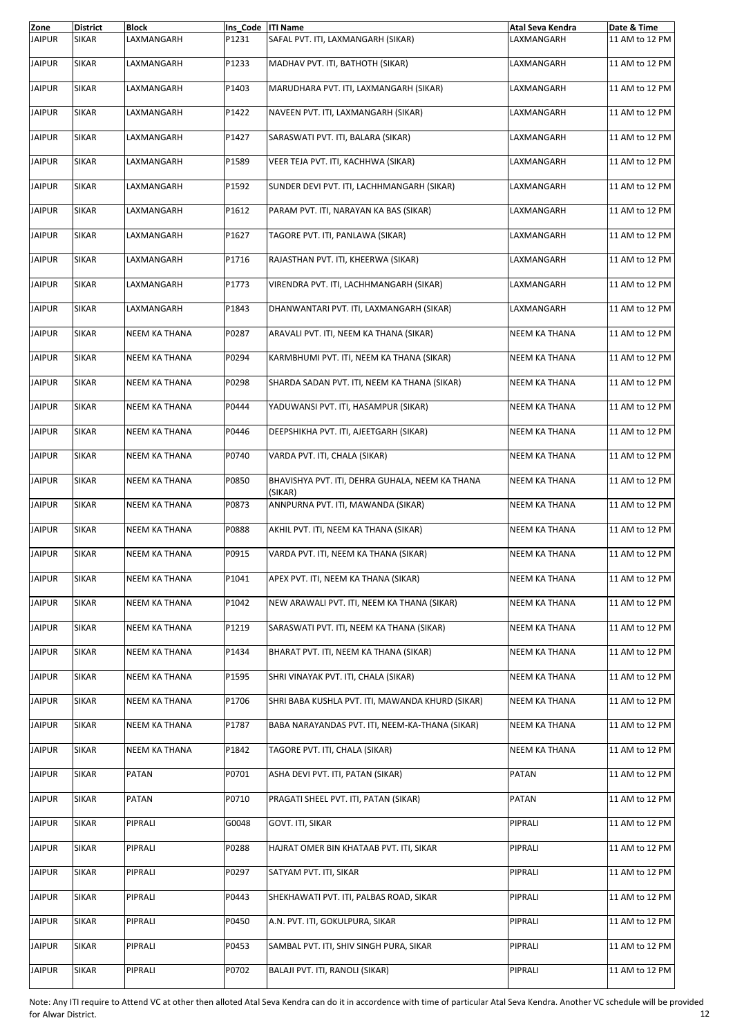| Zone          | <b>District</b> | <b>Block</b>         | Ins Code   ITI Name |                                                            | Atal Seva Kendra     | Date & Time    |
|---------------|-----------------|----------------------|---------------------|------------------------------------------------------------|----------------------|----------------|
| <b>JAIPUR</b> | <b>SIKAR</b>    | LAXMANGARH           | P1231               | SAFAL PVT. ITI, LAXMANGARH (SIKAR)                         | LAXMANGARH           | 11 AM to 12 PM |
| <b>JAIPUR</b> | <b>SIKAR</b>    | LAXMANGARH           | P1233               | MADHAV PVT. ITI, BATHOTH (SIKAR)                           | LAXMANGARH           | 11 AM to 12 PM |
| JAIPUR        | <b>SIKAR</b>    | LAXMANGARH           | P1403               | MARUDHARA PVT. ITI, LAXMANGARH (SIKAR)                     | LAXMANGARH           | 11 AM to 12 PM |
| <b>JAIPUR</b> | <b>SIKAR</b>    | LAXMANGARH           | P1422               | NAVEEN PVT. ITI, LAXMANGARH (SIKAR)                        | LAXMANGARH           | 11 AM to 12 PM |
| <b>JAIPUR</b> | <b>SIKAR</b>    | LAXMANGARH           | P1427               | SARASWATI PVT. ITI, BALARA (SIKAR)                         | LAXMANGARH           | 11 AM to 12 PM |
| <b>JAIPUR</b> | <b>SIKAR</b>    | LAXMANGARH           | P1589               | VEER TEJA PVT. ITI, KACHHWA (SIKAR)                        | LAXMANGARH           | 11 AM to 12 PM |
| <b>JAIPUR</b> | <b>SIKAR</b>    | LAXMANGARH           | P1592               | SUNDER DEVI PVT. ITI, LACHHMANGARH (SIKAR)                 | LAXMANGARH           | 11 AM to 12 PM |
| <b>JAIPUR</b> | <b>SIKAR</b>    | LAXMANGARH           | P1612               | PARAM PVT. ITI, NARAYAN KA BAS (SIKAR)                     | LAXMANGARH           | 11 AM to 12 PM |
| <b>JAIPUR</b> | SIKAR           | LAXMANGARH           | P1627               | TAGORE PVT. ITI, PANLAWA (SIKAR)                           | LAXMANGARH           | 11 AM to 12 PM |
| <b>JAIPUR</b> | <b>SIKAR</b>    | LAXMANGARH           | P1716               | RAJASTHAN PVT. ITI, KHEERWA (SIKAR)                        | LAXMANGARH           | 11 AM to 12 PM |
| <b>JAIPUR</b> | <b>SIKAR</b>    | LAXMANGARH           | P1773               | VIRENDRA PVT. ITI, LACHHMANGARH (SIKAR)                    | LAXMANGARH           | 11 AM to 12 PM |
| JAIPUR        | <b>SIKAR</b>    | LAXMANGARH           | P1843               | DHANWANTARI PVT. ITI, LAXMANGARH (SIKAR)                   | LAXMANGARH           | 11 AM to 12 PM |
| <b>JAIPUR</b> | <b>SIKAR</b>    | <b>NEEM KA THANA</b> | P0287               | ARAVALI PVT. ITI, NEEM KA THANA (SIKAR)                    | <b>NEEM KA THANA</b> | 11 AM to 12 PM |
| <b>JAIPUR</b> | <b>SIKAR</b>    | <b>NEEM KA THANA</b> | P0294               | KARMBHUMI PVT. ITI, NEEM KA THANA (SIKAR)                  | <b>NEEM KA THANA</b> | 11 AM to 12 PM |
| <b>JAIPUR</b> | <b>SIKAR</b>    | <b>NEEM KA THANA</b> | P0298               | SHARDA SADAN PVT. ITI, NEEM KA THANA (SIKAR)               | NEEM KA THANA        | 11 AM to 12 PM |
| <b>JAIPUR</b> | <b>SIKAR</b>    | <b>NEEM KA THANA</b> | P0444               | YADUWANSI PVT. ITI, HASAMPUR (SIKAR)                       | <b>NEEM KA THANA</b> | 11 AM to 12 PM |
| <b>JAIPUR</b> | <b>SIKAR</b>    | NEEM KA THANA        | P0446               | DEEPSHIKHA PVT. ITI, AJEETGARH (SIKAR)                     | <b>NEEM KA THANA</b> | 11 AM to 12 PM |
| <b>JAIPUR</b> | <b>SIKAR</b>    | <b>NEEM KA THANA</b> | P0740               | VARDA PVT. ITI, CHALA (SIKAR)                              | <b>NEEM KA THANA</b> | 11 AM to 12 PM |
| JAIPUR        | <b>SIKAR</b>    | <b>NEEM KA THANA</b> | P0850               | BHAVISHYA PVT. ITI, DEHRA GUHALA, NEEM KA THANA<br>(SIKAR) | <b>NEEM KA THANA</b> | 11 AM to 12 PM |
| <b>JAIPUR</b> | <b>SIKAR</b>    | NEEM KA THANA        | P0873               | ANNPURNA PVT. ITI, MAWANDA (SIKAR)                         | <b>NEEM KA THANA</b> | 11 AM to 12 PM |
| <b>JAIPUR</b> | <b>SIKAR</b>    | <b>NEEM KA THANA</b> | P0888               | AKHIL PVT. ITI, NEEM KA THANA (SIKAR)                      | <b>NEEM KA THANA</b> | 11 AM to 12 PM |
| <b>JAIPUR</b> | <b>SIKAR</b>    | <b>NEEM KA THANA</b> | P0915               | VARDA PVT. ITI, NEEM KA THANA (SIKAR)                      | <b>NEEM KA THANA</b> | 11 AM to 12 PM |
| <b>JAIPUR</b> | <b>SIKAR</b>    | NEEM KA THANA        | P1041               | APEX PVT. ITI, NEEM KA THANA (SIKAR)                       | <b>NEEM KA THANA</b> | 11 AM to 12 PM |
| <b>JAIPUR</b> | <b>SIKAR</b>    | NEEM KA THANA        | P1042               | NEW ARAWALI PVT. ITI, NEEM KA THANA (SIKAR)                | <b>NEEM KA THANA</b> | 11 AM to 12 PM |
| <b>JAIPUR</b> | <b>SIKAR</b>    | NEEM KA THANA        | P1219               | SARASWATI PVT. ITI, NEEM KA THANA (SIKAR)                  | NEEM KA THANA        | 11 AM to 12 PM |
| <b>JAIPUR</b> | <b>SIKAR</b>    | NEEM KA THANA        | P1434               | BHARAT PVT. ITI, NEEM KA THANA (SIKAR)                     | NEEM KA THANA        | 11 AM to 12 PM |
| <b>JAIPUR</b> | <b>SIKAR</b>    | NEEM KA THANA        | P1595               | SHRI VINAYAK PVT. ITI, CHALA (SIKAR)                       | NEEM KA THANA        | 11 AM to 12 PM |
| <b>JAIPUR</b> | SIKAR           | NEEM KA THANA        | P1706               | SHRI BABA KUSHLA PVT. ITI, MAWANDA KHURD (SIKAR)           | <b>NEEM KA THANA</b> | 11 AM to 12 PM |
| <b>JAIPUR</b> | <b>SIKAR</b>    | NEEM KA THANA        | P1787               | BABA NARAYANDAS PVT. ITI, NEEM-KA-THANA (SIKAR)            | NEEM KA THANA        | 11 AM to 12 PM |
| <b>JAIPUR</b> | <b>SIKAR</b>    | NEEM KA THANA        | P1842               | TAGORE PVT. ITI, CHALA (SIKAR)                             | NEEM KA THANA        | 11 AM to 12 PM |
| JAIPUR        | SIKAR           | PATAN                | P0701               | ASHA DEVI PVT. ITI, PATAN (SIKAR)                          | PATAN                | 11 AM to 12 PM |
| <b>JAIPUR</b> | <b>SIKAR</b>    | PATAN                | P0710               | PRAGATI SHEEL PVT. ITI, PATAN (SIKAR)                      | PATAN                | 11 AM to 12 PM |
| <b>JAIPUR</b> | SIKAR           | PIPRALI              | G0048               | GOVT. ITI, SIKAR                                           | PIPRALI              | 11 AM to 12 PM |
| <b>JAIPUR</b> | SIKAR           | PIPRALI              | P0288               | HAJRAT OMER BIN KHATAAB PVT. ITI, SIKAR                    | PIPRALI              | 11 AM to 12 PM |
| <b>JAIPUR</b> | <b>SIKAR</b>    | PIPRALI              | P0297               | SATYAM PVT. ITI, SIKAR                                     | PIPRALI              | 11 AM to 12 PM |
| <b>JAIPUR</b> | SIKAR           | PIPRALI              | P0443               | SHEKHAWATI PVT. ITI, PALBAS ROAD, SIKAR                    | PIPRALI              | 11 AM to 12 PM |
| JAIPUR        | <b>SIKAR</b>    | PIPRALI              | P0450               | A.N. PVT. ITI, GOKULPURA, SIKAR                            | PIPRALI              | 11 AM to 12 PM |
| <b>JAIPUR</b> | <b>SIKAR</b>    | PIPRALI              | P0453               | SAMBAL PVT. ITI, SHIV SINGH PURA, SIKAR                    | PIPRALI              | 11 AM to 12 PM |
| <b>JAIPUR</b> | <b>SIKAR</b>    | PIPRALI              | P0702               | BALAJI PVT. ITI, RANOLI (SIKAR)                            | PIPRALI              | 11 AM to 12 PM |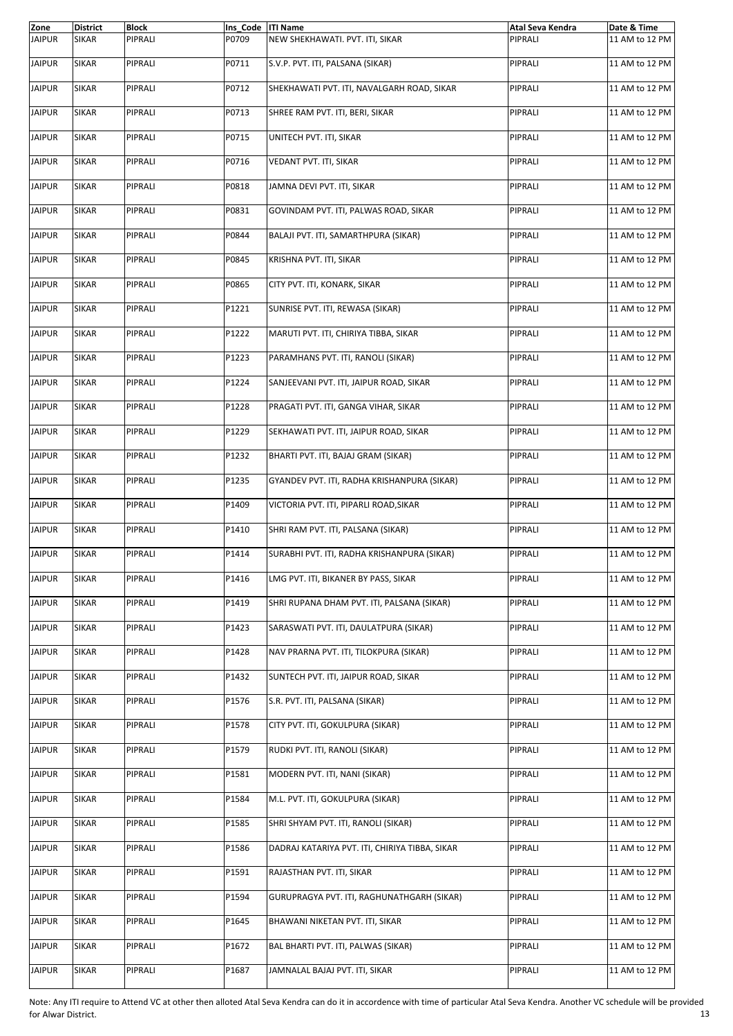| Zone          | <b>District</b> | <b>Block</b> | Ins Code   ITI Name |                                                | Atal Seva Kendra | Date & Time    |
|---------------|-----------------|--------------|---------------------|------------------------------------------------|------------------|----------------|
| <b>JAIPUR</b> | <b>SIKAR</b>    | PIPRALI      | P0709               | NEW SHEKHAWATI. PVT. ITI, SIKAR                | PIPRALI          | 11 AM to 12 PM |
| <b>JAIPUR</b> | <b>SIKAR</b>    | PIPRALI      | P0711               | S.V.P. PVT. ITI, PALSANA (SIKAR)               | PIPRALI          | 11 AM to 12 PM |
| <b>JAIPUR</b> | <b>SIKAR</b>    | PIPRALI      | P0712               | SHEKHAWATI PVT. ITI, NAVALGARH ROAD, SIKAR     | PIPRALI          | 11 AM to 12 PM |
| <b>JAIPUR</b> | <b>SIKAR</b>    | PIPRALI      | P0713               | SHREE RAM PVT. ITI, BERI, SIKAR                | PIPRALI          | 11 AM to 12 PM |
| <b>JAIPUR</b> | <b>SIKAR</b>    | PIPRALI      | P0715               | UNITECH PVT. ITI, SIKAR                        | PIPRALI          | 11 AM to 12 PM |
| <b>JAIPUR</b> | <b>SIKAR</b>    | PIPRALI      | P0716               | VEDANT PVT. ITI, SIKAR                         | PIPRALI          | 11 AM to 12 PM |
| <b>JAIPUR</b> | <b>SIKAR</b>    | PIPRALI      | P0818               | JAMNA DEVI PVT. ITI, SIKAR                     | PIPRALI          | 11 AM to 12 PM |
| <b>JAIPUR</b> | <b>SIKAR</b>    | PIPRALI      | P0831               | GOVINDAM PVT. ITI, PALWAS ROAD, SIKAR          | PIPRALI          | 11 AM to 12 PM |
| <b>JAIPUR</b> | <b>SIKAR</b>    | PIPRALI      | P0844               | BALAJI PVT. ITI, SAMARTHPURA (SIKAR)           | PIPRALI          | 11 AM to 12 PM |
| <b>JAIPUR</b> | <b>SIKAR</b>    | PIPRALI      | P0845               | KRISHNA PVT. ITI, SIKAR                        | PIPRALI          | 11 AM to 12 PM |
| <b>JAIPUR</b> | <b>SIKAR</b>    | PIPRALI      | P0865               | CITY PVT. ITI, KONARK, SIKAR                   | PIPRALI          | 11 AM to 12 PM |
| <b>JAIPUR</b> | <b>SIKAR</b>    | PIPRALI      | P1221               | SUNRISE PVT. ITI, REWASA (SIKAR)               | PIPRALI          | 11 AM to 12 PM |
| <b>JAIPUR</b> | <b>SIKAR</b>    | PIPRALI      | P1222               | MARUTI PVT. ITI, CHIRIYA TIBBA, SIKAR          | PIPRALI          | 11 AM to 12 PM |
| <b>JAIPUR</b> | <b>SIKAR</b>    | PIPRALI      | P1223               | PARAMHANS PVT. ITI, RANOLI (SIKAR)             | PIPRALI          | 11 AM to 12 PM |
| <b>JAIPUR</b> | <b>SIKAR</b>    | PIPRALI      | P1224               | SANJEEVANI PVT. ITI, JAIPUR ROAD, SIKAR        | PIPRALI          | 11 AM to 12 PM |
| <b>JAIPUR</b> | <b>SIKAR</b>    | PIPRALI      | P1228               | PRAGATI PVT. ITI, GANGA VIHAR, SIKAR           | PIPRALI          | 11 AM to 12 PM |
| <b>JAIPUR</b> | <b>SIKAR</b>    | PIPRALI      | P1229               | SEKHAWATI PVT. ITI, JAIPUR ROAD, SIKAR         | PIPRALI          | 11 AM to 12 PM |
| <b>JAIPUR</b> | <b>SIKAR</b>    | PIPRALI      | P1232               | BHARTI PVT. ITI, BAJAJ GRAM (SIKAR)            | PIPRALI          | 11 AM to 12 PM |
| <b>JAIPUR</b> | <b>SIKAR</b>    | PIPRALI      | P1235               | GYANDEV PVT. ITI, RADHA KRISHANPURA (SIKAR)    | PIPRALI          | 11 AM to 12 PM |
| <b>JAIPUR</b> | <b>SIKAR</b>    | PIPRALI      | P1409               | VICTORIA PVT. ITI, PIPARLI ROAD, SIKAR         | PIPRALI          | 11 AM to 12 PM |
| <b>JAIPUR</b> | <b>SIKAR</b>    | PIPRALI      | P1410               | SHRI RAM PVT. ITI, PALSANA (SIKAR)             | PIPRALI          | 11 AM to 12 PM |
| <b>JAIPUR</b> | <b>SIKAR</b>    | PIPRALI      | P1414               | SURABHI PVT. ITI, RADHA KRISHANPURA (SIKAR)    | PIPRALI          | 11 AM to 12 PM |
| <b>JAIPUR</b> | <b>SIKAR</b>    | PIPRALI      | P1416               | LMG PVT. ITI, BIKANER BY PASS, SIKAR           | PIPRALI          | 11 AM to 12 PM |
| <b>JAIPUR</b> | <b>SIKAR</b>    | PIPRALI      | P1419               | SHRI RUPANA DHAM PVT. ITI, PALSANA (SIKAR)     | PIPRALI          | 11 AM to 12 PM |
| <b>JAIPUR</b> | <b>SIKAR</b>    | PIPRALI      | P1423               | SARASWATI PVT. ITI, DAULATPURA (SIKAR)         | PIPRALI          | 11 AM to 12 PM |
| <b>JAIPUR</b> | <b>SIKAR</b>    | PIPRALI      | P1428               | NAV PRARNA PVT. ITI, TILOKPURA (SIKAR)         | PIPRALI          | 11 AM to 12 PM |
| <b>JAIPUR</b> | <b>SIKAR</b>    | PIPRALI      | P1432               | SUNTECH PVT. ITI, JAIPUR ROAD, SIKAR           | PIPRALI          | 11 AM to 12 PM |
| <b>JAIPUR</b> | <b>SIKAR</b>    | PIPRALI      | P1576               | S.R. PVT. ITI, PALSANA (SIKAR)                 | PIPRALI          | 11 AM to 12 PM |
| <b>JAIPUR</b> | <b>SIKAR</b>    | PIPRALI      | P1578               | CITY PVT. ITI, GOKULPURA (SIKAR)               | PIPRALI          | 11 AM to 12 PM |
| <b>JAIPUR</b> | <b>SIKAR</b>    | PIPRALI      | P1579               | RUDKI PVT. ITI, RANOLI (SIKAR)                 | PIPRALI          | 11 AM to 12 PM |
| <b>JAIPUR</b> | <b>SIKAR</b>    | PIPRALI      | P1581               | MODERN PVT. ITI, NANI (SIKAR)                  | PIPRALI          | 11 AM to 12 PM |
| <b>JAIPUR</b> | <b>SIKAR</b>    | PIPRALI      | P1584               | M.L. PVT. ITI, GOKULPURA (SIKAR)               | PIPRALI          | 11 AM to 12 PM |
| <b>JAIPUR</b> | <b>SIKAR</b>    | PIPRALI      | P1585               | SHRI SHYAM PVT. ITI, RANOLI (SIKAR)            | PIPRALI          | 11 AM to 12 PM |
| <b>JAIPUR</b> | <b>SIKAR</b>    | PIPRALI      | P1586               | DADRAJ KATARIYA PVT. ITI, CHIRIYA TIBBA, SIKAR | PIPRALI          | 11 AM to 12 PM |
| <b>JAIPUR</b> | <b>SIKAR</b>    | PIPRALI      | P1591               | RAJASTHAN PVT. ITI, SIKAR                      | PIPRALI          | 11 AM to 12 PM |
| <b>JAIPUR</b> | <b>SIKAR</b>    | PIPRALI      | P1594               | GURUPRAGYA PVT. ITI, RAGHUNATHGARH (SIKAR)     | PIPRALI          | 11 AM to 12 PM |
| <b>JAIPUR</b> | <b>SIKAR</b>    | PIPRALI      | P1645               | BHAWANI NIKETAN PVT. ITI, SIKAR                | PIPRALI          | 11 AM to 12 PM |
| <b>JAIPUR</b> | <b>SIKAR</b>    | PIPRALI      | P1672               | BAL BHARTI PVT. ITI, PALWAS (SIKAR)            | PIPRALI          | 11 AM to 12 PM |
| <b>JAIPUR</b> | <b>SIKAR</b>    | PIPRALI      | P1687               | JAMNALAL BAJAJ PVT. ITI, SIKAR                 | PIPRALI          | 11 AM to 12 PM |

Note: Any ITI require to Attend VC at other then alloted Atal Seva Kendra can do it in accordence with time of particular Atal Seva Kendra. Another VC schedule will be provided for Alwar District. 13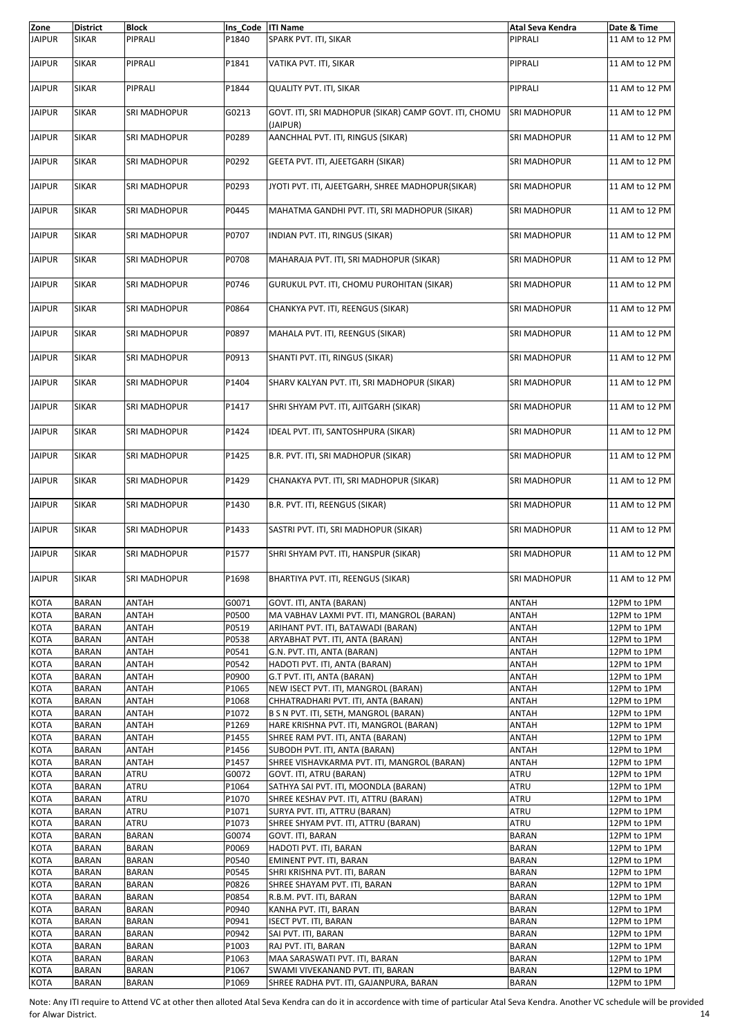| Zone          | <b>District</b> | <b>Block</b>        | Ins_Code  ITI Name |                                                                   | Atal Seva Kendra    | Date & Time    |
|---------------|-----------------|---------------------|--------------------|-------------------------------------------------------------------|---------------------|----------------|
| <b>JAIPUR</b> | <b>SIKAR</b>    | PIPRALI             | P1840              | SPARK PVT. ITI, SIKAR                                             | PIPRALI             | 11 AM to 12 PM |
| <b>JAIPUR</b> | <b>SIKAR</b>    | PIPRALI             | P1841              | VATIKA PVT. ITI, SIKAR                                            | PIPRALI             | 11 AM to 12 PM |
| <b>JAIPUR</b> | <b>SIKAR</b>    | PIPRALI             | P1844              | QUALITY PVT. ITI, SIKAR                                           | PIPRALI             | 11 AM to 12 PM |
| <b>JAIPUR</b> | <b>SIKAR</b>    | SRI MADHOPUR        | G0213              | GOVT. ITI, SRI MADHOPUR (SIKAR) CAMP GOVT. ITI, CHOMU<br>(JAIPUR) | SRI MADHOPUR        | 11 AM to 12 PM |
| <b>JAIPUR</b> | <b>SIKAR</b>    | SRI MADHOPUR        | P0289              | AANCHHAL PVT. ITI, RINGUS (SIKAR)                                 | SRI MADHOPUR        | 11 AM to 12 PM |
| <b>JAIPUR</b> | <b>SIKAR</b>    | SRI MADHOPUR        | P0292              | GEETA PVT. ITI, AJEETGARH (SIKAR)                                 | SRI MADHOPUR        | 11 AM to 12 PM |
| <b>JAIPUR</b> | <b>SIKAR</b>    | SRI MADHOPUR        | P0293              | JYOTI PVT. ITI, AJEETGARH, SHREE MADHOPUR(SIKAR)                  | SRI MADHOPUR        | 11 AM to 12 PM |
| <b>JAIPUR</b> | <b>SIKAR</b>    | SRI MADHOPUR        | P0445              | MAHATMA GANDHI PVT. ITI, SRI MADHOPUR (SIKAR)                     | SRI MADHOPUR        | 11 AM to 12 PM |
| <b>JAIPUR</b> | <b>SIKAR</b>    | SRI MADHOPUR        | P0707              | INDIAN PVT. ITI, RINGUS (SIKAR)                                   | SRI MADHOPUR        | 11 AM to 12 PM |
| <b>JAIPUR</b> | <b>SIKAR</b>    | <b>SRI MADHOPUR</b> | P0708              | MAHARAJA PVT. ITI, SRI MADHOPUR (SIKAR)                           | SRI MADHOPUR        | 11 AM to 12 PM |
| <b>JAIPUR</b> | <b>SIKAR</b>    | SRI MADHOPUR        | P0746              | GURUKUL PVT. ITI, CHOMU PUROHITAN (SIKAR)                         | SRI MADHOPUR        | 11 AM to 12 PM |
| <b>JAIPUR</b> | <b>SIKAR</b>    | SRI MADHOPUR        | P0864              | CHANKYA PVT. ITI, REENGUS (SIKAR)                                 | <b>SRI MADHOPUR</b> | 11 AM to 12 PM |
| <b>JAIPUR</b> | <b>SIKAR</b>    | SRI MADHOPUR        | P0897              | MAHALA PVT. ITI, REENGUS (SIKAR)                                  | SRI MADHOPUR        | 11 AM to 12 PM |
| <b>JAIPUR</b> | <b>SIKAR</b>    | SRI MADHOPUR        | P0913              | SHANTI PVT. ITI, RINGUS (SIKAR)                                   | SRI MADHOPUR        | 11 AM to 12 PM |
| <b>JAIPUR</b> | <b>SIKAR</b>    | SRI MADHOPUR        | P1404              | SHARV KALYAN PVT. ITI, SRI MADHOPUR (SIKAR)                       | <b>SRI MADHOPUR</b> | 11 AM to 12 PM |
| <b>JAIPUR</b> | <b>SIKAR</b>    | SRI MADHOPUR        | P1417              | SHRI SHYAM PVT. ITI, AJITGARH (SIKAR)                             | SRI MADHOPUR        | 11 AM to 12 PM |
| <b>JAIPUR</b> | <b>SIKAR</b>    | SRI MADHOPUR        | P1424              | IDEAL PVT. ITI, SANTOSHPURA (SIKAR)                               | SRI MADHOPUR        | 11 AM to 12 PM |
| <b>JAIPUR</b> | <b>SIKAR</b>    | SRI MADHOPUR        | P1425              | B.R. PVT. ITI, SRI MADHOPUR (SIKAR)                               | SRI MADHOPUR        | 11 AM to 12 PM |
| <b>JAIPUR</b> | <b>SIKAR</b>    | SRI MADHOPUR        | P1429              | CHANAKYA PVT. ITI, SRI MADHOPUR (SIKAR)                           | SRI MADHOPUR        | 11 AM to 12 PM |
| <b>JAIPUR</b> | <b>SIKAR</b>    | SRI MADHOPUR        | P1430              | B.R. PVT. ITI, REENGUS (SIKAR)                                    | SRI MADHOPUR        | 11 AM to 12 PM |
| <b>JAIPUR</b> | <b>SIKAR</b>    | SRI MADHOPUR        | P1433              | SASTRI PVT. ITI, SRI MADHOPUR (SIKAR)                             | SRI MADHOPUR        | 11 AM to 12 PM |
| <b>JAIPUR</b> | SIKAR           | SRI MADHOPUR        | P1577              | SHRI SHYAM PVT. ITI, HANSPUR (SIKAR)                              | SRI MADHOPUR        | 11 AM to 12 PM |
| <b>JAIPUR</b> | <b>SIKAR</b>    | <b>SRI MADHOPUR</b> | P1698              | BHARTIYA PVT. ITI, REENGUS (SIKAR)                                | SRI MADHOPUR        | 11 AM to 12 PM |
| <b>KOTA</b>   | <b>BARAN</b>    | ANTAH               | G0071              | GOVT. ITI, ANTA (BARAN)                                           | ANTAH               | 12PM to 1PM    |
| <b>KOTA</b>   | <b>BARAN</b>    | ANTAH               | P0500              | MA VABHAV LAXMI PVT. ITI, MANGROL (BARAN)                         | ANTAH               | 12PM to 1PM    |
| <b>KOTA</b>   | BARAN           | ANTAH               | P0519              | ARIHANT PVT. ITI, BATAWADI (BARAN)                                | ANTAH               | 12PM to 1PM    |
| <b>KOTA</b>   | <b>BARAN</b>    | ANTAH               | P0538              | ARYABHAT PVT. ITI, ANTA (BARAN)                                   | ANTAH               | 12PM to 1PM    |
| KOTA          | <b>BARAN</b>    | ANTAH               | P0541              | G.N. PVT. ITI, ANTA (BARAN)                                       | ANTAH               | 12PM to 1PM    |
| KOTA          | <b>BARAN</b>    | ANTAH               | P0542              | HADOTI PVT. ITI, ANTA (BARAN)                                     | ANTAH               | 12PM to 1PM    |
| KOTA          | <b>BARAN</b>    | ANTAH               | P0900              | G.T PVT. ITI, ANTA (BARAN)                                        | ANTAH               | 12PM to 1PM    |
| KOTA          | <b>BARAN</b>    | ANTAH               | P1065              | NEW ISECT PVT. ITI, MANGROL (BARAN)                               | ANTAH               | 12PM to 1PM    |
| KOTA          | <b>BARAN</b>    | ANTAH               | P1068              | CHHATRADHARI PVT. ITI, ANTA (BARAN)                               | ANTAH               | 12PM to 1PM    |
| KOTA          | <b>BARAN</b>    | ANTAH               | P1072              | B S N PVT. ITI, SETH, MANGROL (BARAN)                             | ANTAH               | 12PM to 1PM    |
| KOTA          | <b>BARAN</b>    | ANTAH               | P1269              | HARE KRISHNA PVT. ITI, MANGROL (BARAN)                            | ANTAH               | 12PM to 1PM    |
| KOTA          | BARAN           | ANTAH               | P1455              | SHREE RAM PVT. ITI, ANTA (BARAN)                                  | ANTAH               | 12PM to 1PM    |
| KOTA          | <b>BARAN</b>    | ANTAH               | P1456              | SUBODH PVT. ITI, ANTA (BARAN)                                     | ANTAH               | 12PM to 1PM    |
| KOTA          | <b>BARAN</b>    | ANTAH               | P1457              | SHREE VISHAVKARMA PVT. ITI, MANGROL (BARAN)                       | ANTAH               | 12PM to 1PM    |
| KOTA          | BARAN           | ATRU                | G0072              | GOVT. ITI, ATRU (BARAN)                                           | ATRU                | 12PM to 1PM    |
| KOTA          | <b>BARAN</b>    | ATRU                | P1064              | SATHYA SAI PVT. ITI, MOONDLA (BARAN)                              | ATRU                | 12PM to 1PM    |
| KOTA          | <b>BARAN</b>    | ATRU                | P1070              | SHREE KESHAV PVT. ITI, ATTRU (BARAN)                              | ATRU                | 12PM to 1PM    |
| KOTA          | BARAN           | ATRU                | P1071              | SURYA PVT. ITI, ATTRU (BARAN)                                     | ATRU                | 12PM to 1PM    |
| KOTA          | <b>BARAN</b>    | ATRU                | P1073              | SHREE SHYAM PVT. ITI, ATTRU (BARAN)                               | ATRU                | 12PM to 1PM    |
| KOTA          | <b>BARAN</b>    | <b>BARAN</b>        | G0074              | GOVT. ITI, BARAN                                                  | <b>BARAN</b>        | 12PM to 1PM    |
| KOTA          | BARAN           | <b>BARAN</b>        | P0069              | HADOTI PVT. ITI, BARAN                                            | <b>BARAN</b>        | 12PM to 1PM    |
| KOTA          | <b>BARAN</b>    | <b>BARAN</b>        | P0540              | EMINENT PVT. ITI, BARAN                                           | <b>BARAN</b>        | 12PM to 1PM    |
| KOTA          | <b>BARAN</b>    | <b>BARAN</b>        | P0545              | SHRI KRISHNA PVT. ITI, BARAN                                      | BARAN               | 12PM to 1PM    |
| KOTA          | BARAN           | <b>BARAN</b>        | P0826              | SHREE SHAYAM PVT. ITI, BARAN                                      | <b>BARAN</b>        | 12PM to 1PM    |
| <b>KOTA</b>   | <b>BARAN</b>    | <b>BARAN</b>        | P0854              | R.B.M. PVT. ITI, BARAN                                            | <b>BARAN</b>        | 12PM to 1PM    |
| KOTA          | <b>BARAN</b>    | <b>BARAN</b>        | P0940              | KANHA PVT. ITI, BARAN                                             | <b>BARAN</b>        | 12PM to 1PM    |
| KOTA          | BARAN           | <b>BARAN</b>        | P0941              | ISECT PVT. ITI, BARAN                                             | <b>BARAN</b>        | 12PM to 1PM    |
| <b>KOTA</b>   | <b>BARAN</b>    | <b>BARAN</b>        | P0942              | SAI PVT. ITI, BARAN                                               | <b>BARAN</b>        | 12PM to 1PM    |
| KOTA          | <b>BARAN</b>    | <b>BARAN</b>        | P1003              | RAJ PVT. ITI, BARAN                                               | <b>BARAN</b>        | 12PM to 1PM    |
| KOTA          | <b>BARAN</b>    | <b>BARAN</b>        | P1063              | MAA SARASWATI PVT. ITI, BARAN                                     | <b>BARAN</b>        | 12PM to 1PM    |
| <b>KOTA</b>   | <b>BARAN</b>    | <b>BARAN</b>        | P1067              | SWAMI VIVEKANAND PVT. ITI, BARAN                                  | <b>BARAN</b>        | 12PM to 1PM    |
| <b>KOTA</b>   | BARAN           | <b>BARAN</b>        | P1069              | SHREE RADHA PVT. ITI, GAJANPURA, BARAN                            | <b>BARAN</b>        | 12PM to 1PM    |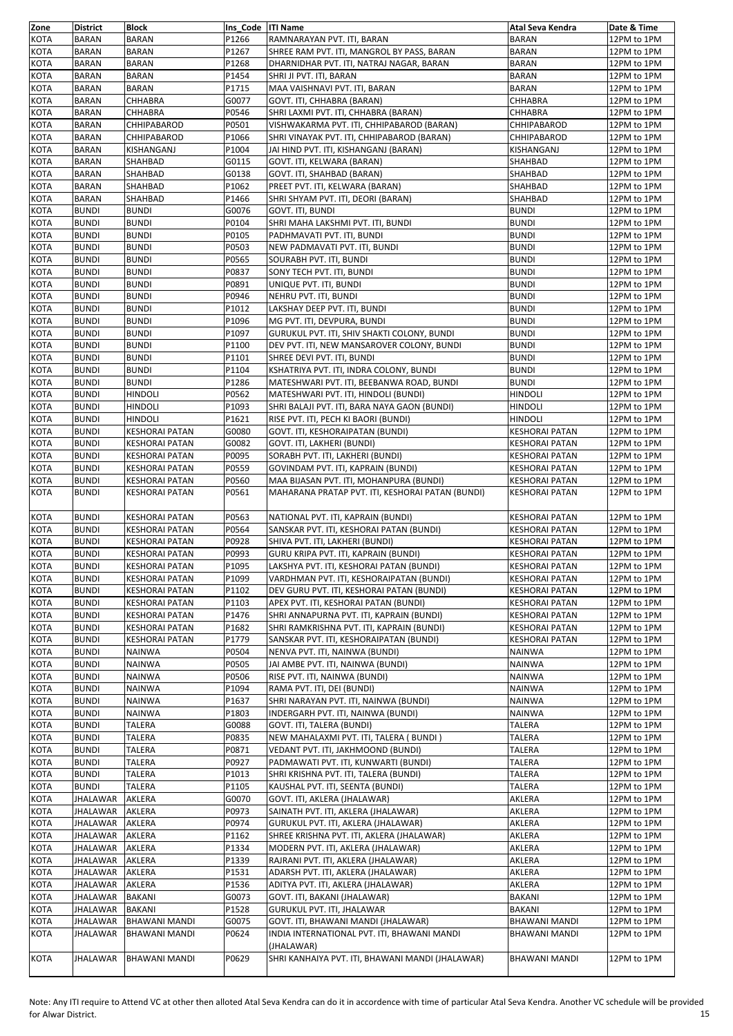| Zone                | <b>District</b>              | <b>Block</b>                                   | Ins Code ITI Name |                                                                                 | Atal Seva Kendra                               | Date & Time                |
|---------------------|------------------------------|------------------------------------------------|-------------------|---------------------------------------------------------------------------------|------------------------------------------------|----------------------------|
| <b>KOTA</b>         | <b>BARAN</b>                 | <b>BARAN</b>                                   | P1266             | RAMNARAYAN PVT. ITI, BARAN                                                      | <b>BARAN</b>                                   | 12PM to 1PM                |
| <b>KOTA</b>         | <b>BARAN</b>                 | BARAN                                          | P1267             | SHREE RAM PVT. ITI, MANGROL BY PASS, BARAN                                      | <b>BARAN</b>                                   | 12PM to 1PM                |
| <b>KOTA</b>         | <b>BARAN</b>                 | <b>BARAN</b>                                   | P1268<br>P1454    | DHARNIDHAR PVT. ITI, NATRAJ NAGAR, BARAN<br>SHRI JI PVT. ITI, BARAN             | <b>BARAN</b>                                   | 12PM to 1PM                |
| KOTA<br>KOTA        | <b>BARAN</b><br><b>BARAN</b> | BARAN<br>BARAN                                 | P1715             | MAA VAISHNAVI PVT. ITI, BARAN                                                   | <b>BARAN</b><br><b>BARAN</b>                   | 12PM to 1PM<br>12PM to 1PM |
| KOTA                | <b>BARAN</b>                 | CHHABRA                                        | G0077             | GOVT. ITI, CHHABRA (BARAN)                                                      | CHHABRA                                        | 12PM to 1PM                |
| KOTA                | <b>BARAN</b>                 | CHHABRA                                        | P0546             | SHRI LAXMI PVT. ITI, CHHABRA (BARAN)                                            | CHHABRA                                        | 12PM to 1PM                |
| KOTA                | <b>BARAN</b>                 | CHHIPABAROD                                    | P0501             | VISHWAKARMA PVT. ITI, CHHIPABAROD (BARAN)                                       | CHHIPABAROD                                    | 12PM to 1PM                |
| KOTA                | <b>BARAN</b>                 | CHHIPABAROD                                    | P1066             | SHRI VINAYAK PVT. ITI, CHHIPABAROD (BARAN)                                      | CHHIPABAROD                                    | 12PM to 1PM                |
| KOTA                | <b>BARAN</b>                 | KISHANGANJ                                     | P1004             | JAI HIND PVT. ITI, KISHANGANJ (BARAN)                                           | KISHANGANJ                                     | 12PM to 1PM                |
| KOTA                | <b>BARAN</b>                 | SHAHBAD                                        | G0115             | GOVT. ITI, KELWARA (BARAN)                                                      | SHAHBAD                                        | 12PM to 1PM                |
| KOTA                | <b>BARAN</b>                 | SHAHBAD                                        | G0138             | GOVT. ITI, SHAHBAD (BARAN)                                                      | SHAHBAD                                        | 12PM to 1PM                |
| KOTA                | <b>BARAN</b>                 | SHAHBAD                                        | P1062             | PREET PVT. ITI, KELWARA (BARAN)                                                 | SHAHBAD                                        | 12PM to 1PM                |
| KOTA                | <b>BARAN</b>                 | SHAHBAD                                        | P1466             | SHRI SHYAM PVT. ITI, DEORI (BARAN)                                              | SHAHBAD                                        | 12PM to 1PM                |
| <b>KOTA</b>         | <b>BUNDI</b>                 | <b>BUNDI</b>                                   | G0076             | GOVT. ITI, BUNDI                                                                | <b>BUNDI</b>                                   | 12PM to 1PM                |
| <b>KOTA</b>         | <b>BUNDI</b>                 | <b>BUNDI</b>                                   | P0104             | SHRI MAHA LAKSHMI PVT. ITI, BUNDI                                               | <b>BUNDI</b>                                   | 12PM to 1PM                |
| KOTA                | <b>BUNDI</b>                 | <b>BUNDI</b>                                   | P0105             | PADHMAVATI PVT. ITI, BUNDI                                                      | <b>BUNDI</b>                                   | 12PM to 1PM                |
| <b>KOTA</b>         | <b>BUNDI</b>                 | <b>BUNDI</b>                                   | P0503             | NEW PADMAVATI PVT. ITI, BUNDI                                                   | <b>BUNDI</b>                                   | 12PM to 1PM                |
| <b>KOTA</b><br>KOTA | <b>BUNDI</b><br><b>BUNDI</b> | <b>BUNDI</b><br><b>BUNDI</b>                   | P0565<br>P0837    | SOURABH PVT. ITI, BUNDI<br>SONY TECH PVT. ITI, BUNDI                            | <b>BUNDI</b><br><b>BUNDI</b>                   | 12PM to 1PM<br>12PM to 1PM |
| <b>KOTA</b>         | <b>BUNDI</b>                 | <b>BUNDI</b>                                   | P0891             | UNIQUE PVT. ITI, BUNDI                                                          | <b>BUNDI</b>                                   | 12PM to 1PM                |
| KOTA                | <b>BUNDI</b>                 | <b>BUNDI</b>                                   | P0946             | NEHRU PVT. ITI, BUNDI                                                           | <b>BUNDI</b>                                   | 12PM to 1PM                |
| KOTA                | <b>BUNDI</b>                 | <b>BUNDI</b>                                   | P1012             | LAKSHAY DEEP PVT. ITI, BUNDI                                                    | <b>BUNDI</b>                                   | 12PM to 1PM                |
| <b>KOTA</b>         | <b>BUNDI</b>                 | <b>BUNDI</b>                                   | P1096             | MG PVT. ITI, DEVPURA, BUNDI                                                     | <b>BUNDI</b>                                   | 12PM to 1PM                |
| KOTA                | <b>BUNDI</b>                 | <b>BUNDI</b>                                   | P1097             | GURUKUL PVT. ITI, SHIV SHAKTI COLONY, BUNDI                                     | <b>BUNDI</b>                                   | 12PM to 1PM                |
| KOTA                | <b>BUNDI</b>                 | <b>BUNDI</b>                                   | P1100             | DEV PVT. ITI, NEW MANSAROVER COLONY, BUNDI                                      | <b>BUNDI</b>                                   | 12PM to 1PM                |
| <b>KOTA</b>         | <b>BUNDI</b>                 | <b>BUNDI</b>                                   | P1101             | SHREE DEVI PVT. ITI, BUNDI                                                      | <b>BUNDI</b>                                   | 12PM to 1PM                |
| KOTA                | <b>BUNDI</b>                 | <b>BUNDI</b>                                   | P1104             | KSHATRIYA PVT. ITI, INDRA COLONY, BUNDI                                         | <b>BUNDI</b>                                   | 12PM to 1PM                |
| KOTA                | <b>BUNDI</b>                 | <b>BUNDI</b>                                   | P1286             | MATESHWARI PVT. ITI, BEEBANWA ROAD, BUNDI                                       | <b>BUNDI</b>                                   | 12PM to 1PM                |
| KOTA                | <b>BUNDI</b>                 | <b>HINDOLI</b>                                 | P0562             | MATESHWARI PVT. ITI, HINDOLI (BUNDI)                                            | <b>HINDOLI</b>                                 | 12PM to 1PM                |
| KOTA                | <b>BUNDI</b>                 | <b>HINDOLI</b>                                 | P1093             | SHRI BALAJI PVT. ITI, BARA NAYA GAON (BUNDI)                                    | <b>HINDOLI</b>                                 | 12PM to 1PM                |
| KOTA                | <b>BUNDI</b>                 | <b>HINDOLI</b>                                 | P1621             | RISE PVT. ITI, PECH KI BAORI (BUNDI)                                            | HINDOLI                                        | 12PM to 1PM                |
| KOTA                | <b>BUNDI</b>                 | <b>KESHORAI PATAN</b>                          | G0080             | GOVT. ITI, KESHORAIPATAN (BUNDI)                                                | KESHORAI PATAN                                 | 12PM to 1PM                |
| KOTA<br>KOTA        | <b>BUNDI</b><br><b>BUNDI</b> | KESHORAI PATAN                                 | G0082<br>P0095    | GOVT. ITI, LAKHERI (BUNDI)                                                      | <b>KESHORAI PATAN</b><br><b>KESHORAI PATAN</b> | 12PM to 1PM                |
| KOTA                | <b>BUNDI</b>                 | <b>KESHORAI PATAN</b><br><b>KESHORAI PATAN</b> | P0559             | SORABH PVT. ITI, LAKHERI (BUNDI)<br>GOVINDAM PVT. ITI, KAPRAIN (BUNDI)          | <b>KESHORAI PATAN</b>                          | 12PM to 1PM<br>12PM to 1PM |
| KOTA                | <b>BUNDI</b>                 | KESHORAI PATAN                                 | P0560             | MAA BIJASAN PVT. ITI, MOHANPURA (BUNDI)                                         | <b>KESHORAI PATAN</b>                          | 12PM to 1PM                |
| <b>KOTA</b>         | <b>BUNDI</b>                 | <b>KESHORAI PATAN</b>                          | P0561             | MAHARANA PRATAP PVT. ITI, KESHORAI PATAN (BUNDI)                                | <b>KESHORAI PATAN</b>                          | 12PM to 1PM                |
|                     |                              |                                                |                   |                                                                                 |                                                |                            |
| KOTA                | <b>BUNDI</b>                 | <b>KESHORAI PATAN</b>                          | P0563             | NATIONAL PVT. ITI, KAPRAIN (BUNDI)                                              | <b>KESHORAI PATAN</b>                          | 12PM to 1PM                |
| KOTA                | <b>BUNDI</b>                 | <b>KESHORAI PATAN</b>                          | P0564             | SANSKAR PVT. ITI, KESHORAI PATAN (BUNDI)                                        | <b>KESHORAI PATAN</b>                          | 12PM to 1PM                |
| KOTA                | <b>BUNDI</b>                 | <b>KESHORAI PATAN</b>                          | P0928             | SHIVA PVT. ITI, LAKHERI (BUNDI)                                                 | KESHORAI PATAN                                 | 12PM to 1PM                |
| KOTA                | <b>BUNDI</b>                 | KESHORAI PATAN                                 | P0993             | GURU KRIPA PVT. ITI, KAPRAIN (BUNDI)                                            | <b>KESHORAI PATAN</b>                          | 12PM to 1PM                |
| <b>KOTA</b>         | <b>BUNDI</b>                 | <b>KESHORAI PATAN</b>                          | P1095             | LAKSHYA PVT. ITI, KESHORAI PATAN (BUNDI)                                        | <b>KESHORAI PATAN</b>                          | 12PM to 1PM                |
| KOTA                | <b>BUNDI</b>                 | <b>KESHORAI PATAN</b>                          | P1099             | VARDHMAN PVT. ITI, KESHORAIPATAN (BUNDI)                                        | <b>KESHORAI PATAN</b>                          | 12PM to 1PM                |
| <b>KOTA</b>         | <b>BUNDI</b>                 | <b>KESHORAI PATAN</b>                          | P1102             | DEV GURU PVT. ITI, KESHORAI PATAN (BUNDI)                                       | <b>KESHORAI PATAN</b>                          | 12PM to 1PM                |
| <b>KOTA</b>         | <b>BUNDI</b>                 | <b>KESHORAI PATAN</b>                          | P1103             | APEX PVT. ITI, KESHORAI PATAN (BUNDI)                                           | <b>KESHORAI PATAN</b>                          | 12PM to 1PM                |
| KOTA                | <b>BUNDI</b>                 | <b>KESHORAI PATAN</b>                          | P1476             | SHRI ANNAPURNA PVT. ITI, KAPRAIN (BUNDI)                                        | KESHORAI PATAN                                 | 12PM to 1PM                |
| <b>KOTA</b>         | <b>BUNDI</b>                 | KESHORAI PATAN                                 | P1682             | SHRI RAMKRISHNA PVT. ITI, KAPRAIN (BUNDI)                                       | KESHORAI PATAN<br><b>KESHORAI PATAN</b>        | 12PM to 1PM                |
| <b>KOTA</b><br>KOTA | <b>BUNDI</b><br><b>BUNDI</b> | <b>KESHORAI PATAN</b><br>NAINWA                | P1779<br>P0504    | SANSKAR PVT. ITI, KESHORAIPATAN (BUNDI)<br>NENVA PVT. ITI, NAINWA (BUNDI)       | NAINWA                                         | 12PM to 1PM<br>12PM to 1PM |
| <b>KOTA</b>         | <b>BUNDI</b>                 | NAINWA                                         | P0505             | JAI AMBE PVT. ITI, NAINWA (BUNDI)                                               | NAINWA                                         | 12PM to 1PM                |
| <b>KOTA</b>         | <b>BUNDI</b>                 | NAINWA                                         | P0506             | RISE PVT. ITI, NAINWA (BUNDI)                                                   | NAINWA                                         | 12PM to 1PM                |
| KOTA                | <b>BUNDI</b>                 | NAINWA                                         | P1094             | RAMA PVT. ITI, DEI (BUNDI)                                                      | NAINWA                                         | 12PM to 1PM                |
| <b>KOTA</b>         | <b>BUNDI</b>                 | NAINWA                                         | P1637             | SHRI NARAYAN PVT. ITI, NAINWA (BUNDI)                                           | NAINWA                                         | 12PM to 1PM                |
| <b>KOTA</b>         | <b>BUNDI</b>                 | NAINWA                                         | P1803             | INDERGARH PVT. ITI, NAINWA (BUNDI)                                              | <b>NAINWA</b>                                  | 12PM to 1PM                |
| KOTA                | <b>BUNDI</b>                 | TALERA                                         | G0088             | GOVT. ITI, TALERA (BUNDI)                                                       | TALERA                                         | 12PM to 1PM                |
| <b>KOTA</b>         | <b>BUNDI</b>                 | TALERA                                         | P0835             | NEW MAHALAXMI PVT. ITI, TALERA ( BUNDI )                                        | TALERA                                         | 12PM to 1PM                |
| KOTA                | <b>BUNDI</b>                 | TALERA                                         | P0871             | VEDANT PVT. ITI, JAKHMOOND (BUNDI)                                              | TALERA                                         | 12PM to 1PM                |
| KOTA                | <b>BUNDI</b>                 | TALERA                                         | P0927             | PADMAWATI PVT. ITI, KUNWARTI (BUNDI)                                            | TALERA                                         | 12PM to 1PM                |
| KOTA                | <b>BUNDI</b>                 | TALERA                                         | P1013             | SHRI KRISHNA PVT. ITI, TALERA (BUNDI)                                           | TALERA                                         | 12PM to 1PM                |
| KOTA                | <b>BUNDI</b>                 | TALERA                                         | P1105             | KAUSHAL PVT. ITI, SEENTA (BUNDI)                                                | TALERA                                         | 12PM to 1PM                |
| KOTA                | JHALAWAR                     | AKLERA                                         | G0070             | GOVT. ITI, AKLERA (JHALAWAR)                                                    | AKLERA                                         | 12PM to 1PM                |
| KOTA                | JHALAWAR                     | AKLERA                                         | P0973             | SAINATH PVT. ITI, AKLERA (JHALAWAR)                                             | AKLERA                                         | 12PM to 1PM                |
| KOTA                | JHALAWAR                     | AKLERA                                         | P0974             | GURUKUL PVT. ITI, AKLERA (JHALAWAR)                                             | AKLERA                                         | 12PM to 1PM                |
| KOTA<br>KOTA        | JHALAWAR<br>JHALAWAR         | AKLERA<br>AKLERA                               | P1162<br>P1334    | SHREE KRISHNA PVT. ITI, AKLERA (JHALAWAR)<br>MODERN PVT. ITI, AKLERA (JHALAWAR) | AKLERA<br>AKLERA                               | 12PM to 1PM<br>12PM to 1PM |
| KOTA                | JHALAWAR                     | AKLERA                                         | P1339             | RAJRANI PVT. ITI, AKLERA (JHALAWAR)                                             | AKLERA                                         | 12PM to 1PM                |
| KOTA                | JHALAWAR                     | AKLERA                                         | P1531             | ADARSH PVT. ITI, AKLERA (JHALAWAR)                                              | AKLERA                                         | 12PM to 1PM                |
| KOTA                | JHALAWAR                     | AKLERA                                         | P1536             | ADITYA PVT. ITI, AKLERA (JHALAWAR)                                              | AKLERA                                         | 12PM to 1PM                |
| <b>KOTA</b>         | JHALAWAR                     | <b>BAKANI</b>                                  | G0073             | GOVT. ITI, BAKANI (JHALAWAR)                                                    | <b>BAKANI</b>                                  | 12PM to 1PM                |
| <b>KOTA</b>         | JHALAWAR                     | <b>BAKANI</b>                                  | P1528             | GURUKUL PVT. ITI, JHALAWAR                                                      | <b>BAKANI</b>                                  | 12PM to 1PM                |
| KOTA                | JHALAWAR                     | <b>BHAWANI MANDI</b>                           | G0075             | GOVT. ITI, BHAWANI MANDI (JHALAWAR)                                             | <b>BHAWANI MANDI</b>                           | 12PM to 1PM                |
| <b>KOTA</b>         | JHALAWAR                     | <b>BHAWANI MANDI</b>                           | P0624             | INDIA INTERNATIONAL PVT. ITI, BHAWANI MANDI                                     | <b>BHAWANI MANDI</b>                           | 12PM to 1PM                |
|                     |                              |                                                |                   | (JHALAWAR)                                                                      |                                                |                            |
| <b>KOTA</b>         | <b>JHALAWAR</b>              | <b>BHAWANI MANDI</b>                           | P0629             | SHRI KANHAIYA PVT. ITI, BHAWANI MANDI (JHALAWAR)                                | <b>BHAWANI MANDI</b>                           | 12PM to 1PM                |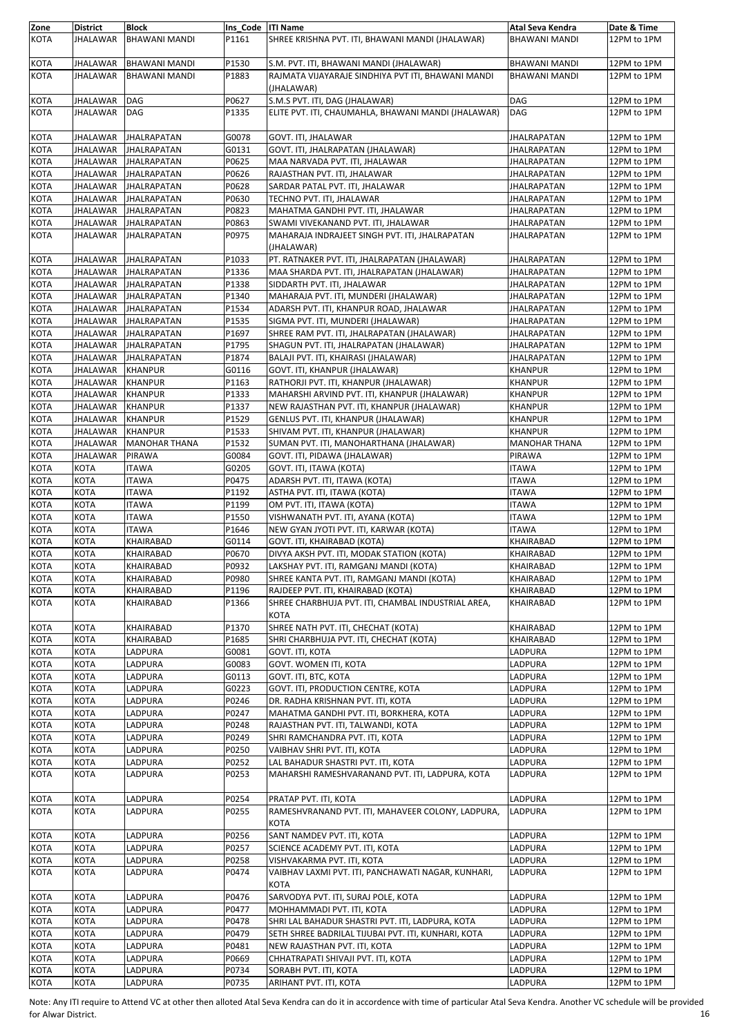| Zone                       | <b>District</b> | <b>Block</b>                     | Ins Code   ITI Name |                                                                                       | Atal Seva Kendra          | Date & Time |
|----------------------------|-----------------|----------------------------------|---------------------|---------------------------------------------------------------------------------------|---------------------------|-------------|
| <b>KOTA</b>                | <b>JHALAWAR</b> | <b>BHAWANI MANDI</b>             | P1161               | SHREE KRISHNA PVT. ITI, BHAWANI MANDI (JHALAWAR)                                      | <b>BHAWANI MANDI</b>      | 12PM to 1PM |
|                            |                 |                                  |                     |                                                                                       |                           |             |
| KOTA                       | JHALAWAR        | <b>BHAWANI MANDI</b>             | P1530               | S.M. PVT. ITI, BHAWANI MANDI (JHALAWAR)                                               | <b>BHAWANI MANDI</b>      | 12PM to 1PM |
| KOTA                       | <b>JHALAWAR</b> | <b>BHAWANI MANDI</b>             | P1883               | RAJMATA VIJAYARAJE SINDHIYA PVT ITI, BHAWANI MANDI                                    | BHAWANI MANDI             | 12PM to 1PM |
|                            |                 |                                  |                     |                                                                                       |                           |             |
|                            |                 |                                  |                     | (JHALAWAR)                                                                            |                           |             |
| KOTA                       | <b>JHALAWAR</b> | <b>DAG</b>                       | P0627               | S.M.S PVT. ITI, DAG (JHALAWAR)                                                        | DAG                       | 12PM to 1PM |
| <b>KOTA</b>                | <b>JHALAWAR</b> | <b>DAG</b>                       | P1335               | ELITE PVT. ITI, CHAUMAHLA, BHAWANI MANDI (JHALAWAR)                                   | DAG                       | 12PM to 1PM |
|                            |                 |                                  |                     |                                                                                       |                           |             |
| KOTA                       | JHALAWAR        | <b>JHALRAPATAN</b>               | G0078               | GOVT. ITI, JHALAWAR                                                                   | JHALRAPATAN               | 12PM to 1PM |
| <b>KOTA</b>                | <b>JHALAWAR</b> | <b>JHALRAPATAN</b>               | G0131               | GOVT. ITI, JHALRAPATAN (JHALAWAR)                                                     | <b>JHALRAPATAN</b>        | 12PM to 1PM |
| <b>KOTA</b>                | JHALAWAR        | <b>JHALRAPATAN</b>               | P0625               | MAA NARVADA PVT. ITI, JHALAWAR                                                        | JHALRAPATAN               | 12PM to 1PM |
| <b>KOTA</b>                | JHALAWAR        | <b>JHALRAPATAN</b>               | P0626               | RAJASTHAN PVT. ITI, JHALAWAR                                                          | <b>JHALRAPATAN</b>        | 12PM to 1PM |
|                            | <b>JHALAWAR</b> |                                  | P0628               |                                                                                       |                           |             |
| <b>KOTA</b>                |                 | <b>JHALRAPATAN</b>               |                     | SARDAR PATAL PVT. ITI, JHALAWAR                                                       | JHALRAPATAN               | 12PM to 1PM |
| KOTA                       | <b>JHALAWAR</b> | JHALRAPATAN                      | P0630               | TECHNO PVT. ITI, JHALAWAR                                                             | JHALRAPATAN               | 12PM to 1PM |
| KOTA                       | JHALAWAR        | <b>JHALRAPATAN</b>               | P0823               | MAHATMA GANDHI PVT. ITI, JHALAWAR                                                     | JHALRAPATAN               | 12PM to 1PM |
| <b>KOTA</b>                | JHALAWAR        | <b>JHALRAPATAN</b>               | P0863               | SWAMI VIVEKANAND PVT. ITI, JHALAWAR                                                   | JHALRAPATAN               | 12PM to 1PM |
| <b>KOTA</b>                | <b>JHALAWAR</b> | <b>JHALRAPATAN</b>               | P0975               | MAHARAJA INDRAJEET SINGH PVT. ITI, JHALRAPATAN                                        | JHALRAPATAN               | 12PM to 1PM |
|                            |                 |                                  |                     | (JHALAWAR)                                                                            |                           |             |
| <b>KOTA</b>                | <b>JHALAWAR</b> | <b>JHALRAPATAN</b>               | P1033               | PT. RATNAKER PVT. ITI, JHALRAPATAN (JHALAWAR)                                         | JHALRAPATAN               | 12PM to 1PM |
| <b>KOTA</b>                | JHALAWAR        | <b>JHALRAPATAN</b>               | P1336               | MAA SHARDA PVT. ITI, JHALRAPATAN (JHALAWAR)                                           | JHALRAPATAN               | 12PM to 1PM |
| <b>KOTA</b>                | JHALAWAR        | <b>JHALRAPATAN</b>               | P1338               | SIDDARTH PVT. ITI, JHALAWAR                                                           | JHALRAPATAN               | 12PM to 1PM |
|                            |                 |                                  |                     |                                                                                       |                           |             |
| <b>KOTA</b>                | JHALAWAR        | <b>JHALRAPATAN</b>               | P1340               | MAHARAJA PVT. ITI, MUNDERI (JHALAWAR)                                                 | JHALRAPATAN               | 12PM to 1PM |
| <b>KOTA</b>                | JHALAWAR        | <b>JHALRAPATAN</b>               | P1534               | ADARSH PVT. ITI, KHANPUR ROAD, JHALAWAR                                               | <b>JHALRAPATAN</b>        | 12PM to 1PM |
| <b>KOTA</b>                | JHALAWAR        | <b>JHALRAPATAN</b>               | P1535               | SIGMA PVT. ITI, MUNDERI (JHALAWAR)                                                    | JHALRAPATAN               | 12PM to 1PM |
| <b>KOTA</b>                | JHALAWAR        | <b>JHALRAPATAN</b>               | P1697               | SHREE RAM PVT. ITI, JHALRAPATAN (JHALAWAR)                                            | JHALRAPATAN               | 12PM to 1PM |
| <b>KOTA</b>                | JHALAWAR        | <b>JHALRAPATAN</b>               | P1795               | SHAGUN PVT. ITI, JHALRAPATAN (JHALAWAR)                                               | JHALRAPATAN               | 12PM to 1PM |
| <b>KOTA</b>                | JHALAWAR        | <b>JHALRAPATAN</b>               | P1874               | BALAJI PVT. ITI, KHAIRASI (JHALAWAR)                                                  | JHALRAPATAN               | 12PM to 1PM |
| <b>KOTA</b>                | JHALAWAR        | <b>KHANPUR</b>                   | G0116               | GOVT. ITI, KHANPUR (JHALAWAR)                                                         | <b>KHANPUR</b>            | 12PM to 1PM |
|                            |                 |                                  | P1163               |                                                                                       |                           |             |
| <b>KOTA</b><br><b>KOTA</b> | JHALAWAR        | <b>KHANPUR</b><br><b>KHANPUR</b> | P1333               | RATHORJI PVT. ITI, KHANPUR (JHALAWAR)<br>MAHARSHI ARVIND PVT. ITI, KHANPUR (JHALAWAR) | KHANPUR<br><b>KHANPUR</b> | 12PM to 1PM |
|                            | JHALAWAR        |                                  |                     |                                                                                       |                           | 12PM to 1PM |
| <b>KOTA</b>                | JHALAWAR        | <b>KHANPUR</b>                   | P1337               | NEW RAJASTHAN PVT. ITI, KHANPUR (JHALAWAR)                                            | <b>KHANPUR</b>            | 12PM to 1PM |
| <b>KOTA</b>                | JHALAWAR        | <b>KHANPUR</b>                   | P1529               | GENLUS PVT. ITI, KHANPUR (JHALAWAR)                                                   | KHANPUR                   | 12PM to 1PM |
| <b>KOTA</b>                | JHALAWAR        | <b>KHANPUR</b>                   | P1533               | SHIVAM PVT. ITI, KHANPUR (JHALAWAR)                                                   | <b>KHANPUR</b>            | 12PM to 1PM |
| <b>KOTA</b>                | <b>JHALAWAR</b> | <b>MANOHAR THANA</b>             | P1532               | SUMAN PVT. ITI, MANOHARTHANA (JHALAWAR)                                               | <b>MANOHAR THANA</b>      | 12PM to 1PM |
| <b>KOTA</b>                | <b>JHALAWAR</b> | PIRAWA                           | G0084               | GOVT. ITI, PIDAWA (JHALAWAR)                                                          | PIRAWA                    | 12PM to 1PM |
| <b>KOTA</b>                | KOTA            | <b>ITAWA</b>                     | G0205               | GOVT. ITI, ITAWA (KOTA)                                                               | <b>ITAWA</b>              | 12PM to 1PM |
| <b>KOTA</b>                | <b>KOTA</b>     | ITAWA                            | P0475               | ADARSH PVT. ITI, ITAWA (KOTA)                                                         | ITAWA                     | 12PM to 1PM |
|                            |                 |                                  |                     |                                                                                       |                           |             |
| <b>KOTA</b>                | <b>KOTA</b>     | <b>ITAWA</b>                     | P1192               | ASTHA PVT. ITI, ITAWA (KOTA)                                                          | <b>ITAWA</b>              | 12PM to 1PM |
| <b>KOTA</b>                | <b>KOTA</b>     | <b>ITAWA</b>                     | P1199               | OM PVT. ITI, ITAWA (KOTA)                                                             | ITAWA                     | 12PM to 1PM |
| KOTA                       | <b>KOTA</b>     | ITAWA                            | P1550               | VISHWANATH PVT. ITI, AYANA (KOTA)                                                     | ITAWA                     | 12PM to 1PM |
| <b>KOTA</b>                | <b>KOTA</b>     | <b>ITAWA</b>                     | P1646               | NEW GYAN JYOTI PVT. ITI, KARWAR (KOTA)                                                | <b>ITAWA</b>              | 12PM to 1PM |
| <b>KOTA</b>                | <b>KOTA</b>     | KHAIRABAD                        | G0114               | GOVT. ITI, KHAIRABAD (KOTA)                                                           | KHAIRABAD                 | 12PM to 1PM |
| KOTA                       | <b>KOTA</b>     | KHAIRABAD                        | P0670               | DIVYA AKSH PVT. ITI, MODAK STATION (KOTA)                                             | KHAIRABAD                 | 12PM to 1PM |
| <b>KOTA</b>                | <b>KOTA</b>     | KHAIRABAD                        | P0932               | LAKSHAY PVT. ITI, RAMGANJ MANDI (KOTA)                                                | KHAIRABAD                 | 12PM to 1PM |
| KOTA                       | <b>KOTA</b>     | KHAIRABAD                        | P0980               | SHREE KANTA PVT. ITI, RAMGANJ MANDI (KOTA)                                            | KHAIRABAD                 | 12PM to 1PM |
| <b>KOTA</b>                | <b>KOTA</b>     | KHAIRABAD                        | P1196               | RAJDEEP PVT. ITI, KHAIRABAD (KOTA)                                                    | KHAIRABAD                 | 12PM to 1PM |
|                            |                 | KHAIRABAD                        |                     |                                                                                       |                           |             |
| <b>KOTA</b>                | KOTA            |                                  | P1366               | SHREE CHARBHUJA PVT. ITI, CHAMBAL INDUSTRIAL AREA,                                    | KHAIRABAD                 | 12PM to 1PM |
|                            |                 |                                  |                     | <b>KOTA</b>                                                                           |                           |             |
| <b>KOTA</b>                | <b>KOTA</b>     | KHAIRABAD                        | P1370               | SHREE NATH PVT. ITI, CHECHAT (KOTA)                                                   | KHAIRABAD                 | 12PM to 1PM |
| <b>KOTA</b>                | <b>KOTA</b>     | KHAIRABAD                        | P1685               | SHRI CHARBHUJA PVT. ITI, CHECHAT (KOTA)                                               | KHAIRABAD                 | 12PM to 1PM |
| <b>KOTA</b>                | <b>KOTA</b>     | LADPURA                          | G0081               | GOVT. ITI, KOTA                                                                       | LADPURA                   | 12PM to 1PM |
| <b>KOTA</b>                | KOTA            | LADPURA                          | G0083               | GOVT. WOMEN ITI, KOTA                                                                 | LADPURA                   | 12PM to 1PM |
| <b>KOTA</b>                | <b>KOTA</b>     | LADPURA                          | G0113               | GOVT. ITI, BTC, KOTA                                                                  | LADPURA                   | 12PM to 1PM |
| <b>KOTA</b>                | <b>KOTA</b>     | LADPURA                          | G0223               | GOVT. ITI, PRODUCTION CENTRE, KOTA                                                    | LADPURA                   | 12PM to 1PM |
|                            | KOTA            |                                  | P0246               |                                                                                       |                           |             |
| <b>KOTA</b>                |                 | LADPURA                          |                     | DR. RADHA KRISHNAN PVT. ITI, KOTA                                                     | LADPURA                   | 12PM to 1PM |
| <b>KOTA</b>                | <b>KOTA</b>     | LADPURA                          | P0247               | MAHATMA GANDHI PVT. ITI, BORKHERA, KOTA                                               | LADPURA                   | 12PM to 1PM |
| <b>KOTA</b>                | <b>KOTA</b>     | LADPURA                          | P0248               | RAJASTHAN PVT. ITI, TALWANDI, KOTA                                                    | LADPURA                   | 12PM to 1PM |
| <b>KOTA</b>                | KOTA            | LADPURA                          | P0249               | SHRI RAMCHANDRA PVT. ITI, KOTA                                                        | LADPURA                   | 12PM to 1PM |
| <b>KOTA</b>                | <b>KOTA</b>     | LADPURA                          | P0250               | VAIBHAV SHRI PVT. ITI, KOTA                                                           | LADPURA                   | 12PM to 1PM |
| <b>KOTA</b>                | <b>KOTA</b>     | LADPURA                          | P0252               | LAL BAHADUR SHASTRI PVT. ITI, KOTA                                                    | LADPURA                   | 12PM to 1PM |
| <b>KOTA</b>                | KOTA            | LADPURA                          | P0253               | MAHARSHI RAMESHVARANAND PVT. ITI, LADPURA, KOTA                                       | LADPURA                   | 12PM to 1PM |
|                            |                 |                                  |                     |                                                                                       |                           |             |
| <b>KOTA</b>                | <b>KOTA</b>     | LADPURA                          | P0254               | PRATAP PVT. ITI, KOTA                                                                 | LADPURA                   | 12PM to 1PM |
|                            |                 |                                  |                     |                                                                                       |                           |             |
| <b>KOTA</b>                | KOTA            | LADPURA                          | P0255               | RAMESHVRANAND PVT. ITI, MAHAVEER COLONY, LADPURA,                                     | LADPURA                   | 12PM to 1PM |
|                            |                 |                                  |                     | KOTA                                                                                  |                           |             |
| KOTA                       | <b>KOTA</b>     | LADPURA                          | P0256               | SANT NAMDEV PVT. ITI, KOTA                                                            | LADPURA                   | 12PM to 1PM |
| <b>KOTA</b>                | KOTA            | LADPURA                          | P0257               | SCIENCE ACADEMY PVT. ITI, KOTA                                                        | LADPURA                   | 12PM to 1PM |
| <b>KOTA</b>                | <b>KOTA</b>     | LADPURA                          | P0258               | VISHVAKARMA PVT. ITI, KOTA                                                            | LADPURA                   | 12PM to 1PM |
| <b>KOTA</b>                | KOTA            | LADPURA                          | P0474               | VAIBHAV LAXMI PVT. ITI, PANCHAWATI NAGAR, KUNHARI,                                    | LADPURA                   | 12PM to 1PM |
|                            |                 |                                  |                     | KOTA                                                                                  |                           |             |
|                            |                 |                                  |                     |                                                                                       |                           |             |
| KOTA                       | <b>KOTA</b>     | LADPURA                          | P0476               | SARVODYA PVT. ITI, SURAJ POLE, KOTA                                                   | LADPURA                   | 12PM to 1PM |
| <b>KOTA</b>                | <b>KOTA</b>     | LADPURA                          | P0477               | MOHHAMMADI PVT. ITI, KOTA                                                             | LADPURA                   | 12PM to 1PM |
| <b>KOTA</b>                | <b>KOTA</b>     | LADPURA                          | P0478               | SHRI LAL BAHADUR SHASTRI PVT. ITI, LADPURA, KOTA                                      | LADPURA                   | 12PM to 1PM |
| <b>KOTA</b>                | <b>KOTA</b>     | LADPURA                          | P0479               | SETH SHREE BADRILAL TIJUBAI PVT. ITI, KUNHARI, KOTA                                   | LADPURA                   | 12PM to 1PM |
| <b>KOTA</b>                | <b>KOTA</b>     | LADPURA                          | P0481               | NEW RAJASTHAN PVT. ITI, KOTA                                                          | LADPURA                   | 12PM to 1PM |
| <b>KOTA</b>                | <b>KOTA</b>     | LADPURA                          | P0669               | CHHATRAPATI SHIVAJI PVT. ITI, KOTA                                                    | LADPURA                   | 12PM to 1PM |
| <b>KOTA</b>                | <b>KOTA</b>     | LADPURA                          | P0734               | SORABH PVT. ITI, KOTA                                                                 | LADPURA                   | 12PM to 1PM |
| KOTA                       | <b>KOTA</b>     | LADPURA                          | P0735               | ARIHANT PVT. ITI, KOTA                                                                | LADPURA                   | 12PM to 1PM |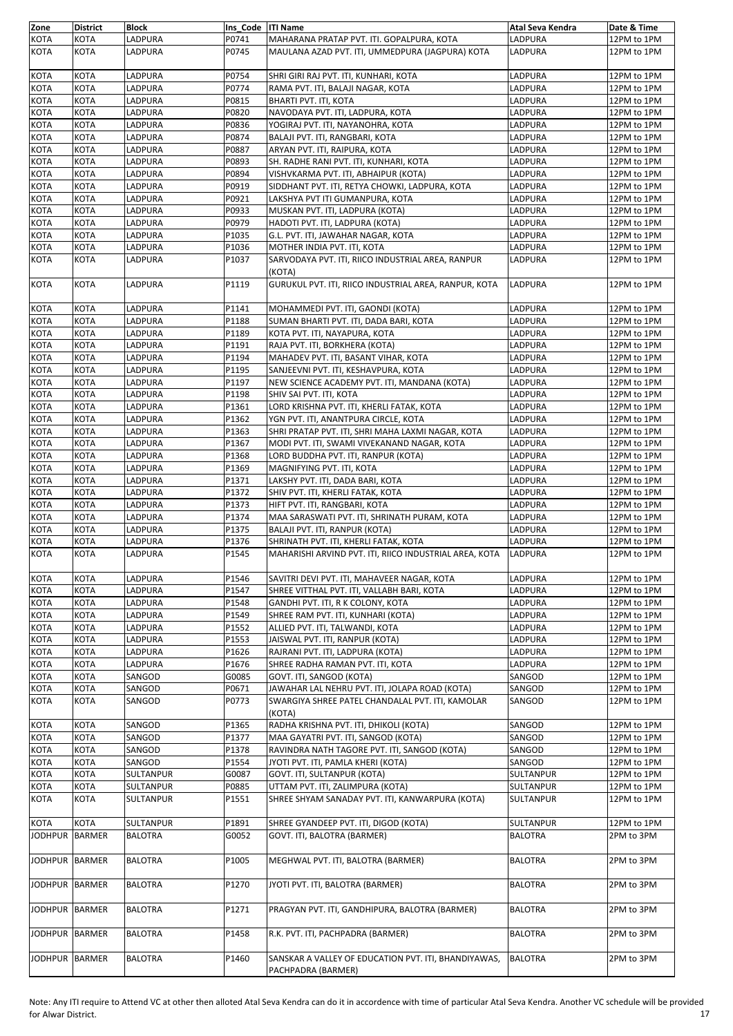| Zone           | <b>District</b> | <b>Block</b>   | Ins Code   ITI Name |                                                            | Atal Seva Kendra | Date & Time |
|----------------|-----------------|----------------|---------------------|------------------------------------------------------------|------------------|-------------|
| <b>KOTA</b>    | KOTA            | LADPURA        | P0741               | MAHARANA PRATAP PVT. ITI. GOPALPURA, KOTA                  | LADPURA          | 12PM to 1PM |
| KOTA           | KOTA            | LADPURA        | P0745               | MAULANA AZAD PVT. ITI, UMMEDPURA (JAGPURA) KOTA            | LADPURA          | 12PM to 1PM |
| KOTA           | <b>KOTA</b>     | LADPURA        | P0754               | SHRI GIRI RAJ PVT. ITI, KUNHARI, KOTA                      | LADPURA          | 12PM to 1PM |
| KOTA           | KOTA            | LADPURA        | P0774               | RAMA PVT. ITI, BALAJI NAGAR, KOTA                          | LADPURA          | 12PM to 1PM |
| KOTA           | <b>KOTA</b>     | LADPURA        | P0815               | BHARTI PVT. ITI, KOTA                                      | LADPURA          | 12PM to 1PM |
| KOTA           | <b>KOTA</b>     | LADPURA        | P0820               | NAVODAYA PVT. ITI, LADPURA, KOTA                           | LADPURA          | 12PM to 1PM |
| KOTA           | KOTA            | LADPURA        | P0836               | YOGIRAJ PVT. ITI, NAYANOHRA, KOTA                          | LADPURA          | 12PM to 1PM |
| KOTA           | KOTA            | LADPURA        | P0874               | BALAJI PVT. ITI, RANGBARI, KOTA                            | LADPURA          | 12PM to 1PM |
| KOTA           | <b>KOTA</b>     | LADPURA        | P0887               | ARYAN PVT. ITI, RAIPURA, KOTA                              | LADPURA          |             |
|                |                 |                |                     |                                                            |                  | 12PM to 1PM |
| KOTA           | <b>KOTA</b>     | LADPURA        | P0893               | SH. RADHE RANI PVT. ITI, KUNHARI, KOTA                     | LADPURA          | 12PM to 1PM |
| <b>KOTA</b>    | KOTA            | LADPURA        | P0894               | VISHVKARMA PVT. ITI, ABHAIPUR (KOTA)                       | LADPURA          | 12PM to 1PM |
| KOTA           | <b>KOTA</b>     | LADPURA        | P0919               | SIDDHANT PVT. ITI, RETYA CHOWKI, LADPURA, KOTA             | LADPURA          | 12PM to 1PM |
| KOTA           | <b>KOTA</b>     | LADPURA        | P0921               | LAKSHYA PVT ITI GUMANPURA, KOTA                            | LADPURA          | 12PM to 1PM |
| KOTA           | <b>KOTA</b>     | LADPURA        | P0933               | MUSKAN PVT. ITI, LADPURA (KOTA)                            | LADPURA          | 12PM to 1PM |
| KOTA           | <b>KOTA</b>     | LADPURA        | P0979               | HADOTI PVT. ITI, LADPURA (KOTA)                            | LADPURA          | 12PM to 1PM |
| <b>KOTA</b>    | KOTA            | LADPURA        | P1035               | G.L. PVT. ITI, JAWAHAR NAGAR, KOTA                         | LADPURA          | 12PM to 1PM |
| KOTA           | <b>KOTA</b>     | LADPURA        | P1036               | MOTHER INDIA PVT. ITI, KOTA                                | LADPURA          | 12PM to 1PM |
| <b>KOTA</b>    | <b>KOTA</b>     | LADPURA        | P1037               | SARVODAYA PVT. ITI, RIICO INDUSTRIAL AREA, RANPUR          | LADPURA          | 12PM to 1PM |
|                |                 |                |                     | (KOTA)                                                     |                  |             |
| <b>KOTA</b>    | <b>KOTA</b>     | LADPURA        | P1119               | GURUKUL PVT. ITI, RIICO INDUSTRIAL AREA, RANPUR, KOTA      | <b>LADPURA</b>   | 12PM to 1PM |
| <b>KOTA</b>    | KOTA            | LADPURA        | P1141               | MOHAMMEDI PVT. ITI, GAONDI (KOTA)                          | LADPURA          | 12PM to 1PM |
| <b>KOTA</b>    | <b>KOTA</b>     | LADPURA        | P1188               | SUMAN BHARTI PVT. ITI, DADA BARI, KOTA                     | LADPURA          | 12PM to 1PM |
| KOTA           | <b>KOTA</b>     | LADPURA        | P1189               | KOTA PVT. ITI, NAYAPURA, KOTA                              | LADPURA          | 12PM to 1PM |
|                |                 |                |                     |                                                            |                  |             |
| KOTA           | KOTA            | LADPURA        | P1191               | RAJA PVT. ITI, BORKHERA (KOTA)                             | LADPURA          | 12PM to 1PM |
| KOTA           | <b>KOTA</b>     | LADPURA        | P1194               | MAHADEV PVT. ITI, BASANT VIHAR, KOTA                       | LADPURA          | 12PM to 1PM |
| KOTA           | <b>KOTA</b>     | LADPURA        | P1195               | SANJEEVNI PVT. ITI, KESHAVPURA, KOTA                       | LADPURA          | 12PM to 1PM |
| KOTA           | KOTA            | LADPURA        | P1197               | NEW SCIENCE ACADEMY PVT. ITI, MANDANA (KOTA)               | LADPURA          | 12PM to 1PM |
| KOTA           | KOTA            | LADPURA        | P1198               | SHIV SAI PVT. ITI, KOTA                                    | LADPURA          | 12PM to 1PM |
| KOTA           | KOTA            | LADPURA        | P1361               | LORD KRISHNA PVT. ITI, KHERLI FATAK, KOTA                  | LADPURA          | 12PM to 1PM |
| KOTA           | <b>KOTA</b>     | LADPURA        | P1362               | YGN PVT. ITI, ANANTPURA CIRCLE, KOTA                       | LADPURA          | 12PM to 1PM |
| <b>KOTA</b>    | <b>KOTA</b>     | LADPURA        | P1363               | SHRI PRATAP PVT. ITI, SHRI MAHA LAXMI NAGAR, KOTA          | LADPURA          | 12PM to 1PM |
| KOTA           | KOTA            | LADPURA        | P1367               | MODI PVT. ITI, SWAMI VIVEKANAND NAGAR, KOTA                | LADPURA          | 12PM to 1PM |
| KOTA           | <b>KOTA</b>     | LADPURA        | P1368               | LORD BUDDHA PVT. ITI, RANPUR (KOTA)                        | LADPURA          | 12PM to 1PM |
| <b>KOTA</b>    | <b>KOTA</b>     | LADPURA        | P1369               | MAGNIFYING PVT. ITI, KOTA                                  | LADPURA          | 12PM to 1PM |
| <b>KOTA</b>    | KOTA            | LADPURA        | P1371               | LAKSHY PVT. ITI, DADA BARI, KOTA                           | LADPURA          | 12PM to 1PM |
| KOTA           | <b>KOTA</b>     | LADPURA        | P1372               | SHIV PVT. ITI, KHERLI FATAK, KOTA                          | LADPURA          | 12PM to 1PM |
| <b>KOTA</b>    | <b>KOTA</b>     | LADPURA        | P1373               | HIFT PVT. ITI, RANGBARI, KOTA                              | LADPURA          | 12PM to 1PM |
|                |                 |                |                     |                                                            |                  |             |
| <b>KOTA</b>    | KOTA            | LADPURA        | P1374               | MAA SARASWATI PVT. ITI, SHRINATH PURAM, KOTA               | LADPURA          | 12PM to 1PM |
| KOTA           | <b>KOTA</b>     | LADPURA        | P1375               | BALAJI PVT. ITI, RANPUR (KOTA)                             | LADPURA          | 12PM to 1PM |
| <b>KOTA</b>    | <b>KOTA</b>     | LADPURA        | P1376               | SHRINATH PVT. ITI, KHERLI FATAK, KOTA                      | LADPURA          | 12PM to 1PM |
| <b>KOTA</b>    | KOTA            | LADPURA        | P1545               | MAHARISHI ARVIND PVT. ITI, RIICO INDUSTRIAL AREA, KOTA     | <b>LADPURA</b>   | 12PM to 1PM |
| <b>KOTA</b>    | <b>KOTA</b>     | LADPURA        | P1546               | SAVITRI DEVI PVT. ITI, MAHAVEER NAGAR, KOTA                | LADPURA          | 12PM to 1PM |
| <b>KOTA</b>    | <b>KOTA</b>     | LADPURA        | P1547               | SHREE VITTHAL PVT. ITI, VALLABH BARI, KOTA                 | LADPURA          | 12PM to 1PM |
| KOTA           | KOTA            | LADPURA        | P1548               | GANDHI PVT. ITI, R K COLONY, KOTA                          | LADPURA          | 12PM to 1PM |
| <b>KOTA</b>    | KOTA            | LADPURA        | P1549               | SHREE RAM PVT. ITI, KUNHARI (KOTA)                         | LADPURA          | 12PM to 1PM |
| KOTA           | KOTA            | LADPURA        | P1552               | ALLIED PVT. ITI, TALWANDI, KOTA                            | LADPURA          | 12PM to 1PM |
| KOTA           | <b>KOTA</b>     | LADPURA        | P1553               | JAISWAL PVT. ITI, RANPUR (KOTA)                            | LADPURA          | 12PM to 1PM |
| <b>KOTA</b>    | KOTA            | LADPURA        | P1626               | RAJRANI PVT. ITI, LADPURA (KOTA)                           | LADPURA          | 12PM to 1PM |
|                |                 |                |                     |                                                            |                  |             |
| KOTA           | KOTA            | LADPURA        | P1676               | SHREE RADHA RAMAN PVT. ITI, KOTA                           | LADPURA          | 12PM to 1PM |
| KOTA           | <b>KOTA</b>     | SANGOD         | G0085               | GOVT. ITI, SANGOD (KOTA)                                   | SANGOD           | 12PM to 1PM |
| KOTA           | KOTA            | SANGOD         | P0671               | JAWAHAR LAL NEHRU PVT. ITI, JOLAPA ROAD (KOTA)             | SANGOD           | 12PM to 1PM |
| KOTA           | KOTA            | SANGOD         | P0773               | SWARGIYA SHREE PATEL CHANDALAL PVT. ITI, KAMOLAR<br>(KOTA) | SANGOD           | 12PM to 1PM |
| KOTA           | <b>KOTA</b>     | SANGOD         | P1365               | RADHA KRISHNA PVT. ITI, DHIKOLI (KOTA)                     | SANGOD           | 12PM to 1PM |
| KOTA           | KOTA            | SANGOD         | P1377               | MAA GAYATRI PVT. ITI, SANGOD (KOTA)                        | SANGOD           | 12PM to 1PM |
| KOTA           | KOTA            | SANGOD         | P1378               | RAVINDRA NATH TAGORE PVT. ITI, SANGOD (KOTA)               | SANGOD           | 12PM to 1PM |
| KOTA           | <b>KOTA</b>     | SANGOD         | P1554               | JYOTI PVT. ITI, PAMLA KHERI (KOTA)                         | SANGOD           | 12PM to 1PM |
| KOTA           | KOTA            | SULTANPUR      | G0087               | GOVT. ITI, SULTANPUR (KOTA)                                | SULTANPUR        | 12PM to 1PM |
| KOTA           | KOTA            | SULTANPUR      | P0885               | UTTAM PVT. ITI, ZALIMPURA (KOTA)                           | <b>SULTANPUR</b> | 12PM to 1PM |
| KOTA           | <b>KOTA</b>     | SULTANPUR      | P1551               | SHREE SHYAM SANADAY PVT. ITI, KANWARPURA (KOTA)            | SULTANPUR        | 12PM to 1PM |
| <b>KOTA</b>    | KOTA            | SULTANPUR      | P1891               | SHREE GYANDEEP PVT. ITI, DIGOD (KOTA)                      | <b>SULTANPUR</b> | 12PM to 1PM |
|                |                 |                |                     |                                                            |                  |             |
| <b>JODHPUR</b> | BARMER          | <b>BALOTRA</b> | G0052               | GOVT. ITI, BALOTRA (BARMER)                                | <b>BALOTRA</b>   | 2PM to 3PM  |
| JODHPUR BARMER |                 | <b>BALOTRA</b> | P1005               | MEGHWAL PVT. ITI, BALOTRA (BARMER)                         | <b>BALOTRA</b>   | 2PM to 3PM  |
| JODHPUR BARMER |                 | <b>BALOTRA</b> | P1270               | JYOTI PVT. ITI, BALOTRA (BARMER)                           | <b>BALOTRA</b>   | 2PM to 3PM  |
| JODHPUR BARMER |                 | <b>BALOTRA</b> | P1271               | PRAGYAN PVT. ITI, GANDHIPURA, BALOTRA (BARMER)             | <b>BALOTRA</b>   | 2PM to 3PM  |
| JODHPUR BARMER |                 | <b>BALOTRA</b> | P1458               | R.K. PVT. ITI, PACHPADRA (BARMER)                          | <b>BALOTRA</b>   | 2PM to 3PM  |
| <b>JODHPUR</b> | <b>BARMER</b>   | <b>BALOTRA</b> | P1460               | SANSKAR A VALLEY OF EDUCATION PVT. ITI, BHANDIYAWAS,       | <b>BALOTRA</b>   | 2PM to 3PM  |
|                |                 |                |                     | PACHPADRA (BARMER)                                         |                  |             |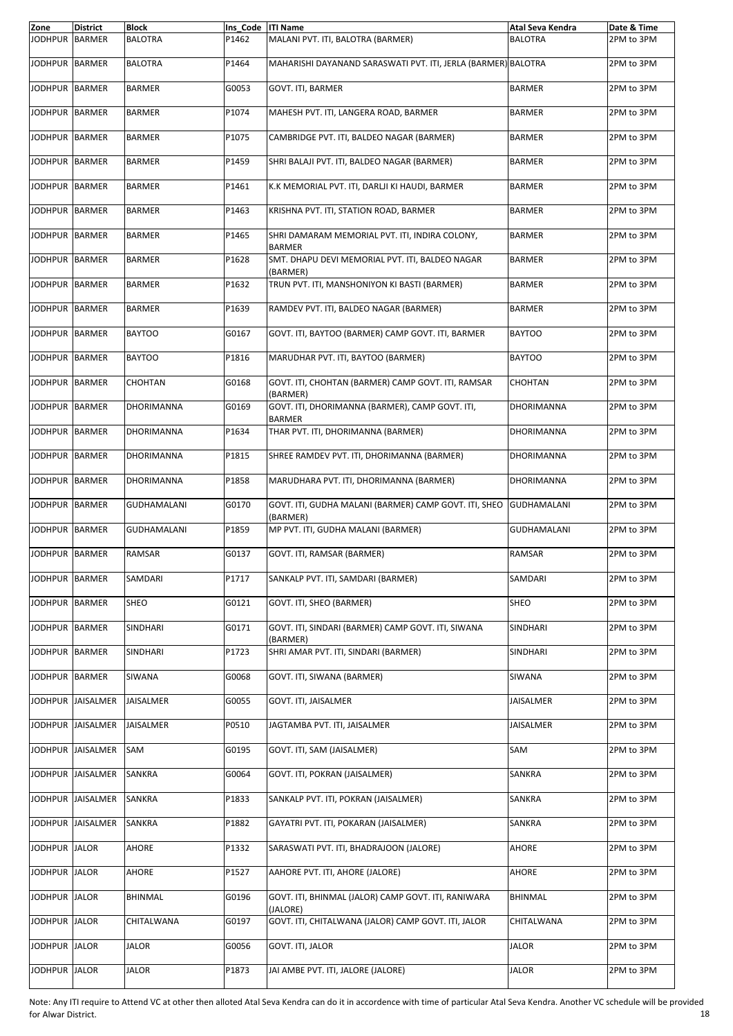| Zone           | <b>District</b>   | <b>Block</b>       | Ins Code   ITI Name |                                                                   | Atal Seva Kendra   | Date & Time |
|----------------|-------------------|--------------------|---------------------|-------------------------------------------------------------------|--------------------|-------------|
| <b>JODHPUR</b> | <b>BARMER</b>     | <b>BALOTRA</b>     | P1462               | MALANI PVT. ITI, BALOTRA (BARMER)                                 | <b>BALOTRA</b>     | 2PM to 3PM  |
| JODHPUR BARMER |                   | <b>BALOTRA</b>     | P1464               | MAHARISHI DAYANAND SARASWATI PVT. ITI, JERLA (BARMER) BALOTRA     |                    | 2PM to 3PM  |
| JODHPUR BARMER |                   | <b>BARMER</b>      | G0053               | GOVT. ITI, BARMER                                                 | <b>BARMER</b>      | 2PM to 3PM  |
| JODHPUR BARMER |                   | <b>BARMER</b>      | P1074               | MAHESH PVT. ITI, LANGERA ROAD, BARMER                             | <b>BARMER</b>      | 2PM to 3PM  |
| JODHPUR BARMER |                   | <b>BARMER</b>      | P1075               | CAMBRIDGE PVT. ITI, BALDEO NAGAR (BARMER)                         | <b>BARMER</b>      | 2PM to 3PM  |
| JODHPUR BARMER |                   | <b>BARMER</b>      | P1459               | SHRI BALAJI PVT. ITI, BALDEO NAGAR (BARMER)                       | <b>BARMER</b>      | 2PM to 3PM  |
| JODHPUR BARMER |                   | <b>BARMER</b>      | P1461               | K.K MEMORIAL PVT. ITI, DARLJI KI HAUDI, BARMER                    | BARMER             | 2PM to 3PM  |
| JODHPUR BARMER |                   | BARMER             | P1463               | KRISHNA PVT. ITI, STATION ROAD, BARMER                            | BARMER             | 2PM to 3PM  |
| JODHPUR BARMER |                   | <b>BARMER</b>      | P1465               | SHRI DAMARAM MEMORIAL PVT. ITI, INDIRA COLONY,<br><b>BARMER</b>   | <b>BARMER</b>      | 2PM to 3PM  |
| JODHPUR BARMER |                   | <b>BARMER</b>      | P1628               | SMT. DHAPU DEVI MEMORIAL PVT. ITI, BALDEO NAGAR<br>(BARMER)       | <b>BARMER</b>      | 2PM to 3PM  |
| JODHPUR BARMER |                   | <b>BARMER</b>      | P1632               | TRUN PVT. ITI, MANSHONIYON KI BASTI (BARMER)                      | <b>BARMER</b>      | 2PM to 3PM  |
| JODHPUR BARMER |                   | <b>BARMER</b>      | P1639               | RAMDEV PVT. ITI, BALDEO NAGAR (BARMER)                            | <b>BARMER</b>      | 2PM to 3PM  |
| JODHPUR BARMER |                   | <b>BAYTOO</b>      | G0167               | GOVT. ITI, BAYTOO (BARMER) CAMP GOVT. ITI, BARMER                 | <b>BAYTOO</b>      | 2PM to 3PM  |
| JODHPUR BARMER |                   | <b>BAYTOO</b>      | P1816               | MARUDHAR PVT. ITI, BAYTOO (BARMER)                                | <b>BAYTOO</b>      | 2PM to 3PM  |
| JODHPUR BARMER |                   | CHOHTAN            | G0168               | GOVT. ITI, CHOHTAN (BARMER) CAMP GOVT. ITI, RAMSAR<br>(BARMER)    | CHOHTAN            | 2PM to 3PM  |
| JODHPUR BARMER |                   | DHORIMANNA         | G0169               | GOVT. ITI, DHORIMANNA (BARMER), CAMP GOVT. ITI,<br><b>BARMER</b>  | DHORIMANNA         | 2PM to 3PM  |
| JODHPUR BARMER |                   | DHORIMANNA         | P1634               | THAR PVT. ITI, DHORIMANNA (BARMER)                                | DHORIMANNA         | 2PM to 3PM  |
| JODHPUR BARMER |                   | DHORIMANNA         | P1815               | SHREE RAMDEV PVT. ITI, DHORIMANNA (BARMER)                        | DHORIMANNA         | 2PM to 3PM  |
| JODHPUR BARMER |                   | DHORIMANNA         | P1858               | MARUDHARA PVT. ITI, DHORIMANNA (BARMER)                           | DHORIMANNA         | 2PM to 3PM  |
| JODHPUR BARMER |                   | <b>GUDHAMALANI</b> | G0170               | GOVT. ITI, GUDHA MALANI (BARMER) CAMP GOVT. ITI, SHEO<br>(BARMER) | <b>GUDHAMALANI</b> | 2PM to 3PM  |
| JODHPUR BARMER |                   | <b>GUDHAMALANI</b> | P1859               | MP PVT. ITI, GUDHA MALANI (BARMER)                                | <b>GUDHAMALANI</b> | 2PM to 3PM  |
| JODHPUR BARMER |                   | RAMSAR             | G0137               | GOVT. ITI, RAMSAR (BARMER)                                        | RAMSAR             | 2PM to 3PM  |
| JODHPUR BARMER |                   | SAMDARI            | P1717               | SANKALP PVT. ITI, SAMDARI (BARMER)                                | SAMDARI            | 2PM to 3PM  |
| JODHPUR BARMER |                   | SHEO               | G0121               | GOVT. ITI. SHEO (BARMER)                                          | SHEO               | 2PM to 3PM  |
| JODHPUR BARMER |                   | SINDHARI           | G0171               | GOVT. ITI, SINDARI (BARMER) CAMP GOVT. ITI, SIWANA<br>(BARMER)    | SINDHARI           | 2PM to 3PM  |
| JODHPUR BARMER |                   | SINDHARI           | P1723               | SHRI AMAR PVT. ITI, SINDARI (BARMER)                              | SINDHARI           | 2PM to 3PM  |
| JODHPUR BARMER |                   | SIWANA             | G0068               | GOVT. ITI, SIWANA (BARMER)                                        | SIWANA             | 2PM to 3PM  |
|                | JODHPUR JAISALMER | JAISALMER          | G0055               | GOVT. ITI, JAISALMER                                              | JAISALMER          | 2PM to 3PM  |
| JODHPUR        | JAISALMER         | JAISALMER          | P0510               | JAGTAMBA PVT. ITI, JAISALMER                                      | JAISALMER          | 2PM to 3PM  |
|                | JODHPUR JAISALMER | SAM                | G0195               | GOVT. ITI, SAM (JAISALMER)                                        | SAM                | 2PM to 3PM  |
|                | JODHPUR JAISALMER | SANKRA             | G0064               | GOVT. ITI, POKRAN (JAISALMER)                                     | SANKRA             | 2PM to 3PM  |
|                | JODHPUR JAISALMER | SANKRA             | P1833               | SANKALP PVT. ITI, POKRAN (JAISALMER)                              | SANKRA             | 2PM to 3PM  |
| <b>JODHPUR</b> | JAISALMER         | SANKRA             | P1882               | GAYATRI PVT. ITI, POKARAN (JAISALMER)                             | SANKRA             | 2PM to 3PM  |
| JODHPUR JALOR  |                   | AHORE              | P1332               | SARASWATI PVT. ITI, BHADRAJOON (JALORE)                           | AHORE              | 2PM to 3PM  |
| JODHPUR JALOR  |                   | AHORE              | P1527               | AAHORE PVT. ITI, AHORE (JALORE)                                   | AHORE              | 2PM to 3PM  |
| <b>JODHPUR</b> | <b>JALOR</b>      | BHINMAL            | G0196               | GOVT. ITI, BHINMAL (JALOR) CAMP GOVT. ITI, RANIWARA<br>(JALORE)   | BHINMAL            | 2PM to 3PM  |
| JODHPUR JALOR  |                   | CHITALWANA         | G0197               | GOVT. ITI, CHITALWANA (JALOR) CAMP GOVT. ITI, JALOR               | CHITALWANA         | 2PM to 3PM  |
| JODHPUR JALOR  |                   | <b>JALOR</b>       | G0056               | GOVT. ITI, JALOR                                                  | JALOR              | 2PM to 3PM  |
| JODHPUR JALOR  |                   | JALOR              | P1873               | JAI AMBE PVT. ITI, JALORE (JALORE)                                | JALOR              | 2PM to 3PM  |

Note: Any ITI require to Attend VC at other then alloted Atal Seva Kendra can do it in accordence with time of particular Atal Seva Kendra. Another VC schedule will be provided for Alwar District. 18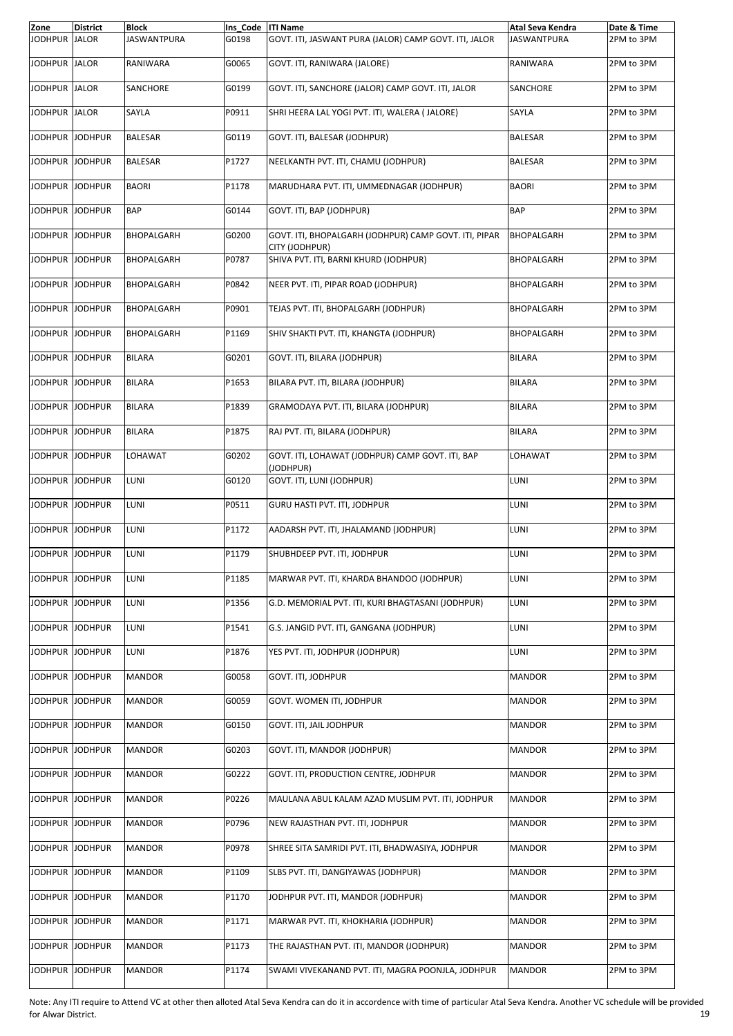| Zone            | <b>District</b> | <b>Block</b>       | Ins Code   ITI Name |                                                                         | Atal Seva Kendra   | Date & Time |
|-----------------|-----------------|--------------------|---------------------|-------------------------------------------------------------------------|--------------------|-------------|
| JODHPUR         | <b>JALOR</b>    | <b>JASWANTPURA</b> | G0198               | GOVT. ITI, JASWANT PURA (JALOR) CAMP GOVT. ITI, JALOR                   | <b>JASWANTPURA</b> | 2PM to 3PM  |
| JODHPUR JALOR   |                 | RANIWARA           | G0065               | GOVT. ITI, RANIWARA (JALORE)                                            | RANIWARA           | 2PM to 3PM  |
| JODHPUR JALOR   |                 | SANCHORE           | G0199               | GOVT. ITI, SANCHORE (JALOR) CAMP GOVT. ITI, JALOR                       | SANCHORE           | 2PM to 3PM  |
| JODHPUR JALOR   |                 | SAYLA              | P0911               | SHRI HEERA LAL YOGI PVT. ITI, WALERA ( JALORE)                          | SAYLA              | 2PM to 3PM  |
| JODHPUR JODHPUR |                 | <b>BALESAR</b>     | G0119               | GOVT. ITI, BALESAR (JODHPUR)                                            | <b>BALESAR</b>     | 2PM to 3PM  |
| JODHPUR JODHPUR |                 | <b>BALESAR</b>     | P1727               | NEELKANTH PVT. ITI, CHAMU (JODHPUR)                                     | <b>BALESAR</b>     | 2PM to 3PM  |
| JODHPUR JODHPUR |                 | <b>BAORI</b>       | P1178               | MARUDHARA PVT. ITI, UMMEDNAGAR (JODHPUR)                                | <b>BAORI</b>       | 2PM to 3PM  |
| JODHPUR JODHPUR |                 | <b>BAP</b>         | G0144               | GOVT. ITI, BAP (JODHPUR)                                                | <b>BAP</b>         | 2PM to 3PM  |
| JODHPUR JODHPUR |                 | <b>BHOPALGARH</b>  | G0200               | GOVT. ITI, BHOPALGARH (JODHPUR) CAMP GOVT. ITI, PIPAR<br>CITY (JODHPUR) | BHOPALGARH         | 2PM to 3PM  |
| JODHPUR         | <b>JODHPUR</b>  | <b>BHOPALGARH</b>  | P0787               | SHIVA PVT. ITI, BARNI KHURD (JODHPUR)                                   | BHOPALGARH         | 2PM to 3PM  |
| JODHPUR JODHPUR |                 | <b>BHOPALGARH</b>  | P0842               | NEER PVT. ITI, PIPAR ROAD (JODHPUR)                                     | <b>BHOPALGARH</b>  | 2PM to 3PM  |
| JODHPUR JODHPUR |                 | <b>BHOPALGARH</b>  | P0901               | TEJAS PVT. ITI, BHOPALGARH (JODHPUR)                                    | BHOPALGARH         | 2PM to 3PM  |
| JODHPUR JODHPUR |                 | <b>BHOPALGARH</b>  | P1169               | SHIV SHAKTI PVT. ITI, KHANGTA (JODHPUR)                                 | BHOPALGARH         | 2PM to 3PM  |
| JODHPUR JODHPUR |                 | <b>BILARA</b>      | G0201               | GOVT. ITI, BILARA (JODHPUR)                                             | <b>BILARA</b>      | 2PM to 3PM  |
| JODHPUR JODHPUR |                 | <b>BILARA</b>      | P1653               | BILARA PVT. ITI, BILARA (JODHPUR)                                       | <b>BILARA</b>      | 2PM to 3PM  |
| JODHPUR JODHPUR |                 | <b>BILARA</b>      | P1839               | GRAMODAYA PVT. ITI, BILARA (JODHPUR)                                    | <b>BILARA</b>      | 2PM to 3PM  |
| JODHPUR JODHPUR |                 | BILARA             | P1875               | RAJ PVT. ITI, BILARA (JODHPUR)                                          | <b>BILARA</b>      | 2PM to 3PM  |
| JODHPUR JODHPUR |                 | LOHAWAT            | G0202               | GOVT. ITI, LOHAWAT (JODHPUR) CAMP GOVT. ITI, BAP<br>(JODHPUR)           | LOHAWAT            | 2PM to 3PM  |
| JODHPUR JODHPUR |                 | LUNI               | G0120               | GOVT. ITI, LUNI (JODHPUR)                                               | LUNI               | 2PM to 3PM  |
| JODHPUR JODHPUR |                 | LUNI               | P0511               | GURU HASTI PVT. ITI, JODHPUR                                            | LUNI               | 2PM to 3PM  |
| JODHPUR JODHPUR |                 | LUNI               | P1172               | AADARSH PVT. ITI, JHALAMAND (JODHPUR)                                   | LUNI               | 2PM to 3PM  |
| JODHPUR JODHPUR |                 | LUNI               | P1179               | SHUBHDEEP PVT. ITI, JODHPUR                                             | LUNI               | 2PM to 3PM  |
| JODHPUR JODHPUR |                 | LUNI               | P1185               | MARWAR PVT. ITI, KHARDA BHANDOO (JODHPUR)                               | LUNI               | 2PM to 3PM  |
| JODHPUR JODHPUR |                 | LUNI               | P1356               | G.D. MEMORIAL PVT. ITI, KURI BHAGTASANI (JODHPUR)                       | LUNI               | 2PM to 3PM  |
| JODHPUR JODHPUR |                 | LUNI               | P1541               | G.S. JANGID PVT. ITI, GANGANA (JODHPUR)                                 | LUNI               | 2PM to 3PM  |
| JODHPUR JODHPUR |                 | LUNI               | P1876               | YES PVT. ITI. JODHPUR (JODHPUR)                                         | LUNI               | 2PM to 3PM  |
| JODHPUR JODHPUR |                 | <b>MANDOR</b>      | G0058               | GOVT. ITI, JODHPUR                                                      | <b>MANDOR</b>      | 2PM to 3PM  |
| JODHPUR JODHPUR |                 | <b>MANDOR</b>      | G0059               | GOVT. WOMEN ITI, JODHPUR                                                | <b>MANDOR</b>      | 2PM to 3PM  |
| JODHPUR JODHPUR |                 | <b>MANDOR</b>      | G0150               | GOVT. ITI, JAIL JODHPUR                                                 | <b>MANDOR</b>      | 2PM to 3PM  |
| JODHPUR JODHPUR |                 | <b>MANDOR</b>      | G0203               | GOVT. ITI, MANDOR (JODHPUR)                                             | <b>MANDOR</b>      | 2PM to 3PM  |
| JODHPUR JODHPUR |                 | <b>MANDOR</b>      | G0222               | GOVT. ITI, PRODUCTION CENTRE, JODHPUR                                   | <b>MANDOR</b>      | 2PM to 3PM  |
| JODHPUR JODHPUR |                 | <b>MANDOR</b>      | P0226               | MAULANA ABUL KALAM AZAD MUSLIM PVT. ITI, JODHPUR                        | <b>MANDOR</b>      | 2PM to 3PM  |
| JODHPUR JODHPUR |                 | <b>MANDOR</b>      | P0796               | NEW RAJASTHAN PVT. ITI, JODHPUR                                         | <b>MANDOR</b>      | 2PM to 3PM  |
| JODHPUR JODHPUR |                 | <b>MANDOR</b>      | P0978               | SHREE SITA SAMRIDI PVT. ITI, BHADWASIYA, JODHPUR                        | <b>MANDOR</b>      | 2PM to 3PM  |
| JODHPUR         | <b>JODHPUR</b>  | <b>MANDOR</b>      | P1109               | SLBS PVT. ITI, DANGIYAWAS (JODHPUR)                                     | <b>MANDOR</b>      | 2PM to 3PM  |
| JODHPUR JODHPUR |                 | <b>MANDOR</b>      | P1170               | JODHPUR PVT. ITI, MANDOR (JODHPUR)                                      | <b>MANDOR</b>      | 2PM to 3PM  |
| JODHPUR JODHPUR |                 | <b>MANDOR</b>      | P1171               | MARWAR PVT. ITI, KHOKHARIA (JODHPUR)                                    | <b>MANDOR</b>      | 2PM to 3PM  |
| JODHPUR         | <b>JODHPUR</b>  | <b>MANDOR</b>      | P1173               | THE RAJASTHAN PVT. ITI, MANDOR (JODHPUR)                                | <b>MANDOR</b>      | 2PM to 3PM  |
| JODHPUR JODHPUR |                 | <b>MANDOR</b>      | P1174               | SWAMI VIVEKANAND PVT. ITI, MAGRA POONJLA, JODHPUR                       | <b>MANDOR</b>      | 2PM to 3PM  |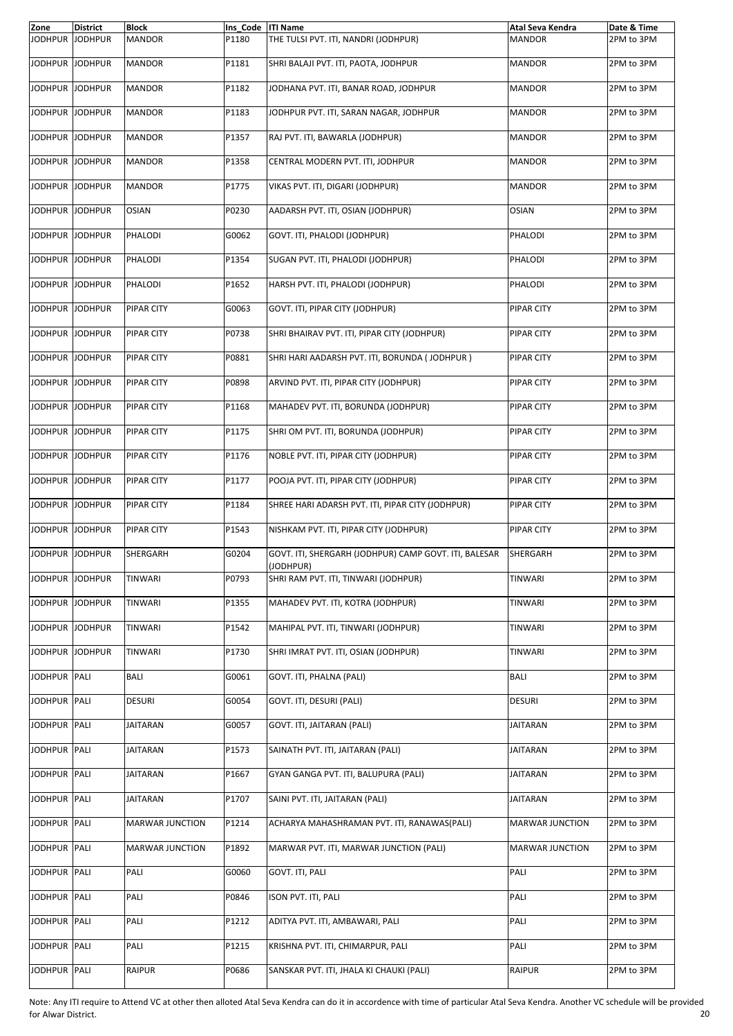| Zone            | <b>District</b> | <b>Block</b>           | Ins Code   ITI Name |                                                                    | Atal Seva Kendra       | Date & Time |
|-----------------|-----------------|------------------------|---------------------|--------------------------------------------------------------------|------------------------|-------------|
| <b>JODHPUR</b>  | <b>JODHPUR</b>  | <b>MANDOR</b>          | P1180               | THE TULSI PVT. ITI, NANDRI (JODHPUR)                               | <b>MANDOR</b>          | 2PM to 3PM  |
| JODHPUR JODHPUR |                 | <b>MANDOR</b>          | P1181               | SHRI BALAJI PVT. ITI, PAOTA, JODHPUR                               | <b>MANDOR</b>          | 2PM to 3PM  |
| JODHPUR JODHPUR |                 | <b>MANDOR</b>          | P1182               | JODHANA PVT. ITI, BANAR ROAD, JODHPUR                              | <b>MANDOR</b>          | 2PM to 3PM  |
| JODHPUR JODHPUR |                 | <b>MANDOR</b>          | P1183               | JODHPUR PVT. ITI, SARAN NAGAR, JODHPUR                             | <b>MANDOR</b>          | 2PM to 3PM  |
| JODHPUR JODHPUR |                 | <b>MANDOR</b>          | P1357               | RAJ PVT. ITI, BAWARLA (JODHPUR)                                    | <b>MANDOR</b>          | 2PM to 3PM  |
| JODHPUR JODHPUR |                 | <b>MANDOR</b>          | P1358               | CENTRAL MODERN PVT. ITI, JODHPUR                                   | <b>MANDOR</b>          | 2PM to 3PM  |
| JODHPUR JODHPUR |                 | <b>MANDOR</b>          | P1775               | VIKAS PVT. ITI, DIGARI (JODHPUR)                                   | <b>MANDOR</b>          | 2PM to 3PM  |
| JODHPUR JODHPUR |                 | <b>OSIAN</b>           | P0230               | AADARSH PVT. ITI, OSIAN (JODHPUR)                                  | <b>OSIAN</b>           | 2PM to 3PM  |
| JODHPUR JODHPUR |                 | PHALODI                | G0062               | GOVT. ITI, PHALODI (JODHPUR)                                       | PHALODI                | 2PM to 3PM  |
| JODHPUR         | <b>JODHPUR</b>  | PHALODI                | P1354               | SUGAN PVT. ITI, PHALODI (JODHPUR)                                  | PHALODI                | 2PM to 3PM  |
| JODHPUR JODHPUR |                 | PHALODI                | P1652               | HARSH PVT. ITI, PHALODI (JODHPUR)                                  | PHALODI                | 2PM to 3PM  |
| JODHPUR JODHPUR |                 | <b>PIPAR CITY</b>      | G0063               | GOVT. ITI, PIPAR CITY (JODHPUR)                                    | <b>PIPAR CITY</b>      | 2PM to 3PM  |
| JODHPUR JODHPUR |                 | PIPAR CITY             | P0738               | SHRI BHAIRAV PVT. ITI, PIPAR CITY (JODHPUR)                        | PIPAR CITY             | 2PM to 3PM  |
| JODHPUR JODHPUR |                 | PIPAR CITY             | P0881               | SHRI HARI AADARSH PVT. ITI, BORUNDA (JODHPUR)                      | PIPAR CITY             | 2PM to 3PM  |
| JODHPUR JODHPUR |                 | <b>PIPAR CITY</b>      | P0898               | ARVIND PVT. ITI, PIPAR CITY (JODHPUR)                              | PIPAR CITY             | 2PM to 3PM  |
| JODHPUR JODHPUR |                 | PIPAR CITY             | P1168               | MAHADEV PVT. ITI, BORUNDA (JODHPUR)                                | PIPAR CITY             | 2PM to 3PM  |
| JODHPUR JODHPUR |                 | PIPAR CITY             | P1175               | SHRI OM PVT. ITI, BORUNDA (JODHPUR)                                | PIPAR CITY             | 2PM to 3PM  |
| JODHPUR JODHPUR |                 | <b>PIPAR CITY</b>      | P1176               | NOBLE PVT. ITI, PIPAR CITY (JODHPUR)                               | PIPAR CITY             | 2PM to 3PM  |
| JODHPUR JODHPUR |                 | <b>PIPAR CITY</b>      | P1177               | POOJA PVT. ITI, PIPAR CITY (JODHPUR)                               | PIPAR CITY             | 2PM to 3PM  |
| JODHPUR JODHPUR |                 | PIPAR CITY             | P1184               | SHREE HARI ADARSH PVT. ITI, PIPAR CITY (JODHPUR)                   | PIPAR CITY             | 2PM to 3PM  |
| JODHPUR JODHPUR |                 | <b>PIPAR CITY</b>      | P1543               | NISHKAM PVT. ITI, PIPAR CITY (JODHPUR)                             | PIPAR CITY             | 2PM to 3PM  |
| JODHPUR JODHPUR |                 | SHERGARH               | G0204               | GOVT. ITI, SHERGARH (JODHPUR) CAMP GOVT. ITI, BALESAR<br>(JODHPUR) | SHERGARH               | 2PM to 3PM  |
| JODHPUR JODHPUR |                 | TINWARI                | P0793               | SHRI RAM PVT. ITI, TINWARI (JODHPUR)                               | TINWARI                | 2PM to 3PM  |
| JODHPUR JODHPUR |                 | TINWARI                | P1355               | MAHADEV PVT. ITI, KOTRA (JODHPUR)                                  | <b>TINWARI</b>         | 2PM to 3PM  |
| JODHPUR JODHPUR |                 | TINWARI                | P1542               | MAHIPAL PVT. ITI, TINWARI (JODHPUR)                                | TINWARI                | 2PM to 3PM  |
| JODHPUR JODHPUR |                 | TINWARI                | P1730               | SHRI IMRAT PVT. ITI, OSIAN (JODHPUR)                               | TINWARI                | 2PM to 3PM  |
| JODHPUR PALI    |                 | BALI                   | G0061               | GOVT. ITI, PHALNA (PALI)                                           | <b>BALI</b>            | 2PM to 3PM  |
| JODHPUR PALI    |                 | DESURI                 | G0054               | GOVT. ITI, DESURI (PALI)                                           | <b>DESURI</b>          | 2PM to 3PM  |
| JODHPUR PALI    |                 | JAITARAN               | G0057               | GOVT. ITI, JAITARAN (PALI)                                         | JAITARAN               | 2PM to 3PM  |
| <b>JODHPUR</b>  | PALI            | JAITARAN               | P1573               | SAINATH PVT. ITI, JAITARAN (PALI)                                  | JAITARAN               | 2PM to 3PM  |
| JODHPUR PALI    |                 | JAITARAN               | P1667               | GYAN GANGA PVT. ITI, BALUPURA (PALI)                               | JAITARAN               | 2PM to 3PM  |
| JODHPUR PALI    |                 | JAITARAN               | P1707               | SAINI PVT. ITI, JAITARAN (PALI)                                    | JAITARAN               | 2PM to 3PM  |
| JODHPUR PALI    |                 | <b>MARWAR JUNCTION</b> | P1214               | ACHARYA MAHASHRAMAN PVT. ITI, RANAWAS(PALI)                        | <b>MARWAR JUNCTION</b> | 2PM to 3PM  |
| JODHPUR PALI    |                 | <b>MARWAR JUNCTION</b> | P1892               | MARWAR PVT. ITI, MARWAR JUNCTION (PALI)                            | <b>MARWAR JUNCTION</b> | 2PM to 3PM  |
| JODHPUR         | PALI            | PALI                   | G0060               | GOVT. ITI, PALI                                                    | PALI                   | 2PM to 3PM  |
| <b>JODHPUR</b>  | PALI            | PALI                   | P0846               | ISON PVT. ITI, PALI                                                | PALI                   | 2PM to 3PM  |
| JODHPUR PALI    |                 | PALI                   | P1212               | ADITYA PVT. ITI, AMBAWARI, PALI                                    | PALI                   | 2PM to 3PM  |
| JODHPUR         | PALI            | PALI                   | P1215               | KRISHNA PVT. ITI, CHIMARPUR, PALI                                  | PALI                   | 2PM to 3PM  |
| <b>JODHPUR</b>  | PALI            | RAIPUR                 | P0686               | SANSKAR PVT. ITI, JHALA KI CHAUKI (PALI)                           | RAIPUR                 | 2PM to 3PM  |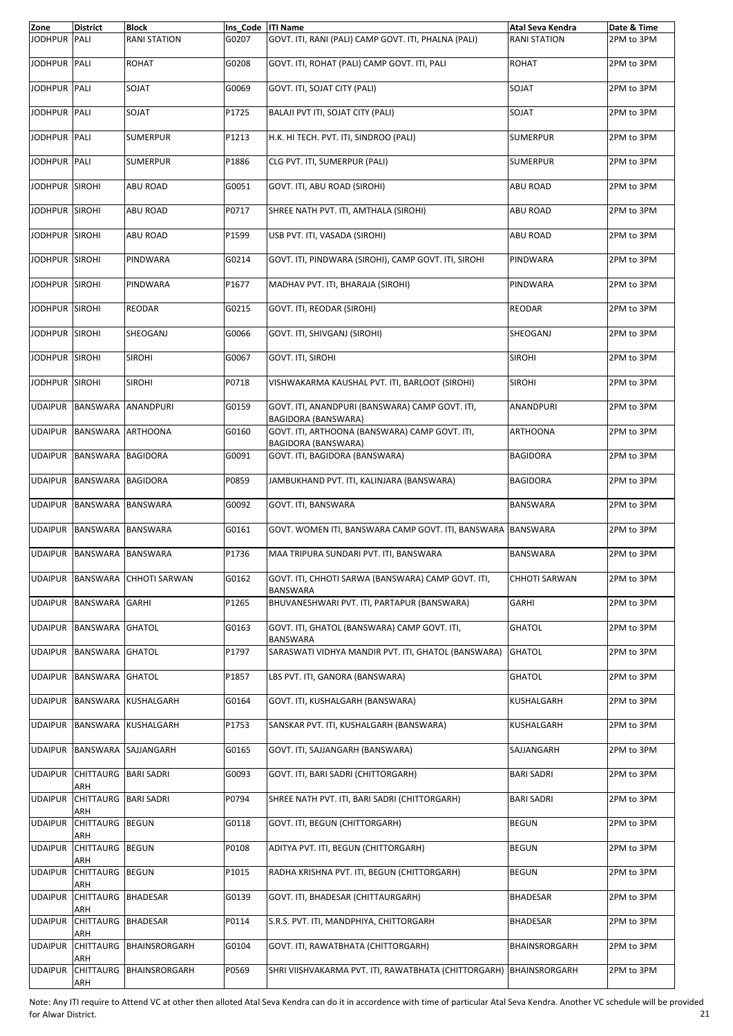| Zone           | <b>District</b>                | <b>Block</b>                   | Ins Code   ITI Name |                                                                        | Atal Seva Kendra     | Date & Time |
|----------------|--------------------------------|--------------------------------|---------------------|------------------------------------------------------------------------|----------------------|-------------|
| <b>JODHPUR</b> | PALI                           | <b>RANI STATION</b>            | G0207               | GOVT. ITI, RANI (PALI) CAMP GOVT. ITI, PHALNA (PALI)                   | <b>RANI STATION</b>  | 2PM to 3PM  |
| JODHPUR PALI   |                                | ROHAT                          | G0208               | GOVT. ITI. ROHAT (PALI) CAMP GOVT. ITI. PALI                           | <b>ROHAT</b>         | 2PM to 3PM  |
| JODHPUR PALI   |                                | SOJAT                          | G0069               | GOVT. ITI. SOJAT CITY (PALI)                                           | SOJAT                | 2PM to 3PM  |
| JODHPUR PALI   |                                | <b>SOJAT</b>                   | P1725               | BALAJI PVT ITI, SOJAT CITY (PALI)                                      | SOJAT                | 2PM to 3PM  |
| <b>JODHPUR</b> | PALI                           | <b>SUMERPUR</b>                | P1213               | H.K. HI TECH. PVT. ITI, SINDROO (PALI)                                 | <b>SUMERPUR</b>      | 2PM to 3PM  |
| JODHPUR PALI   |                                | <b>SUMERPUR</b>                | P1886               | CLG PVT. ITI, SUMERPUR (PALI)                                          | <b>SUMERPUR</b>      | 2PM to 3PM  |
| JODHPUR SIROHI |                                | ABU ROAD                       | G0051               | GOVT. ITI, ABU ROAD (SIROHI)                                           | <b>ABU ROAD</b>      | 2PM to 3PM  |
| JODHPUR SIROHI |                                | <b>ABU ROAD</b>                | P0717               | SHREE NATH PVT. ITI, AMTHALA (SIROHI)                                  | <b>ABU ROAD</b>      | 2PM to 3PM  |
| JODHPUR SIROHI |                                | <b>ABU ROAD</b>                | P1599               | USB PVT. ITI, VASADA (SIROHI)                                          | <b>ABU ROAD</b>      | 2PM to 3PM  |
| JODHPUR SIROHI |                                | PINDWARA                       | G0214               | GOVT. ITI, PINDWARA (SIROHI), CAMP GOVT. ITI, SIROHI                   | PINDWARA             | 2PM to 3PM  |
| JODHPUR SIROHI |                                | PINDWARA                       | P1677               | MADHAV PVT. ITI, BHARAJA (SIROHI)                                      | PINDWARA             | 2PM to 3PM  |
| JODHPUR SIROHI |                                | <b>REODAR</b>                  | G0215               | GOVT. ITI, REODAR (SIROHI)                                             | <b>REODAR</b>        | 2PM to 3PM  |
| JODHPUR SIROHI |                                | SHEOGANJ                       | G0066               | GOVT. ITI, SHIVGANJ (SIROHI)                                           | SHEOGANJ             | 2PM to 3PM  |
| <b>JODHPUR</b> | <b>SIROHI</b>                  | <b>SIROHI</b>                  | G0067               | GOVT. ITI, SIROHI                                                      | <b>SIROHI</b>        | 2PM to 3PM  |
| JODHPUR SIROHI |                                | <b>SIROHI</b>                  | P0718               | VISHWAKARMA KAUSHAL PVT. ITI, BARLOOT (SIROHI)                         | <b>SIROHI</b>        | 2PM to 3PM  |
| <b>UDAIPUR</b> | <b>BANSWARA</b>                | <b>ANANDPURI</b>               | G0159               | GOVT. ITI, ANANDPURI (BANSWARA) CAMP GOVT. ITI,<br>BAGIDORA (BANSWARA) | <b>ANANDPURI</b>     | 2PM to 3PM  |
| <b>UDAIPUR</b> | BANSWARA                       | <b>ARTHOONA</b>                | G0160               | GOVT. ITI, ARTHOONA (BANSWARA) CAMP GOVT. ITI,<br>BAGIDORA (BANSWARA)  | <b>ARTHOONA</b>      | 2PM to 3PM  |
| <b>UDAIPUR</b> | BANSWARA                       | <b>BAGIDORA</b>                | G0091               | GOVT. ITI, BAGIDORA (BANSWARA)                                         | <b>BAGIDORA</b>      | 2PM to 3PM  |
| <b>UDAIPUR</b> | BANSWARA BAGIDORA              |                                | P0859               | JAMBUKHAND PVT. ITI, KALINJARA (BANSWARA)                              | <b>BAGIDORA</b>      | 2PM to 3PM  |
| <b>UDAIPUR</b> | <b>BANSWARA</b>                | <b>BANSWARA</b>                | G0092               | GOVT. ITI, BANSWARA                                                    | <b>BANSWARA</b>      | 2PM to 3PM  |
| <b>UDAIPUR</b> | BANSWARA BANSWARA              |                                | G0161               | GOVT. WOMEN ITI, BANSWARA CAMP GOVT. ITI, BANSWARA BANSWARA            |                      | 2PM to 3PM  |
| <b>UDAIPUR</b> | BANSWARA                       | <b>BANSWARA</b>                | P1736               | MAA TRIPURA SUNDARI PVT. ITI, BANSWARA                                 | <b>BANSWARA</b>      | 2PM to 3PM  |
|                |                                | UDAIPUR BANSWARA CHHOTI SARWAN | G0162               | GOVT. ITI, CHHOTI SARWA (BANSWARA) CAMP GOVT. ITI,<br>BANSWARA         | <b>CHHOTI SARWAN</b> | 2PM to 3PM  |
| <b>UDAIPUR</b> | BANSWARA                       | <b>GARHI</b>                   | P1265               | BHUVANESHWARI PVT. ITI, PARTAPUR (BANSWARA)                            | GARHI                | 2PM to 3PM  |
|                | UDAIPUR BANSWARA               | <b>GHATOL</b>                  | G0163               | GOVT. ITI, GHATOL (BANSWARA) CAMP GOVT. ITI,<br><b>BANSWARA</b>        | GHATOL               | 2PM to 3PM  |
| <b>UDAIPUR</b> | BANSWARA                       | <b>GHATOL</b>                  | P1797               | SARASWATI VIDHYA MANDIR PVT. ITI, GHATOL (BANSWARA)                    | <b>GHATOL</b>        | 2PM to 3PM  |
| UDAIPUR        | BANSWARA GHATOL                |                                | P1857               | LBS PVT. ITI, GANORA (BANSWARA)                                        | <b>GHATOL</b>        | 2PM to 3PM  |
| UDAIPUR        |                                | BANSWARA KUSHALGARH            | G0164               | GOVT. ITI, KUSHALGARH (BANSWARA)                                       | KUSHALGARH           | 2PM to 3PM  |
| <b>UDAIPUR</b> | BANSWARA                       | KUSHALGARH                     | P1753               | SANSKAR PVT. ITI, KUSHALGARH (BANSWARA)                                | KUSHALGARH           | 2PM to 3PM  |
| <b>UDAIPUR</b> | BANSWARA                       | SAJJANGARH                     | G0165               | GOVT. ITI, SAJJANGARH (BANSWARA)                                       | SAJJANGARH           | 2PM to 3PM  |
| <b>UDAIPUR</b> | CHITTAURG BARI SADRI<br>ARH    |                                | G0093               | GOVT. ITI, BARI SADRI (CHITTORGARH)                                    | <b>BARI SADRI</b>    | 2PM to 3PM  |
| <b>UDAIPUR</b> | CHITTAURG<br>ARH               | <b>BARI SADRI</b>              | P0794               | SHREE NATH PVT. ITI, BARI SADRI (CHITTORGARH)                          | BARI SADRI           | 2PM to 3PM  |
| <b>UDAIPUR</b> | CHITTAURG<br>ARH               | <b>BEGUN</b>                   | G0118               | GOVT. ITI, BEGUN (CHITTORGARH)                                         | <b>BEGUN</b>         | 2PM to 3PM  |
| <b>UDAIPUR</b> | <b>CHITTAURG</b><br>ARH        | <b>BEGUN</b>                   | P0108               | ADITYA PVT. ITI, BEGUN (CHITTORGARH)                                   | BEGUN                | 2PM to 3PM  |
| <b>UDAIPUR</b> | CHITTAURG<br>ARH               | <b>BEGUN</b>                   | P1015               | RADHA KRISHNA PVT. ITI, BEGUN (CHITTORGARH)                            | BEGUN                | 2PM to 3PM  |
| <b>UDAIPUR</b> | <b>CHITTAURG</b>               | <b>BHADESAR</b>                | G0139               | GOVT. ITI, BHADESAR (CHITTAURGARH)                                     | BHADESAR             | 2PM to 3PM  |
| <b>UDAIPUR</b> | ARH<br><b>CHITTAURG</b><br>ARH | <b>BHADESAR</b>                | P0114               | S.R.S. PVT. ITI, MANDPHIYA, CHITTORGARH                                | BHADESAR             | 2PM to 3PM  |
| <b>UDAIPUR</b> | CHITTAURG<br>ARH               | BHAINSRORGARH                  | G0104               | GOVT. ITI, RAWATBHATA (CHITTORGARH)                                    | BHAINSRORGARH        | 2PM to 3PM  |
| <b>UDAIPUR</b> | CHITTAURG<br>ARH               | BHAINSRORGARH                  | P0569               | SHRI VIISHVAKARMA PVT. ITI, RAWATBHATA (CHITTORGARH)                   | <b>BHAINSRORGARH</b> | 2PM to 3PM  |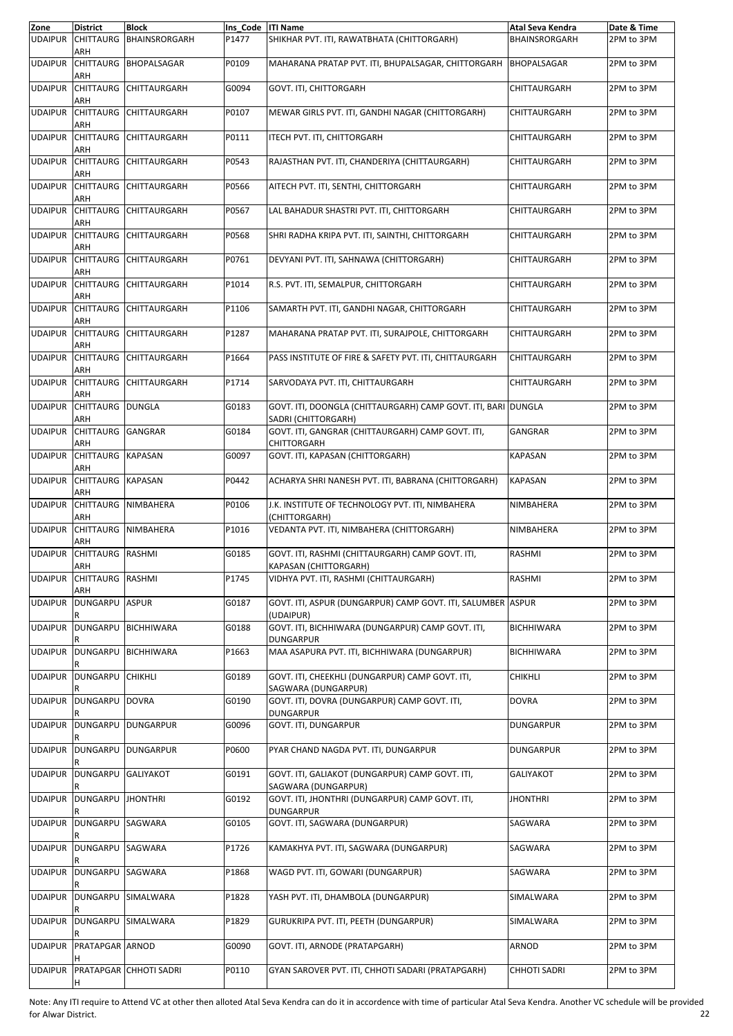| Zone           | <b>District</b>          | <b>Block</b>           | Ins_Code  ITI Name |                                                                                      | Atal Seva Kendra    | Date & Time |
|----------------|--------------------------|------------------------|--------------------|--------------------------------------------------------------------------------------|---------------------|-------------|
| <b>UDAIPUR</b> | <b>CHITTAURG</b><br>ARH  | <b>BHAINSRORGARH</b>   | P1477              | SHIKHAR PVT. ITI, RAWATBHATA (CHITTORGARH)                                           | BHAINSRORGARH       | 2PM to 3PM  |
| <b>UDAIPUR</b> | <b>CHITTAURG</b><br>ARH  | BHOPALSAGAR            | P0109              | MAHARANA PRATAP PVT. ITI, BHUPALSAGAR, CHITTORGARH                                   | <b>BHOPALSAGAR</b>  | 2PM to 3PM  |
| <b>UDAIPUR</b> | ARH                      | CHITTAURG CHITTAURGARH | G0094              | GOVT. ITI, CHITTORGARH                                                               | CHITTAURGARH        | 2PM to 3PM  |
| <b>UDAIPUR</b> | <b>CHITTAURG</b><br>ARH  | CHITTAURGARH           | P0107              | MEWAR GIRLS PVT. ITI, GANDHI NAGAR (CHITTORGARH)                                     | CHITTAURGARH        | 2PM to 3PM  |
| <b>UDAIPUR</b> | <b>CHITTAURG</b><br>ARH  | <b>CHITTAURGARH</b>    | P0111              | ITECH PVT. ITI, CHITTORGARH                                                          | CHITTAURGARH        | 2PM to 3PM  |
| <b>UDAIPUR</b> | ARH                      | CHITTAURG CHITTAURGARH | P0543              | RAJASTHAN PVT. ITI, CHANDERIYA (CHITTAURGARH)                                        | CHITTAURGARH        | 2PM to 3PM  |
| <b>UDAIPUR</b> | <b>CHITTAURG</b><br>ARH  | <b>CHITTAURGARH</b>    | P0566              | AITECH PVT. ITI, SENTHI, CHITTORGARH                                                 | CHITTAURGARH        | 2PM to 3PM  |
| <b>UDAIPUR</b> | <b>CHITTAURG</b><br>ARH  | <b>CHITTAURGARH</b>    | P0567              | LAL BAHADUR SHASTRI PVT. ITI, CHITTORGARH                                            | CHITTAURGARH        | 2PM to 3PM  |
| <b>UDAIPUR</b> | ARH                      | CHITTAURG CHITTAURGARH | P0568              | SHRI RADHA KRIPA PVT. ITI, SAINTHI, CHITTORGARH                                      | CHITTAURGARH        | 2PM to 3PM  |
| <b>UDAIPUR</b> | <b>CHITTAURG</b><br>ARH  | CHITTAURGARH           | P0761              | DEVYANI PVT. ITI, SAHNAWA (CHITTORGARH)                                              | CHITTAURGARH        | 2PM to 3PM  |
| <b>UDAIPUR</b> | <b>CHITTAURG</b><br>ARH  | <b>CHITTAURGARH</b>    | P1014              | R.S. PVT. ITI, SEMALPUR, CHITTORGARH                                                 | CHITTAURGARH        | 2PM to 3PM  |
| <b>UDAIPUR</b> | ARH                      | CHITTAURG CHITTAURGARH | P1106              | SAMARTH PVT. ITI, GANDHI NAGAR, CHITTORGARH                                          | CHITTAURGARH        | 2PM to 3PM  |
| <b>UDAIPUR</b> | <b>CHITTAURG</b><br>ARH  | <b>CHITTAURGARH</b>    | P1287              | MAHARANA PRATAP PVT. ITI, SURAJPOLE, CHITTORGARH                                     | CHITTAURGARH        | 2PM to 3PM  |
| <b>UDAIPUR</b> | <b>CHITTAURG</b><br>ARH  | <b>CHITTAURGARH</b>    | P1664              | PASS INSTITUTE OF FIRE & SAFETY PVT. ITI, CHITTAURGARH                               | CHITTAURGARH        | 2PM to 3PM  |
| <b>UDAIPUR</b> | ARH                      | CHITTAURG CHITTAURGARH | P1714              | SARVODAYA PVT. ITI, CHITTAURGARH                                                     | CHITTAURGARH        | 2PM to 3PM  |
| <b>UDAIPUR</b> | <b>CHITTAURG</b><br>ARH  | <b>DUNGLA</b>          | G0183              | GOVT. ITI, DOONGLA (CHITTAURGARH) CAMP GOVT. ITI, BARI DUNGLA<br>SADRI (CHITTORGARH) |                     | 2PM to 3PM  |
| <b>UDAIPUR</b> | CHITTAURG GANGRAR<br>ARH |                        | G0184              | GOVT. ITI, GANGRAR (CHITTAURGARH) CAMP GOVT. ITI,<br>CHITTORGARH                     | GANGRAR             | 2PM to 3PM  |
| <b>UDAIPUR</b> | CHITTAURG KAPASAN<br>ARH |                        | G0097              | GOVT. ITI, KAPASAN (CHITTORGARH)                                                     | <b>KAPASAN</b>      | 2PM to 3PM  |
| <b>UDAIPUR</b> | <b>CHITTAURG</b><br>ARH  | <b>KAPASAN</b>         | P0442              | ACHARYA SHRI NANESH PVT. ITI, BABRANA (CHITTORGARH)                                  | <b>KAPASAN</b>      | 2PM to 3PM  |
| <b>UDAIPUR</b> | <b>CHITTAURG</b><br>ARH  | <b>NIMBAHERA</b>       | P0106              | J.K. INSTITUTE OF TECHNOLOGY PVT. ITI, NIMBAHERA<br>(CHITTORGARH)                    | NIMBAHERA           | 2PM to 3PM  |
| <b>UDAIPUR</b> | ARH                      | CHITTAURG NIMBAHERA    | P1016              | VEDANTA PVT. ITI, NIMBAHERA (CHITTORGARH)                                            | NIMBAHERA           | 2PM to 3PM  |
| <b>UDAIPUR</b> | <b>CHITTAURG</b><br>ARH  | <b>RASHMI</b>          | G0185              | GOVT. ITI, RASHMI (CHITTAURGARH) CAMP GOVT. ITI,<br>KAPASAN (CHITTORGARH)            | RASHMI              | 2PM to 3PM  |
| <b>UDAIPUR</b> | CHITTAURG RASHMI<br>ARH  |                        | P1745              | VIDHYA PVT. ITI, RASHMI (CHITTAURGARH)                                               | RASHMI              | 2PM to 3PM  |
| <b>UDAIPUR</b> | <b>DUNGARPU</b>          | <b>ASPUR</b>           | G0187              | GOVT. ITI, ASPUR (DUNGARPUR) CAMP GOVT. ITI, SALUMBER ASPUR<br>(UDAIPUR)             |                     | 2PM to 3PM  |
| <b>UDAIPUR</b> | <b>DUNGARPU</b>          | <b>BICHHIWARA</b>      | G0188              | GOVT. ITI, BICHHIWARA (DUNGARPUR) CAMP GOVT. ITI,<br><b>DUNGARPUR</b>                | <b>BICHHIWARA</b>   | 2PM to 3PM  |
| <b>UDAIPUR</b> | <b>DUNGARPU</b>          | <b>BICHHIWARA</b>      | P1663              | MAA ASAPURA PVT. ITI, BICHHIWARA (DUNGARPUR)                                         | <b>BICHHIWARA</b>   | 2PM to 3PM  |
| <b>UDAIPUR</b> | <b>DUNGARPU</b>          | <b>CHIKHLI</b>         | G0189              | GOVT. ITI. CHEEKHLI (DUNGARPUR) CAMP GOVT. ITI.<br>SAGWARA (DUNGARPUR)               | <b>CHIKHLI</b>      | 2PM to 3PM  |
| <b>UDAIPUR</b> | DUNGARPU DOVRA           |                        | G0190              | GOVT. ITI, DOVRA (DUNGARPUR) CAMP GOVT. ITI,<br>DUNGARPUR                            | <b>DOVRA</b>        | 2PM to 3PM  |
| <b>UDAIPUR</b> | <b>DUNGARPU</b>          | <b>DUNGARPUR</b>       | G0096              | GOVT. ITI, DUNGARPUR                                                                 | DUNGARPUR           | 2PM to 3PM  |
| <b>UDAIPUR</b> | DUNGARPU                 | <b>DUNGARPUR</b>       | P0600              | PYAR CHAND NAGDA PVT. ITI, DUNGARPUR                                                 | <b>DUNGARPUR</b>    | 2PM to 3PM  |
| <b>UDAIPUR</b> | DUNGARPU GALIYAKOT       |                        | G0191              | GOVT. ITI, GALIAKOT (DUNGARPUR) CAMP GOVT. ITI,<br>SAGWARA (DUNGARPUR)               | <b>GALIYAKOT</b>    | 2PM to 3PM  |
| <b>UDAIPUR</b> | <b>DUNGARPU</b>          | <b>JHONTHRI</b>        | G0192              | GOVT. ITI, JHONTHRI (DUNGARPUR) CAMP GOVT. ITI,<br>DUNGARPUR                         | <b>JHONTHRI</b>     | 2PM to 3PM  |
| <b>UDAIPUR</b> | DUNGARPU                 | SAGWARA                | G0105              | GOVT. ITI, SAGWARA (DUNGARPUR)                                                       | SAGWARA             | 2PM to 3PM  |
| <b>UDAIPUR</b> | DUNGARPU SAGWARA         |                        | P1726              | KAMAKHYA PVT. ITI, SAGWARA (DUNGARPUR)                                               | SAGWARA             | 2PM to 3PM  |
| <b>UDAIPUR</b> | DUNGARPU                 | SAGWARA                | P1868              | WAGD PVT. ITI, GOWARI (DUNGARPUR)                                                    | SAGWARA             | 2PM to 3PM  |
| <b>UDAIPUR</b> | DUNGARPU                 | SIMALWARA              | P1828              | YASH PVT. ITI, DHAMBOLA (DUNGARPUR)                                                  | SIMALWARA           | 2PM to 3PM  |
| <b>UDAIPUR</b> |                          | DUNGARPU SIMALWARA     | P1829              | GURUKRIPA PVT. ITI, PEETH (DUNGARPUR)                                                | SIMALWARA           | 2PM to 3PM  |
| <b>UDAIPUR</b> | PRATAPGAR ARNOD          |                        | G0090              | GOVT. ITI, ARNODE (PRATAPGARH)                                                       | ARNOD               | 2PM to 3PM  |
| <b>UDAIPUR</b> | H                        | PRATAPGAR CHHOTI SADRI | P0110              | GYAN SAROVER PVT. ITI, CHHOTI SADARI (PRATAPGARH)                                    | <b>CHHOTI SADRI</b> | 2PM to 3PM  |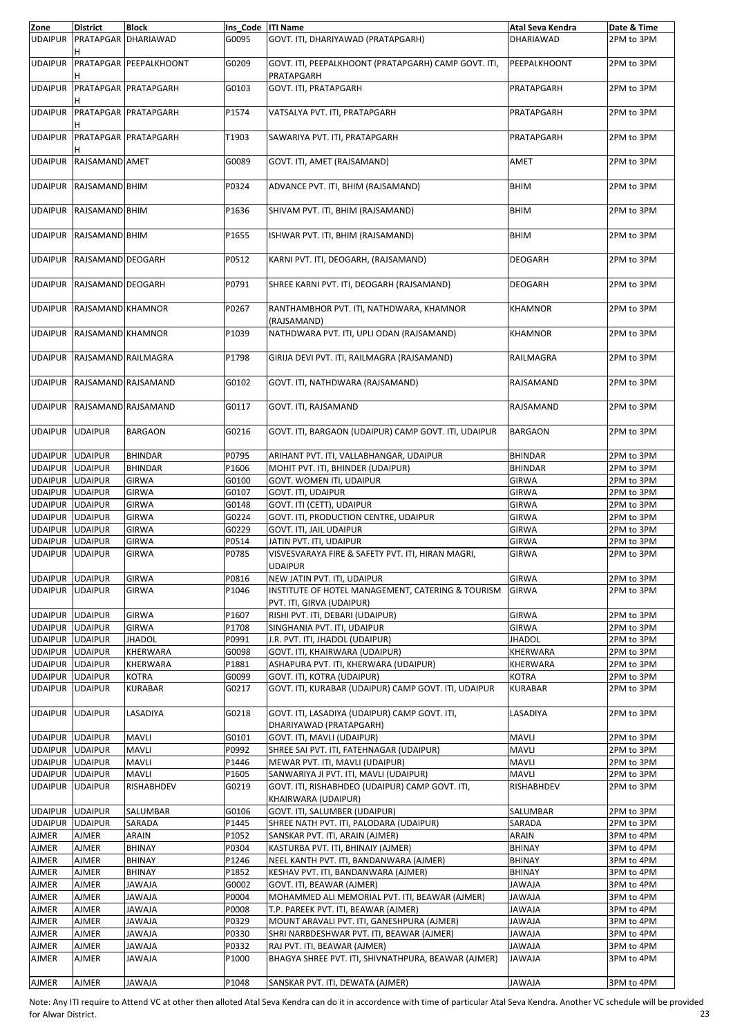| Zone                   | <b>District</b>     | <b>Block</b>                | Ins Code   ITI Name |                                                                                | Atal Seva Kendra | Date & Time |
|------------------------|---------------------|-----------------------------|---------------------|--------------------------------------------------------------------------------|------------------|-------------|
| <b>UDAIPUR</b>         |                     | PRATAPGAR DHARIAWAD         | G0095               | GOVT. ITI, DHARIYAWAD (PRATAPGARH)                                             | <b>DHARIAWAD</b> | 2PM to 3PM  |
| <b>UDAIPUR</b>         |                     | PRATAPGAR PEEPALKHOONT      | G0209               | GOVT. ITI, PEEPALKHOONT (PRATAPGARH) CAMP GOVT. ITI,<br>PRATAPGARH             | PEEPALKHOONT     | 2PM to 3PM  |
| <b>UDAIPUR</b>         |                     | <b>PRATAPGAR PRATAPGARH</b> | G0103               | GOVT. ITI, PRATAPGARH                                                          | PRATAPGARH       | 2PM to 3PM  |
| <b>UDAIPUR</b>         |                     | <b>PRATAPGAR PRATAPGARH</b> | P1574               | VATSALYA PVT. ITI, PRATAPGARH                                                  | PRATAPGARH       | 2PM to 3PM  |
| <b>UDAIPUR</b>         |                     | <b>PRATAPGAR PRATAPGARH</b> | T1903               | SAWARIYA PVT. ITI, PRATAPGARH                                                  | PRATAPGARH       | 2PM to 3PM  |
| <b>UDAIPUR</b>         | RAJSAMAND AMET      |                             | G0089               | GOVT. ITI, AMET (RAJSAMAND)                                                    | AMET             | 2PM to 3PM  |
| <b>UDAIPUR</b>         | RAJSAMAND BHIM      |                             | P0324               | ADVANCE PVT. ITI, BHIM (RAJSAMAND)                                             | <b>BHIM</b>      | 2PM to 3PM  |
| <b>UDAIPUR</b>         | RAJSAMAND BHIM      |                             | P1636               | SHIVAM PVT. ITI, BHIM (RAJSAMAND)                                              | <b>BHIM</b>      | 2PM to 3PM  |
| <b>UDAIPUR</b>         | RAJSAMAND BHIM      |                             | P1655               | ISHWAR PVT. ITI, BHIM (RAJSAMAND)                                              | <b>BHIM</b>      | 2PM to 3PM  |
| <b>UDAIPUR</b>         | RAJSAMAND DEOGARH   |                             | P0512               | KARNI PVT. ITI, DEOGARH, (RAJSAMAND)                                           | <b>DEOGARH</b>   | 2PM to 3PM  |
| <b>UDAIPUR</b>         | RAJSAMAND DEOGARH   |                             | P0791               | SHREE KARNI PVT. ITI, DEOGARH (RAJSAMAND)                                      | <b>DEOGARH</b>   | 2PM to 3PM  |
| <b>UDAIPUR</b>         | RAJSAMAND KHAMNOR   |                             | P0267               | RANTHAMBHOR PVT. ITI, NATHDWARA, KHAMNOR<br>(RAJSAMAND)                        | <b>KHAMNOR</b>   | 2PM to 3PM  |
| <b>UDAIPUR</b>         | RAJSAMAND KHAMNOR   |                             | P1039               | NATHDWARA PVT. ITI, UPLI ODAN (RAJSAMAND)                                      | <b>KHAMNOR</b>   | 2PM to 3PM  |
| <b>UDAIPUR</b>         | RAJSAMAND RAILMAGRA |                             | P1798               | GIRIJA DEVI PVT. ITI, RAILMAGRA (RAJSAMAND)                                    | RAILMAGRA        | 2PM to 3PM  |
| <b>UDAIPUR</b>         | RAJSAMAND RAJSAMAND |                             | G0102               | GOVT. ITI, NATHDWARA (RAJSAMAND)                                               | RAJSAMAND        | 2PM to 3PM  |
| <b>UDAIPUR</b>         |                     | RAJSAMAND RAJSAMAND         | G0117               | GOVT. ITI, RAJSAMAND                                                           | RAJSAMAND        | 2PM to 3PM  |
| <b>UDAIPUR</b>         | <b>UDAIPUR</b>      | <b>BARGAON</b>              | G0216               | GOVT. ITI, BARGAON (UDAIPUR) CAMP GOVT. ITI, UDAIPUR                           | <b>BARGAON</b>   | 2PM to 3PM  |
| UDAIPUR UDAIPUR        |                     | <b>BHINDAR</b>              | P0795               | ARIHANT PVT. ITI, VALLABHANGAR, UDAIPUR                                        | <b>BHINDAR</b>   | 2PM to 3PM  |
| UDAIPUR UDAIPUR        |                     | <b>BHINDAR</b>              | P1606               | MOHIT PVT. ITI, BHINDER (UDAIPUR)                                              | <b>BHINDAR</b>   | 2PM to 3PM  |
| UDAIPUR UDAIPUR        |                     | <b>GIRWA</b>                | G0100               | GOVT. WOMEN ITI, UDAIPUR                                                       | <b>GIRWA</b>     | 2PM to 3PM  |
| <b>UDAIPUR UDAIPUR</b> |                     | GIRWA                       | G0107               | GOVT. ITI, UDAIPUR                                                             | <b>GIRWA</b>     | 2PM to 3PM  |
| UDAIPUR UDAIPUR        |                     | <b>GIRWA</b>                | G0148               | GOVT. ITI (CETT), UDAIPUR                                                      | <b>GIRWA</b>     | 2PM to 3PM  |
| UDAIPUR UDAIPUR        |                     | GIRWA                       | G0224               | GOVT. ITI, PRODUCTION CENTRE, UDAIPUR                                          | <b>GIRWA</b>     | 2PM to 3PM  |
| <b>UDAIPUR UDAIPUR</b> |                     | GIRWA                       | G0229               | GOVT. ITI, JAIL UDAIPUR                                                        | <b>GIRWA</b>     | 2PM to 3PM  |
| <b>UDAIPUR</b>         | <b>UDAIPUR</b>      | GIRWA                       | P0514               | JATIN PVT. ITI, UDAIPUR                                                        | <b>GIRWA</b>     | 2PM to 3PM  |
| <b>UDAIPUR</b>         | <b>UDAIPUR</b>      | GIRWA                       | P0785               | VISVESVARAYA FIRE & SAFETY PVT. ITI, HIRAN MAGRI,<br><b>UDAIPUR</b>            | GIRWA            | 2PM to 3PM  |
| UDAIPUR UDAIPUR        |                     | GIRWA                       | P0816               | NEW JATIN PVT. ITI, UDAIPUR                                                    | GIRWA            | 2PM to 3PM  |
| UDAIPUR UDAIPUR        |                     | GIRWA                       | P1046               | INSTITUTE OF HOTEL MANAGEMENT, CATERING & TOURISM<br>PVT. ITI, GIRVA (UDAIPUR) | <b>GIRWA</b>     | 2PM to 3PM  |
| UDAIPUR UDAIPUR        |                     | GIRWA                       | P1607               | RISHI PVT. ITI, DEBARI (UDAIPUR)                                               | GIRWA            | 2PM to 3PM  |
| UDAIPUR UDAIPUR        |                     | GIRWA                       | P1708               | SINGHANIA PVT. ITI, UDAIPUR                                                    | <b>GIRWA</b>     | 2PM to 3PM  |
| UDAIPUR UDAIPUR        |                     | <b>JHADOL</b>               | P0991               | J.R. PVT. ITI, JHADOL (UDAIPUR)                                                | <b>JHADOL</b>    | 2PM to 3PM  |
| UDAIPUR UDAIPUR        |                     | KHERWARA                    | G0098               | GOVT. ITI, KHAIRWARA (UDAIPUR)                                                 | KHERWARA         | 2PM to 3PM  |
| UDAIPUR UDAIPUR        |                     | KHERWARA                    | P1881               | ASHAPURA PVT. ITI, KHERWARA (UDAIPUR)                                          | KHERWARA         | 2PM to 3PM  |
| UDAIPUR UDAIPUR        |                     | <b>KOTRA</b>                | G0099               | GOVT. ITI, KOTRA (UDAIPUR)                                                     | <b>KOTRA</b>     | 2PM to 3PM  |
| <b>UDAIPUR</b>         | <b>UDAIPUR</b>      | <b>KURABAR</b>              | G0217               | GOVT. ITI, KURABAR (UDAIPUR) CAMP GOVT. ITI, UDAIPUR                           | <b>KURABAR</b>   | 2PM to 3PM  |
| <b>UDAIPUR</b>         | <b>UDAIPUR</b>      | LASADIYA                    | G0218               | GOVT. ITI, LASADIYA (UDAIPUR) CAMP GOVT. ITI,<br>DHARIYAWAD (PRATAPGARH)       | LASADIYA         | 2PM to 3PM  |
| UDAIPUR UDAIPUR        |                     | <b>MAVLI</b>                | G0101               | GOVT. ITI, MAVLI (UDAIPUR)                                                     | <b>MAVLI</b>     | 2PM to 3PM  |
| UDAIPUR UDAIPUR        |                     | <b>MAVLI</b>                | P0992               | SHREE SAI PVT. ITI, FATEHNAGAR (UDAIPUR)                                       | MAVLI            | 2PM to 3PM  |
| UDAIPUR UDAIPUR        |                     | <b>MAVLI</b>                | P1446               | MEWAR PVT. ITI, MAVLI (UDAIPUR)                                                | MAVLI            | 2PM to 3PM  |
| UDAIPUR UDAIPUR        |                     | <b>MAVLI</b>                | P1605               | SANWARIYA JI PVT. ITI, MAVLI (UDAIPUR)                                         | MAVLI            | 2PM to 3PM  |
| UDAIPUR UDAIPUR        |                     | <b>RISHABHDEV</b>           | G0219               | GOVT. ITI, RISHABHDEO (UDAIPUR) CAMP GOVT. ITI,<br>KHAIRWARA (UDAIPUR)         | RISHABHDEV       | 2PM to 3PM  |
| UDAIPUR UDAIPUR        |                     | SALUMBAR                    | G0106               | GOVT. ITI, SALUMBER (UDAIPUR)                                                  | SALUMBAR         | 2PM to 3PM  |
| UDAIPUR UDAIPUR        |                     | SARADA                      | P1445               | SHREE NATH PVT. ITI, PALODARA (UDAIPUR)                                        | SARADA           | 2PM to 3PM  |
| <b>AJMER</b>           | <b>AJMER</b>        | ARAIN                       | P1052               | SANSKAR PVT. ITI, ARAIN (AJMER)                                                | ARAIN            | 3PM to 4PM  |
| AJMER                  | <b>AJMER</b>        | <b>BHINAY</b>               | P0304               | KASTURBA PVT. ITI, BHINAIY (AJMER)                                             | <b>BHINAY</b>    | 3PM to 4PM  |
| <b>AJMER</b>           | <b>AJMER</b>        | <b>BHINAY</b>               | P1246               | NEEL KANTH PVT. ITI, BANDANWARA (AJMER)                                        | BHINAY           | 3PM to 4PM  |
| <b>AJMER</b>           | <b>AJMER</b>        | <b>BHINAY</b>               | P1852               | KESHAV PVT. ITI, BANDANWARA (AJMER)                                            | <b>BHINAY</b>    | 3PM to 4PM  |
| <b>AJMER</b>           | <b>AJMER</b>        | ALAWA                       | G0002               | GOVT. ITI, BEAWAR (AJMER)                                                      | <b>JAWAJA</b>    | 3PM to 4PM  |
| <b>AJMER</b>           | <b>AJMER</b>        | <b>ALAWAJ</b>               | P0004               |                                                                                | AlAWAJ           |             |
|                        |                     |                             |                     | MOHAMMED ALI MEMORIAL PVT. ITI, BEAWAR (AJMER)                                 |                  | 3PM to 4PM  |
| <b>AJMER</b>           | <b>AJMER</b>        | <b>JAWAJA</b>               | P0008               | T.P. PAREEK PVT. ITI, BEAWAR (AJMER)                                           | JAWAJA           | 3PM to 4PM  |
| AJMER                  | AJMER               | <b>JAWAJA</b>               | P0329               | MOUNT ARAVALI PVT. ITI, GANESHPURA (AJMER)                                     | ALAWA            | 3PM to 4PM  |
| <b>AJMER</b>           | <b>AJMER</b>        | ALAWA                       | P0330               | SHRI NARBDESHWAR PVT. ITI, BEAWAR (AJMER)                                      | AlAWAJ           | 3PM to 4PM  |
| AJMER                  | <b>AJMER</b>        | <b>JAWAJA</b>               | P0332               | RAJ PVT. ITI, BEAWAR (AJMER)                                                   | JAWAJA           | 3PM to 4PM  |
| AJMER                  | <b>AJMER</b>        | ALAWA                       | P1000               | BHAGYA SHREE PVT. ITI, SHIVNATHPURA, BEAWAR (AJMER)                            | <b>ALAWAJ</b>    | 3PM to 4PM  |
| <b>AJMER</b>           | <b>AJMER</b>        | <b>JAWAJA</b>               | P1048               | SANSKAR PVT. ITI, DEWATA (AJMER)                                               | <b>JAWAJA</b>    | 3PM to 4PM  |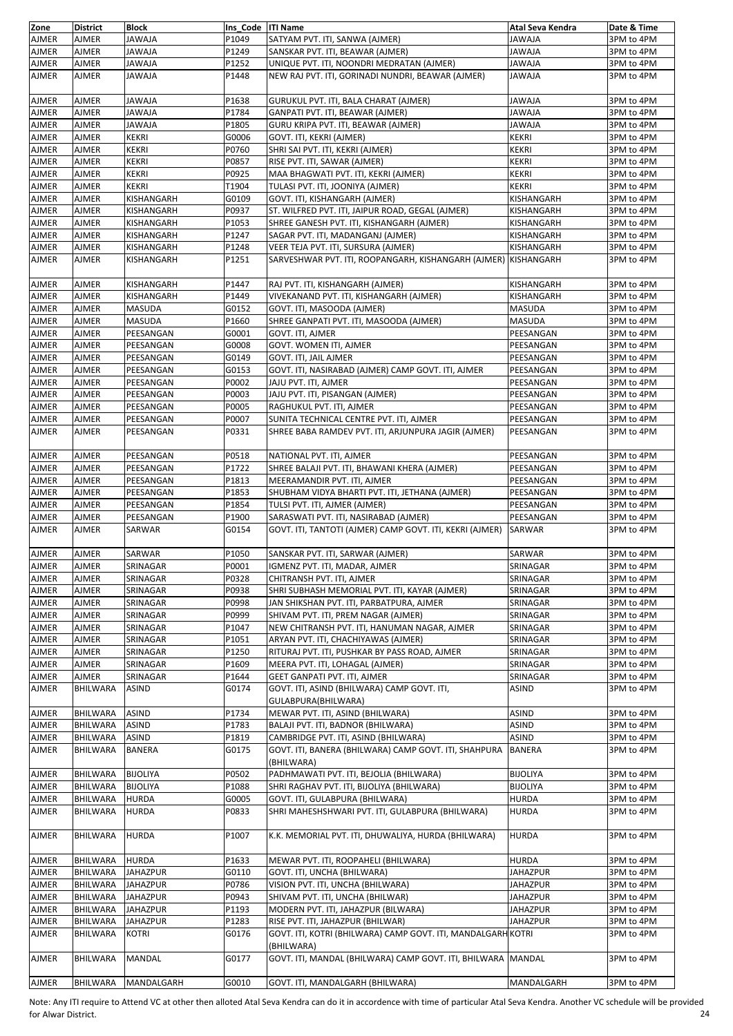| Zone         | <b>District</b> | <b>Block</b>    | Ins Code   ITI Name |                                                                | Atal Seva Kendra  | Date & Time |
|--------------|-----------------|-----------------|---------------------|----------------------------------------------------------------|-------------------|-------------|
| AJMER        | AJMER           | <b>JAWAJA</b>   | P1049               | SATYAM PVT. ITI, SANWA (AJMER)                                 | ALAWAL            | 3PM to 4PM  |
| AJMER        | AJMER           | <b>JAWAJA</b>   | P1249               | SANSKAR PVT. ITI, BEAWAR (AJMER)                               | <b>JAWAJA</b>     | 3PM to 4PM  |
| AJMER        | <b>AJMER</b>    | <b>ALAWAL</b>   | P1252               | UNIQUE PVT. ITI, NOONDRI MEDRATAN (AJMER)                      | <b>JAWAJA</b>     | 3PM to 4PM  |
| AJMER        | AJMER           | ALAWA           | P1448               | NEW RAJ PVT. ITI, GORINADI NUNDRI, BEAWAR (AJMER)              | <b>JAWAJA</b>     | 3PM to 4PM  |
|              |                 |                 |                     |                                                                |                   |             |
| AJMER        | <b>AJMER</b>    | <b>JAWAJA</b>   | P1638               | GURUKUL PVT. ITI, BALA CHARAT (AJMER)                          | <b>JAWAJA</b>     | 3PM to 4PM  |
| AJMER        | AJMER           | <b>ALAWAL</b>   | P1784               | GANPATI PVT. ITI, BEAWAR (AJMER)                               | <b>ALAWAJA</b>    | 3PM to 4PM  |
| AJMER        | <b>AJMER</b>    | <b>JAWAJA</b>   | P1805               | GURU KRIPA PVT. ITI, BEAWAR (AJMER)                            | AlAWAJ            | 3PM to 4PM  |
| AJMER        | AJMER           | <b>KEKRI</b>    | G0006               | GOVT. ITI, KEKRI (AJMER)                                       | <b>KEKRI</b>      | 3PM to 4PM  |
| AJMER        | AJMER           | <b>KEKRI</b>    | P0760               | SHRI SAI PVT. ITI, KEKRI (AJMER)                               | <b>KEKRI</b>      | 3PM to 4PM  |
| AJMER        | <b>AJMER</b>    | <b>KEKRI</b>    | P0857               | RISE PVT. ITI, SAWAR (AJMER)                                   | <b>KEKRI</b>      | 3PM to 4PM  |
| AJMER        | <b>AJMER</b>    | <b>KEKRI</b>    | P0925               | MAA BHAGWATI PVT. ITI, KEKRI (AJMER)                           | <b>KEKRI</b>      | 3PM to 4PM  |
|              |                 | <b>KEKRI</b>    | T1904               |                                                                |                   |             |
| AJMER        | AJMER           |                 |                     | TULASI PVT. ITI, JOONIYA (AJMER)                               | <b>KEKRI</b>      | 3PM to 4PM  |
| AJMER        | <b>AJMER</b>    | KISHANGARH      | G0109               | GOVT. ITI, KISHANGARH (AJMER)                                  | KISHANGARH        | 3PM to 4PM  |
| AJMER        | AJMER           | KISHANGARH      | P0937               | ST. WILFRED PVT. ITI, JAIPUR ROAD, GEGAL (AJMER)               | KISHANGARH        | 3PM to 4PM  |
| AJMER        | <b>AJMER</b>    | KISHANGARH      | P1053               | SHREE GANESH PVT. ITI, KISHANGARH (AJMER)                      | KISHANGARH        | 3PM to 4PM  |
| AJMER        | AJMER           | KISHANGARH      | P1247               | SAGAR PVT. ITI, MADANGANJ (AJMER)                              | KISHANGARH        | 3PM to 4PM  |
| AJMER        | <b>AJMER</b>    | KISHANGARH      | P1248               | VEER TEJA PVT. ITI, SURSURA (AJMER)                            | <b>KISHANGARH</b> | 3PM to 4PM  |
| AJMER        | AJMER           | KISHANGARH      | P1251               | SARVESHWAR PVT. ITI, ROOPANGARH, KISHANGARH (AJMER) KISHANGARH |                   | 3PM to 4PM  |
|              |                 |                 |                     |                                                                |                   |             |
| AJMER        | <b>AJMER</b>    | KISHANGARH      | P1447               | RAJ PVT. ITI, KISHANGARH (AJMER)                               | KISHANGARH        | 3PM to 4PM  |
| AJMER        | AJMER           | KISHANGARH      | P1449               | VIVEKANAND PVT. ITI, KISHANGARH (AJMER)                        | KISHANGARH        | 3PM to 4PM  |
| AJMER        | AJMER           | <b>MASUDA</b>   | G0152               | GOVT. ITI, MASOODA (AJMER)                                     | <b>MASUDA</b>     | 3PM to 4PM  |
| <b>AJMER</b> | <b>AJMER</b>    | <b>MASUDA</b>   | P1660               | SHREE GANPATI PVT. ITI, MASOODA (AJMER)                        | <b>MASUDA</b>     | 3PM to 4PM  |
| AJMER        | AJMER           | PEESANGAN       | G0001               | GOVT. ITI, AJMER                                               | PEESANGAN         | 3PM to 4PM  |
| AJMER        | AJMER           | PEESANGAN       | G0008               | GOVT. WOMEN ITI, AJMER                                         | PEESANGAN         | 3PM to 4PM  |
| AJMER        | AJMER           | PEESANGAN       | G0149               | GOVT. ITI, JAIL AJMER                                          | PEESANGAN         | 3PM to 4PM  |
| AJMER        | AJMER           | PEESANGAN       | G0153               | GOVT. ITI, NASIRABAD (AJMER) CAMP GOVT. ITI, AJMER             | PEESANGAN         | 3PM to 4PM  |
| AJMER        | AJMER           | PEESANGAN       | P0002               | JAJU PVT. ITI, AJMER                                           | PEESANGAN         | 3PM to 4PM  |
| AJMER        | <b>AJMER</b>    | PEESANGAN       | P0003               | JAJU PVT. ITI, PISANGAN (AJMER)                                | PEESANGAN         | 3PM to 4PM  |
| AJMER        | AJMER           | PEESANGAN       | P0005               | RAGHUKUL PVT. ITI, AJMER                                       | PEESANGAN         | 3PM to 4PM  |
| AJMER        | AJMER           | PEESANGAN       | P0007               | SUNITA TECHNICAL CENTRE PVT. ITI, AJMER                        | PEESANGAN         |             |
|              |                 |                 |                     |                                                                |                   | 3PM to 4PM  |
| AJMER        | AJMER           | PEESANGAN       | P0331               | SHREE BABA RAMDEV PVT. ITI, ARJUNPURA JAGIR (AJMER)            | PEESANGAN         | 3PM to 4PM  |
|              |                 |                 |                     |                                                                |                   |             |
| AJMER        | AJMER           | PEESANGAN       | P0518               | NATIONAL PVT. ITI, AJMER                                       | PEESANGAN         | 3PM to 4PM  |
| AJMER        | <b>AJMER</b>    | PEESANGAN       | P1722               | SHREE BALAJI PVT. ITI, BHAWANI KHERA (AJMER)                   | PEESANGAN         | 3PM to 4PM  |
| AJMER        | AJMER           | PEESANGAN       | P1813               | MEERAMANDIR PVT. ITI, AJMER                                    | PEESANGAN         | 3PM to 4PM  |
| AJMER        | AJMER           | PEESANGAN       | P1853               | SHUBHAM VIDYA BHARTI PVT. ITI, JETHANA (AJMER)                 | PEESANGAN         | 3PM to 4PM  |
| AJMER        | AJMER           | PEESANGAN       | P1854               | TULSI PVT. ITI, AJMER (AJMER)                                  | PEESANGAN         | 3PM to 4PM  |
| AJMER        | AJMER           | PEESANGAN       | P1900               | SARASWATI PVT. ITI, NASIRABAD (AJMER)                          | PEESANGAN         | 3PM to 4PM  |
| AJMER        | <b>AJMER</b>    | SARWAR          | G0154               | GOVT. ITI, TANTOTI (AJMER) CAMP GOVT. ITI, KEKRI (AJMER)       | SARWAR            | 3PM to 4PM  |
|              |                 |                 |                     |                                                                |                   |             |
| <b>AJMER</b> | AJMER           | SARWAR          | P1050               | SANSKAR PVT. ITI, SARWAR (AJMER)                               | SARWAR            | 3PM to 4PM  |
| AJMER        | AJMER           | SRINAGAR        | P0001               | IGMENZ PVT. ITI, MADAR, AJMER                                  | SRINAGAR          | 3PM to 4PM  |
| AJMER        | AJMER           | SRINAGAR        | P0328               | CHITRANSH PVT. ITI, AJMER                                      | SRINAGAR          | 3PM to 4PM  |
| AJMER        | AJMER           | SRINAGAR        | P0938               | SHRI SUBHASH MEMORIAL PVT. ITI, KAYAR (AJMER)                  | SRINAGAR          | 3PM to 4PM  |
| AJMER        | <b>AJMER</b>    | SRINAGAR        | P0998               | JAN SHIKSHAN PVT. ITI, PARBATPURA, AJMER                       | SRINAGAR          | 3PM to 4PM  |
| AJMER        | AJMER           | SRINAGAR        | P0999               |                                                                | SRINAGAR          | 3PM to 4PM  |
|              | AJMER           |                 | P1047               | SHIVAM PVT. ITI, PREM NAGAR (AJMER)                            |                   |             |
| AJMER        |                 | SRINAGAR        |                     | NEW CHITRANSH PVT. ITI, HANUMAN NAGAR, AJMER                   | SRINAGAR          | 3PM to 4PM  |
| AJMER        | AJMER           | SRINAGAR        | P1051               | ARYAN PVT. ITI, CHACHIYAWAS (AJMER)                            | SRINAGAR          | 3PM to 4PM  |
| AJMER        | AJMER           | SRINAGAR        | P1250               | RITURAJ PVT. ITI, PUSHKAR BY PASS ROAD, AJMER                  | SRINAGAR          | 3PM to 4PM  |
| AJMER        | AJMER           | SRINAGAR        | P1609               | MEERA PVT. ITI, LOHAGAL (AJMER)                                | SRINAGAR          | 3PM to 4PM  |
| AJMER        | AJMER           | SRINAGAR        | P1644               | GEET GANPATI PVT. ITI, AJMER                                   | SRINAGAR          | 3PM to 4PM  |
| AJMER        | <b>BHILWARA</b> | ASIND           | G0174               | GOVT. ITI, ASIND (BHILWARA) CAMP GOVT. ITI,                    | ASIND             | 3PM to 4PM  |
|              |                 |                 |                     | GULABPURA(BHILWARA)                                            |                   |             |
| AJMER        | <b>BHILWARA</b> | ASIND           | P1734               | MEWAR PVT. ITI, ASIND (BHILWARA)                               | ASIND             | 3PM to 4PM  |
| AJMER        | BHILWARA        | ASIND           | P1783               | BALAJI PVT. ITI, BADNOR (BHILWARA)                             | ASIND             | 3PM to 4PM  |
| AJMER        | BHILWARA        | ASIND           | P1819               | CAMBRIDGE PVT. ITI, ASIND (BHILWARA)                           | ASIND             | 3PM to 4PM  |
| AJMER        | BHILWARA        | BANERA          | G0175               | GOVT. ITI, BANERA (BHILWARA) CAMP GOVT. ITI, SHAHPURA          | <b>BANERA</b>     | 3PM to 4PM  |
|              |                 |                 |                     | (BHILWARA)                                                     |                   |             |
| AJMER        | BHILWARA        | <b>BIJOLIYA</b> | P0502               | PADHMAWATI PVT. ITI, BEJOLIA (BHILWARA)                        | <b>BIJOLIYA</b>   | 3PM to 4PM  |
| AJMER        | BHILWARA        | <b>BIJOLIYA</b> | P1088               | SHRI RAGHAV PVT. ITI, BIJOLIYA (BHILWARA)                      | <b>BIJOLIYA</b>   | 3PM to 4PM  |
| AJMER        | BHILWARA        | <b>HURDA</b>    | G0005               | GOVT. ITI, GULABPURA (BHILWARA)                                | <b>HURDA</b>      | 3PM to 4PM  |
| AJMER        | BHILWARA        | HURDA           | P0833               | SHRI MAHESHSHWARI PVT. ITI, GULABPURA (BHILWARA)               | <b>HURDA</b>      | 3PM to 4PM  |
|              |                 |                 |                     |                                                                |                   |             |
| AJMER        | BHILWARA        | <b>HURDA</b>    | P1007               | K.K. MEMORIAL PVT. ITI, DHUWALIYA, HURDA (BHILWARA)            | <b>HURDA</b>      | 3PM to 4PM  |
|              |                 |                 |                     |                                                                |                   |             |
| AJMER        | <b>BHILWARA</b> | <b>HURDA</b>    | P1633               | MEWAR PVT. ITI, ROOPAHELI (BHILWARA)                           | <b>HURDA</b>      | 3PM to 4PM  |
| AJMER        | BHILWARA        | <b>JAHAZPUR</b> | G0110               | GOVT. ITI, UNCHA (BHILWARA)                                    | <b>JAHAZPUR</b>   | 3PM to 4PM  |
|              |                 |                 | P0786               |                                                                |                   |             |
| AJMER        | BHILWARA        | JAHAZPUR        |                     | VISION PVT. ITI, UNCHA (BHILWARA)                              | <b>JAHAZPUR</b>   | 3PM to 4PM  |
| AJMER        | BHILWARA        | <b>JAHAZPUR</b> | P0943               | SHIVAM PVT. ITI, UNCHA (BHILWAR)                               | <b>JAHAZPUR</b>   | 3PM to 4PM  |
| AJMER        | BHILWARA        | <b>JAHAZPUR</b> | P1193               | MODERN PVT. ITI, JAHAZPUR (BILWARA)                            | <b>JAHAZPUR</b>   | 3PM to 4PM  |
| AJMER        | BHILWARA        | JAHAZPUR        | P1283               | RISE PVT. ITI, JAHAZPUR (BHILWAR)                              | <b>JAHAZPUR</b>   | 3PM to 4PM  |
| AJMER        | BHILWARA        | <b>KOTRI</b>    | G0176               | GOVT. ITI, KOTRI (BHILWARA) CAMP GOVT. ITI, MANDALGARH KOTRI   |                   | 3PM to 4PM  |
|              |                 |                 |                     | (BHILWARA)                                                     |                   |             |
| AJMER        | BHILWARA        | MANDAL          | G0177               | GOVT. ITI, MANDAL (BHILWARA) CAMP GOVT. ITI, BHILWARA          | <b>MANDAL</b>     | 3PM to 4PM  |
|              |                 |                 |                     |                                                                |                   |             |
| <b>AJMER</b> | <b>BHILWARA</b> | MANDALGARH      | G0010               | GOVT. ITI, MANDALGARH (BHILWARA)                               | MANDALGARH        | 3PM to 4PM  |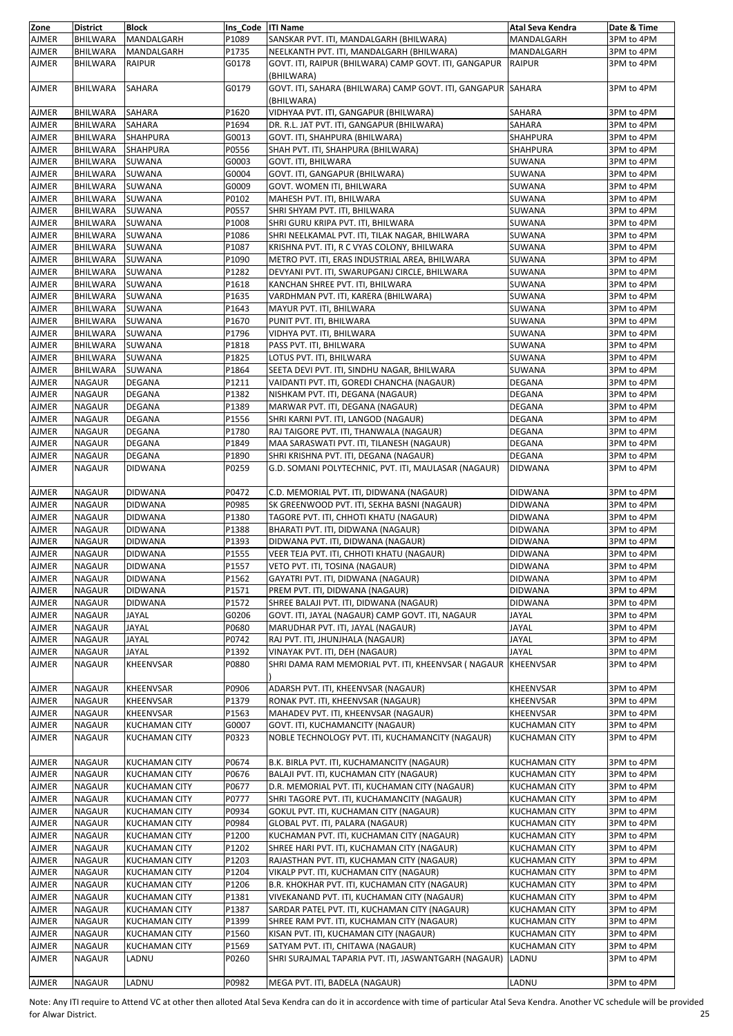| Zone         | <b>District</b> | <b>Block</b>         | Ins Code   ITI Name |                                                              | Atal Seva Kendra     | Date & Time |
|--------------|-----------------|----------------------|---------------------|--------------------------------------------------------------|----------------------|-------------|
|              |                 |                      |                     |                                                              |                      |             |
| <b>AJMER</b> | BHILWARA        | MANDALGARH           | P1089               | SANSKAR PVT. ITI, MANDALGARH (BHILWARA)                      | MANDALGARH           | 3PM to 4PM  |
| <b>AJMER</b> | BHILWARA        | MANDALGARH           | P1735               | NEELKANTH PVT. ITI, MANDALGARH (BHILWARA)                    | MANDALGARH           | 3PM to 4PM  |
| <b>AJMER</b> | BHILWARA        | <b>RAIPUR</b>        | G0178               | GOVT. ITI, RAIPUR (BHILWARA) CAMP GOVT. ITI, GANGAPUR        | <b>RAIPUR</b>        | 3PM to 4PM  |
|              |                 |                      |                     |                                                              |                      |             |
|              |                 |                      |                     | (BHILWARA)                                                   |                      |             |
| <b>AJMER</b> | BHILWARA        | <b>SAHARA</b>        | G0179               | GOVT. ITI, SAHARA (BHILWARA) CAMP GOVT. ITI, GANGAPUR SAHARA |                      | 3PM to 4PM  |
|              |                 |                      |                     |                                                              |                      |             |
|              |                 |                      |                     | (BHILWARA)                                                   |                      |             |
| <b>AJMER</b> | BHILWARA        | <b>SAHARA</b>        | P1620               | VIDHYAA PVT. ITI, GANGAPUR (BHILWARA)                        | SAHARA               | 3PM to 4PM  |
|              |                 |                      |                     |                                                              |                      |             |
| <b>AJMER</b> | BHILWARA        | <b>SAHARA</b>        | P1694               | DR. R.L. JAT PVT. ITI, GANGAPUR (BHILWARA)                   | SAHARA               | 3PM to 4PM  |
| <b>AJMER</b> | BHILWARA        | <b>SHAHPURA</b>      | G0013               | GOVT. ITI, SHAHPURA (BHILWARA)                               | <b>SHAHPURA</b>      | 3PM to 4PM  |
|              |                 |                      |                     |                                                              |                      |             |
| <b>AJMER</b> | BHILWARA        | <b>SHAHPURA</b>      | P0556               | SHAH PVT. ITI, SHAHPURA (BHILWARA)                           | <b>SHAHPURA</b>      | 3PM to 4PM  |
| <b>AJMER</b> | BHILWARA        | <b>SUWANA</b>        | G0003               | GOVT. ITI, BHILWARA                                          | <b>SUWANA</b>        | 3PM to 4PM  |
|              |                 |                      |                     |                                                              |                      |             |
| <b>AJMER</b> | <b>BHILWARA</b> | <b>SUWANA</b>        | G0004               | GOVT. ITI, GANGAPUR (BHILWARA)                               | <b>SUWANA</b>        | 3PM to 4PM  |
| <b>AJMER</b> | BHILWARA        | <b>SUWANA</b>        | G0009               | GOVT. WOMEN ITI, BHILWARA                                    | SUWANA               | 3PM to 4PM  |
|              |                 |                      |                     |                                                              |                      |             |
| <b>AJMER</b> | BHILWARA        | <b>SUWANA</b>        | P0102               | MAHESH PVT. ITI, BHILWARA                                    | SUWANA               | 3PM to 4PM  |
| <b>AJMER</b> | BHILWARA        | <b>SUWANA</b>        | P0557               | SHRI SHYAM PVT. ITI, BHILWARA                                | SUWANA               | 3PM to 4PM  |
|              |                 |                      |                     |                                                              |                      |             |
| <b>AJMER</b> | BHILWARA        | <b>SUWANA</b>        | P1008               | SHRI GURU KRIPA PVT. ITI, BHILWARA                           | SUWANA               | 3PM to 4PM  |
| <b>AJMER</b> | BHILWARA        | SUWANA               | P1086               | SHRI NEELKAMAL PVT. ITI, TILAK NAGAR, BHILWARA               | SUWANA               | 3PM to 4PM  |
|              |                 |                      |                     |                                                              |                      |             |
| <b>AJMER</b> | <b>BHILWARA</b> | <b>SUWANA</b>        | P1087               | KRISHNA PVT. ITI, R C VYAS COLONY, BHILWARA                  | SUWANA               | 3PM to 4PM  |
| <b>AJMER</b> | BHILWARA        | SUWANA               | P1090               | METRO PVT. ITI, ERAS INDUSTRIAL AREA, BHILWARA               | SUWANA               | 3PM to 4PM  |
|              |                 |                      |                     |                                                              |                      |             |
| AJMER        | BHILWARA        | SUWANA               | P1282               | DEVYANI PVT. ITI, SWARUPGANJ CIRCLE, BHILWARA                | SUWANA               | 3PM to 4PM  |
| <b>AJMER</b> | BHILWARA        | <b>SUWANA</b>        | P1618               | KANCHAN SHREE PVT. ITI, BHILWARA                             | SUWANA               | 3PM to 4PM  |
|              |                 |                      |                     |                                                              |                      |             |
| <b>AJMER</b> | BHILWARA        | SUWANA               | P1635               | VARDHMAN PVT. ITI, KARERA (BHILWARA)                         | SUWANA               | 3PM to 4PM  |
| <b>AJMER</b> | BHILWARA        | SUWANA               | P1643               | MAYUR PVT. ITI, BHILWARA                                     | SUWANA               | 3PM to 4PM  |
| <b>AJMER</b> |                 | <b>SUWANA</b>        | P1670               |                                                              | SUWANA               | 3PM to 4PM  |
|              | BHILWARA        |                      |                     | PUNIT PVT. ITI, BHILWARA                                     |                      |             |
| <b>AJMER</b> | BHILWARA        | <b>SUWANA</b>        | P1796               | VIDHYA PVT. ITI, BHILWARA                                    | SUWANA               | 3PM to 4PM  |
| <b>AJMER</b> | BHILWARA        |                      | P1818               | PASS PVT. ITI, BHILWARA                                      |                      | 3PM to 4PM  |
|              |                 | SUWANA               |                     |                                                              | SUWANA               |             |
| <b>AJMER</b> | BHILWARA        | <b>SUWANA</b>        | P1825               | LOTUS PVT. ITI, BHILWARA                                     | SUWANA               | 3PM to 4PM  |
| AJMER        |                 | SUWANA               |                     |                                                              |                      |             |
|              | BHILWARA        |                      | P1864               | SEETA DEVI PVT. ITI, SINDHU NAGAR, BHILWARA                  | SUWANA               | 3PM to 4PM  |
| <b>AJMER</b> | NAGAUR          | DEGANA               | P1211               | VAIDANTI PVT. ITI, GOREDI CHANCHA (NAGAUR)                   | DEGANA               | 3PM to 4PM  |
| <b>AJMER</b> | NAGAUR          | <b>DEGANA</b>        | P1382               | NISHKAM PVT. ITI, DEGANA (NAGAUR)                            | <b>DEGANA</b>        | 3PM to 4PM  |
|              |                 |                      |                     |                                                              |                      |             |
| <b>AJMER</b> | NAGAUR          | DEGANA               | P1389               | MARWAR PVT. ITI, DEGANA (NAGAUR)                             | <b>DEGANA</b>        | 3PM to 4PM  |
|              |                 |                      |                     |                                                              |                      |             |
| <b>AJMER</b> | NAGAUR          | DEGANA               | P1556               | SHRI KARNI PVT. ITI, LANGOD (NAGAUR)                         | <b>DEGANA</b>        | 3PM to 4PM  |
| <b>AJMER</b> | NAGAUR          | <b>DEGANA</b>        | P1780               | RAJ TAIGORE PVT. ITI, THANWALA (NAGAUR)                      | <b>DEGANA</b>        | 3PM to 4PM  |
|              |                 |                      |                     |                                                              |                      |             |
| <b>AJMER</b> | NAGAUR          | DEGANA               | P1849               | MAA SARASWATI PVT. ITI, TILANESH (NAGAUR)                    | <b>DEGANA</b>        | 3PM to 4PM  |
| <b>AJMER</b> | NAGAUR          | DEGANA               | P1890               | SHRI KRISHNA PVT. ITI, DEGANA (NAGAUR)                       | <b>DEGANA</b>        | 3PM to 4PM  |
|              |                 |                      |                     |                                                              |                      |             |
| <b>AJMER</b> | NAGAUR          | <b>DIDWANA</b>       | P0259               | G.D. SOMANI POLYTECHNIC, PVT. ITI, MAULASAR (NAGAUR)         | <b>DIDWANA</b>       | 3PM to 4PM  |
|              |                 |                      |                     |                                                              |                      |             |
|              |                 |                      |                     |                                                              |                      |             |
| AJMER        | NAGAUR          | <b>DIDWANA</b>       | P0472               | C.D. MEMORIAL PVT. ITI, DIDWANA (NAGAUR)                     | <b>DIDWANA</b>       | 3PM to 4PM  |
| <b>AJMER</b> | <b>NAGAUR</b>   | <b>DIDWANA</b>       | P0985               | SK GREENWOOD PVT. ITI, SEKHA BASNI (NAGAUR)                  | <b>DIDWANA</b>       | 3PM to 4PM  |
| <b>AJMER</b> |                 | <b>DIDWANA</b>       |                     |                                                              |                      |             |
|              | <b>NAGAUR</b>   |                      | P1380               | TAGORE PVT. ITI, CHHOTI KHATU (NAGAUR)                       | <b>DIDWANA</b>       | 3PM to 4PM  |
| AJMER        | NAGAUR          | <b>DIDWANA</b>       | P1388               | BHARATI PVT. ITI, DIDWANA (NAGAUR)                           | <b>DIDWANA</b>       | 3PM to 4PM  |
| <b>AJMER</b> |                 | <b>DIDWANA</b>       | P1393               |                                                              |                      |             |
|              | NAGAUR          |                      |                     | DIDWANA PVT. ITI, DIDWANA (NAGAUR)                           | <b>DIDWANA</b>       | 3PM to 4PM  |
| <b>AJMER</b> | <b>NAGAUR</b>   | <b>DIDWANA</b>       | P1555               | VEER TEJA PVT. ITI, CHHOTI KHATU (NAGAUR)                    | <b>DIDWANA</b>       | 3PM to 4PM  |
|              |                 |                      |                     |                                                              |                      |             |
| <b>AJMER</b> | NAGAUR          | <b>DIDWANA</b>       | P1557               | VETO PVT. ITI, TOSINA (NAGAUR)                               | <b>DIDWANA</b>       | 3PM to 4PM  |
| <b>AJMER</b> | NAGAUR          | <b>DIDWANA</b>       | P1562               | GAYATRI PVT. ITI, DIDWANA (NAGAUR)                           | <b>DIDWANA</b>       | 3PM to 4PM  |
| <b>AJMER</b> | NAGAUR          | DIDWANA              | P1571               | PREM PVT. ITI, DIDWANA (NAGAUR)                              | <b>DIDWANA</b>       | 3PM to 4PM  |
|              |                 |                      |                     |                                                              |                      |             |
| <b>AJMER</b> | NAGAUR          | DIDWANA              | P1572               | SHREE BALAJI PVT. ITI, DIDWANA (NAGAUR)                      | <b>DIDWANA</b>       | 3PM to 4PM  |
| <b>AJMER</b> | NAGAUR          | <b>JAYAL</b>         | G0206               | GOVT. ITI, JAYAL (NAGAUR) CAMP GOVT. ITI, NAGAUR             | <b>JAYAL</b>         | 3PM to 4PM  |
|              |                 |                      |                     |                                                              |                      |             |
| <b>AJMER</b> | NAGAUR          | JAYAL                | P0680               | MARUDHAR PVT. ITI, JAYAL (NAGAUR)                            | JAYAL                | 3PM to 4PM  |
| <b>AJMER</b> | NAGAUR          | JAYAL                | P0742               | RAJ PVT. ITI, JHUNJHALA (NAGAUR)                             | JAYAL                | 3PM to 4PM  |
|              |                 |                      |                     |                                                              |                      |             |
| <b>AJMER</b> | NAGAUR          | JAYAL                | P1392               | VINAYAK PVT. ITI, DEH (NAGAUR)                               | JAYAL                | 3PM to 4PM  |
| AJMER        | NAGAUR          | <b>KHEENVSAR</b>     | P0880               | SHRI DAMA RAM MEMORIAL PVT. ITI, KHEENVSAR ( NAGAUR          | <b>KHEENVSAR</b>     | 3PM to 4PM  |
|              |                 |                      |                     |                                                              |                      |             |
|              |                 |                      |                     |                                                              |                      |             |
| <b>AJMER</b> | NAGAUR          | KHEENVSAR            | P0906               | ADARSH PVT. ITI, KHEENVSAR (NAGAUR)                          | KHEENVSAR            | 3PM to 4PM  |
|              |                 |                      |                     |                                                              |                      |             |
| <b>AJMER</b> | NAGAUR          | <b>KHEENVSAR</b>     | P1379               | RONAK PVT. ITI, KHEENVSAR (NAGAUR)                           | KHEENVSAR            | 3PM to 4PM  |
| <b>AJMER</b> | NAGAUR          | KHEENVSAR            | P1563               | MAHADEV PVT. ITI, KHEENVSAR (NAGAUR)                         | KHEENVSAR            | 3PM to 4PM  |
| <b>AJMER</b> | NAGAUR          | <b>KUCHAMAN CITY</b> | G0007               |                                                              | <b>KUCHAMAN CITY</b> | 3PM to 4PM  |
|              |                 |                      |                     | GOVT. ITI, KUCHAMANCITY (NAGAUR)                             |                      |             |
| <b>AJMER</b> | NAGAUR          | <b>KUCHAMAN CITY</b> | P0323               | NOBLE TECHNOLOGY PVT. ITI, KUCHAMANCITY (NAGAUR)             | <b>KUCHAMAN CITY</b> | 3PM to 4PM  |
|              |                 |                      |                     |                                                              |                      |             |
|              |                 |                      |                     |                                                              |                      |             |
| AJMER        | NAGAUR          | <b>KUCHAMAN CITY</b> | P0674               | B.K. BIRLA PVT. ITI, KUCHAMANCITY (NAGAUR)                   | <b>KUCHAMAN CITY</b> | 3PM to 4PM  |
| <b>AJMER</b> | NAGAUR          | <b>KUCHAMAN CITY</b> | P0676               | BALAJI PVT. ITI, KUCHAMAN CITY (NAGAUR)                      | <b>KUCHAMAN CITY</b> | 3PM to 4PM  |
|              |                 |                      |                     |                                                              |                      |             |
| <b>AJMER</b> | NAGAUR          | <b>KUCHAMAN CITY</b> | P0677               | D.R. MEMORIAL PVT. ITI, KUCHAMAN CITY (NAGAUR)               | <b>KUCHAMAN CITY</b> | 3PM to 4PM  |
| <b>AJMER</b> | <b>NAGAUR</b>   | <b>KUCHAMAN CITY</b> | P0777               | SHRI TAGORE PVT. ITI, KUCHAMANCITY (NAGAUR)                  | <b>KUCHAMAN CITY</b> | 3PM to 4PM  |
|              |                 |                      |                     |                                                              |                      |             |
| <b>AJMER</b> | NAGAUR          | <b>KUCHAMAN CITY</b> | P0934               | GOKUL PVT. ITI, KUCHAMAN CITY (NAGAUR)                       | KUCHAMAN CITY        | 3PM to 4PM  |
| AJMER        | NAGAUR          | KUCHAMAN CITY        | P0984               | GLOBAL PVT. ITI, PALARA (NAGAUR)                             | <b>KUCHAMAN CITY</b> | 3PM to 4PM  |
|              |                 |                      |                     |                                                              |                      |             |
| <b>AJMER</b> | NAGAUR          | <b>KUCHAMAN CITY</b> | P1200               | KUCHAMAN PVT. ITI, KUCHAMAN CITY (NAGAUR)                    | KUCHAMAN CITY        | 3PM to 4PM  |
| <b>AJMER</b> | NAGAUR          | <b>KUCHAMAN CITY</b> | P1202               |                                                              |                      |             |
|              |                 |                      |                     | SHREE HARI PVT. ITI, KUCHAMAN CITY (NAGAUR)                  | KUCHAMAN CITY        | 3PM to 4PM  |
| <b>AJMER</b> | NAGAUR          | KUCHAMAN CITY        | P1203               | RAJASTHAN PVT. ITI, KUCHAMAN CITY (NAGAUR)                   | <b>KUCHAMAN CITY</b> | 3PM to 4PM  |
| <b>AJMER</b> | NAGAUR          | <b>KUCHAMAN CITY</b> | P1204               | VIKALP PVT. ITI, KUCHAMAN CITY (NAGAUR)                      |                      | 3PM to 4PM  |
|              |                 |                      |                     |                                                              | <b>KUCHAMAN CITY</b> |             |
| <b>AJMER</b> | NAGAUR          | KUCHAMAN CITY        | P1206               | B.R. KHOKHAR PVT. ITI, KUCHAMAN CITY (NAGAUR)                | KUCHAMAN CITY        | 3PM to 4PM  |
|              |                 |                      |                     |                                                              |                      |             |
| AJMER        | <b>NAGAUR</b>   | KUCHAMAN CITY        | P1381               | VIVEKANAND PVT. ITI, KUCHAMAN CITY (NAGAUR)                  | <b>KUCHAMAN CITY</b> | 3PM to 4PM  |
| <b>AJMER</b> | NAGAUR          | <b>KUCHAMAN CITY</b> | P1387               | SARDAR PATEL PVT. ITI, KUCHAMAN CITY (NAGAUR)                | <b>KUCHAMAN CITY</b> | 3PM to 4PM  |
|              |                 |                      |                     |                                                              |                      |             |
| <b>AJMER</b> | NAGAUR          | KUCHAMAN CITY        | P1399               | SHREE RAM PVT. ITI, KUCHAMAN CITY (NAGAUR)                   | KUCHAMAN CITY        | 3PM to 4PM  |
| <b>AJMER</b> | NAGAUR          | KUCHAMAN CITY        | P1560               | KISAN PVT. ITI, KUCHAMAN CITY (NAGAUR)                       | <b>KUCHAMAN CITY</b> | 3PM to 4PM  |
|              |                 |                      |                     |                                                              |                      |             |
| <b>AJMER</b> | NAGAUR          | <b>KUCHAMAN CITY</b> | P1569               | SATYAM PVT. ITI, CHITAWA (NAGAUR)                            | <b>KUCHAMAN CITY</b> | 3PM to 4PM  |
| <b>AJMER</b> | NAGAUR          | LADNU                | P0260               | SHRI SURAJMAL TAPARIA PVT. ITI, JASWANTGARH (NAGAUR)         | LADNU                | 3PM to 4PM  |
|              |                 |                      |                     |                                                              |                      |             |
|              |                 |                      |                     |                                                              |                      |             |
| <b>AJMER</b> | NAGAUR          | LADNU                | P0982               | MEGA PVT. ITI, BADELA (NAGAUR)                               | LADNU                | 3PM to 4PM  |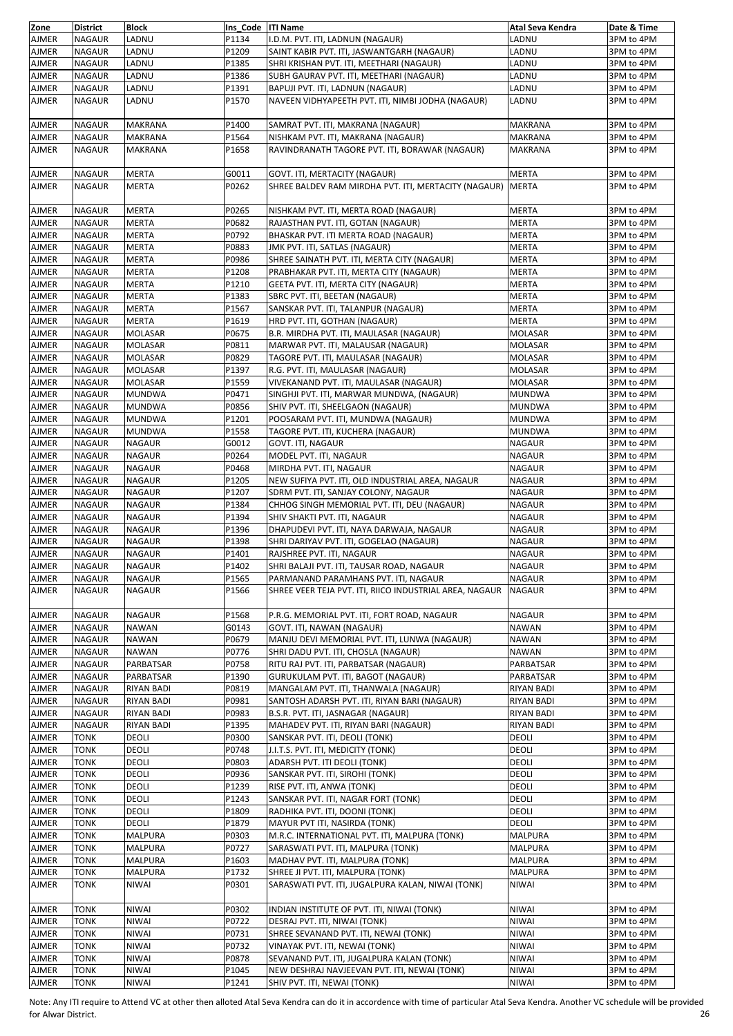| Zone         | <b>District</b> | <b>Block</b>      | Ins Code ITI Name |                                                         | Atal Seva Kendra  | Date & Time |
|--------------|-----------------|-------------------|-------------------|---------------------------------------------------------|-------------------|-------------|
| <b>AJMER</b> | <b>NAGAUR</b>   | LADNU             | P1134             | I.D.M. PVT. ITI, LADNUN (NAGAUR)                        | LADNU             | 3PM to 4PM  |
| <b>AJMER</b> | NAGAUR          | LADNU             | P1209             | SAINT KABIR PVT. ITI, JASWANTGARH (NAGAUR)              | LADNU             | 3PM to 4PM  |
| <b>AJMER</b> | <b>NAGAUR</b>   | LADNU             | P1385             | SHRI KRISHAN PVT. ITI, MEETHARI (NAGAUR)                | LADNU             | 3PM to 4PM  |
|              |                 |                   |                   |                                                         |                   |             |
| <b>AJMER</b> | <b>NAGAUR</b>   | LADNU             | P1386             | SUBH GAURAV PVT. ITI, MEETHARI (NAGAUR)                 | LADNU             | 3PM to 4PM  |
| <b>AJMER</b> | NAGAUR          | LADNU             | P1391             | BAPUJI PVT. ITI, LADNUN (NAGAUR)                        | LADNU             | 3PM to 4PM  |
| <b>AJMER</b> | <b>NAGAUR</b>   | LADNU             | P1570             | NAVEEN VIDHYAPEETH PVT. ITI, NIMBI JODHA (NAGAUR)       | LADNU             | 3PM to 4PM  |
|              |                 |                   |                   |                                                         |                   |             |
| AJMER        | NAGAUR          | <b>MAKRANA</b>    | P1400             | SAMRAT PVT. ITI, MAKRANA (NAGAUR)                       | <b>MAKRANA</b>    | 3PM to 4PM  |
| <b>AJMER</b> | NAGAUR          | <b>MAKRANA</b>    | P1564             | NISHKAM PVT. ITI, MAKRANA (NAGAUR)                      | <b>MAKRANA</b>    | 3PM to 4PM  |
|              |                 |                   |                   |                                                         |                   |             |
| <b>AJMER</b> | NAGAUR          | <b>MAKRANA</b>    | P1658             | RAVINDRANATH TAGORE PVT. ITI, BORAWAR (NAGAUR)          | <b>MAKRANA</b>    | 3PM to 4PM  |
|              |                 |                   |                   |                                                         |                   |             |
| <b>AJMER</b> | <b>NAGAUR</b>   | <b>MERTA</b>      | G0011             | GOVT. ITI, MERTACITY (NAGAUR)                           | <b>MERTA</b>      | 3PM to 4PM  |
| <b>AJMER</b> | <b>NAGAUR</b>   | <b>MERTA</b>      | P0262             | SHREE BALDEV RAM MIRDHA PVT. ITI, MERTACITY (NAGAUR)    | <b>MERTA</b>      | 3PM to 4PM  |
|              |                 |                   |                   |                                                         |                   |             |
| <b>AJMER</b> | NAGAUR          | <b>MERTA</b>      | P0265             | NISHKAM PVT. ITI, MERTA ROAD (NAGAUR)                   | <b>MERTA</b>      | 3PM to 4PM  |
| <b>AJMER</b> | NAGAUR          | <b>MERTA</b>      | P0682             | RAJASTHAN PVT. ITI, GOTAN (NAGAUR)                      | <b>MERTA</b>      | 3PM to 4PM  |
|              |                 |                   |                   |                                                         |                   |             |
| <b>AJMER</b> | <b>NAGAUR</b>   | <b>MERTA</b>      | P0792             | BHASKAR PVT. ITI MERTA ROAD (NAGAUR)                    | <b>MERTA</b>      | 3PM to 4PM  |
| <b>AJMER</b> | <b>NAGAUR</b>   | <b>MERTA</b>      | P0883             | JMK PVT. ITI, SATLAS (NAGAUR)                           | <b>MERTA</b>      | 3PM to 4PM  |
| <b>AJMER</b> | NAGAUR          | <b>MERTA</b>      | P0986             | SHREE SAINATH PVT. ITI, MERTA CITY (NAGAUR)             | <b>MERTA</b>      | 3PM to 4PM  |
| <b>AJMER</b> | <b>NAGAUR</b>   | <b>MERTA</b>      | P1208             | PRABHAKAR PVT. ITI, MERTA CITY (NAGAUR)                 | <b>MERTA</b>      | 3PM to 4PM  |
| AJMER        | NAGAUR          | <b>MERTA</b>      | P1210             | GEETA PVT. ITI, MERTA CITY (NAGAUR)                     | <b>MERTA</b>      | 3PM to 4PM  |
| <b>AJMER</b> | NAGAUR          | <b>MERTA</b>      | P1383             |                                                         | <b>MERTA</b>      | 3PM to 4PM  |
|              |                 |                   |                   | SBRC PVT. ITI, BEETAN (NAGAUR)                          |                   |             |
| <b>AJMER</b> | <b>NAGAUR</b>   | <b>MERTA</b>      | P1567             | SANSKAR PVT. ITI, TALANPUR (NAGAUR)                     | <b>MERTA</b>      | 3PM to 4PM  |
| <b>AJMER</b> | NAGAUR          | <b>MERTA</b>      | P1619             | HRD PVT. ITI, GOTHAN (NAGAUR)                           | <b>MERTA</b>      | 3PM to 4PM  |
| <b>AJMER</b> | NAGAUR          | <b>MOLASAR</b>    | P0675             | B.R. MIRDHA PVT. ITI, MAULASAR (NAGAUR)                 | <b>MOLASAR</b>    | 3PM to 4PM  |
| <b>AJMER</b> | NAGAUR          | <b>MOLASAR</b>    | P0811             | MARWAR PVT. ITI, MALAUSAR (NAGAUR)                      | <b>MOLASAR</b>    | 3PM to 4PM  |
| <b>AJMER</b> | <b>NAGAUR</b>   | <b>MOLASAR</b>    | P0829             | TAGORE PVT. ITI, MAULASAR (NAGAUR)                      | MOLASAR           | 3PM to 4PM  |
|              |                 |                   |                   | R.G. PVT. ITI, MAULASAR (NAGAUR)                        |                   |             |
| <b>AJMER</b> | NAGAUR          | MOLASAR           | P1397             |                                                         | MOLASAR           | 3PM to 4PM  |
| <b>AJMER</b> | <b>NAGAUR</b>   | <b>MOLASAR</b>    | P1559             | VIVEKANAND PVT. ITI, MAULASAR (NAGAUR)                  | <b>MOLASAR</b>    | 3PM to 4PM  |
| <b>AJMER</b> | NAGAUR          | <b>MUNDWA</b>     | P0471             | SINGHJI PVT. ITI, MARWAR MUNDWA, (NAGAUR)               | <b>MUNDWA</b>     | 3PM to 4PM  |
| <b>AJMER</b> | NAGAUR          | <b>MUNDWA</b>     | P0856             | SHIV PVT. ITI, SHEELGAON (NAGAUR)                       | <b>MUNDWA</b>     | 3PM to 4PM  |
| <b>AJMER</b> | NAGAUR          | <b>MUNDWA</b>     | P1201             | POOSARAM PVT. ITI, MUNDWA (NAGAUR)                      | <b>MUNDWA</b>     | 3PM to 4PM  |
| <b>AJMER</b> | NAGAUR          | <b>MUNDWA</b>     | P1558             | TAGORE PVT. ITI, KUCHERA (NAGAUR)                       | MUNDWA            | 3PM to 4PM  |
|              |                 |                   |                   |                                                         |                   |             |
| <b>AJMER</b> | NAGAUR          | NAGAUR            | G0012             | GOVT. ITI, NAGAUR                                       | NAGAUR            | 3PM to 4PM  |
| <b>AJMER</b> | <b>NAGAUR</b>   | <b>NAGAUR</b>     | P0264             | MODEL PVT. ITI, NAGAUR                                  | <b>NAGAUR</b>     | 3PM to 4PM  |
| AJMER        | NAGAUR          | <b>NAGAUR</b>     | P0468             | MIRDHA PVT. ITI, NAGAUR                                 | <b>NAGAUR</b>     | 3PM to 4PM  |
| <b>AJMER</b> | NAGAUR          | <b>NAGAUR</b>     | P1205             | NEW SUFIYA PVT. ITI, OLD INDUSTRIAL AREA, NAGAUR        | NAGAUR            | 3PM to 4PM  |
| <b>AJMER</b> | NAGAUR          | NAGAUR            | P1207             | SDRM PVT. ITI, SANJAY COLONY, NAGAUR                    | <b>NAGAUR</b>     | 3PM to 4PM  |
| <b>AJMER</b> | <b>NAGAUR</b>   | <b>NAGAUR</b>     | P1384             | CHHOG SINGH MEMORIAL PVT. ITI, DEU (NAGAUR)             | <b>NAGAUR</b>     | 3PM to 4PM  |
|              |                 |                   |                   |                                                         |                   |             |
| <b>AJMER</b> | NAGAUR          | NAGAUR            | P1394             | SHIV SHAKTI PVT. ITI, NAGAUR                            | <b>NAGAUR</b>     | 3PM to 4PM  |
| <b>AJMER</b> | <b>NAGAUR</b>   | <b>NAGAUR</b>     | P1396             | DHAPUDEVI PVT. ITI, NAYA DARWAJA, NAGAUR                | <b>NAGAUR</b>     | 3PM to 4PM  |
| <b>AJMER</b> | <b>NAGAUR</b>   | <b>NAGAUR</b>     | P1398             | SHRI DARIYAV PVT. ITI, GOGELAO (NAGAUR)                 | <b>NAGAUR</b>     | 3PM to 4PM  |
| AJMER        | NAGAUR          | <b>NAGAUR</b>     | P1401             | RAJSHREE PVT. ITI, NAGAUR                               | <b>NAGAUR</b>     | 3PM to 4PM  |
| <b>AJMER</b> | NAGAUR          | <b>NAGAUR</b>     | P1402             | SHRI BALAJI PVT. ITI, TAUSAR ROAD, NAGAUR               | <b>NAGAUR</b>     | 3PM to 4PM  |
| AJMER        | NAGAUR          | <b>NAGAUR</b>     | P1565             | PARMANAND PARAMHANS PVT. ITI, NAGAUR                    | <b>NAGAUR</b>     | 3PM to 4PM  |
| <b>AJMER</b> | <b>NAGAUR</b>   | <b>NAGAUR</b>     |                   |                                                         | <b>NAGAUR</b>     | 3PM to 4PM  |
|              |                 |                   | P1566             | SHREE VEER TEJA PVT. ITI, RIICO INDUSTRIAL AREA, NAGAUR |                   |             |
|              |                 |                   |                   |                                                         |                   |             |
| <b>AJMER</b> | <b>NAGAUR</b>   | <b>NAGAUR</b>     | P1568             | P.R.G. MEMORIAL PVT. ITI, FORT ROAD, NAGAUR             | NAGAUR            | 3PM to 4PM  |
| <b>AJMER</b> | NAGAUR          | NAWAN             | G0143             | GOVT. ITI, NAWAN (NAGAUR)                               | NAWAN             | 3PM to 4PM  |
| <b>AJMER</b> | <b>NAGAUR</b>   | <b>NAWAN</b>      | P0679             | MANJU DEVI MEMORIAL PVT. ITI, LUNWA (NAGAUR)            | NAWAN             | 3PM to 4PM  |
| <b>AJMER</b> | NAGAUR          | <b>NAWAN</b>      | P0776             | SHRI DADU PVT. ITI, CHOSLA (NAGAUR)                     | NAWAN             | 3PM to 4PM  |
|              |                 |                   |                   |                                                         |                   |             |
| <b>AJMER</b> | NAGAUR          | PARBATSAR         | P0758             | RITU RAJ PVT. ITI, PARBATSAR (NAGAUR)                   | PARBATSAR         | 3PM to 4PM  |
| <b>AJMER</b> | NAGAUR          | PARBATSAR         | P1390             | GURUKULAM PVT. ITI, BAGOT (NAGAUR)                      | PARBATSAR         | 3PM to 4PM  |
| <b>AJMER</b> | NAGAUR          | <b>RIYAN BADI</b> | P0819             | MANGALAM PVT. ITI, THANWALA (NAGAUR)                    | <b>RIYAN BADI</b> | 3PM to 4PM  |
| <b>AJMER</b> | NAGAUR          | RIYAN BADI        | P0981             | SANTOSH ADARSH PVT. ITI, RIYAN BARI (NAGAUR)            | RIYAN BADI        | 3PM to 4PM  |
| <b>AJMER</b> | NAGAUR          | RIYAN BADI        | P0983             | B.S.R. PVT. ITI, JASNAGAR (NAGAUR)                      | <b>RIYAN BADI</b> | 3PM to 4PM  |
| <b>AJMER</b> | <b>NAGAUR</b>   | <b>RIYAN BADI</b> | P1395             | MAHADEV PVT. ITI, RIYAN BARI (NAGAUR)                   | <b>RIYAN BADI</b> | 3PM to 4PM  |
| AJMER        | TONK            | DEOLI             | P0300             | SANSKAR PVT. ITI, DEOLI (TONK)                          | DEOLI             | 3PM to 4PM  |
| <b>AJMER</b> | TONK            | DEOLI             | P0748             | J.I.T.S. PVT. ITI, MEDICITY (TONK)                      | DEOLI             | 3PM to 4PM  |
|              |                 |                   |                   |                                                         |                   |             |
| <b>AJMER</b> | TONK            | DEOLI             | P0803             | ADARSH PVT. ITI DEOLI (TONK)                            | DEOLI             | 3PM to 4PM  |
| <b>AJMER</b> | TONK            | DEOLI             | P0936             | SANSKAR PVT. ITI, SIROHI (TONK)                         | DEOLI             | 3PM to 4PM  |
| <b>AJMER</b> | <b>TONK</b>     | DEOLI             | P1239             | RISE PVT. ITI, ANWA (TONK)                              | DEOLI             | 3PM to 4PM  |
| <b>AJMER</b> | TONK            | DEOLI             | P1243             | SANSKAR PVT. ITI, NAGAR FORT (TONK)                     | DEOLI             | 3PM to 4PM  |
| AJMER        | TONK            | DEOLI             | P1809             | RADHIKA PVT. ITI, DOONI (TONK)                          | DEOLI             | 3PM to 4PM  |
| <b>AJMER</b> | TONK            | DEOLI             | P1879             | MAYUR PVT ITI, NASIRDA (TONK)                           | DEOLI             | 3PM to 4PM  |
|              |                 |                   |                   |                                                         |                   |             |
| <b>AJMER</b> | TONK            | <b>MALPURA</b>    | P0303             | M.R.C. INTERNATIONAL PVT. ITI, MALPURA (TONK)           | MALPURA           | 3PM to 4PM  |
| <b>AJMER</b> | TONK            | MALPURA           | P0727             | SARASWATI PVT. ITI, MALPURA (TONK)                      | <b>MALPURA</b>    | 3PM to 4PM  |
| <b>AJMER</b> | TONK            | MALPURA           | P1603             | MADHAV PVT. ITI, MALPURA (TONK)                         | MALPURA           | 3PM to 4PM  |
| <b>AJMER</b> | TONK            | MALPURA           | P1732             | SHREE JI PVT. ITI, MALPURA (TONK)                       | MALPURA           | 3PM to 4PM  |
| <b>AJMER</b> | TONK            | <b>NIWAI</b>      | P0301             | SARASWATI PVT. ITI, JUGALPURA KALAN, NIWAI (TONK)       | <b>NIWAI</b>      | 3PM to 4PM  |
|              |                 |                   |                   |                                                         |                   |             |
|              |                 |                   |                   |                                                         |                   |             |
| <b>AJMER</b> | TONK            | NIWAI             | P0302             | INDIAN INSTITUTE OF PVT. ITI, NIWAI (TONK)              | <b>NIWAI</b>      | 3PM to 4PM  |
| <b>AJMER</b> | <b>TONK</b>     | <b>NIWAI</b>      | P0722             | DESRAJ PVT. ITI, NIWAI (TONK)                           | <b>NIWAI</b>      | 3PM to 4PM  |
| <b>AJMER</b> | TONK            | NIWAI             | P0731             | SHREE SEVANAND PVT. ITI, NEWAI (TONK)                   | <b>NIWAI</b>      | 3PM to 4PM  |
| <b>AJMER</b> | TONK            | NIWAI             | P0732             | VINAYAK PVT. ITI, NEWAI (TONK)                          | <b>NIWAI</b>      | 3PM to 4PM  |
| <b>AJMER</b> | TONK            | <b>NIWAI</b>      | P0878             | SEVANAND PVT. ITI, JUGALPURA KALAN (TONK)               | <b>NIWAI</b>      | 3PM to 4PM  |
|              |                 |                   |                   |                                                         |                   |             |
| <b>AJMER</b> | TONK            | NIWAI             | P1045             | NEW DESHRAJ NAVJEEVAN PVT. ITI, NEWAI (TONK)            | <b>NIWAI</b>      | 3PM to 4PM  |
| <b>AJMER</b> | TONK            | NIWAI             | P1241             | SHIV PVT. ITI, NEWAI (TONK)                             | <b>NIWAI</b>      | 3PM to 4PM  |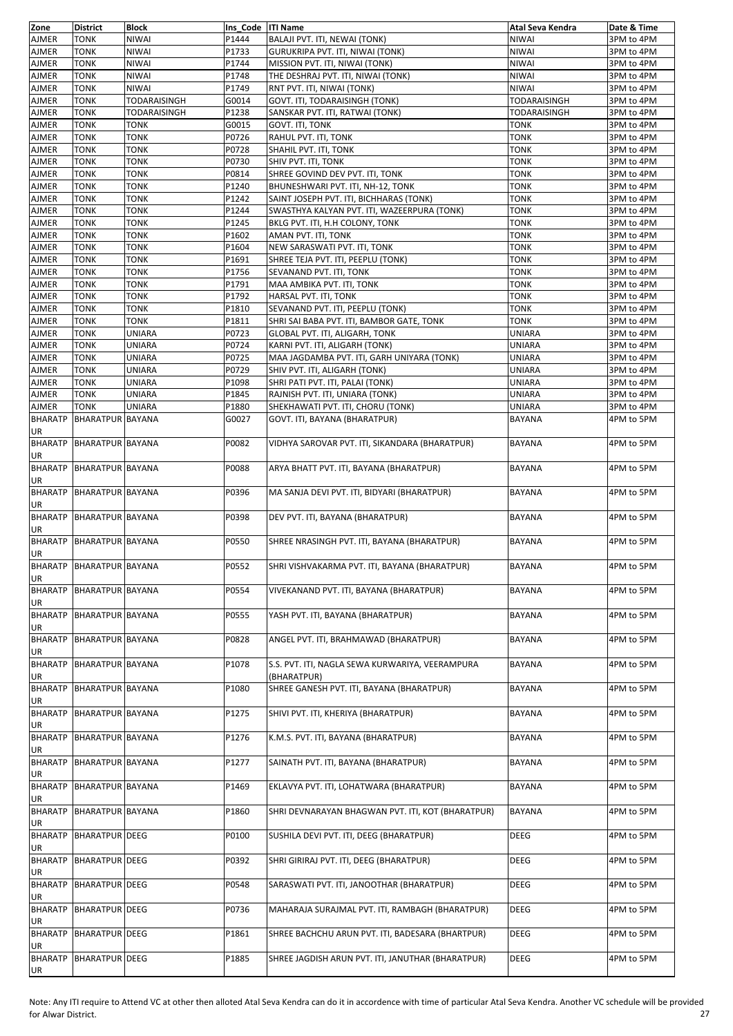| Zone                 | <b>District</b>          | <b>Block</b>        | Ins Code ITI Name |                                                          | Atal Seva Kendra    | Date & Time |
|----------------------|--------------------------|---------------------|-------------------|----------------------------------------------------------|---------------------|-------------|
| AJMER                | TONK                     | <b>NIWAI</b>        | P1444             | BALAJI PVT. ITI, NEWAI (TONK)                            | <b>NIWAI</b>        | 3PM to 4PM  |
| AJMER                | TONK                     | <b>NIWAI</b>        | P1733             | GURUKRIPA PVT. ITI, NIWAI (TONK)                         | <b>NIWAI</b>        | 3PM to 4PM  |
| AJMER                | TONK                     | <b>NIWAI</b>        | P1744             | MISSION PVT. ITI, NIWAI (TONK)                           | <b>NIWAI</b>        | 3PM to 4PM  |
| AJMER                | <b>TONK</b>              | <b>NIWAI</b>        | P1748             | THE DESHRAJ PVT. ITI, NIWAI (TONK)                       | <b>NIWAI</b>        | 3PM to 4PM  |
| AJMER                | TONK                     | <b>NIWAI</b>        | P1749             | RNT PVT. ITI, NIWAI (TONK)                               | <b>NIWAI</b>        | 3PM to 4PM  |
| AJMER                | TONK                     | <b>TODARAISINGH</b> | G0014             | GOVT. ITI, TODARAISINGH (TONK)                           | <b>TODARAISINGH</b> | 3PM to 4PM  |
| AJMER                | TONK                     | TODARAISINGH        | P1238             | SANSKAR PVT. ITI, RATWAI (TONK)                          | <b>TODARAISINGH</b> | 3PM to 4PM  |
| AJMER                | TONK                     | <b>TONK</b>         | G0015             | GOVT. ITI, TONK                                          | <b>TONK</b>         | 3PM to 4PM  |
| AJMER                | TONK                     | <b>TONK</b>         | P0726             | RAHUL PVT. ITI, TONK                                     | <b>TONK</b>         | 3PM to 4PM  |
| <b>AJMER</b>         | TONK                     | TONK                | P0728             | SHAHIL PVT. ITI, TONK                                    | <b>TONK</b>         | 3PM to 4PM  |
| AJMER                | TONK                     | <b>TONK</b>         | P0730             | SHIV PVT. ITI, TONK                                      | <b>TONK</b>         | 3PM to 4PM  |
| AJMER                | TONK                     | <b>TONK</b>         | P0814             | SHREE GOVIND DEV PVT. ITI, TONK                          | <b>TONK</b>         | 3PM to 4PM  |
| AJMER                | TONK                     | TONK                | P1240             | BHUNESHWARI PVT. ITI, NH-12, TONK                        | <b>TONK</b>         | 3PM to 4PM  |
| AJMER                | TONK                     | TONK                | P1242             | SAINT JOSEPH PVT. ITI, BICHHARAS (TONK)                  | <b>TONK</b>         | 3PM to 4PM  |
| AJMER                | TONK                     | <b>TONK</b>         | P1244             | SWASTHYA KALYAN PVT. ITI, WAZEERPURA (TONK)              | <b>TONK</b>         | 3PM to 4PM  |
| AJMER                | TONK                     | <b>TONK</b>         | P1245             | BKLG PVT. ITI, H.H COLONY, TONK                          | <b>TONK</b>         | 3PM to 4PM  |
| AJMER                | TONK                     | TONK                | P1602             | AMAN PVT. ITI, TONK                                      | TONK                | 3PM to 4PM  |
| AJMER                | TONK                     | <b>TONK</b>         | P1604             | NEW SARASWATI PVT. ITI, TONK                             | <b>TONK</b>         | 3PM to 4PM  |
| AJMER                | <b>TONK</b>              | <b>TONK</b>         | P1691             | SHREE TEJA PVT. ITI, PEEPLU (TONK)                       | <b>TONK</b>         | 3PM to 4PM  |
| AJMER                | TONK                     | <b>TONK</b>         | P1756             | SEVANAND PVT. ITI, TONK                                  | <b>TONK</b>         | 3PM to 4PM  |
| AJMER                | TONK                     | <b>TONK</b>         | P1791             | MAA AMBIKA PVT. ITI, TONK                                | <b>TONK</b>         | 3PM to 4PM  |
| AJMER                | TONK                     | <b>TONK</b>         | P1792             | HARSAL PVT. ITI, TONK                                    | <b>TONK</b>         | 3PM to 4PM  |
| <b>AJMER</b>         | <b>TONK</b>              | <b>TONK</b>         | P1810             | SEVANAND PVT. ITI, PEEPLU (TONK)                         | <b>TONK</b>         | 3PM to 4PM  |
| AJMER                | TONK                     | TONK                | P1811             | SHRI SAI BABA PVT. ITI, BAMBOR GATE, TONK                | <b>TONK</b>         | 3PM to 4PM  |
| AJMER                | TONK                     | <b>UNIARA</b>       | P0723             | GLOBAL PVT. ITI, ALIGARH, TONK                           | <b>UNIARA</b>       | 3PM to 4PM  |
| AJMER                | TONK                     | <b>UNIARA</b>       | P0724             | KARNI PVT. ITI, ALIGARH (TONK)                           | UNIARA              | 3PM to 4PM  |
| AJMER                | TONK                     | <b>UNIARA</b>       | P0725             | MAA JAGDAMBA PVT. ITI, GARH UNIYARA (TONK)               | UNIARA              | 3PM to 4PM  |
| AJMER                | TONK                     | <b>UNIARA</b>       | P0729             | SHIV PVT. ITI, ALIGARH (TONK)                            | <b>UNIARA</b>       | 3PM to 4PM  |
| AJMER                | TONK                     | <b>UNIARA</b>       | P1098             | SHRI PATI PVT. ITI, PALAI (TONK)                         | UNIARA              | 3PM to 4PM  |
| AJMER                | TONK                     | <b>UNIARA</b>       | P1845             | RAJNISH PVT. ITI, UNIARA (TONK)                          | UNIARA              | 3PM to 4PM  |
| AJMER                | TONK                     | <b>UNIARA</b>       | P1880             | SHEKHAWATI PVT. ITI, CHORU (TONK)                        | <b>UNIARA</b>       | 3PM to 4PM  |
| <b>BHARATP</b>       | <b>BHARATPUR BAYANA</b>  |                     | G0027             | GOVT. ITI, BAYANA (BHARATPUR)                            | <b>BAYANA</b>       | 4PM to 5PM  |
| UR                   | BHARATP BHARATPUR BAYANA |                     | P0082             | VIDHYA SAROVAR PVT. ITI, SIKANDARA (BHARATPUR)           | <b>BAYANA</b>       | 4PM to 5PM  |
| UR                   | BHARATP BHARATPUR BAYANA |                     | P0088             | ARYA BHATT PVT. ITI, BAYANA (BHARATPUR)                  | <b>BAYANA</b>       | 4PM to 5PM  |
| UR                   | BHARATP BHARATPUR BAYANA |                     | P0396             | MA SANJA DEVI PVT. ITI, BIDYARI (BHARATPUR)              | <b>BAYANA</b>       | 4PM to 5PM  |
| UR                   | BHARATP BHARATPUR BAYANA |                     | P0398             | DEV PVT. ITI, BAYANA (BHARATPUR)                         | <b>BAYANA</b>       | 4PM to 5PM  |
| UR                   | BHARATP BHARATPUR BAYANA |                     | P0550             | SHREE NRASINGH PVT. ITI, BAYANA (BHARATPUR)              | <b>BAYANA</b>       | 4PM to 5PM  |
| UR                   | BHARATP BHARATPUR BAYANA |                     | P0552             | SHRI VISHVAKARMA PVT. ITI, BAYANA (BHARATPUR)            | <b>BAYANA</b>       | 4PM to 5PM  |
| UR<br><b>BHARATP</b> | <b>BHARATPUR BAYANA</b>  |                     | P0554             | VIVEKANAND PVT. ITI, BAYANA (BHARATPUR)                  | <b>BAYANA</b>       | 4PM to 5PM  |
| UR<br><b>BHARATP</b> | <b>BHARATPUR BAYANA</b>  |                     | P0555             | YASH PVT. ITI, BAYANA (BHARATPUR)                        | BAYANA              | 4PM to 5PM  |
| UR<br><b>BHARATP</b> | <b>BHARATPUR BAYANA</b>  |                     | P0828             | ANGEL PVT. ITI, BRAHMAWAD (BHARATPUR)                    | <b>BAYANA</b>       | 4PM to 5PM  |
| UR<br><b>BHARATP</b> | <b>BHARATPUR BAYANA</b>  |                     | P1078             | S.S. PVT. ITI, NAGLA SEWA KURWARIYA, VEERAMPURA          | BAYANA              | 4PM to 5PM  |
| UR<br><b>BHARATP</b> | <b>BHARATPUR BAYANA</b>  |                     | P1080             | (BHARATPUR)<br>SHREE GANESH PVT. ITI, BAYANA (BHARATPUR) | BAYANA              | 4PM to 5PM  |
| UR<br><b>BHARATP</b> | <b>BHARATPUR BAYANA</b>  |                     | P1275             | SHIVI PVT. ITI, KHERIYA (BHARATPUR)                      | <b>BAYANA</b>       | 4PM to 5PM  |
| UR<br><b>BHARATP</b> | <b>BHARATPUR BAYANA</b>  |                     | P1276             | K.M.S. PVT. ITI, BAYANA (BHARATPUR)                      | <b>BAYANA</b>       | 4PM to 5PM  |
| UR                   |                          |                     | P1277             |                                                          |                     |             |
| <b>BHARATP</b><br>UR | <b>BHARATPUR BAYANA</b>  |                     |                   | SAINATH PVT. ITI, BAYANA (BHARATPUR)                     | BAYANA              | 4PM to 5PM  |
| <b>BHARATP</b><br>UR | <b>BHARATPUR BAYANA</b>  |                     | P1469             | EKLAVYA PVT. ITI, LOHATWARA (BHARATPUR)                  | <b>BAYANA</b>       | 4PM to 5PM  |
| <b>BHARATP</b><br>UR | <b>BHARATPUR BAYANA</b>  |                     | P1860             | SHRI DEVNARAYAN BHAGWAN PVT. ITI, KOT (BHARATPUR)        | <b>BAYANA</b>       | 4PM to 5PM  |
| <b>BHARATP</b><br>UR | <b>BHARATPUR DEEG</b>    |                     | P0100             | SUSHILA DEVI PVT. ITI, DEEG (BHARATPUR)                  | DEEG                | 4PM to 5PM  |
| <b>BHARATP</b><br>UR | <b>BHARATPUR DEEG</b>    |                     | P0392             | SHRI GIRIRAJ PVT. ITI, DEEG (BHARATPUR)                  | DEEG                | 4PM to 5PM  |
| <b>BHARATP</b><br>UR | <b>BHARATPUR DEEG</b>    |                     | P0548             | SARASWATI PVT. ITI, JANOOTHAR (BHARATPUR)                | <b>DEEG</b>         | 4PM to 5PM  |
| <b>BHARATP</b><br>UR | <b>BHARATPUR DEEG</b>    |                     | P0736             | MAHARAJA SURAJMAL PVT. ITI, RAMBAGH (BHARATPUR)          | <b>DEEG</b>         | 4PM to 5PM  |
| <b>BHARATP</b><br>UR | <b>BHARATPUR DEEG</b>    |                     | P1861             | SHREE BACHCHU ARUN PVT. ITI, BADESARA (BHARTPUR)         | <b>DEEG</b>         | 4PM to 5PM  |
| <b>BHARATP</b><br>UR | <b>BHARATPUR DEEG</b>    |                     | P1885             | SHREE JAGDISH ARUN PVT. ITI, JANUTHAR (BHARATPUR)        | <b>DEEG</b>         | 4PM to 5PM  |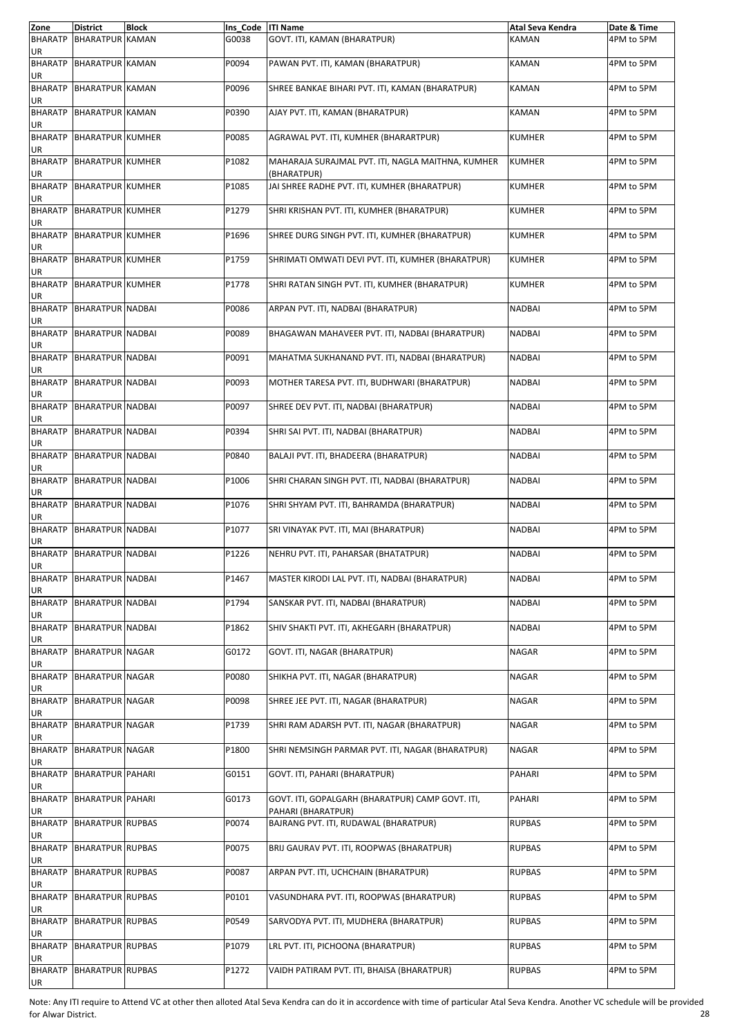| Zone                 | <b>District</b>          | <b>Block</b> | Ins_Code   ITI Name |                                                                        | Atal Seva Kendra | Date & Time |
|----------------------|--------------------------|--------------|---------------------|------------------------------------------------------------------------|------------------|-------------|
| <b>BHARATP</b><br>UR | <b>BHARATPUR KAMAN</b>   |              | G0038               | GOVT. ITI, KAMAN (BHARATPUR)                                           | KAMAN            | 4PM to 5PM  |
| UR                   | BHARATP BHARATPUR KAMAN  |              | P0094               | PAWAN PVT. ITI, KAMAN (BHARATPUR)                                      | <b>KAMAN</b>     | 4PM to 5PM  |
| <b>BHARATP</b><br>UR | <b>BHARATPUR KAMAN</b>   |              | P0096               | SHREE BANKAE BIHARI PVT. ITI, KAMAN (BHARATPUR)                        | KAMAN            | 4PM to 5PM  |
| <b>BHARATP</b><br>UR | <b>BHARATPUR KAMAN</b>   |              | P0390               | AJAY PVT. ITI, KAMAN (BHARATPUR)                                       | KAMAN            | 4PM to 5PM  |
| <b>BHARATP</b><br>UR | <b>BHARATPUR KUMHER</b>  |              | P0085               | AGRAWAL PVT. ITI, KUMHER (BHARARTPUR)                                  | <b>KUMHER</b>    | 4PM to 5PM  |
| <b>BHARATP</b><br>UR | <b>BHARATPUR KUMHER</b>  |              | P1082               | MAHARAJA SURAJMAL PVT. ITI, NAGLA MAITHNA, KUMHER<br>(BHARATPUR)       | <b>KUMHER</b>    | 4PM to 5PM  |
| <b>BHARATP</b><br>UR | <b>BHARATPUR KUMHER</b>  |              | P1085               | JAI SHREE RADHE PVT. ITI, KUMHER (BHARATPUR)                           | <b>KUMHER</b>    | 4PM to 5PM  |
| <b>BHARATP</b><br>UR | <b>BHARATPUR KUMHER</b>  |              | P1279               | SHRI KRISHAN PVT. ITI, KUMHER (BHARATPUR)                              | <b>KUMHER</b>    | 4PM to 5PM  |
| <b>BHARATP</b><br>UR | <b>BHARATPUR KUMHER</b>  |              | P1696               | SHREE DURG SINGH PVT. ITI, KUMHER (BHARATPUR)                          | <b>KUMHER</b>    | 4PM to 5PM  |
| <b>BHARATP</b><br>UR | <b>BHARATPUR KUMHER</b>  |              | P1759               | SHRIMATI OMWATI DEVI PVT. ITI, KUMHER (BHARATPUR)                      | <b>KUMHER</b>    | 4PM to 5PM  |
| <b>BHARATP</b><br>UR | <b>BHARATPUR KUMHER</b>  |              | P1778               | SHRI RATAN SINGH PVT. ITI, KUMHER (BHARATPUR)                          | <b>KUMHER</b>    | 4PM to 5PM  |
| <b>BHARATP</b><br>UR | <b>BHARATPUR NADBAI</b>  |              | P0086               | ARPAN PVT. ITI, NADBAI (BHARATPUR)                                     | <b>NADBAI</b>    | 4PM to 5PM  |
| <b>BHARATP</b><br>UR | <b>BHARATPUR NADBAI</b>  |              | P0089               | BHAGAWAN MAHAVEER PVT. ITI, NADBAI (BHARATPUR)                         | <b>NADBAI</b>    | 4PM to 5PM  |
| <b>BHARATP</b><br>UR | <b>BHARATPUR NADBAI</b>  |              | P0091               | MAHATMA SUKHANAND PVT. ITI, NADBAI (BHARATPUR)                         | <b>NADBAI</b>    | 4PM to 5PM  |
| <b>BHARATP</b><br>UR | <b>BHARATPUR NADBAI</b>  |              | P0093               | MOTHER TARESA PVT. ITI, BUDHWARI (BHARATPUR)                           | <b>NADBAI</b>    | 4PM to 5PM  |
| <b>BHARATP</b><br>UR | <b>BHARATPUR NADBAI</b>  |              | P0097               | SHREE DEV PVT. ITI, NADBAI (BHARATPUR)                                 | <b>NADBAI</b>    | 4PM to 5PM  |
| <b>BHARATP</b><br>UR | <b>BHARATPUR NADBAI</b>  |              | P0394               | SHRI SAI PVT. ITI, NADBAI (BHARATPUR)                                  | <b>NADBAI</b>    | 4PM to 5PM  |
| <b>BHARATP</b><br>UR | <b>BHARATPUR NADBAI</b>  |              | P0840               | BALAJI PVT. ITI, BHADEERA (BHARATPUR)                                  | <b>NADBAI</b>    | 4PM to 5PM  |
| <b>BHARATP</b><br>UR | <b>BHARATPUR NADBAI</b>  |              | P1006               | SHRI CHARAN SINGH PVT. ITI, NADBAI (BHARATPUR)                         | <b>NADBAI</b>    | 4PM to 5PM  |
| <b>BHARATP</b><br>UR | <b>BHARATPUR NADBAI</b>  |              | P1076               | SHRI SHYAM PVT. ITI, BAHRAMDA (BHARATPUR)                              | <b>NADBAI</b>    | 4PM to 5PM  |
| <b>BHARATP</b><br>UR | <b>BHARATPUR NADBAI</b>  |              | P1077               | SRI VINAYAK PVT. ITI, MAI (BHARATPUR)                                  | <b>NADBAI</b>    | 4PM to 5PM  |
| <b>BHARATP</b><br>UR | <b>BHARATPUR NADBAI</b>  |              | P1226               | NEHRU PVT. ITI, PAHARSAR (BHATATPUR)                                   | <b>NADBAI</b>    | 4PM to 5PM  |
| UR                   | BHARATP BHARATPUR NADBAI |              | P1467               | MASTER KIRODI LAL PVT. ITI, NADBAI (BHARATPUR)                         | <b>NADBAI</b>    | 4PM to 5PM  |
| <b>BHARATP</b><br>UR | <b>BHARATPUR NADBAI</b>  |              | P1794               | SANSKAR PVT. ITI, NADBAI (BHARATPUR)                                   | <b>NADBAI</b>    | 4PM to 5PM  |
| <b>BHARATP</b><br>UR | <b>BHARATPUR NADBAI</b>  |              | P1862               | SHIV SHAKTI PVT. ITI, AKHEGARH (BHARATPUR)                             | <b>NADBAI</b>    | 4PM to 5PM  |
| <b>BHARATP</b><br>UR | <b>BHARATPUR NAGAR</b>   |              | G0172               | GOVT. ITI, NAGAR (BHARATPUR)                                           | NAGAR            | 4PM to 5PM  |
| <b>BHARATP</b><br>UR | <b>BHARATPUR NAGAR</b>   |              | P0080               | SHIKHA PVT. ITI, NAGAR (BHARATPUR)                                     | NAGAR            | 4PM to 5PM  |
| <b>BHARATP</b><br>UR | <b>BHARATPUR NAGAR</b>   |              | P0098               | SHREE JEE PVT. ITI, NAGAR (BHARATPUR)                                  | NAGAR            | 4PM to 5PM  |
| <b>BHARATP</b><br>UR | <b>BHARATPUR NAGAR</b>   |              | P1739               | SHRI RAM ADARSH PVT. ITI, NAGAR (BHARATPUR)                            | NAGAR            | 4PM to 5PM  |
| <b>BHARATP</b><br>UR | <b>BHARATPUR NAGAR</b>   |              | P1800               | SHRI NEMSINGH PARMAR PVT. ITI, NAGAR (BHARATPUR)                       | NAGAR            | 4PM to 5PM  |
| <b>BHARATP</b><br>UR | <b>BHARATPUR PAHARI</b>  |              | G0151               | GOVT. ITI, PAHARI (BHARATPUR)                                          | PAHARI           | 4PM to 5PM  |
| <b>BHARATP</b><br>UR | <b>BHARATPUR PAHARI</b>  |              | G0173               | GOVT. ITI, GOPALGARH (BHARATPUR) CAMP GOVT. ITI,<br>PAHARI (BHARATPUR) | PAHARI           | 4PM to 5PM  |
| <b>BHARATP</b><br>UR | <b>BHARATPUR RUPBAS</b>  |              | P0074               | BAJRANG PVT. ITI, RUDAWAL (BHARATPUR)                                  | <b>RUPBAS</b>    | 4PM to 5PM  |
| <b>BHARATP</b><br>UR | <b>BHARATPUR RUPBAS</b>  |              | P0075               | BRIJ GAURAV PVT. ITI, ROOPWAS (BHARATPUR)                              | <b>RUPBAS</b>    | 4PM to 5PM  |
| <b>BHARATP</b><br>UR | <b>BHARATPUR RUPBAS</b>  |              | P0087               | ARPAN PVT. ITI, UCHCHAIN (BHARATPUR)                                   | <b>RUPBAS</b>    | 4PM to 5PM  |
| BHARATP<br>UR        | <b>BHARATPUR RUPBAS</b>  |              | P0101               | VASUNDHARA PVT. ITI, ROOPWAS (BHARATPUR)                               | <b>RUPBAS</b>    | 4PM to 5PM  |
| <b>BHARATP</b><br>UR | <b>BHARATPUR RUPBAS</b>  |              | P0549               | SARVODYA PVT. ITI, MUDHERA (BHARATPUR)                                 | <b>RUPBAS</b>    | 4PM to 5PM  |
| <b>BHARATP</b><br>UR | <b>BHARATPUR RUPBAS</b>  |              | P1079               | LRL PVT. ITI, PICHOONA (BHARATPUR)                                     | RUPBAS           | 4PM to 5PM  |
| <b>BHARATP</b><br>UR | <b>BHARATPUR RUPBAS</b>  |              | P1272               | VAIDH PATIRAM PVT. ITI, BHAISA (BHARATPUR)                             | <b>RUPBAS</b>    | 4PM to 5PM  |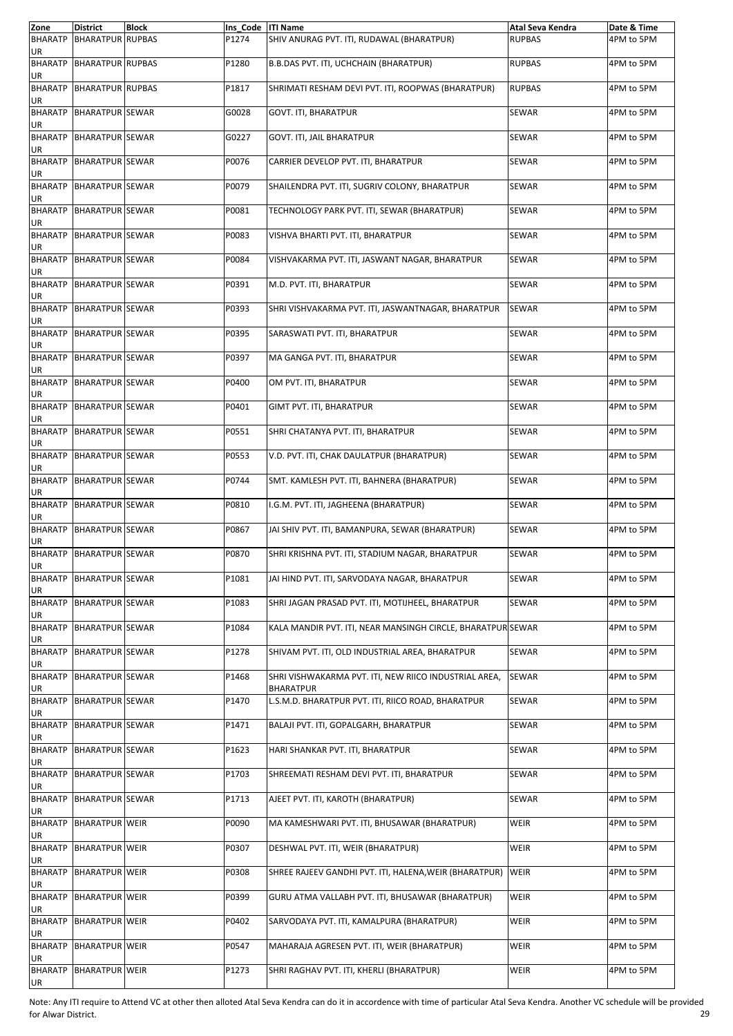| Zone                       | <b>District</b>         | <b>Block</b> | Ins Code   ITI Name |                                                                           | Atal Seva Kendra | Date & Time |
|----------------------------|-------------------------|--------------|---------------------|---------------------------------------------------------------------------|------------------|-------------|
| <b>BHARATP</b>             | <b>BHARATPUR RUPBAS</b> |              | P1274               | SHIV ANURAG PVT. ITI, RUDAWAL (BHARATPUR)                                 | <b>RUPBAS</b>    | 4PM to 5PM  |
| UR<br>BHARATP<br>UR        | <b>BHARATPUR RUPBAS</b> |              | P1280               | B.B.DAS PVT. ITI, UCHCHAIN (BHARATPUR)                                    | <b>RUPBAS</b>    | 4PM to 5PM  |
| <b>BHARATP</b><br>UR       | <b>BHARATPUR RUPBAS</b> |              | P1817               | SHRIMATI RESHAM DEVI PVT. ITI, ROOPWAS (BHARATPUR)                        | <b>RUPBAS</b>    | 4PM to 5PM  |
| <b>BHARATP</b>             | <b>BHARATPUR SEWAR</b>  |              | G0028               | <b>GOVT. ITI, BHARATPUR</b>                                               | SEWAR            | 4PM to 5PM  |
| UR<br>BHARATP<br>UR        | <b>BHARATPUR SEWAR</b>  |              | G0227               | GOVT. ITI, JAIL BHARATPUR                                                 | SEWAR            | 4PM to 5PM  |
| <b>BHARATP</b><br>UR       | <b>BHARATPUR SEWAR</b>  |              | P0076               | CARRIER DEVELOP PVT. ITI, BHARATPUR                                       | SEWAR            | 4PM to 5PM  |
| <b>BHARATP</b><br>UR       | <b>BHARATPUR SEWAR</b>  |              | P0079               | SHAILENDRA PVT. ITI, SUGRIV COLONY, BHARATPUR                             | SEWAR            | 4PM to 5PM  |
| <b>BHARATP</b><br>UR       | <b>BHARATPUR SEWAR</b>  |              | P0081               | TECHNOLOGY PARK PVT. ITI, SEWAR (BHARATPUR)                               | SEWAR            | 4PM to 5PM  |
| <b>BHARATP</b><br>UR       | <b>BHARATPUR SEWAR</b>  |              | P0083               | VISHVA BHARTI PVT. ITI, BHARATPUR                                         | SEWAR            | 4PM to 5PM  |
| <b>BHARATP</b><br>UR       | <b>BHARATPUR SEWAR</b>  |              | P0084               | VISHVAKARMA PVT. ITI, JASWANT NAGAR, BHARATPUR                            | SEWAR            | 4PM to 5PM  |
| <b>BHARATP</b><br>UR       | <b>BHARATPUR SEWAR</b>  |              | P0391               | M.D. PVT. ITI, BHARATPUR                                                  | SEWAR            | 4PM to 5PM  |
| <b>BHARATP</b><br>UR       | <b>BHARATPUR SEWAR</b>  |              | P0393               | SHRI VISHVAKARMA PVT. ITI, JASWANTNAGAR, BHARATPUR                        | SEWAR            | 4PM to 5PM  |
| <b>BHARATP</b><br>UR       | <b>BHARATPUR SEWAR</b>  |              | P0395               | SARASWATI PVT. ITI, BHARATPUR                                             | SEWAR            | 4PM to 5PM  |
| <b>BHARATP</b><br>UR       | <b>BHARATPUR SEWAR</b>  |              | P0397               | MA GANGA PVT. ITI, BHARATPUR                                              | SEWAR            | 4PM to 5PM  |
| <b>BHARATP</b><br>UR       | <b>BHARATPUR SEWAR</b>  |              | P0400               | OM PVT. ITI, BHARATPUR                                                    | SEWAR            | 4PM to 5PM  |
| <b>BHARATP</b><br>UR       | <b>BHARATPUR SEWAR</b>  |              | P0401               | GIMT PVT. ITI, BHARATPUR                                                  | SEWAR            | 4PM to 5PM  |
| <b>BHARATP</b><br>UR       | <b>BHARATPUR SEWAR</b>  |              | P0551               | SHRI CHATANYA PVT. ITI, BHARATPUR                                         | SEWAR            | 4PM to 5PM  |
| <b>BHARATP</b><br>UR       | <b>BHARATPUR SEWAR</b>  |              | P0553               | V.D. PVT. ITI, CHAK DAULATPUR (BHARATPUR)                                 | SEWAR            | 4PM to 5PM  |
| <b>BHARATP</b><br>UR       | <b>BHARATPUR SEWAR</b>  |              | P0744               | SMT. KAMLESH PVT. ITI, BAHNERA (BHARATPUR)                                | SEWAR            | 4PM to 5PM  |
| <b>BHARATP</b><br>UR       | <b>BHARATPUR SEWAR</b>  |              | P0810               | I.G.M. PVT. ITI, JAGHEENA (BHARATPUR)                                     | SEWAR            | 4PM to 5PM  |
| <b>BHARATP</b><br>UR       | <b>BHARATPUR SEWAR</b>  |              | P0867               | JAI SHIV PVT. ITI, BAMANPURA, SEWAR (BHARATPUR)                           | SEWAR            | 4PM to 5PM  |
| <b>BHARATP</b><br>UR       | <b>BHARATPUR SEWAR</b>  |              | P0870               | SHRI KRISHNA PVT. ITI, STADIUM NAGAR, BHARATPUR                           | SEWAR            | 4PM to 5PM  |
| <b>BHARATP</b><br>UR       | <b>BHARATPUR SEWAR</b>  |              | P1081               | JAI HIND PVT. ITI, SARVODAYA NAGAR, BHARATPUR                             | SEWAR            | 4PM to 5PM  |
| <b>BHARATP</b><br>UR       | <b>BHARATPUR SEWAR</b>  |              | P1083               | SHRI JAGAN PRASAD PVT. ITI, MOTIJHEEL, BHARATPUR                          | SEWAR            | 4PM to 5PM  |
| <b>BHARATP</b><br>UR       | <b>BHARATPUR SEWAR</b>  |              | P1084               | KALA MANDIR PVT. ITI, NEAR MANSINGH CIRCLE, BHARATPUR SEWAR               |                  | 4PM to 5PM  |
| <b>BHARATP</b><br>UR       | <b>BHARATPUR SEWAR</b>  |              | P1278               | SHIVAM PVT. ITI, OLD INDUSTRIAL AREA, BHARATPUR                           | SEWAR            | 4PM to 5PM  |
| <b>BHARATP</b><br>UR       | <b>BHARATPUR SEWAR</b>  |              | P1468               | SHRI VISHWAKARMA PVT. ITI, NEW RIICO INDUSTRIAL AREA,<br><b>BHARATPUR</b> | SEWAR            | 4PM to 5PM  |
| <b>BHARATP</b><br>UR       | <b>BHARATPUR SEWAR</b>  |              | P1470               | L.S.M.D. BHARATPUR PVT. ITI, RIICO ROAD, BHARATPUR                        | SEWAR            | 4PM to 5PM  |
| <b>BHARATP</b><br>UR       | <b>BHARATPUR SEWAR</b>  |              | P1471               | BALAJI PVT. ITI, GOPALGARH, BHARATPUR                                     | SEWAR            | 4PM to 5PM  |
| <b>BHARATP</b><br>UR       | <b>BHARATPUR SEWAR</b>  |              | P1623               | HARI SHANKAR PVT. ITI, BHARATPUR                                          | SEWAR            | 4PM to 5PM  |
| <b>BHARATP</b><br>UR       | <b>BHARATPUR SEWAR</b>  |              | P1703               | SHREEMATI RESHAM DEVI PVT. ITI, BHARATPUR                                 | SEWAR            | 4PM to 5PM  |
| <b>BHARATP</b><br>UR       | <b>BHARATPUR SEWAR</b>  |              | P1713               | AJEET PVT. ITI, KAROTH (BHARATPUR)                                        | SEWAR            | 4PM to 5PM  |
| <b>BHARATP</b><br>UR       | <b>BHARATPUR WEIR</b>   |              | P0090               | MA KAMESHWARI PVT. ITI, BHUSAWAR (BHARATPUR)                              | WEIR             | 4PM to 5PM  |
| <b>BHARATP</b><br>UR       | <b>BHARATPUR WEIR</b>   |              | P0307               | DESHWAL PVT. ITI, WEIR (BHARATPUR)                                        | WEIR             | 4PM to 5PM  |
| <b>BHARATP</b>             | <b>BHARATPUR WEIR</b>   |              | P0308               | SHREE RAJEEV GANDHI PVT. ITI, HALENA, WEIR (BHARATPUR)                    | WEIR             | 4PM to 5PM  |
| UR<br><b>BHARATP</b><br>UR | <b>BHARATPUR WEIR</b>   |              | P0399               | GURU ATMA VALLABH PVT. ITI, BHUSAWAR (BHARATPUR)                          | WEIR             | 4PM to 5PM  |
| <b>BHARATP</b>             | <b>BHARATPUR WEIR</b>   |              | P0402               | SARVODAYA PVT. ITI, KAMALPURA (BHARATPUR)                                 | WEIR             | 4PM to 5PM  |
| UR<br><b>BHARATP</b><br>UR | <b>BHARATPUR WEIR</b>   |              | P0547               | MAHARAJA AGRESEN PVT. ITI, WEIR (BHARATPUR)                               | <b>WEIR</b>      | 4PM to 5PM  |
| <b>BHARATP</b><br>UR       | <b>BHARATPUR WEIR</b>   |              | P1273               | SHRI RAGHAV PVT. ITI, KHERLI (BHARATPUR)                                  | WEIR             | 4PM to 5PM  |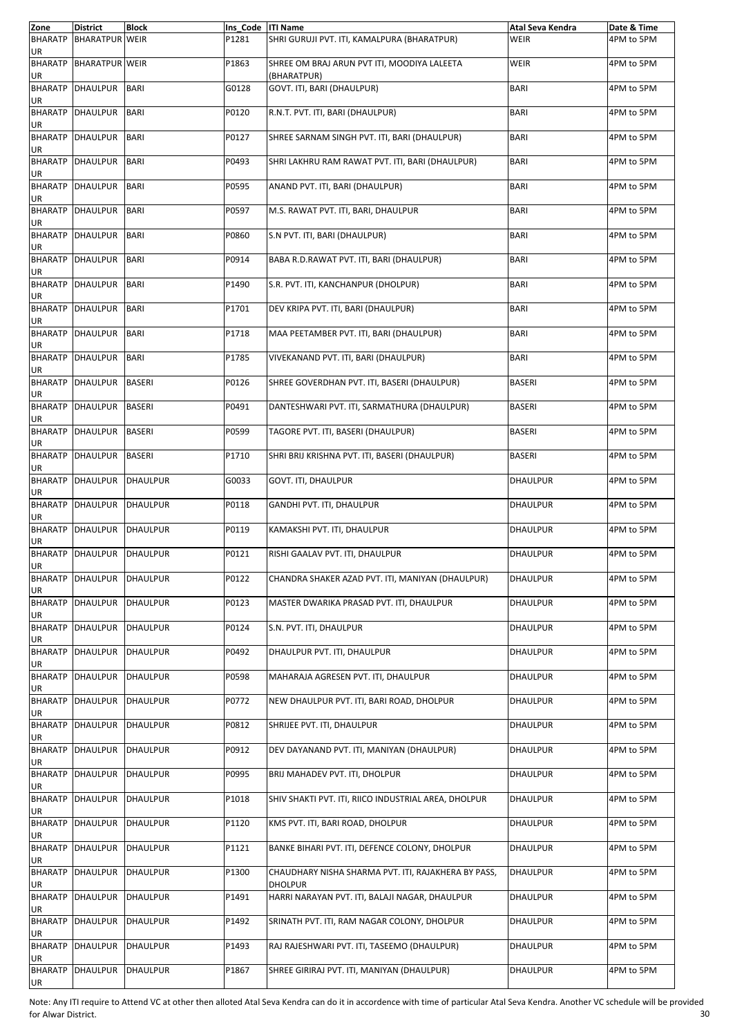| Zone                 | <b>District</b>               | <b>Block</b>    | Ins_Code   ITI Name |                                                                       | Atal Seva Kendra | Date & Time |
|----------------------|-------------------------------|-----------------|---------------------|-----------------------------------------------------------------------|------------------|-------------|
| <b>BHARATP</b><br>UR | <b>BHARATPUR WEIR</b>         |                 | P1281               | SHRI GURUJI PVT. ITI, KAMALPURA (BHARATPUR)                           | WEIR             | 4PM to 5PM  |
| UR                   | <b>BHARATP BHARATPUR WEIR</b> |                 | P1863               | SHREE OM BRAJ ARUN PVT ITI, MOODIYA LALEETA<br>(BHARATPUR)            | <b>WEIR</b>      | 4PM to 5PM  |
| UR                   | BHARATP DHAULPUR              | <b>BARI</b>     | G0128               | GOVT. ITI, BARI (DHAULPUR)                                            | <b>BARI</b>      | 4PM to 5PM  |
| <b>BHARATP</b><br>UR | <b>DHAULPUR</b>               | <b>BARI</b>     | P0120               | R.N.T. PVT. ITI, BARI (DHAULPUR)                                      | <b>BARI</b>      | 4PM to 5PM  |
| UR                   | <b>BHARATP DHAULPUR</b>       | <b>BARI</b>     | P0127               | SHREE SARNAM SINGH PVT. ITI, BARI (DHAULPUR)                          | <b>BARI</b>      | 4PM to 5PM  |
| UR                   | BHARATP DHAULPUR              | <b>BARI</b>     | P0493               | SHRI LAKHRU RAM RAWAT PVT. ITI, BARI (DHAULPUR)                       | <b>BARI</b>      | 4PM to 5PM  |
| <b>BHARATP</b><br>UR | <b>DHAULPUR</b>               | <b>BARI</b>     | P0595               | ANAND PVT. ITI, BARI (DHAULPUR)                                       | <b>BARI</b>      | 4PM to 5PM  |
| UR                   | <b>BHARATP DHAULPUR</b>       | <b>BARI</b>     | P0597               | M.S. RAWAT PVT. ITI, BARI, DHAULPUR                                   | <b>BARI</b>      | 4PM to 5PM  |
| UR                   | <b>BHARATP DHAULPUR</b>       | <b>BARI</b>     | P0860               | S.N PVT. ITI, BARI (DHAULPUR)                                         | <b>BARI</b>      | 4PM to 5PM  |
| <b>BHARATP</b><br>UR | <b>DHAULPUR</b>               | <b>BARI</b>     | P0914               | BABA R.D.RAWAT PVT. ITI, BARI (DHAULPUR)                              | <b>BARI</b>      | 4PM to 5PM  |
| UR                   | <b>BHARATP DHAULPUR</b>       | <b>BARI</b>     | P1490               | S.R. PVT. ITI, KANCHANPUR (DHOLPUR)                                   | <b>BARI</b>      | 4PM to 5PM  |
| UR                   | <b>BHARATP DHAULPUR</b>       | <b>BARI</b>     | P1701               | DEV KRIPA PVT. ITI, BARI (DHAULPUR)                                   | <b>BARI</b>      | 4PM to 5PM  |
| <b>BHARATP</b><br>UR | <b>DHAULPUR</b>               | <b>BARI</b>     | P1718               | MAA PEETAMBER PVT. ITI, BARI (DHAULPUR)                               | <b>BARI</b>      | 4PM to 5PM  |
| <b>BHARATP</b><br>UR | <b>DHAULPUR</b>               | <b>BARI</b>     | P1785               | VIVEKANAND PVT. ITI, BARI (DHAULPUR)                                  | <b>BARI</b>      | 4PM to 5PM  |
| UR                   | <b>BHARATP DHAULPUR</b>       | <b>BASERI</b>   | P0126               | SHREE GOVERDHAN PVT. ITI, BASERI (DHAULPUR)                           | <b>BASERI</b>    | 4PM to 5PM  |
| <b>BHARATP</b><br>UR | <b>DHAULPUR</b>               | <b>BASERI</b>   | P0491               | DANTESHWARI PVT. ITI, SARMATHURA (DHAULPUR)                           | <b>BASERI</b>    | 4PM to 5PM  |
| <b>BHARATP</b><br>UR | <b>DHAULPUR</b>               | <b>BASERI</b>   | P0599               | TAGORE PVT. ITI, BASERI (DHAULPUR)                                    | <b>BASERI</b>    | 4PM to 5PM  |
| UR                   | BHARATP DHAULPUR              | <b>BASERI</b>   | P1710               | SHRI BRIJ KRISHNA PVT. ITI, BASERI (DHAULPUR)                         | <b>BASERI</b>    | 4PM to 5PM  |
| UR                   | <b>BHARATP DHAULPUR</b>       | <b>DHAULPUR</b> | G0033               | GOVT. ITI, DHAULPUR                                                   | <b>DHAULPUR</b>  | 4PM to 5PM  |
| <b>BHARATP</b><br>UR | <b>DHAULPUR</b>               | <b>DHAULPUR</b> | P0118               | GANDHI PVT. ITI, DHAULPUR                                             | DHAULPUR         | 4PM to 5PM  |
| UR                   | BHARATP DHAULPUR              | <b>DHAULPUR</b> | P0119               | KAMAKSHI PVT. ITI, DHAULPUR                                           | <b>DHAULPUR</b>  | 4PM to 5PM  |
| <b>BHARATP</b><br>UR | <b>DHAULPUR</b>               | <b>DHAULPUR</b> | P0121               | RISHI GAALAV PVT. ITI, DHAULPUR                                       | DHAULPUR         | 4PM to 5PM  |
| UR                   | <b>BHARATP DHAULPUR</b>       | DHAULPUR        | P0122               | CHANDRA SHAKER AZAD PVT. ITI, MANIYAN (DHAULPUR)                      | <b>DHAULPUR</b>  | 4PM to 5PM  |
| <b>BHARATP</b><br>UR | <b>DHAULPUR</b>               | <b>DHAULPUR</b> | P0123               | MASTER DWARIKA PRASAD PVT. ITI, DHAULPUR                              | DHAULPUR         | 4PM to 5PM  |
| UR                   | <b>BHARATP DHAULPUR</b>       | <b>DHAULPUR</b> | P0124               | S.N. PVT. ITI, DHAULPUR                                               | DHAULPUR         | 4PM to 5PM  |
| <b>BHARATP</b><br>UR | <b>DHAULPUR</b>               | <b>DHAULPUR</b> | P0492               | DHAULPUR PVT. ITI, DHAULPUR                                           | DHAULPUR         | 4PM to 5PM  |
| <b>BHARATP</b><br>UR | <b>DHAULPUR</b>               | <b>DHAULPUR</b> | P0598               | MAHARAJA AGRESEN PVT. ITI, DHAULPUR                                   | DHAULPUR         | 4PM to 5PM  |
| <b>BHARATP</b><br>UR | <b>DHAULPUR</b>               | <b>DHAULPUR</b> | P0772               | NEW DHAULPUR PVT. ITI, BARI ROAD, DHOLPUR                             | DHAULPUR         | 4PM to 5PM  |
| <b>BHARATP</b><br>UR | DHAULPUR                      | <b>DHAULPUR</b> | P0812               | SHRIJEE PVT. ITI, DHAULPUR                                            | DHAULPUR         | 4PM to 5PM  |
| UR                   | BHARATP DHAULPUR              | <b>DHAULPUR</b> | P0912               | DEV DAYANAND PVT. ITI, MANIYAN (DHAULPUR)                             | DHAULPUR         | 4PM to 5PM  |
| <b>BHARATP</b><br>UR | <b>DHAULPUR</b>               | <b>DHAULPUR</b> | P0995               | BRIJ MAHADEV PVT. ITI, DHOLPUR                                        | <b>DHAULPUR</b>  | 4PM to 5PM  |
| <b>BHARATP</b><br>UR | <b>DHAULPUR</b>               | <b>DHAULPUR</b> | P1018               | SHIV SHAKTI PVT. ITI, RIICO INDUSTRIAL AREA, DHOLPUR                  | DHAULPUR         | 4PM to 5PM  |
| UR                   | <b>BHARATP DHAULPUR</b>       | <b>DHAULPUR</b> | P1120               | KMS PVT. ITI, BARI ROAD, DHOLPUR                                      | <b>DHAULPUR</b>  | 4PM to 5PM  |
| <b>BHARATP</b><br>UR | <b>DHAULPUR</b>               | <b>DHAULPUR</b> | P1121               | BANKE BIHARI PVT. ITI, DEFENCE COLONY, DHOLPUR                        | DHAULPUR         | 4PM to 5PM  |
| <b>BHARATP</b><br>UR | <b>DHAULPUR</b>               | <b>DHAULPUR</b> | P1300               | CHAUDHARY NISHA SHARMA PVT. ITI, RAJAKHERA BY PASS,<br><b>DHOLPUR</b> | <b>DHAULPUR</b>  | 4PM to 5PM  |
| UR                   | <b>BHARATP DHAULPUR</b>       | <b>DHAULPUR</b> | P1491               | HARRI NARAYAN PVT. ITI, BALAJI NAGAR, DHAULPUR                        | <b>DHAULPUR</b>  | 4PM to 5PM  |
| <b>BHARATP</b><br>UR | <b>DHAULPUR</b>               | <b>DHAULPUR</b> | P1492               | SRINATH PVT. ITI, RAM NAGAR COLONY, DHOLPUR                           | DHAULPUR         | 4PM to 5PM  |
| <b>BHARATP</b><br>UR | <b>DHAULPUR</b>               | <b>DHAULPUR</b> | P1493               | RAJ RAJESHWARI PVT. ITI, TASEEMO (DHAULPUR)                           | DHAULPUR         | 4PM to 5PM  |
| <b>BHARATP</b><br>UR | <b>DHAULPUR</b>               | <b>DHAULPUR</b> | P1867               | SHREE GIRIRAJ PVT. ITI, MANIYAN (DHAULPUR)                            | DHAULPUR         | 4PM to 5PM  |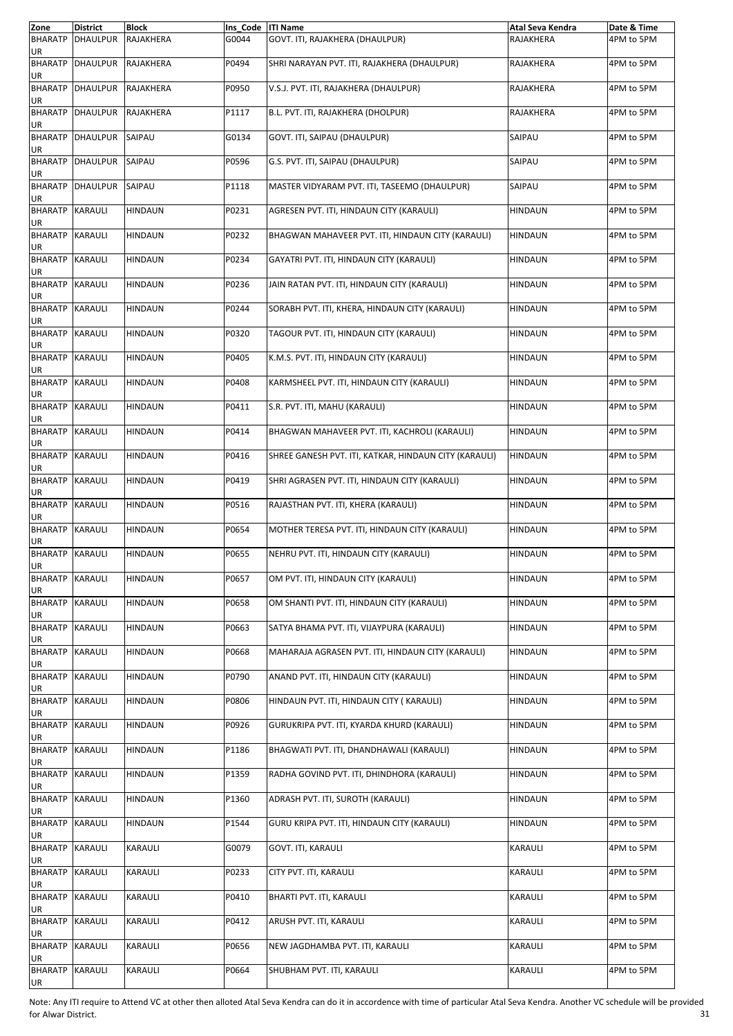| Zone                         | <b>District</b>         | <b>Block</b>   | Ins Code   ITI Name |                                                       | Atal Seva Kendra | Date & Time |
|------------------------------|-------------------------|----------------|---------------------|-------------------------------------------------------|------------------|-------------|
| <b>BHARATP</b><br>UR         | <b>DHAULPUR</b>         | RAJAKHERA      | G0044               | GOVT. ITI, RAJAKHERA (DHAULPUR)                       | RAJAKHERA        | 4PM to 5PM  |
| <b>BHARATP</b><br>UR         | <b>DHAULPUR</b>         | RAJAKHERA      | P0494               | SHRI NARAYAN PVT. ITI, RAJAKHERA (DHAULPUR)           | RAJAKHERA        | 4PM to 5PM  |
| <b>BHARATP</b><br>UR         | <b>DHAULPUR</b>         | RAJAKHERA      | P0950               | V.S.J. PVT. ITI, RAJAKHERA (DHAULPUR)                 | RAJAKHERA        | 4PM to 5PM  |
| <b>BHARATP</b><br>UR         | <b>DHAULPUR</b>         | RAJAKHERA      | P1117               | B.L. PVT. ITI, RAJAKHERA (DHOLPUR)                    | RAJAKHERA        | 4PM to 5PM  |
| UR                           | <b>BHARATP</b> DHAULPUR | SAIPAU         | G0134               | GOVT. ITI, SAIPAU (DHAULPUR)                          | SAIPAU           | 4PM to 5PM  |
| <b>BHARATP</b><br>UR         | <b>DHAULPUR</b>         | SAIPAU         | P0596               | G.S. PVT. ITI, SAIPAU (DHAULPUR)                      | SAIPAU           | 4PM to 5PM  |
| <b>BHARATP</b><br>UR         | <b>DHAULPUR</b>         | SAIPAU         | P1118               | MASTER VIDYARAM PVT. ITI, TASEEMO (DHAULPUR)          | SAIPAU           | 4PM to 5PM  |
| <b>BHARATP KARAULI</b><br>UR |                         | <b>HINDAUN</b> | P0231               | AGRESEN PVT. ITI, HINDAUN CITY (KARAULI)              | <b>HINDAUN</b>   | 4PM to 5PM  |
| <b>BHARATP</b><br>UR         | <b>KARAULI</b>          | <b>HINDAUN</b> | P0232               | BHAGWAN MAHAVEER PVT. ITI, HINDAUN CITY (KARAULI)     | <b>HINDAUN</b>   | 4PM to 5PM  |
| <b>BHARATP</b><br>UR         | <b>KARAULI</b>          | <b>HINDAUN</b> | P0234               | GAYATRI PVT. ITI, HINDAUN CITY (KARAULI)              | HINDAUN          | 4PM to 5PM  |
| BHARATP KARAULI<br>UR        |                         | <b>HINDAUN</b> | P0236               | JAIN RATAN PVT. ITI, HINDAUN CITY (KARAULI)           | <b>HINDAUN</b>   | 4PM to 5PM  |
| <b>BHARATP</b><br>UR         | <b>KARAULI</b>          | <b>HINDAUN</b> | P0244               | SORABH PVT. ITI, KHERA, HINDAUN CITY (KARAULI)        | <b>HINDAUN</b>   | 4PM to 5PM  |
| <b>BHARATP</b><br>UR         | <b>KARAULI</b>          | <b>HINDAUN</b> | P0320               | TAGOUR PVT. ITI, HINDAUN CITY (KARAULI)               | <b>HINDAUN</b>   | 4PM to 5PM  |
| <b>BHARATP KARAULI</b><br>UR |                         | <b>HINDAUN</b> | P0405               | K.M.S. PVT. ITI, HINDAUN CITY (KARAULI)               | <b>HINDAUN</b>   | 4PM to 5PM  |
| <b>BHARATP</b><br>UR         | <b>KARAULI</b>          | <b>HINDAUN</b> | P0408               | KARMSHEEL PVT. ITI, HINDAUN CITY (KARAULI)            | <b>HINDAUN</b>   | 4PM to 5PM  |
| <b>BHARATP</b><br>UR         | <b>KARAULI</b>          | <b>HINDAUN</b> | P0411               | S.R. PVT. ITI, MAHU (KARAULI)                         | <b>HINDAUN</b>   | 4PM to 5PM  |
| <b>BHARATP</b><br>UR         | <b>KARAULI</b>          | <b>HINDAUN</b> | P0414               | BHAGWAN MAHAVEER PVT. ITI, KACHROLI (KARAULI)         | <b>HINDAUN</b>   | 4PM to 5PM  |
| <b>BHARATP</b><br>UR         | <b>KARAULI</b>          | <b>HINDAUN</b> | P0416               | SHREE GANESH PVT. ITI, KATKAR, HINDAUN CITY (KARAULI) | <b>HINDAUN</b>   | 4PM to 5PM  |
| <b>BHARATP</b><br>UR         | KARAULI                 | <b>HINDAUN</b> | P0419               | SHRI AGRASEN PVT. ITI, HINDAUN CITY (KARAULI)         | <b>HINDAUN</b>   | 4PM to 5PM  |
| <b>BHARATP</b><br>UR         | <b>KARAULI</b>          | <b>HINDAUN</b> | P0516               | RAJASTHAN PVT. ITI, KHERA (KARAULI)                   | <b>HINDAUN</b>   | 4PM to 5PM  |
| <b>BHARATP</b><br>UR         | <b>KARAULI</b>          | HINDAUN        | P0654               | MOTHER TERESA PVT. ITI, HINDAUN CITY (KARAULI)        | <b>HINDAUN</b>   | 4PM to 5PM  |
| <b>BHARATP</b><br>UR         | KARAULI                 | <b>HINDAUN</b> | P0655               | NEHRU PVT. ITI, HINDAUN CITY (KARAULI)                | <b>HINDAUN</b>   | 4PM to 5PM  |
| <b>BHARATP KARAULI</b><br>UR |                         | <b>HINDAUN</b> | P0657               | OM PVT. ITI, HINDAUN CITY (KARAULI)                   | <b>HINDAUN</b>   | 4PM to 5PM  |
| <b>BHARATP</b><br>UR         | <b>KARAULI</b>          | <b>HINDAUN</b> | P0658               | OM SHANTI PVT. ITI. HINDAUN CITY (KARAULI)            | HINDAUN          | 4PM to 5PM  |
| <b>BHARATP</b><br>UR         | <b>KARAULI</b>          | <b>HINDAUN</b> | P0663               | SATYA BHAMA PVT. ITI, VIJAYPURA (KARAULI)             | <b>HINDAUN</b>   | 4PM to 5PM  |
| <b>BHARATP</b><br>UR         | KARAULI                 | <b>HINDAUN</b> | P0668               | MAHARAJA AGRASEN PVT. ITI, HINDAUN CITY (KARAULI)     | HINDAUN          | 4PM to 5PM  |
| <b>BHARATP</b><br>UR         | <b>KARAULI</b>          | <b>HINDAUN</b> | P0790               | ANAND PVT. ITI, HINDAUN CITY (KARAULI)                | <b>HINDAUN</b>   | 4PM to 5PM  |
| <b>BHARATP</b><br>UR         | <b>KARAULI</b>          | <b>HINDAUN</b> | P0806               | HINDAUN PVT. ITI, HINDAUN CITY (KARAULI)              | HINDAUN          | 4PM to 5PM  |
| <b>BHARATP</b><br>UR         | KARAULI                 | <b>HINDAUN</b> | P0926               | GURUKRIPA PVT. ITI, KYARDA KHURD (KARAULI)            | HINDAUN          | 4PM to 5PM  |
| <b>BHARATP</b><br>UR         | <b>KARAULI</b>          | <b>HINDAUN</b> | P1186               | BHAGWATI PVT. ITI, DHANDHAWALI (KARAULI)              | <b>HINDAUN</b>   | 4PM to 5PM  |
| <b>BHARATP</b><br>UR         | <b>KARAULI</b>          | <b>HINDAUN</b> | P1359               | RADHA GOVIND PVT. ITI, DHINDHORA (KARAULI)            | <b>HINDAUN</b>   | 4PM to 5PM  |
| <b>BHARATP</b><br>UR         | <b>KARAULI</b>          | <b>HINDAUN</b> | P1360               | ADRASH PVT. ITI, SUROTH (KARAULI)                     | HINDAUN          | 4PM to 5PM  |
| <b>BHARATP</b><br>UR         | <b>KARAULI</b>          | <b>HINDAUN</b> | P1544               | GURU KRIPA PVT. ITI, HINDAUN CITY (KARAULI)           | <b>HINDAUN</b>   | 4PM to 5PM  |
| <b>BHARATP</b><br>UR         | <b>KARAULI</b>          | KARAULI        | G0079               | GOVT. ITI, KARAULI                                    | KARAULI          | 4PM to 5PM  |
| <b>BHARATP</b><br>UR         | KARAULI                 | KARAULI        | P0233               | CITY PVT. ITI, KARAULI                                | KARAULI          | 4PM to 5PM  |
| <b>BHARATP</b><br>UR         | <b>KARAULI</b>          | KARAULI        | P0410               | BHARTI PVT. ITI, KARAULI                              | KARAULI          | 4PM to 5PM  |
| <b>BHARATP</b><br>UR         | KARAULI                 | KARAULI        | P0412               | ARUSH PVT. ITI, KARAULI                               | KARAULI          | 4PM to 5PM  |
| <b>BHARATP</b><br>UR         | KARAULI                 | KARAULI        | P0656               | NEW JAGDHAMBA PVT. ITI, KARAULI                       | KARAULI          | 4PM to 5PM  |
| BHARATP KARAULI<br>UR        |                         | KARAULI        | P0664               | SHUBHAM PVT. ITI, KARAULI                             | KARAULI          | 4PM to 5PM  |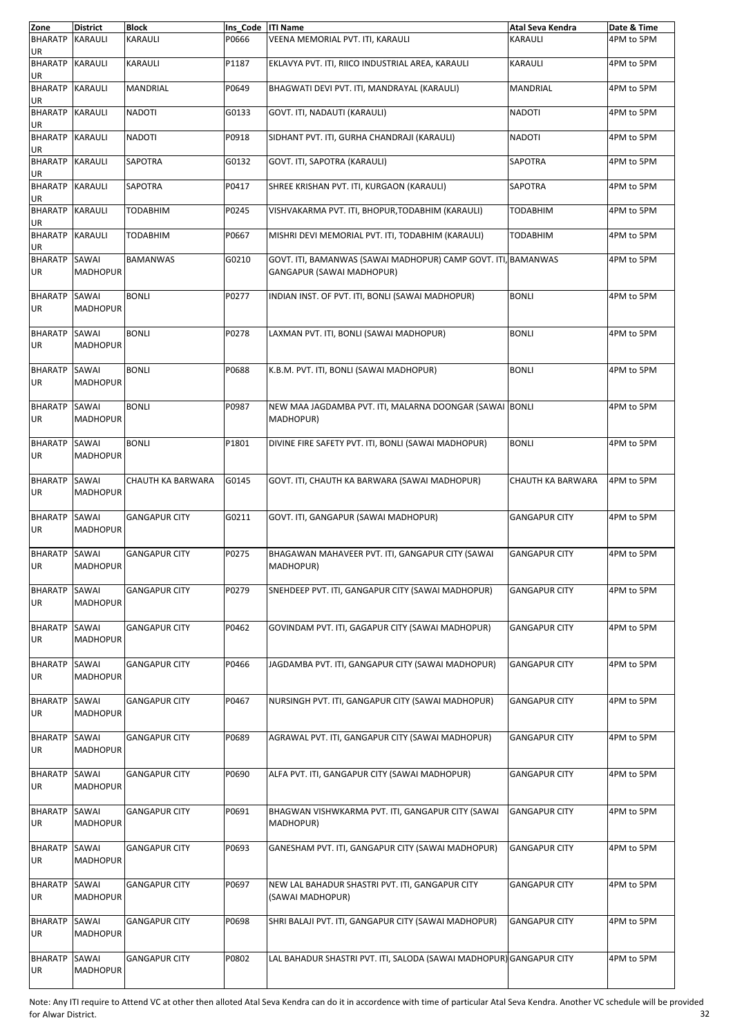| Zone                         | <b>District</b>          | <b>Block</b>         | Ins Code   ITI Name |                                                                                            | Atal Seva Kendra     | Date & Time |
|------------------------------|--------------------------|----------------------|---------------------|--------------------------------------------------------------------------------------------|----------------------|-------------|
| <b>BHARATP</b><br>UR         | <b>KARAULI</b>           | KARAULI              | P0666               | VEENA MEMORIAL PVT. ITI, KARAULI                                                           | <b>KARAULI</b>       | 4PM to 5PM  |
| <b>BHARATP</b><br>UR         | <b>KARAULI</b>           | KARAULI              | P1187               | EKLAVYA PVT. ITI, RIICO INDUSTRIAL AREA, KARAULI                                           | <b>KARAULI</b>       | 4PM to 5PM  |
| <b>BHARATP KARAULI</b><br>UR |                          | <b>MANDRIAL</b>      | P0649               | BHAGWATI DEVI PVT. ITI, MANDRAYAL (KARAULI)                                                | <b>MANDRIAL</b>      | 4PM to 5PM  |
| <b>BHARATP</b><br>UR         | <b>KARAULI</b>           | <b>NADOTI</b>        | G0133               | GOVT. ITI, NADAUTI (KARAULI)                                                               | <b>NADOTI</b>        | 4PM to 5PM  |
| <b>BHARATP</b><br>UR         | <b>KARAULI</b>           | <b>NADOTI</b>        | P0918               | SIDHANT PVT. ITI, GURHA CHANDRAJI (KARAULI)                                                | <b>NADOTI</b>        | 4PM to 5PM  |
| <b>BHARATP</b><br>UR         | <b>KARAULI</b>           | SAPOTRA              | G0132               | GOVT. ITI, SAPOTRA (KARAULI)                                                               | <b>SAPOTRA</b>       | 4PM to 5PM  |
| <b>BHARATP</b><br>UR         | <b>KARAULI</b>           | SAPOTRA              | P0417               | SHREE KRISHAN PVT. ITI, KURGAON (KARAULI)                                                  | SAPOTRA              | 4PM to 5PM  |
| <b>BHARATP</b><br>UR         | <b>KARAULI</b>           | <b>TODABHIM</b>      | P0245               | VISHVAKARMA PVT. ITI, BHOPUR, TODABHIM (KARAULI)                                           | <b>TODABHIM</b>      | 4PM to 5PM  |
| <b>BHARATP</b><br>UR         | <b>KARAULI</b>           | <b>TODABHIM</b>      | P0667               | MISHRI DEVI MEMORIAL PVT. ITI, TODABHIM (KARAULI)                                          | <b>TODABHIM</b>      | 4PM to 5PM  |
| <b>BHARATP</b><br><b>UR</b>  | SAWAI<br><b>MADHOPUR</b> | <b>BAMANWAS</b>      | G0210               | GOVT. ITI, BAMANWAS (SAWAI MADHOPUR) CAMP GOVT. ITI, BAMANWAS<br>GANGAPUR (SAWAI MADHOPUR) |                      | 4PM to 5PM  |
| <b>BHARATP</b><br><b>UR</b>  | SAWAI<br><b>MADHOPUR</b> | <b>BONLI</b>         | P0277               | INDIAN INST. OF PVT. ITI, BONLI (SAWAI MADHOPUR)                                           | <b>BONLI</b>         | 4PM to 5PM  |
| <b>BHARATP</b><br><b>UR</b>  | SAWAI<br><b>MADHOPUR</b> | <b>BONLI</b>         | P0278               | LAXMAN PVT. ITI, BONLI (SAWAI MADHOPUR)                                                    | <b>BONLI</b>         | 4PM to 5PM  |
| <b>BHARATP</b><br><b>UR</b>  | SAWAI<br><b>MADHOPUR</b> | <b>BONLI</b>         | P0688               | K.B.M. PVT. ITI, BONLI (SAWAI MADHOPUR)                                                    | <b>BONLI</b>         | 4PM to 5PM  |
| <b>BHARATP</b><br>UR         | SAWAI<br><b>MADHOPUR</b> | <b>BONLI</b>         | P0987               | NEW MAA JAGDAMBA PVT. ITI, MALARNA DOONGAR (SAWAI BONLI<br>MADHOPUR)                       |                      | 4PM to 5PM  |
| <b>BHARATP</b><br><b>UR</b>  | SAWAI<br><b>MADHOPUR</b> | <b>BONLI</b>         | P1801               | DIVINE FIRE SAFETY PVT. ITI, BONLI (SAWAI MADHOPUR)                                        | <b>BONLI</b>         | 4PM to 5PM  |
| <b>BHARATP</b><br>UR         | SAWAI<br><b>MADHOPUR</b> | CHAUTH KA BARWARA    | G0145               | GOVT. ITI, CHAUTH KA BARWARA (SAWAI MADHOPUR)                                              | CHAUTH KA BARWARA    | 4PM to 5PM  |
| <b>BHARATP</b><br>UR         | SAWAI<br><b>MADHOPUR</b> | <b>GANGAPUR CITY</b> | G0211               | GOVT. ITI, GANGAPUR (SAWAI MADHOPUR)                                                       | <b>GANGAPUR CITY</b> | 4PM to 5PM  |
| <b>BHARATP</b><br><b>UR</b>  | SAWAI<br><b>MADHOPUR</b> | <b>GANGAPUR CITY</b> | P0275               | BHAGAWAN MAHAVEER PVT. ITI, GANGAPUR CITY (SAWAI<br>MADHOPUR)                              | <b>GANGAPUR CITY</b> | 4PM to 5PM  |
| <b>BHARATP</b><br>UR         | SAWAI<br><b>MADHOPUR</b> | <b>GANGAPUR CITY</b> | P0279               | SNEHDEEP PVT. ITI, GANGAPUR CITY (SAWAI MADHOPUR)                                          | <b>GANGAPUR CITY</b> | 4PM to 5PM  |
| <b>BHARATP</b><br>UR         | SAWAI<br><b>MADHOPUR</b> | <b>GANGAPUR CITY</b> | P0462               | GOVINDAM PVT. ITI, GAGAPUR CITY (SAWAI MADHOPUR)                                           | <b>GANGAPUR CITY</b> | 4PM to 5PM  |
| <b>BHARATP</b><br>UR         | SAWAI<br><b>MADHOPUR</b> | <b>GANGAPUR CITY</b> | P0466               | JAGDAMBA PVT. ITI, GANGAPUR CITY (SAWAI MADHOPUR)                                          | <b>GANGAPUR CITY</b> | 4PM to 5PM  |
| <b>BHARATP</b><br>UR         | SAWAI<br><b>MADHOPUR</b> | <b>GANGAPUR CITY</b> | P0467               | NURSINGH PVT. ITI, GANGAPUR CITY (SAWAI MADHOPUR)                                          | <b>GANGAPUR CITY</b> | 4PM to 5PM  |
| <b>BHARATP</b><br>UR         | SAWAI<br><b>MADHOPUR</b> | <b>GANGAPUR CITY</b> | P0689               | AGRAWAL PVT. ITI, GANGAPUR CITY (SAWAI MADHOPUR)                                           | <b>GANGAPUR CITY</b> | 4PM to 5PM  |
| <b>BHARATP</b><br>UR         | SAWAI<br><b>MADHOPUR</b> | <b>GANGAPUR CITY</b> | P0690               | ALFA PVT. ITI, GANGAPUR CITY (SAWAI MADHOPUR)                                              | <b>GANGAPUR CITY</b> | 4PM to 5PM  |
| <b>BHARATP</b><br>UR         | SAWAI<br><b>MADHOPUR</b> | <b>GANGAPUR CITY</b> | P0691               | BHAGWAN VISHWKARMA PVT. ITI, GANGAPUR CITY (SAWAI<br>MADHOPUR)                             | <b>GANGAPUR CITY</b> | 4PM to 5PM  |
| <b>BHARATP</b><br>UR         | SAWAI<br><b>MADHOPUR</b> | <b>GANGAPUR CITY</b> | P0693               | GANESHAM PVT. ITI, GANGAPUR CITY (SAWAI MADHOPUR)                                          | <b>GANGAPUR CITY</b> | 4PM to 5PM  |
| <b>BHARATP</b><br>UR         | SAWAI<br><b>MADHOPUR</b> | <b>GANGAPUR CITY</b> | P0697               | NEW LAL BAHADUR SHASTRI PVT. ITI, GANGAPUR CITY<br>(SAWAI MADHOPUR)                        | <b>GANGAPUR CITY</b> | 4PM to 5PM  |
| <b>BHARATP</b><br>UR         | SAWAI<br><b>MADHOPUR</b> | <b>GANGAPUR CITY</b> | P0698               | SHRI BALAJI PVT. ITI, GANGAPUR CITY (SAWAI MADHOPUR)                                       | <b>GANGAPUR CITY</b> | 4PM to 5PM  |
| <b>BHARATP</b><br>UR         | SAWAI<br><b>MADHOPUR</b> | <b>GANGAPUR CITY</b> | P0802               | LAL BAHADUR SHASTRI PVT. ITI, SALODA (SAWAI MADHOPUR) GANGAPUR CITY                        |                      | 4PM to 5PM  |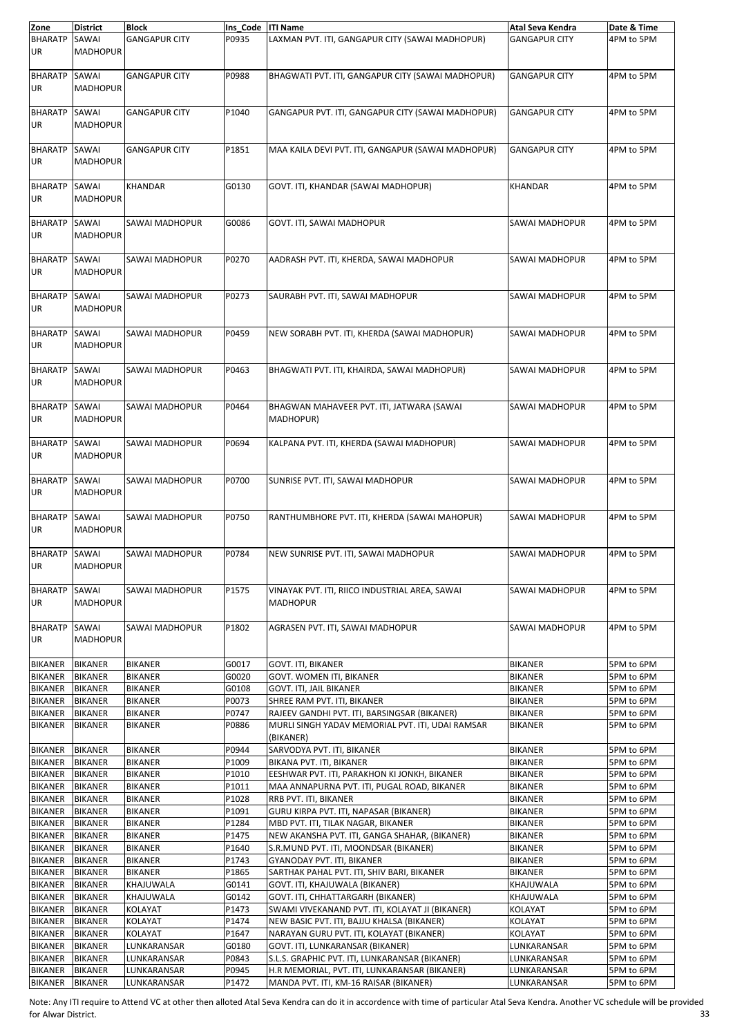| Zone                        | <b>District</b>          | Block                 | Ins Code   ITI Name |                                                                   | Atal Seva Kendra      | Date & Time |
|-----------------------------|--------------------------|-----------------------|---------------------|-------------------------------------------------------------------|-----------------------|-------------|
| <b>BHARATP</b><br>UR        | SAWAI<br><b>MADHOPUR</b> | <b>GANGAPUR CITY</b>  | P0935               | LAXMAN PVT. ITI, GANGAPUR CITY (SAWAI MADHOPUR)                   | <b>GANGAPUR CITY</b>  | 4PM to 5PM  |
| BHARATP SAWAI<br><b>UR</b>  | <b>MADHOPUR</b>          | <b>GANGAPUR CITY</b>  | P0988               | BHAGWATI PVT. ITI, GANGAPUR CITY (SAWAI MADHOPUR)                 | <b>GANGAPUR CITY</b>  | 4PM to 5PM  |
|                             |                          | <b>GANGAPUR CITY</b>  |                     |                                                                   | <b>GANGAPUR CITY</b>  |             |
| <b>BHARATP</b><br><b>UR</b> | SAWAI<br><b>MADHOPUR</b> |                       | P1040               | GANGAPUR PVT. ITI, GANGAPUR CITY (SAWAI MADHOPUR)                 |                       | 4PM to 5PM  |
| BHARATP SAWAI<br><b>UR</b>  | <b>MADHOPUR</b>          | <b>GANGAPUR CITY</b>  | P1851               | MAA KAILA DEVI PVT. ITI, GANGAPUR (SAWAI MADHOPUR)                | <b>GANGAPUR CITY</b>  | 4PM to 5PM  |
| <b>BHARATP</b><br><b>UR</b> | SAWAI<br><b>MADHOPUR</b> | <b>KHANDAR</b>        | G0130               | GOVT. ITI, KHANDAR (SAWAI MADHOPUR)                               | <b>KHANDAR</b>        | 4PM to 5PM  |
| BHARATP SAWAI<br><b>UR</b>  | <b>MADHOPUR</b>          | SAWAI MADHOPUR        | G0086               | GOVT. ITI, SAWAI MADHOPUR                                         | SAWAI MADHOPUR        | 4PM to 5PM  |
| <b>BHARATP</b><br><b>UR</b> | SAWAI<br><b>MADHOPUR</b> | SAWAI MADHOPUR        | P0270               | AADRASH PVT. ITI, KHERDA, SAWAI MADHOPUR                          | SAWAI MADHOPUR        | 4PM to 5PM  |
| <b>BHARATP</b><br><b>UR</b> | SAWAI<br><b>MADHOPUR</b> | SAWAI MADHOPUR        | P0273               | SAURABH PVT. ITI, SAWAI MADHOPUR                                  | <b>SAWAI MADHOPUR</b> | 4PM to 5PM  |
| <b>BHARATP</b><br>UR        | SAWAI<br><b>MADHOPUR</b> | <b>SAWAI MADHOPUR</b> | P0459               | NEW SORABH PVT. ITI, KHERDA (SAWAI MADHOPUR)                      | SAWAI MADHOPUR        | 4PM to 5PM  |
| BHARATP SAWAI<br>UR         | <b>MADHOPUR</b>          | SAWAI MADHOPUR        | P0463               | BHAGWATI PVT. ITI, KHAIRDA, SAWAI MADHOPUR)                       | SAWAI MADHOPUR        | 4PM to 5PM  |
| <b>BHARATP</b><br>UR        | SAWAI<br><b>MADHOPUR</b> | SAWAI MADHOPUR        | P0464               | BHAGWAN MAHAVEER PVT. ITI, JATWARA (SAWAI<br>MADHOPUR)            | SAWAI MADHOPUR        | 4PM to 5PM  |
| <b>BHARATP</b><br><b>UR</b> | SAWAI<br><b>MADHOPUR</b> | SAWAI MADHOPUR        | P0694               | KALPANA PVT. ITI, KHERDA (SAWAI MADHOPUR)                         | SAWAI MADHOPUR        | 4PM to 5PM  |
| <b>BHARATP</b><br>UR        | SAWAI<br><b>MADHOPUR</b> | SAWAI MADHOPUR        | P0700               | SUNRISE PVT. ITI, SAWAI MADHOPUR                                  | SAWAI MADHOPUR        | 4PM to 5PM  |
| <b>BHARATP</b><br>UR        | SAWAI<br><b>MADHOPUR</b> | SAWAI MADHOPUR        | P0750               | RANTHUMBHORE PVT. ITI, KHERDA (SAWAI MAHOPUR)                     | SAWAI MADHOPUR        | 4PM to 5PM  |
| <b>BHARATP</b><br>UR        | SAWAI<br><b>MADHOPUR</b> | SAWAI MADHOPUR        | P0784               | NEW SUNRISE PVT. ITI, SAWAI MADHOPUR                              | <b>SAWAI MADHOPUR</b> | 4PM to 5PM  |
| BHARATP SAWAI<br>UR         | <b>MADHOPUR</b>          | SAWAI MADHOPUR        | P1575               | VINAYAK PVT. ITI, RIICO INDUSTRIAL AREA, SAWAI<br><b>MADHOPUR</b> | SAWAI MADHOPUR        | 4PM to 5PM  |
| <b>BHARATP</b><br>UR        | SAWAI<br><b>MADHOPUR</b> | SAWAI MADHOPUR        | P1802               | AGRASEN PVT. ITI, SAWAI MADHOPUR                                  | SAWAI MADHOPUR        | 4PM to 5PM  |
| <b>BIKANER</b>              | <b>BIKANER</b>           | <b>BIKANER</b>        | G0017               | GOVT. ITI, BIKANER                                                | <b>BIKANER</b>        | 5PM to 6PM  |
| <b>BIKANER</b>              | <b>BIKANER</b>           | <b>BIKANER</b>        | G0020               | GOVT. WOMEN ITI, BIKANER                                          | <b>BIKANER</b>        | 5PM to 6PM  |
| <b>BIKANER</b>              | <b>BIKANER</b>           | BIKANER               | G0108               | GOVT. ITI, JAIL BIKANER                                           | <b>BIKANER</b>        | 5PM to 6PM  |
| <b>BIKANER</b>              | <b>BIKANER</b>           | <b>BIKANER</b>        | P0073               | SHREE RAM PVT. ITI, BIKANER                                       | <b>BIKANER</b>        | 5PM to 6PM  |
| <b>BIKANER</b>              | <b>BIKANER</b>           | <b>BIKANER</b>        | P0747               | RAJEEV GANDHI PVT. ITI, BARSINGSAR (BIKANER)                      | <b>BIKANER</b>        | 5PM to 6PM  |
| <b>BIKANER</b>              | <b>BIKANER</b>           | BIKANER               | P0886               | MURLI SINGH YADAV MEMORIAL PVT. ITI, UDAI RAMSAR<br>(BIKANER)     | BIKANER               | 5PM to 6PM  |
| <b>BIKANER</b>              | <b>BIKANER</b>           | <b>BIKANER</b>        | P0944               | SARVODYA PVT. ITI, BIKANER                                        | <b>BIKANER</b>        | 5PM to 6PM  |
| <b>BIKANER</b>              | <b>BIKANER</b>           | <b>BIKANER</b>        | P1009               | BIKANA PVT. ITI, BIKANER                                          | <b>BIKANER</b>        | 5PM to 6PM  |
| <b>BIKANER</b>              | <b>BIKANER</b>           | <b>BIKANER</b>        | P1010               | EESHWAR PVT. ITI, PARAKHON KI JONKH, BIKANER                      | <b>BIKANER</b>        | 5PM to 6PM  |
| <b>BIKANER</b>              | <b>BIKANER</b>           | <b>BIKANER</b>        | P1011               | MAA ANNAPURNA PVT. ITI, PUGAL ROAD, BIKANER                       | <b>BIKANER</b>        | 5PM to 6PM  |
| <b>BIKANER</b>              | <b>BIKANER</b>           | BIKANER               | P1028               | RRB PVT. ITI, BIKANER                                             | <b>BIKANER</b>        | 5PM to 6PM  |
| <b>BIKANER</b>              | <b>BIKANER</b>           | BIKANER               | P1091               | GURU KIRPA PVT. ITI, NAPASAR (BIKANER)                            | <b>BIKANER</b>        | 5PM to 6PM  |
| <b>BIKANER</b>              | <b>BIKANER</b>           | <b>BIKANER</b>        | P1284               | MBD PVT. ITI, TILAK NAGAR, BIKANER                                | <b>BIKANER</b>        | 5PM to 6PM  |
| <b>BIKANER</b>              | <b>BIKANER</b>           | BIKANER               | P1475               | NEW AKANSHA PVT. ITI, GANGA SHAHAR, (BIKANER)                     | <b>BIKANER</b>        | 5PM to 6PM  |
| <b>BIKANER</b>              | <b>BIKANER</b>           | <b>BIKANER</b>        | P1640               | S.R.MUND PVT. ITI, MOONDSAR (BIKANER)                             | <b>BIKANER</b>        | 5PM to 6PM  |
| <b>BIKANER</b>              | <b>BIKANER</b>           | <b>BIKANER</b>        | P1743               | GYANODAY PVT. ITI, BIKANER                                        | <b>BIKANER</b>        | 5PM to 6PM  |
| <b>BIKANER</b>              | <b>BIKANER</b>           | BIKANER               | P1865               | SARTHAK PAHAL PVT. ITI, SHIV BARI, BIKANER                        | <b>BIKANER</b>        | 5PM to 6PM  |
| <b>BIKANER</b>              | <b>BIKANER</b>           | KHAJUWALA             | G0141               | GOVT. ITI, KHAJUWALA (BIKANER)                                    | KHAJUWALA             | 5PM to 6PM  |
| <b>BIKANER</b>              | <b>BIKANER</b>           | KHAJUWALA             | G0142               | GOVT. ITI, CHHATTARGARH (BIKANER)                                 | KHAJUWALA             | 5PM to 6PM  |
| <b>BIKANER</b>              | <b>BIKANER</b>           | KOLAYAT               | P1473               | SWAMI VIVEKANAND PVT. ITI, KOLAYAT JI (BIKANER)                   | KOLAYAT               | 5PM to 6PM  |
| <b>BIKANER</b>              | <b>BIKANER</b>           | KOLAYAT               | P1474               | NEW BASIC PVT. ITI, BAJJU KHALSA (BIKANER)                        | KOLAYAT               | 5PM to 6PM  |
| <b>BIKANER</b>              | <b>BIKANER</b>           | KOLAYAT               | P1647               | NARAYAN GURU PVT. ITI, KOLAYAT (BIKANER)                          | KOLAYAT               | 5PM to 6PM  |
| <b>BIKANER</b>              | <b>BIKANER</b>           | LUNKARANSAR           | G0180               | GOVT. ITI, LUNKARANSAR (BIKANER)                                  | LUNKARANSAR           | 5PM to 6PM  |
| <b>BIKANER</b>              | <b>BIKANER</b>           | LUNKARANSAR           | P0843               | S.L.S. GRAPHIC PVT. ITI, LUNKARANSAR (BIKANER)                    | LUNKARANSAR           | 5PM to 6PM  |
| <b>BIKANER</b>              | <b>BIKANER</b>           | LUNKARANSAR           | P0945               | H.R MEMORIAL, PVT. ITI, LUNKARANSAR (BIKANER)                     | LUNKARANSAR           | 5PM to 6PM  |
| <b>BIKANER</b>              | <b>BIKANER</b>           | LUNKARANSAR           | P1472               | MANDA PVT. ITI, KM-16 RAISAR (BIKANER)                            | LUNKARANSAR           | 5PM to 6PM  |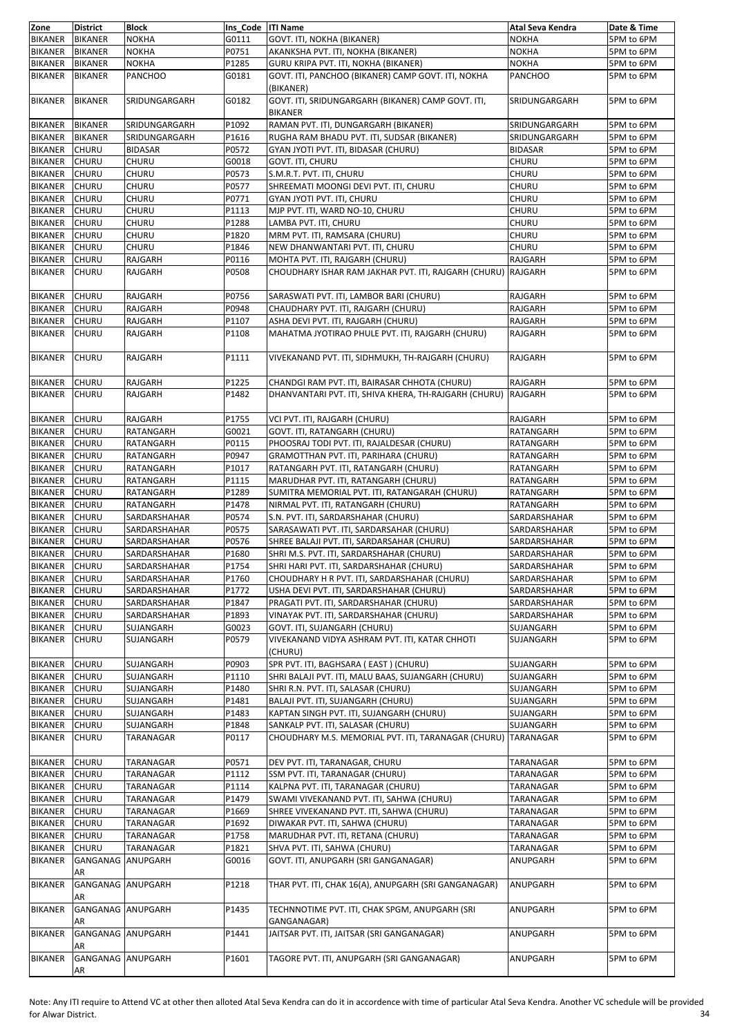| Zone           | <b>District</b>   | <b>Block</b>   | Ins Code   ITI Name |                                                                 | Atal Seva Kendra | Date & Time |
|----------------|-------------------|----------------|---------------------|-----------------------------------------------------------------|------------------|-------------|
| <b>BIKANER</b> | <b>BIKANER</b>    | <b>NOKHA</b>   | G0111               | GOVT. ITI, NOKHA (BIKANER)                                      | <b>NOKHA</b>     | 5PM to 6PM  |
|                |                   |                |                     |                                                                 |                  |             |
| <b>BIKANER</b> | <b>BIKANER</b>    | <b>NOKHA</b>   | P0751               | AKANKSHA PVT. ITI, NOKHA (BIKANER)                              | <b>NOKHA</b>     | 5PM to 6PM  |
| <b>BIKANER</b> | <b>BIKANER</b>    | <b>NOKHA</b>   | P1285               | GURU KRIPA PVT. ITI, NOKHA (BIKANER)                            | <b>NOKHA</b>     | 5PM to 6PM  |
| <b>BIKANER</b> | <b>BIKANER</b>    | <b>PANCHOO</b> | G0181               | GOVT. ITI, PANCHOO (BIKANER) CAMP GOVT. ITI, NOKHA              | <b>PANCHOO</b>   | 5PM to 6PM  |
| <b>BIKANER</b> | <b>BIKANER</b>    | SRIDUNGARGARH  | G0182               | (BIKANER)<br>GOVT. ITI, SRIDUNGARGARH (BIKANER) CAMP GOVT. ITI, | SRIDUNGARGARH    | 5PM to 6PM  |
|                |                   |                |                     | <b>BIKANER</b>                                                  |                  |             |
| <b>BIKANER</b> | <b>BIKANER</b>    | SRIDUNGARGARH  | P1092               | RAMAN PVT. ITI, DUNGARGARH (BIKANER)                            | SRIDUNGARGARH    | 5PM to 6PM  |
| <b>BIKANER</b> | <b>BIKANER</b>    | SRIDUNGARGARH  | P1616               | RUGHA RAM BHADU PVT. ITI, SUDSAR (BIKANER)                      | SRIDUNGARGARH    | 5PM to 6PM  |
| <b>BIKANER</b> | <b>CHURU</b>      | <b>BIDASAR</b> | P0572               | GYAN JYOTI PVT. ITI, BIDASAR (CHURU)                            | <b>BIDASAR</b>   | 5PM to 6PM  |
|                |                   |                |                     |                                                                 |                  |             |
| <b>BIKANER</b> | <b>CHURU</b>      | <b>CHURU</b>   | G0018               | <b>GOVT. ITI, CHURU</b>                                         | CHURU            | 5PM to 6PM  |
| <b>BIKANER</b> | <b>CHURU</b>      | CHURU          | P0573               | S.M.R.T. PVT. ITI, CHURU                                        | CHURU            | 5PM to 6PM  |
| <b>BIKANER</b> | <b>CHURU</b>      | CHURU          | P0577               | SHREEMATI MOONGI DEVI PVT. ITI, CHURU                           | <b>CHURU</b>     | 5PM to 6PM  |
|                |                   |                |                     |                                                                 |                  |             |
| <b>BIKANER</b> | CHURU             | CHURU          | P0771               | GYAN JYOTI PVT. ITI, CHURU                                      | CHURU            | 5PM to 6PM  |
| <b>BIKANER</b> | <b>CHURU</b>      | CHURU          | P1113               | MJP PVT. ITI, WARD NO-10, CHURU                                 | CHURU            | 5PM to 6PM  |
| <b>BIKANER</b> | CHURU             | CHURU          | P1288               | LAMBA PVT. ITI, CHURU                                           | CHURU            | 5PM to 6PM  |
| <b>BIKANER</b> | CHURU             | <b>CHURU</b>   | P1820               | MRM PVT. ITI, RAMSARA (CHURU)                                   | CHURU            | 5PM to 6PM  |
|                |                   |                |                     |                                                                 |                  |             |
| <b>BIKANER</b> | <b>CHURU</b>      | CHURU          | P1846               | NEW DHANWANTARI PVT. ITI, CHURU                                 | CHURU            | 5PM to 6PM  |
| <b>BIKANER</b> | CHURU             | RAJGARH        | P0116               | MOHTA PVT. ITI, RAJGARH (CHURU)                                 | <b>RAJGARH</b>   | 5PM to 6PM  |
| <b>BIKANER</b> | CHURU             | RAJGARH        | P0508               | CHOUDHARY ISHAR RAM JAKHAR PVT. ITI, RAJGARH (CHURU) RAJGARH    |                  | 5PM to 6PM  |
|                |                   |                |                     |                                                                 |                  |             |
| <b>BIKANER</b> | <b>CHURU</b>      | RAJGARH        | P0756               | SARASWATI PVT. ITI, LAMBOR BARI (CHURU)                         | RAJGARH          | 5PM to 6PM  |
| <b>BIKANER</b> | CHURU             | RAJGARH        | P0948               | CHAUDHARY PVT. ITI, RAJGARH (CHURU)                             | RAJGARH          | 5PM to 6PM  |
| <b>BIKANER</b> | <b>CHURU</b>      | RAJGARH        | P1107               | ASHA DEVI PVT. ITI, RAJGARH (CHURU)                             | <b>RAJGARH</b>   | 5PM to 6PM  |
|                |                   |                |                     |                                                                 |                  |             |
| <b>BIKANER</b> | <b>CHURU</b>      | RAJGARH        | P1108               | MAHATMA JYOTIRAO PHULE PVT. ITI, RAJGARH (CHURU)                | <b>RAJGARH</b>   | 5PM to 6PM  |
| <b>BIKANER</b> | <b>CHURU</b>      | RAJGARH        | P1111               | VIVEKANAND PVT. ITI, SIDHMUKH, TH-RAJGARH (CHURU)               | <b>RAJGARH</b>   | 5PM to 6PM  |
| <b>BIKANER</b> | CHURU             | RAJGARH        | P1225               | CHANDGI RAM PVT. ITI, BAIRASAR CHHOTA (CHURU)                   | <b>RAJGARH</b>   | 5PM to 6PM  |
|                |                   |                |                     |                                                                 |                  |             |
| <b>BIKANER</b> | <b>CHURU</b>      | RAJGARH        | P1482               | DHANVANTARI PVT. ITI, SHIVA KHERA, TH-RAJGARH (CHURU) RAJGARH   |                  | 5PM to 6PM  |
|                |                   |                |                     |                                                                 |                  |             |
| <b>BIKANER</b> | <b>CHURU</b>      | RAJGARH        | P1755               | VCI PVT. ITI, RAJGARH (CHURU)                                   | RAJGARH          | 5PM to 6PM  |
| <b>BIKANER</b> | <b>CHURU</b>      | RATANGARH      | G0021               | GOVT. ITI, RATANGARH (CHURU)                                    | <b>RATANGARH</b> | 5PM to 6PM  |
|                |                   |                |                     |                                                                 |                  |             |
| <b>BIKANER</b> | <b>CHURU</b>      | RATANGARH      | P0115               | PHOOSRAJ TODI PVT. ITI, RAJALDESAR (CHURU)                      | RATANGARH        | 5PM to 6PM  |
| <b>BIKANER</b> | <b>CHURU</b>      | RATANGARH      | P0947               | GRAMOTTHAN PVT. ITI, PARIHARA (CHURU)                           | RATANGARH        | 5PM to 6PM  |
| <b>BIKANER</b> | <b>CHURU</b>      | RATANGARH      | P1017               | RATANGARH PVT. ITI, RATANGARH (CHURU)                           | RATANGARH        | 5PM to 6PM  |
| <b>BIKANER</b> | CHURU             | RATANGARH      | P1115               | MARUDHAR PVT. ITI, RATANGARH (CHURU)                            | RATANGARH        | 5PM to 6PM  |
|                |                   |                |                     |                                                                 |                  |             |
| <b>BIKANER</b> | <b>CHURU</b>      | RATANGARH      | P1289               | SUMITRA MEMORIAL PVT. ITI, RATANGARAH (CHURU)                   | RATANGARH        | 5PM to 6PM  |
| <b>BIKANER</b> | <b>CHURU</b>      | RATANGARH      | P1478               | NIRMAL PVT. ITI, RATANGARH (CHURU)                              | RATANGARH        | 5PM to 6PM  |
| <b>BIKANER</b> | CHURU             | SARDARSHAHAR   | P0574               | S.N. PVT. ITI, SARDARSHAHAR (CHURU)                             | SARDARSHAHAR     | 5PM to 6PM  |
|                |                   |                |                     |                                                                 |                  |             |
| <b>BIKANER</b> | <b>CHURU</b>      | SARDARSHAHAR   | P0575               | SARASAWATI PVT. ITI, SARDARSAHAR (CHURU)                        | SARDARSHAHAR     | 5PM to 6PM  |
| <b>BIKANER</b> | <b>CHURU</b>      | SARDARSHAHAR   | P0576               | SHREE BALAJI PVT. ITI, SARDARSAHAR (CHURU)                      | SARDARSHAHAR     | 5PM to 6PM  |
| <b>BIKANER</b> | <b>CHURU</b>      | SARDARSHAHAR   | P1680               | SHRI M.S. PVT. ITI, SARDARSHAHAR (CHURU)                        | SARDARSHAHAR     | 5PM to 6PM  |
| <b>BIKANER</b> | <b>CHURU</b>      | SARDARSHAHAR   | P1754               | SHRI HARI PVT. ITI, SARDARSHAHAR (CHURU)                        | SARDARSHAHAR     | 5PM to 6PM  |
|                |                   |                |                     |                                                                 |                  |             |
| <b>BIKANER</b> | <b>CHURU</b>      | SARDARSHAHAR   | P1760               | CHOUDHARY H R PVT. ITI, SARDARSHAHAR (CHURU)                    | SARDARSHAHAR     | 5PM to 6PM  |
| <b>BIKANER</b> | <b>CHURU</b>      | SARDARSHAHAR   | P1772               | USHA DEVI PVT. ITI, SARDARSHAHAR (CHURU)                        | SARDARSHAHAR     | 5PM to 6PM  |
| <b>BIKANER</b> | <b>CHURU</b>      | SARDARSHAHAR   | P1847               | PRAGATI PVT. ITI, SARDARSHAHAR (CHURU)                          | SARDARSHAHAR     | 5PM to 6PM  |
| <b>BIKANER</b> | <b>CHURU</b>      | SARDARSHAHAR   | P1893               | VINAYAK PVT. ITI, SARDARSHAHAR (CHURU)                          | SARDARSHAHAR     | 5PM to 6PM  |
|                |                   |                |                     |                                                                 |                  |             |
| <b>BIKANER</b> | <b>CHURU</b>      | SUJANGARH      | G0023               | GOVT. ITI, SUJANGARH (CHURU)                                    | SUJANGARH        | 5PM to 6PM  |
| <b>BIKANER</b> | <b>CHURU</b>      | SUJANGARH      | P0579               | VIVEKANAND VIDYA ASHRAM PVT. ITI, KATAR CHHOTI<br>(CHURU)       | SUJANGARH        | 5PM to 6PM  |
| <b>BIKANER</b> | <b>CHURU</b>      | SUJANGARH      | P0903               | SPR PVT. ITI, BAGHSARA (EAST) (CHURU)                           | SUJANGARH        | 5PM to 6PM  |
|                |                   |                |                     |                                                                 |                  |             |
| <b>BIKANER</b> | CHURU             | SUJANGARH      | P1110               | SHRI BALAJI PVT. ITI, MALU BAAS, SUJANGARH (CHURU)              | SUJANGARH        | 5PM to 6PM  |
| <b>BIKANER</b> | CHURU             | SUJANGARH      | P1480               | SHRI R.N. PVT. ITI, SALASAR (CHURU)                             | SUJANGARH        | 5PM to 6PM  |
| <b>BIKANER</b> | <b>CHURU</b>      | SUJANGARH      | P1481               | BALAJI PVT. ITI, SUJANGARH (CHURU)                              | SUJANGARH        | 5PM to 6PM  |
| <b>BIKANER</b> | CHURU             | SUJANGARH      | P1483               | KAPTAN SINGH PVT. ITI, SUJANGARH (CHURU)                        | SUJANGARH        | 5PM to 6PM  |
|                |                   |                |                     |                                                                 |                  |             |
| <b>BIKANER</b> | CHURU             | SUJANGARH      | P1848               | SANKALP PVT. ITI, SALASAR (CHURU)                               | SUJANGARH        | 5PM to 6PM  |
| <b>BIKANER</b> | CHURU             | TARANAGAR      | P0117               | CHOUDHARY M.S. MEMORIAL PVT. ITI, TARANAGAR (CHURU)             | TARANAGAR        | 5PM to 6PM  |
| <b>BIKANER</b> | CHURU             | TARANAGAR      | P0571               | DEV PVT. ITI, TARANAGAR, CHURU                                  | TARANAGAR        | 5PM to 6PM  |
|                |                   |                |                     |                                                                 |                  |             |
| <b>BIKANER</b> | <b>CHURU</b>      | TARANAGAR      | P1112               | SSM PVT. ITI, TARANAGAR (CHURU)                                 | TARANAGAR        | 5PM to 6PM  |
| <b>BIKANER</b> | <b>CHURU</b>      | TARANAGAR      | P1114               | KALPNA PVT. ITI, TARANAGAR (CHURU)                              | TARANAGAR        | 5PM to 6PM  |
| <b>BIKANER</b> | CHURU             | TARANAGAR      | P1479               | SWAMI VIVEKANAND PVT. ITI, SAHWA (CHURU)                        | TARANAGAR        | 5PM to 6PM  |
| <b>BIKANER</b> | <b>CHURU</b>      | TARANAGAR      | P1669               | SHREE VIVEKANAND PVT. ITI, SAHWA (CHURU)                        | TARANAGAR        | 5PM to 6PM  |
| <b>BIKANER</b> | CHURU             |                | P1692               | DIWAKAR PVT. ITI, SAHWA (CHURU)                                 |                  | 5PM to 6PM  |
|                |                   | TARANAGAR      |                     |                                                                 | TARANAGAR        |             |
| <b>BIKANER</b> | <b>CHURU</b>      | TARANAGAR      | P1758               | MARUDHAR PVT. ITI, RETANA (CHURU)                               | TARANAGAR        | 5PM to 6PM  |
| <b>BIKANER</b> | CHURU             | TARANAGAR      | P1821               | SHVA PVT. ITI, SAHWA (CHURU)                                    | TARANAGAR        | 5PM to 6PM  |
| <b>BIKANER</b> | GANGANAG ANUPGARH |                | G0016               | GOVT. ITI, ANUPGARH (SRI GANGANAGAR)                            | ANUPGARH         | 5PM to 6PM  |
|                | AR                |                |                     |                                                                 |                  |             |
| <b>BIKANER</b> | GANGANAG ANUPGARH |                | P1218               | THAR PVT. ITI, CHAK 16(A), ANUPGARH (SRI GANGANAGAR)            | ANUPGARH         | 5PM to 6PM  |
|                | AR                |                |                     |                                                                 |                  |             |
| <b>BIKANER</b> | GANGANAG ANUPGARH |                | P1435               | TECHNNOTIME PVT. ITI, CHAK SPGM, ANUPGARH (SRI                  | <b>ANUPGARH</b>  | 5PM to 6PM  |
|                |                   |                |                     |                                                                 |                  |             |
|                | AR                |                |                     | GANGANAGAR)                                                     |                  |             |
| <b>BIKANER</b> | GANGANAG ANUPGARH |                | P1441               | JAITSAR PVT. ITI, JAITSAR (SRI GANGANAGAR)                      | <b>ANUPGARH</b>  | 5PM to 6PM  |
|                | AR                |                |                     |                                                                 |                  |             |
| <b>BIKANER</b> | GANGANAG ANUPGARH |                | P1601               | TAGORE PVT. ITI, ANUPGARH (SRI GANGANAGAR)                      | ANUPGARH         | 5PM to 6PM  |
|                | AR                |                |                     |                                                                 |                  |             |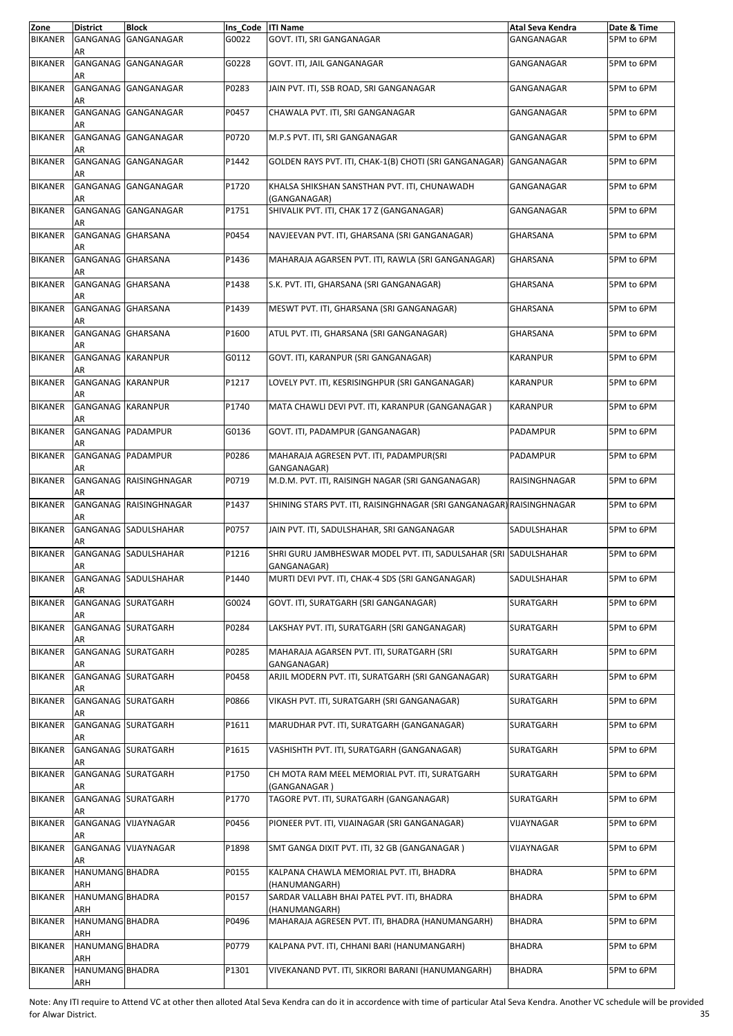| Zone           | <b>District</b>                | <b>Block</b>           | Ins_Code  ITI Name |                                                                                 | Atal Seva Kendra | Date & Time |
|----------------|--------------------------------|------------------------|--------------------|---------------------------------------------------------------------------------|------------------|-------------|
| <b>BIKANER</b> | GANGANAG<br>AR                 | GANGANAGAR             | G0022              | GOVT. ITI, SRI GANGANAGAR                                                       | GANGANAGAR       | 5PM to 6PM  |
| <b>BIKANER</b> | AR                             | GANGANAG GANGANAGAR    | G0228              | GOVT. ITI, JAIL GANGANAGAR                                                      | GANGANAGAR       | 5PM to 6PM  |
| <b>BIKANER</b> | AR                             | GANGANAG GANGANAGAR    | P0283              | JAIN PVT. ITI, SSB ROAD, SRI GANGANAGAR                                         | GANGANAGAR       | 5PM to 6PM  |
| <b>BIKANER</b> | AR                             | GANGANAG GANGANAGAR    | P0457              | CHAWALA PVT. ITI, SRI GANGANAGAR                                                | GANGANAGAR       | 5PM to 6PM  |
| <b>BIKANER</b> | AR                             | GANGANAG GANGANAGAR    | P0720              | M.P.S PVT. ITI, SRI GANGANAGAR                                                  | GANGANAGAR       | 5PM to 6PM  |
| <b>BIKANER</b> | AR                             | GANGANAG GANGANAGAR    | P1442              | GOLDEN RAYS PVT. ITI, CHAK-1(B) CHOTI (SRI GANGANAGAR)                          | GANGANAGAR       | 5PM to 6PM  |
| <b>BIKANER</b> | AR                             | GANGANAG GANGANAGAR    | P1720              | KHALSA SHIKSHAN SANSTHAN PVT. ITI, CHUNAWADH<br>(GANGANAGAR)                    | GANGANAGAR       | 5PM to 6PM  |
| <b>BIKANER</b> | AR                             | GANGANAG GANGANAGAR    | P1751              | SHIVALIK PVT. ITI, CHAK 17 Z (GANGANAGAR)                                       | GANGANAGAR       | 5PM to 6PM  |
| <b>BIKANER</b> | GANGANAG GHARSANA<br>AR        |                        | P0454              | NAVJEEVAN PVT. ITI, GHARSANA (SRI GANGANAGAR)                                   | <b>GHARSANA</b>  | 5PM to 6PM  |
| <b>BIKANER</b> | GANGANAG GHARSANA<br>AR        |                        | P1436              | MAHARAJA AGARSEN PVT. ITI, RAWLA (SRI GANGANAGAR)                               | GHARSANA         | 5PM to 6PM  |
| <b>BIKANER</b> | GANGANAG GHARSANA<br>AR        |                        | P1438              | S.K. PVT. ITI, GHARSANA (SRI GANGANAGAR)                                        | <b>GHARSANA</b>  | 5PM to 6PM  |
| <b>BIKANER</b> | GANGANAG GHARSANA<br>AR        |                        | P1439              | MESWT PVT. ITI, GHARSANA (SRI GANGANAGAR)                                       | <b>GHARSANA</b>  | 5PM to 6PM  |
| <b>BIKANER</b> | GANGANAG GHARSANA<br>AR        |                        | P1600              | ATUL PVT. ITI, GHARSANA (SRI GANGANAGAR)                                        | <b>GHARSANA</b>  | 5PM to 6PM  |
| <b>BIKANER</b> | <b>GANGANAG KARANPUR</b><br>AR |                        | G0112              | GOVT. ITI, KARANPUR (SRI GANGANAGAR)                                            | <b>KARANPUR</b>  | 5PM to 6PM  |
| <b>BIKANER</b> | <b>GANGANAG KARANPUR</b><br>AR |                        | P1217              | LOVELY PVT. ITI, KESRISINGHPUR (SRI GANGANAGAR)                                 | <b>KARANPUR</b>  | 5PM to 6PM  |
| <b>BIKANER</b> | <b>GANGANAG KARANPUR</b><br>AR |                        | P1740              | MATA CHAWLI DEVI PVT. ITI, KARANPUR (GANGANAGAR)                                | <b>KARANPUR</b>  | 5PM to 6PM  |
| <b>BIKANER</b> | GANGANAG PADAMPUR<br>AR        |                        | G0136              | GOVT. ITI, PADAMPUR (GANGANAGAR)                                                | PADAMPUR         | 5PM to 6PM  |
| <b>BIKANER</b> | GANGANAG PADAMPUR<br>AR        |                        | P0286              | MAHARAJA AGRESEN PVT. ITI, PADAMPUR(SRI<br>GANGANAGAR)                          | PADAMPUR         | 5PM to 6PM  |
| <b>BIKANER</b> | AR                             | GANGANAG RAISINGHNAGAR | P0719              | M.D.M. PVT. ITI, RAISINGH NAGAR (SRI GANGANAGAR)                                | RAISINGHNAGAR    | 5PM to 6PM  |
| <b>BIKANER</b> | AR                             | GANGANAG RAISINGHNAGAR | P1437              | SHINING STARS PVT. ITI, RAISINGHNAGAR (SRI GANGANAGAR) RAISINGHNAGAR            |                  | 5PM to 6PM  |
| <b>BIKANER</b> | AR                             | GANGANAG SADULSHAHAR   | P0757              | JAIN PVT. ITI, SADULSHAHAR, SRI GANGANAGAR                                      | SADULSHAHAR      | 5PM to 6PM  |
| <b>BIKANER</b> | AR                             | GANGANAG SADULSHAHAR   | P1216              | SHRI GURU JAMBHESWAR MODEL PVT. ITI, SADULSAHAR (SRI SADULSHAHAR<br>GANGANAGAR) |                  | 5PM to 6PM  |
| <b>BIKANER</b> | AR                             | GANGANAG SADULSHAHAR   | P1440              | MURTI DEVI PVT. ITI, CHAK-4 SDS (SRI GANGANAGAR)                                | SADULSHAHAR      | 5PM to 6PM  |
| <b>BIKANER</b> | AR                             | GANGANAG SURATGARH     | G0024              | GOVT. ITI, SURATGARH (SRI GANGANAGAR)                                           | SURATGARH        | 5PM to 6PM  |
| <b>BIKANER</b> | AR                             | GANGANAG SURATGARH     | P0284              | LAKSHAY PVT. ITI, SURATGARH (SRI GANGANAGAR)                                    | SURATGARH        | 5PM to 6PM  |
| <b>BIKANER</b> | AR                             | GANGANAG SURATGARH     | P0285              | MAHARAJA AGARSEN PVT. ITI, SURATGARH (SRI<br>GANGANAGAR)                        | SURATGARH        | 5PM to 6PM  |
| <b>BIKANER</b> | AR                             | GANGANAG SURATGARH     | P0458              | ARJIL MODERN PVT. ITI, SURATGARH (SRI GANGANAGAR)                               | SURATGARH        | 5PM to 6PM  |
| <b>BIKANER</b> | AR                             | GANGANAG SURATGARH     | P0866              | VIKASH PVT. ITI, SURATGARH (SRI GANGANAGAR)                                     | SURATGARH        | 5PM to 6PM  |
| <b>BIKANER</b> | AR                             | GANGANAG SURATGARH     | P1611              | MARUDHAR PVT. ITI, SURATGARH (GANGANAGAR)                                       | SURATGARH        | 5PM to 6PM  |
| <b>BIKANER</b> | AR                             | GANGANAG SURATGARH     | P1615              | VASHISHTH PVT. ITI, SURATGARH (GANGANAGAR)                                      | SURATGARH        | 5PM to 6PM  |
| <b>BIKANER</b> | AR                             | GANGANAG SURATGARH     | P1750              | CH MOTA RAM MEEL MEMORIAL PVT. ITI, SURATGARH<br>(GANGANAGAR )                  | SURATGARH        | 5PM to 6PM  |
| <b>BIKANER</b> | AR                             | GANGANAG SURATGARH     | P1770              | TAGORE PVT. ITI, SURATGARH (GANGANAGAR)                                         | SURATGARH        | 5PM to 6PM  |
| <b>BIKANER</b> | AR                             | GANGANAG VIJAYNAGAR    | P0456              | PIONEER PVT. ITI, VIJAINAGAR (SRI GANGANAGAR)                                   | VIJAYNAGAR       | 5PM to 6PM  |
| <b>BIKANER</b> | AR                             | GANGANAG VIJAYNAGAR    | P1898              | SMT GANGA DIXIT PVT. ITI, 32 GB (GANGANAGAR)                                    | VIJAYNAGAR       | 5PM to 6PM  |
| <b>BIKANER</b> | HANUMANG BHADRA<br>ARH         |                        | P0155              | KALPANA CHAWLA MEMORIAL PVT. ITI, BHADRA<br>(HANUMANGARH)                       | <b>BHADRA</b>    | 5PM to 6PM  |
| <b>BIKANER</b> | HANUMANG BHADRA<br>ARH         |                        | P0157              | SARDAR VALLABH BHAI PATEL PVT. ITI, BHADRA<br>(HANUMANGARH)                     | <b>BHADRA</b>    | 5PM to 6PM  |
| <b>BIKANER</b> | HANUMANG BHADRA<br>ARH         |                        | P0496              | MAHARAJA AGRESEN PVT. ITI, BHADRA (HANUMANGARH)                                 | <b>BHADRA</b>    | 5PM to 6PM  |
| <b>BIKANER</b> | HANUMANG BHADRA<br>ARH         |                        | P0779              | KALPANA PVT. ITI, CHHANI BARI (HANUMANGARH)                                     | <b>BHADRA</b>    | 5PM to 6PM  |
| <b>BIKANER</b> | HANUMANG BHADRA<br>ARH         |                        | P1301              | VIVEKANAND PVT. ITI, SIKRORI BARANI (HANUMANGARH)                               | BHADRA           | 5PM to 6PM  |